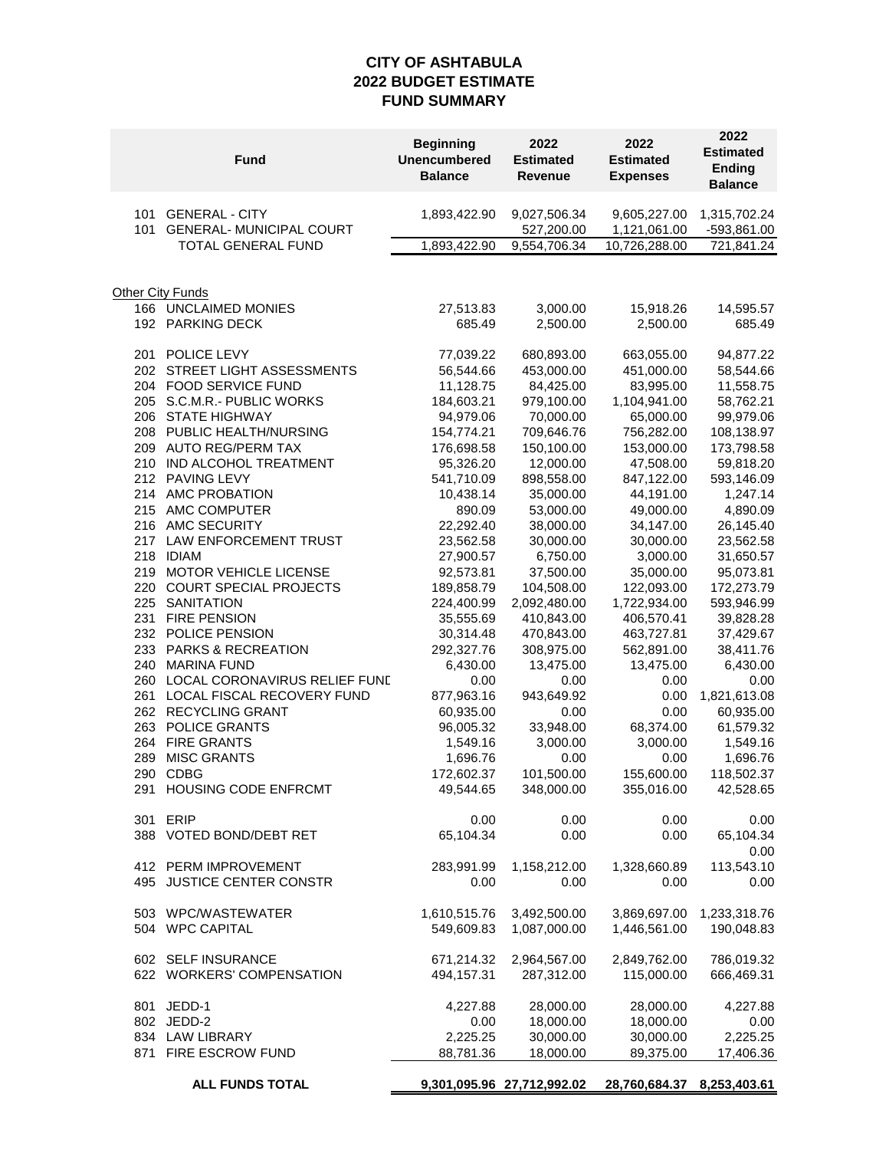# **CITY OF ASHTABULA 2022 BUDGET ESTIMATE FUND SUMMARY**

|     | <b>Fund</b>                     | <b>Beginning</b><br><b>Unencumbered</b><br><b>Balance</b> | 2022<br><b>Estimated</b><br>Revenue | 2022<br><b>Estimated</b><br><b>Expenses</b> | 2022<br><b>Estimated</b><br><b>Ending</b><br><b>Balance</b> |
|-----|---------------------------------|-----------------------------------------------------------|-------------------------------------|---------------------------------------------|-------------------------------------------------------------|
| 101 | <b>GENERAL - CITY</b>           | 1,893,422.90                                              | 9,027,506.34                        | 9,605,227.00                                | 1,315,702.24                                                |
| 101 | <b>GENERAL- MUNICIPAL COURT</b> |                                                           | 527,200.00                          | 1,121,061.00                                | -593,861.00                                                 |
|     | TOTAL GENERAL FUND              | 1,893,422.90                                              | 9,554,706.34                        | 10,726,288.00                               | 721,841.24                                                  |
|     |                                 |                                                           |                                     |                                             |                                                             |
|     | Other City Funds                |                                                           |                                     |                                             |                                                             |
|     | 166 UNCLAIMED MONIES            | 27,513.83                                                 | 3,000.00                            | 15,918.26                                   | 14,595.57                                                   |
|     | 192 PARKING DECK                | 685.49                                                    | 2,500.00                            | 2,500.00                                    | 685.49                                                      |
|     | 201 POLICE LEVY                 | 77,039.22                                                 | 680,893.00                          | 663,055.00                                  | 94,877.22                                                   |
|     | 202 STREET LIGHT ASSESSMENTS    | 56,544.66                                                 | 453,000.00                          | 451,000.00                                  | 58,544.66                                                   |
|     | 204 FOOD SERVICE FUND           | 11,128.75                                                 | 84,425.00                           | 83,995.00                                   | 11,558.75                                                   |
|     | 205 S.C.M.R.- PUBLIC WORKS      | 184,603.21                                                | 979,100.00                          | 1,104,941.00                                | 58,762.21                                                   |
| 206 | <b>STATE HIGHWAY</b>            | 94,979.06                                                 | 70,000.00                           | 65,000.00                                   | 99,979.06                                                   |
|     | 208 PUBLIC HEALTH/NURSING       | 154,774.21                                                | 709,646.76                          | 756,282.00                                  | 108,138.97                                                  |
|     | 209 AUTO REG/PERM TAX           | 176,698.58                                                | 150,100.00                          | 153,000.00                                  | 173,798.58                                                  |
|     | 210 IND ALCOHOL TREATMENT       | 95,326.20                                                 | 12,000.00                           | 47,508.00                                   | 59,818.20                                                   |
|     | 212 PAVING LEVY                 | 541,710.09                                                | 898,558.00                          | 847,122.00                                  | 593,146.09                                                  |
|     | 214 AMC PROBATION               | 10,438.14                                                 | 35,000.00                           | 44,191.00                                   | 1,247.14                                                    |
|     | 215 AMC COMPUTER                | 890.09                                                    | 53,000.00                           | 49,000.00                                   | 4,890.09                                                    |
|     | 216 AMC SECURITY                | 22,292.40                                                 | 38,000.00                           | 34,147.00                                   | 26,145.40                                                   |
|     | 217 LAW ENFORCEMENT TRUST       | 23,562.58                                                 | 30,000.00                           | 30,000.00                                   | 23,562.58                                                   |
|     | 218 IDIAM                       | 27,900.57                                                 | 6,750.00                            | 3,000.00                                    | 31,650.57                                                   |
|     | 219 MOTOR VEHICLE LICENSE       | 92,573.81                                                 | 37,500.00                           | 35,000.00                                   | 95,073.81                                                   |
|     | 220 COURT SPECIAL PROJECTS      | 189,858.79                                                | 104,508.00                          | 122,093.00                                  | 172,273.79                                                  |
|     | 225 SANITATION                  | 224,400.99                                                | 2,092,480.00                        | 1,722,934.00                                | 593,946.99                                                  |
| 231 | <b>FIRE PENSION</b>             | 35,555.69                                                 | 410,843.00                          | 406,570.41                                  | 39,828.28                                                   |
|     | 232 POLICE PENSION              | 30,314.48                                                 | 470,843.00                          | 463,727.81                                  | 37,429.67                                                   |
|     | 233 PARKS & RECREATION          | 292,327.76                                                | 308,975.00                          | 562,891.00                                  | 38,411.76                                                   |
| 240 | <b>MARINA FUND</b>              | 6,430.00                                                  | 13,475.00                           | 13,475.00                                   | 6,430.00                                                    |
| 260 | LOCAL CORONAVIRUS RELIEF FUND   | 0.00                                                      | 0.00                                | 0.00                                        | 0.00                                                        |
|     | 261 LOCAL FISCAL RECOVERY FUND  | 877,963.16                                                | 943,649.92                          | 0.00                                        | 1,821,613.08                                                |
|     | 262 RECYCLING GRANT             | 60,935.00                                                 | 0.00                                | 0.00                                        | 60,935.00                                                   |
|     | 263 POLICE GRANTS               | 96,005.32                                                 | 33,948.00                           | 68,374.00                                   | 61,579.32                                                   |
|     | 264 FIRE GRANTS                 | 1,549.16                                                  | 3,000.00                            | 3,000.00                                    | 1,549.16                                                    |
| 289 | <b>MISC GRANTS</b>              | 1,696.76                                                  | 0.00                                | 0.00                                        | 1,696.76                                                    |
| 290 | <b>CDBG</b>                     | 172,602.37                                                | 101,500.00                          | 155,600.00                                  | 118,502.37                                                  |
|     | 291 HOUSING CODE ENFRCMT        | 49,544.65                                                 | 348,000.00                          | 355,016.00                                  | 42,528.65                                                   |
|     | 301 ERIP                        | 0.00                                                      | 0.00                                | 0.00                                        | 0.00                                                        |
|     | 388 VOTED BOND/DEBT RET         | 65,104.34                                                 | 0.00                                | 0.00                                        | 65,104.34                                                   |
|     |                                 |                                                           |                                     |                                             | 0.00                                                        |
|     | 412 PERM IMPROVEMENT            | 283,991.99                                                | 1,158,212.00                        | 1,328,660.89                                | 113,543.10                                                  |
|     | 495 JUSTICE CENTER CONSTR       | 0.00                                                      | 0.00                                | 0.00                                        | 0.00                                                        |
|     |                                 |                                                           |                                     |                                             |                                                             |
|     | 503 WPC/WASTEWATER              | 1,610,515.76                                              | 3,492,500.00                        | 3,869,697.00                                | 1,233,318.76                                                |
|     | 504 WPC CAPITAL                 | 549,609.83                                                | 1,087,000.00                        | 1,446,561.00                                | 190,048.83                                                  |
|     |                                 |                                                           |                                     |                                             |                                                             |
|     | 602 SELF INSURANCE              | 671,214.32                                                | 2,964,567.00                        | 2,849,762.00                                | 786,019.32                                                  |
|     | 622 WORKERS' COMPENSATION       | 494,157.31                                                | 287,312.00                          | 115,000.00                                  | 666,469.31                                                  |
|     |                                 |                                                           |                                     |                                             |                                                             |
|     | 801 JEDD-1                      | 4,227.88                                                  | 28,000.00                           | 28,000.00                                   | 4,227.88                                                    |
|     | 802 JEDD-2                      | 0.00                                                      | 18,000.00                           | 18,000.00                                   | 0.00                                                        |
|     | 834 LAW LIBRARY                 | 2,225.25                                                  | 30,000.00                           | 30,000.00                                   | 2,225.25                                                    |
|     | 871 FIRE ESCROW FUND            | 88,781.36                                                 | 18,000.00                           | 89,375.00                                   | 17,406.36                                                   |
|     |                                 |                                                           |                                     |                                             |                                                             |
|     | ALL FUNDS TOTAL                 |                                                           | 9,301,095.96 27,712,992.02          | 28,760,684.37 8,253,403.61                  |                                                             |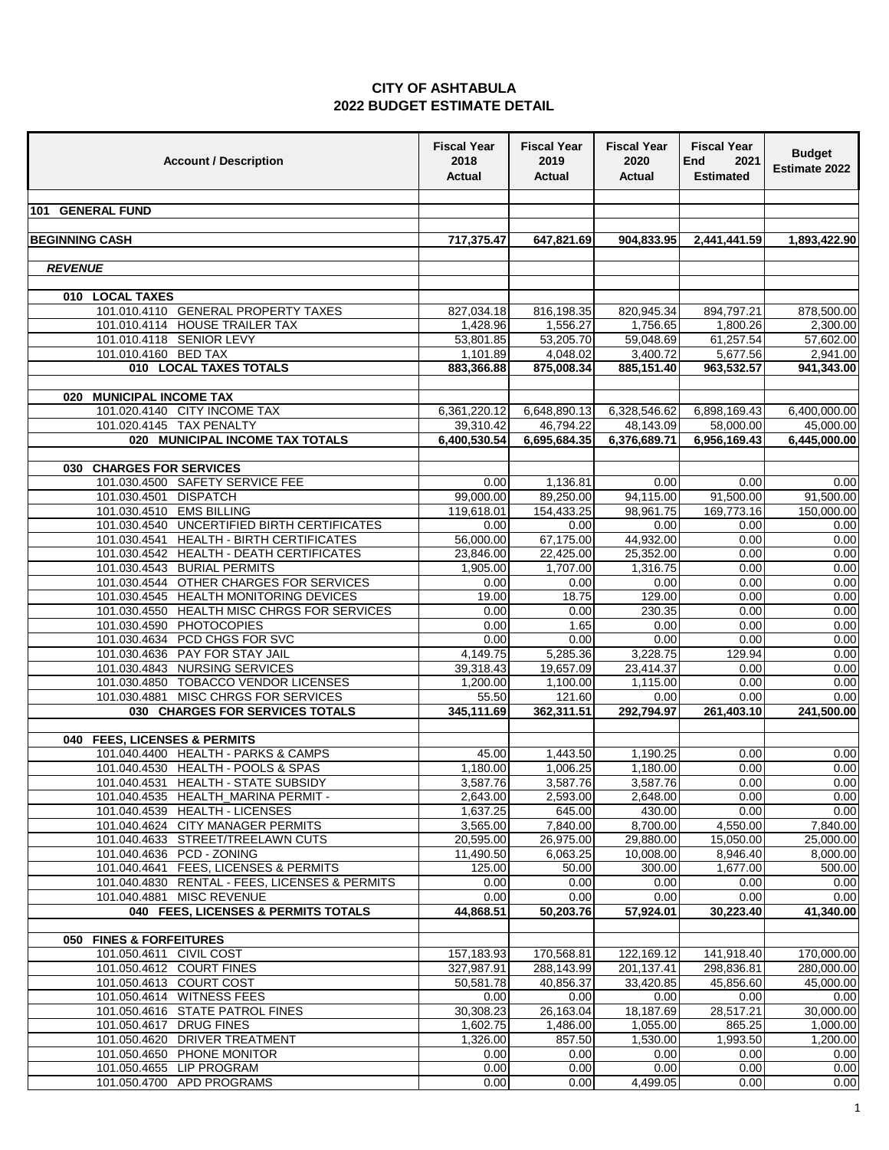| <b>Account / Description</b>                                              | <b>Fiscal Year</b><br>2018<br>Actual | <b>Fiscal Year</b><br>2019<br>Actual | <b>Fiscal Year</b><br>2020<br><b>Actual</b> | <b>Fiscal Year</b><br>End<br>2021<br><b>Estimated</b> | <b>Budget</b><br>Estimate 2022 |
|---------------------------------------------------------------------------|--------------------------------------|--------------------------------------|---------------------------------------------|-------------------------------------------------------|--------------------------------|
| 101 GENERAL FUND                                                          |                                      |                                      |                                             |                                                       |                                |
|                                                                           |                                      |                                      |                                             |                                                       |                                |
| <b>BEGINNING CASH</b>                                                     | 717,375.47                           | 647,821.69                           | 904,833.95                                  | 2,441,441.59                                          | 1,893,422.90                   |
|                                                                           |                                      |                                      |                                             |                                                       |                                |
| <b>REVENUE</b>                                                            |                                      |                                      |                                             |                                                       |                                |
| 010 LOCAL TAXES                                                           |                                      |                                      |                                             |                                                       |                                |
| 101.010.4110 GENERAL PROPERTY TAXES                                       | 827,034.18                           | 816,198.35                           | 820,945.34                                  | 894,797.21                                            | 878,500.00                     |
| 101.010.4114 HOUSE TRAILER TAX                                            | 1,428.96                             | 1,556.27                             | 1,756.65                                    | 1,800.26                                              | 2,300.00                       |
| 101.010.4118 SENIOR LEVY                                                  | 53,801.85                            | 53,205.70                            | 59,048.69                                   | 61,257.54                                             | 57,602.00                      |
| 101.010.4160 BED TAX                                                      | 1,101.89                             | 4,048.02                             | 3,400.72                                    | 5,677.56                                              | 2,941.00                       |
| 010 LOCAL TAXES TOTALS                                                    | 883,366.88                           | 875,008.34                           | 885,151.40                                  | 963,532.57                                            | 941,343.00                     |
| <b>MUNICIPAL INCOME TAX</b><br>020                                        |                                      |                                      |                                             |                                                       |                                |
| 101.020.4140 CITY INCOME TAX                                              | 6,361,220.12                         | 6,648,890.13                         | 6,328,546.62                                | 6,898,169.43                                          | 6,400,000.00                   |
| 101.020.4145 TAX PENALTY                                                  | 39,310.42                            | 46,794.22                            | 48,143.09                                   | 58,000.00                                             | 45,000.00                      |
| 020 MUNICIPAL INCOME TAX TOTALS                                           | 6,400,530.54                         | 6,695,684.35                         | 6,376,689.71                                | 6,956,169.43                                          | 6,445,000.00                   |
|                                                                           |                                      |                                      |                                             |                                                       |                                |
| 030 CHARGES FOR SERVICES<br>101.030.4500 SAFETY SERVICE FEE               | 0.00                                 | 1,136.81                             | 0.00                                        | 0.00                                                  | 0.00                           |
| 101.030.4501<br><b>DISPATCH</b>                                           | 99,000.00                            | 89,250.00                            | 94,115.00                                   | 91,500.00                                             | 91,500.00                      |
| 101.030.4510 EMS BILLING                                                  | 119,618.01                           | 154,433.25                           | 98,961.75                                   | 169,773.16                                            | 150,000.00                     |
| 101.030.4540 UNCERTIFIED BIRTH CERTIFICATES                               | 0.00                                 | 0.00                                 | 0.00                                        | 0.00                                                  | 0.00                           |
| 101.030.4541 HEALTH - BIRTH CERTIFICATES                                  | 56,000.00                            | 67,175.00                            | 44,932.00                                   | 0.00                                                  | 0.00                           |
| 101.030.4542 HEALTH - DEATH CERTIFICATES                                  | 23,846.00                            | 22,425.00                            | 25,352.00                                   | 0.00                                                  | 0.00                           |
| <b>BURIAL PERMITS</b><br>101.030.4543                                     | 1,905.00                             | 1,707.00                             | 1,316.75                                    | 0.00                                                  | 0.00                           |
| 101.030.4544 OTHER CHARGES FOR SERVICES                                   | 0.00                                 | 0.00                                 | 0.00                                        | 0.00                                                  | 0.00                           |
| 101.030.4545 HEALTH MONITORING DEVICES                                    | 19.00                                | 18.75                                | 129.00                                      | 0.00                                                  | 0.00                           |
| 101.030.4550 HEALTH MISC CHRGS FOR SERVICES                               | 0.00                                 | 0.00                                 | 230.35                                      | 0.00                                                  | 0.00                           |
| 101.030.4590 PHOTOCOPIES<br>101.030.4634 PCD CHGS FOR SVC                 | 0.00                                 | 1.65                                 | 0.00                                        | 0.00                                                  | 0.00                           |
| 101.030.4636 PAY FOR STAY JAIL                                            | 0.00<br>4,149.75                     | 0.00<br>5,285.36                     | 0.00<br>3,228.75                            | 0.00<br>129.94                                        | 0.00<br>0.00                   |
| 101.030.4843 NURSING SERVICES                                             | 39,318.43                            | 19,657.09                            | 23,414.37                                   | 0.00                                                  | 0.00                           |
| 101.030.4850 TOBACCO VENDOR LICENSES                                      | 1,200.00                             | 1,100.00                             | 1,115.00                                    | 0.00                                                  | 0.00                           |
| 101.030.4881 MISC CHRGS FOR SERVICES                                      | 55.50                                | 121.60                               | 0.00                                        | 0.00                                                  | 0.00                           |
| 030 CHARGES FOR SERVICES TOTALS                                           | 345,111.69                           | 362,311.51                           | 292,794.97                                  | 261,403.10                                            | 241,500.00                     |
|                                                                           |                                      |                                      |                                             |                                                       |                                |
| 040 FEES, LICENSES & PERMITS                                              |                                      |                                      |                                             |                                                       |                                |
| 101.040.4400 HEALTH - PARKS & CAMPS                                       | 45.00                                | 1,443.50                             | 1,190.25                                    | 0.00                                                  | 0.00                           |
| 101.040.4530 HEALTH - POOLS & SPAS<br>101.040.4531 HEALTH - STATE SUBSIDY | 1.180.00                             | 1,006.25                             | 1,180.00                                    | 0.00                                                  | 0.00                           |
| 101.040.4535 HEALTH MARINA PERMIT -                                       | 3,587.76<br>2,643.00                 | 3,587.76<br>2,593.00                 | 3,587.76<br>2,648.00                        | 0.00<br>0.00                                          | 0.00<br>0.00                   |
| 101.040.4539 HEALTH - LICENSES                                            | 1,637.25                             | 645.00                               | 430.00                                      | 0.00                                                  | 0.00                           |
| 101.040.4624 CITY MANAGER PERMITS                                         | 3,565.00                             | 7,840.00                             | 8,700.00                                    | 4,550.00                                              | 7,840.00                       |
| 101.040.4633 STREET/TREELAWN CUTS                                         | 20,595.00                            | 26,975.00                            | 29,880.00                                   | 15,050.00                                             | 25,000.00                      |
| 101.040.4636 PCD - ZONING                                                 | 11,490.50                            | 6,063.25                             | 10,008.00                                   | 8,946.40                                              | 8,000.00                       |
| 101.040.4641 FEES, LICENSES & PERMITS                                     | 125.00                               | 50.00                                | 300.00                                      | 1,677.00                                              | 500.00                         |
| 101.040.4830 RENTAL - FEES, LICENSES & PERMITS                            | 0.00                                 | 0.00                                 | 0.00                                        | 0.00                                                  | 0.00                           |
| 101.040.4881 MISC REVENUE                                                 | 0.00                                 | 0.00                                 | 0.00                                        | 0.00                                                  | 0.00                           |
| 040 FEES, LICENSES & PERMITS TOTALS                                       | 44,868.51                            | 50,203.76                            | 57,924.01                                   | 30,223.40                                             | 41,340.00                      |
| <b>FINES &amp; FORFEITURES</b><br>050                                     |                                      |                                      |                                             |                                                       |                                |
| 101.050.4611 CIVIL COST                                                   | 157,183.93                           | 170,568.81                           | 122,169.12                                  | 141,918.40                                            | 170,000.00                     |
| 101.050.4612 COURT FINES                                                  | 327,987.91                           | 288,143.99                           | 201,137.41                                  | 298,836.81                                            | 280,000.00                     |
| 101.050.4613 COURT COST                                                   | 50,581.78                            | 40,856.37                            | 33,420.85                                   | 45,856.60                                             | 45,000.00                      |
| 101.050.4614 WITNESS FEES                                                 | 0.00                                 | 0.00                                 | 0.00                                        | 0.00                                                  | 0.00                           |
| 101.050.4616 STATE PATROL FINES                                           | 30,308.23                            | 26,163.04                            | 18,187.69                                   | 28,517.21                                             | 30,000.00                      |
| 101.050.4617 DRUG FINES                                                   | 1,602.75                             | 1,486.00                             | 1,055.00                                    | 865.25                                                | 1,000.00                       |
| 101.050.4620 DRIVER TREATMENT                                             | 1,326.00                             | 857.50                               | 1,530.00                                    | 1,993.50                                              | 1,200.00                       |
| 101.050.4650 PHONE MONITOR                                                | 0.00                                 | 0.00                                 | 0.00                                        | 0.00                                                  | 0.00                           |
| 101.050.4655 LIP PROGRAM                                                  | 0.00                                 | 0.00                                 | 0.00                                        | 0.00                                                  | 0.00                           |
| 101.050.4700 APD PROGRAMS                                                 | 0.00                                 | 0.00                                 | 4,499.05                                    | 0.00                                                  | 0.00                           |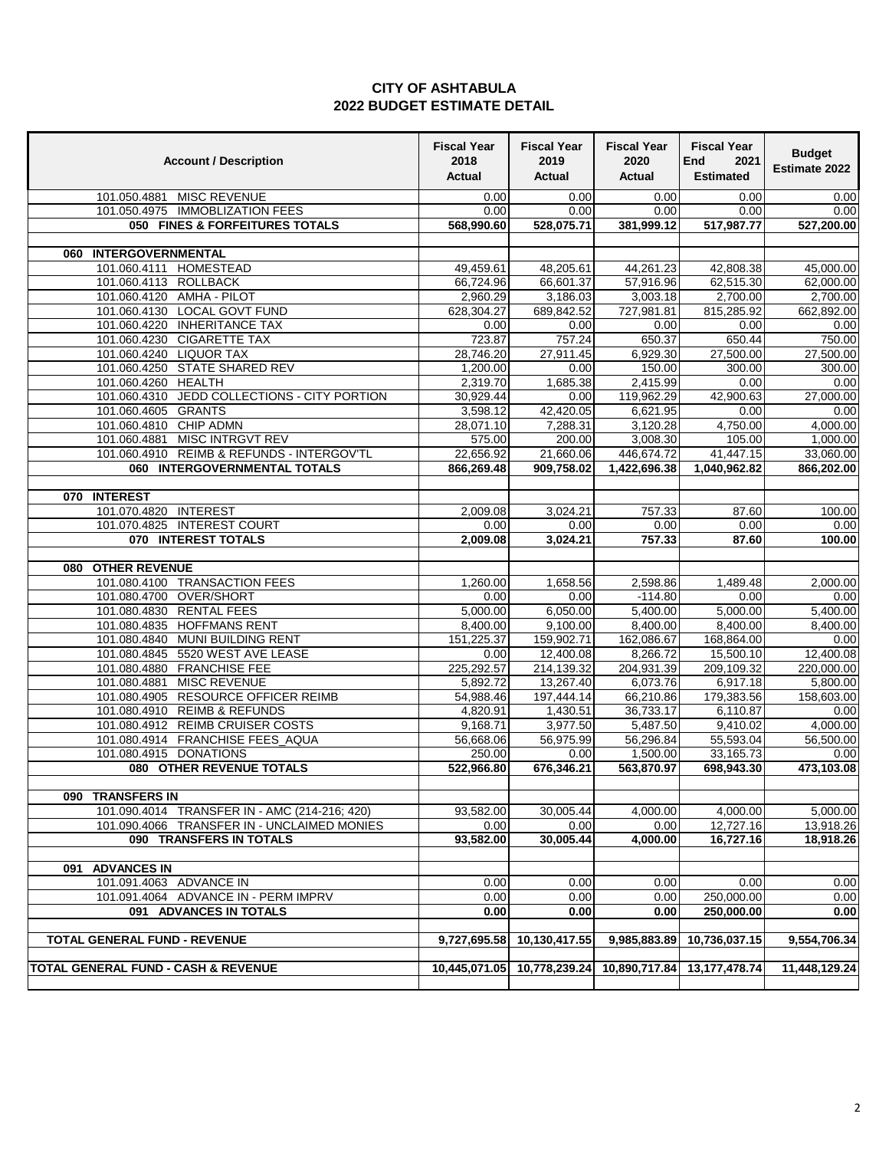| <b>Account / Description</b>                                      | <b>Fiscal Year</b><br>2018<br><b>Actual</b> | <b>Fiscal Year</b><br>2019<br><b>Actual</b> | <b>Fiscal Year</b><br>2020<br>Actual | <b>Fiscal Year</b><br>End<br>2021<br><b>Estimated</b> | <b>Budget</b><br><b>Estimate 2022</b> |
|-------------------------------------------------------------------|---------------------------------------------|---------------------------------------------|--------------------------------------|-------------------------------------------------------|---------------------------------------|
| 101.050.4881 MISC REVENUE                                         | 0.00                                        | 0.00                                        | 0.00                                 | 0.00                                                  | 0.00                                  |
| 101.050.4975 IMMOBLIZATION FEES                                   | 0.00                                        | 0.00                                        | 0.00                                 | 0.00                                                  | 0.00                                  |
| 050 FINES & FORFEITURES TOTALS                                    | 568,990.60                                  | 528,075.71                                  | 381,999.12                           | 517,987.77                                            | 527,200.00                            |
|                                                                   |                                             |                                             |                                      |                                                       |                                       |
| 060 INTERGOVERNMENTAL                                             |                                             |                                             |                                      |                                                       |                                       |
| 101.060.4111 HOMESTEAD                                            | 49,459.61                                   | 48,205.61                                   | 44,261.23                            | 42,808.38                                             | 45,000.00                             |
| 101.060.4113 ROLLBACK                                             | 66,724.96                                   | 66,601.37                                   | 57,916.96                            | 62,515.30                                             | 62,000.00                             |
| 101.060.4120 AMHA - PILOT                                         | 2,960.29                                    | 3,186.03                                    | 3,003.18                             | 2,700.00                                              | 2,700.00                              |
| 101.060.4130 LOCAL GOVT FUND                                      | 628,304.27                                  | 689,842.52                                  | 727,981.81                           | 815,285.92                                            | 662,892.00                            |
| 101.060.4220 INHERITANCE TAX                                      | 0.00                                        | 0.00                                        | 0.00                                 | 0.00                                                  | 0.00                                  |
| 101.060.4230 CIGARETTE TAX<br>101.060.4240 LIQUOR TAX             | 723.87<br>28,746.20                         | 757.24<br>27,911.45                         | 650.37<br>6,929.30                   | 650.44<br>27,500.00                                   | 750.00<br>27,500.00                   |
| 101.060.4250 STATE SHARED REV                                     | 1,200.00                                    | 0.00                                        | 150.00                               | 300.00                                                | 300.00                                |
| 101.060.4260 HEALTH                                               | 2,319.70                                    | 1,685.38                                    | 2,415.99                             | 0.00                                                  | 0.00                                  |
| 101.060.4310 JEDD COLLECTIONS - CITY PORTION                      | 30,929.44                                   | 0.00                                        | 119,962.29                           | 42,900.63                                             | 27,000.00                             |
| 101.060.4605 GRANTS                                               | 3,598.12                                    | 42,420.05                                   | 6,621.95                             | 0.00                                                  | 0.00                                  |
| 101.060.4810 CHIP ADMN                                            | 28,071.10                                   | 7,288.31                                    | 3,120.28                             | 4,750.00                                              | 4,000.00                              |
| 101.060.4881 MISC INTRGVT REV                                     | 575.00                                      | 200.00                                      | 3,008.30                             | 105.00                                                | 1.000.00                              |
| 101.060.4910 REIMB & REFUNDS - INTERGOV'TL                        | 22,656.92                                   | 21,660.06                                   | 446,674.72                           | 41,447.15                                             | 33,060.00                             |
| 060 INTERGOVERNMENTAL TOTALS                                      | 866,269.48                                  | 909,758.02                                  | 1,422,696.38                         | 1,040,962.82                                          | 866,202.00                            |
|                                                                   |                                             |                                             |                                      |                                                       |                                       |
| 070 INTEREST                                                      |                                             |                                             |                                      |                                                       |                                       |
| 101.070.4820 INTEREST                                             | 2,009.08                                    | 3,024.21                                    | 757.33                               | 87.60                                                 | 100.00                                |
| 101.070.4825 INTEREST COURT                                       | 0.00                                        | 0.00                                        | 0.00                                 | 0.00                                                  | 0.00                                  |
| 070 INTEREST TOTALS                                               | 2,009.08                                    | 3,024.21                                    | 757.33                               | 87.60                                                 | 100.00                                |
|                                                                   |                                             |                                             |                                      |                                                       |                                       |
| <b>OTHER REVENUE</b><br>080<br>101.080.4100 TRANSACTION FEES      | 1,260.00                                    | 1,658.56                                    | 2,598.86                             | 1,489.48                                              | 2,000.00                              |
| 101.080.4700 OVER/SHORT                                           | 0.00                                        | 0.00                                        | $-114.80$                            | 0.00                                                  | 0.00                                  |
| 101.080.4830 RENTAL FEES                                          | 5,000.00                                    | 6,050.00                                    | 5,400.00                             | 5,000.00                                              | 5,400.00                              |
| 101.080.4835 HOFFMANS RENT                                        | 8,400.00                                    | 9,100.00                                    | 8,400.00                             | 8,400.00                                              | 8,400.00                              |
| 101.080.4840 MUNI BUILDING RENT                                   | 151,225.37                                  | 159,902.71                                  | 162,086.67                           | 168,864.00                                            | 0.00                                  |
| 101.080.4845<br>5520 WEST AVE LEASE                               | 0.00                                        | 12,400.08                                   | 8,266.72                             | 15,500.10                                             | 12,400.08                             |
| 101.080.4880 FRANCHISE FEE                                        | 225,292.57                                  | 214,139.32                                  | 204,931.39                           | 209,109.32                                            | 220,000.00                            |
| MISC REVENUE<br>101.080.4881                                      | 5,892.72                                    | 13,267.40                                   | 6,073.76                             | 6,917.18                                              | 5,800.00                              |
| 101.080.4905<br><b>RESOURCE OFFICER REIMB</b>                     | 54,988.46                                   | 197,444.14                                  | 66,210.86                            | 179,383.56                                            | 158,603.00                            |
| 101.080.4910 REIMB & REFUNDS                                      | 4,820.91                                    | 1,430.51                                    | 36,733.17                            | 6,110.87                                              | 0.00                                  |
| 101.080.4912 REIMB CRUISER COSTS                                  | 9,168.71                                    | 3,977.50                                    | 5,487.50                             | 9,410.02                                              | 4,000.00                              |
| 101.080.4914 FRANCHISE FEES_AQUA                                  | 56,668.06                                   | 56,975.99                                   | 56,296.84                            | 55,593.04                                             | 56,500.00                             |
| 101.080.4915 DONATIONS                                            | 250.00                                      | 0.00                                        | 1,500.00                             | 33,165.73                                             | 0.00                                  |
| 080 OTHER REVENUE TOTALS                                          | 522,966.80                                  | 676,346.21                                  | 563,870.97                           | 698.943.30                                            | 473,103.08                            |
|                                                                   |                                             |                                             |                                      |                                                       |                                       |
| 090 TRANSFERS IN<br>101.090.4014 TRANSFER IN - AMC (214-216; 420) | 93,582.00                                   | 30.005.44                                   | 4,000.00                             | 4,000.00                                              | 5,000.00                              |
| 101.090.4066 TRANSFER IN - UNCLAIMED MONIES                       | 0.00                                        | 0.00                                        | 0.00                                 | 12,727.16                                             | 13,918.26                             |
| 090 TRANSFERS IN TOTALS                                           | 93,582.00                                   | 30.005.44                                   | 4,000.00                             | 16,727.16                                             | 18,918.26                             |
|                                                                   |                                             |                                             |                                      |                                                       |                                       |
| <b>ADVANCES IN</b><br>091                                         |                                             |                                             |                                      |                                                       |                                       |
| 101.091.4063 ADVANCE IN                                           | 0.00                                        | 0.00                                        | 0.00                                 | 0.00                                                  | 0.00                                  |
| 101.091.4064 ADVANCE IN - PERM IMPRV                              | 0.00                                        | 0.00                                        | 0.00                                 | 250,000.00                                            | 0.00                                  |
| 091 ADVANCES IN TOTALS                                            | 0.00                                        | 0.00                                        | 0.00                                 | 250,000.00                                            | 0.00                                  |
|                                                                   |                                             |                                             |                                      |                                                       |                                       |
| <b>TOTAL GENERAL FUND - REVENUE</b>                               | 9,727,695.58                                | 10,130,417.55                               | 9.985.883.89                         | 10,736,037.15                                         | 9,554,706.34                          |
|                                                                   |                                             |                                             |                                      |                                                       |                                       |
| <b>TOTAL GENERAL FUND - CASH &amp; REVENUE</b>                    | 10,445,071.05                               | 10,778,239.24                               | 10,890,717.84                        | 13, 177, 478. 74                                      | 11,448,129.24                         |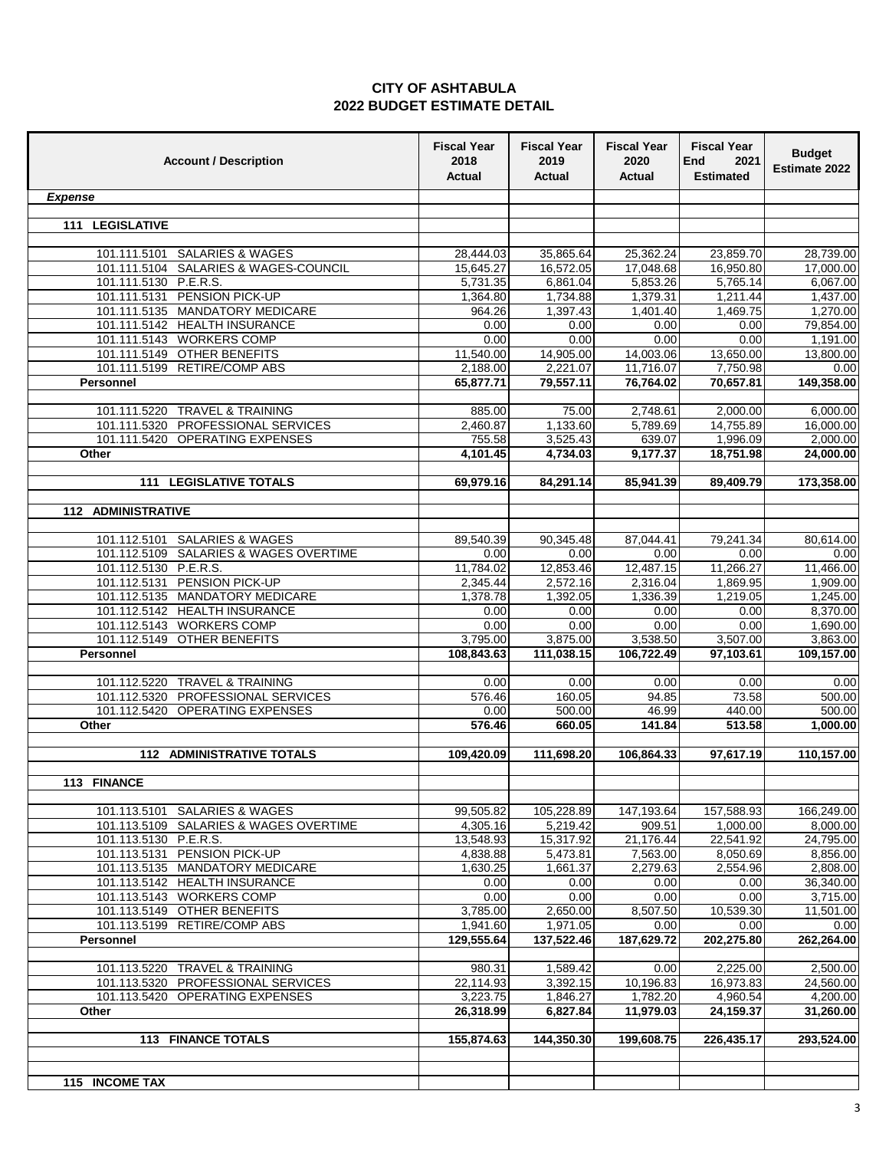| <b>Account / Description</b>                                                       | <b>Fiscal Year</b><br>2018<br><b>Actual</b> | <b>Fiscal Year</b><br>2019<br><b>Actual</b> | <b>Fiscal Year</b><br>2020<br><b>Actual</b> | <b>Fiscal Year</b><br><b>End</b><br>2021<br><b>Estimated</b> | <b>Budget</b><br>Estimate 2022 |
|------------------------------------------------------------------------------------|---------------------------------------------|---------------------------------------------|---------------------------------------------|--------------------------------------------------------------|--------------------------------|
| <b>Expense</b>                                                                     |                                             |                                             |                                             |                                                              |                                |
|                                                                                    |                                             |                                             |                                             |                                                              |                                |
| <b>LEGISLATIVE</b><br>111                                                          |                                             |                                             |                                             |                                                              |                                |
| 101.111.5101<br><b>SALARIES &amp; WAGES</b>                                        | 28,444.03                                   | 35,865.64                                   | 25,362.24                                   | 23,859.70                                                    | 28,739.00                      |
| 101.111.5104 SALARIES & WAGES-COUNCIL                                              | 15,645.27                                   | 16,572.05                                   | 17,048.68                                   | 16,950.80                                                    | 17,000.00                      |
| 101.111.5130 P.E.R.S.                                                              | 5,731.35                                    | 6,861.04                                    | 5,853.26                                    | 5,765.14                                                     | 6,067.00                       |
| 101.111.5131 PENSION PICK-UP                                                       | 1,364.80                                    | 1,734.88                                    | 1,379.31                                    | 1,211.44                                                     | 1,437.00                       |
| 101.111.5135 MANDATORY MEDICARE                                                    | 964.26                                      | 1,397.43                                    | 1,401.40                                    | 1,469.75                                                     | 1,270.00                       |
| 101.111.5142 HEALTH INSURANCE<br>101.111.5143 WORKERS COMP                         | 0.00<br>0.00                                | 0.00<br>0.00                                | 0.00<br>0.00                                | 0.00<br>0.00                                                 | 79,854.00<br>1,191.00          |
| 101.111.5149 OTHER BENEFITS                                                        | 11,540.00                                   | 14,905.00                                   | 14,003.06                                   | 13,650.00                                                    | 13,800.00                      |
| RETIRE/COMP ABS<br>101.111.5199                                                    | 2,188.00                                    | 2,221.07                                    | 11,716.07                                   | 7,750.98                                                     | 0.00                           |
| <b>Personnel</b>                                                                   | 65,877.71                                   | 79,557.11                                   | 76,764.02                                   | 70,657.81                                                    | 149,358.00                     |
|                                                                                    |                                             |                                             |                                             |                                                              |                                |
| TRAVEL & TRAINING<br>101.111.5220                                                  | 885.00                                      | 75.00                                       | 2,748.61                                    | 2,000.00                                                     | 6,000.00                       |
| PROFESSIONAL SERVICES<br>101.111.5320<br><b>OPERATING EXPENSES</b><br>101.111.5420 | 2,460.87<br>755.58                          | 1,133.60<br>3,525.43                        | 5,789.69<br>639.07                          | 14,755.89<br>1,996.09                                        | 16,000.00<br>2,000.00          |
| Other                                                                              | 4,101.45                                    | 4,734.03                                    | 9,177.37                                    | 18,751.98                                                    | 24,000.00                      |
|                                                                                    |                                             |                                             |                                             |                                                              |                                |
| <b>LEGISLATIVE TOTALS</b><br>111                                                   | 69,979.16                                   | 84,291.14                                   | 85,941.39                                   | 89,409.79                                                    | 173,358.00                     |
| 112 ADMINISTRATIVE                                                                 |                                             |                                             |                                             |                                                              |                                |
| 101.112.5101 SALARIES & WAGES                                                      | 89,540.39                                   | 90,345.48                                   | 87,044.41                                   | 79,241.34                                                    | 80,614.00                      |
| 101.112.5109 SALARIES & WAGES OVERTIME                                             | 0.00                                        | 0.00                                        | 0.00                                        | 0.00                                                         | 0.00                           |
| 101.112.5130 P.E.R.S.                                                              | 11,784.02                                   | 12,853.46                                   | 12,487.15                                   | 11,266.27                                                    | 11,466.00                      |
| 101.112.5131 PENSION PICK-UP                                                       | 2,345.44                                    | 2,572.16                                    | 2,316.04                                    | 1,869.95                                                     | 1,909.00                       |
| 101.112.5135 MANDATORY MEDICARE                                                    | 1,378.78                                    | 1,392.05                                    | 1,336.39                                    | 1,219.05                                                     | 1,245.00                       |
| 101.112.5142 HEALTH INSURANCE                                                      | 0.00                                        | 0.00                                        | 0.00                                        | 0.00                                                         | 8,370.00                       |
| 101.112.5143 WORKERS COMP<br><b>OTHER BENEFITS</b><br>101.112.5149                 | 0.00<br>3,795.00                            | 0.00<br>3,875.00                            | 0.00<br>3,538.50                            | 0.00<br>3,507.00                                             | 1,690.00<br>3,863.00           |
| Personnel                                                                          | 108,843.63                                  | 111,038.15                                  | 106,722.49                                  | 97,103.61                                                    | 109,157.00                     |
|                                                                                    |                                             |                                             |                                             |                                                              |                                |
| <b>TRAVEL &amp; TRAINING</b><br>101.112.5220                                       | 0.00                                        | 0.00                                        | 0.00                                        | 0.00                                                         | 0.00                           |
| 101.112.5320 PROFESSIONAL SERVICES                                                 | 576.46                                      | 160.05                                      | 94.85                                       | 73.58                                                        | 500.00                         |
| <b>OPERATING EXPENSES</b><br>101.112.5420                                          | 0.00                                        | 500.00                                      | 46.99                                       | 440.00                                                       | 500.00                         |
| Other                                                                              | 576.46                                      | 660.05                                      | 141.84                                      | 513.58                                                       | 1,000.00                       |
| <b>112 ADMINISTRATIVE TOTALS</b>                                                   | 109,420.09                                  | 111,698.20                                  | 106,864.33                                  | 97,617.19                                                    | 110,157.00                     |
|                                                                                    |                                             |                                             |                                             |                                                              |                                |
| 113 FINANCE                                                                        |                                             |                                             |                                             |                                                              |                                |
| 101.113.5101 SALARIES & WAGES                                                      | 99.505.82                                   | 105,228.89                                  | 147,193.64                                  | 157,588.93                                                   | 166,249.00                     |
| 101.113.5109 SALARIES & WAGES OVERTIME                                             | 4,305.16                                    | 5,219.42                                    | 909.51                                      | 1,000.00                                                     | 8,000.00                       |
| 101.113.5130 P.E.R.S.                                                              | 13,548.93                                   | 15,317.92                                   | 21.176.44                                   | 22.541.92                                                    | 24,795.00                      |
| 101.113.5131 PENSION PICK-UP<br>101.113.5135 MANDATORY MEDICARE                    | 4,838.88                                    | 5,473.81                                    | 7,563.00                                    | 8,050.69                                                     | 8,856.00                       |
| 101.113.5142 HEALTH INSURANCE                                                      | 1,630.25<br>0.00                            | 1,661.37<br>0.00                            | 2,279.63<br>0.00                            | 2,554.96<br>0.00                                             | 2,808.00<br>36,340.00          |
| 101.113.5143 WORKERS COMP                                                          | 0.00                                        | 0.00                                        | 0.00                                        | 0.00                                                         | 3,715.00                       |
| 101.113.5149 OTHER BENEFITS                                                        | 3,785.00                                    | 2,650.00                                    | 8,507.50                                    | 10,539.30                                                    | 11,501.00                      |
| 101.113.5199 RETIRE/COMP ABS                                                       | 1.941.60                                    | 1,971.05                                    | 0.00                                        | 0.00                                                         | 0.00                           |
| Personnel                                                                          | 129,555.64                                  | 137,522.46                                  | 187,629.72                                  | 202,275.80                                                   | 262.264.00                     |
| 101.113.5220 TRAVEL & TRAINING                                                     | 980.31                                      | 1,589.42                                    | 0.00                                        | 2,225.00                                                     | 2,500.00                       |
| 101.113.5320 PROFESSIONAL SERVICES                                                 | 22,114.93                                   | 3,392.15                                    | 10,196.83                                   | 16,973.83                                                    | 24,560.00                      |
| 101.113.5420<br><b>OPERATING EXPENSES</b>                                          | 3,223.75                                    | 1,846.27                                    | 1,782.20                                    | 4,960.54                                                     | 4,200.00                       |
| Other                                                                              | 26,318.99                                   | 6,827.84                                    | 11,979.03                                   | 24,159.37                                                    | 31,260.00                      |
| <b>113 FINANCE TOTALS</b>                                                          | 155,874.63                                  | 144,350.30                                  | 199,608.75                                  | 226,435.17                                                   | 293,524.00                     |
| 115 INCOME TAX                                                                     |                                             |                                             |                                             |                                                              |                                |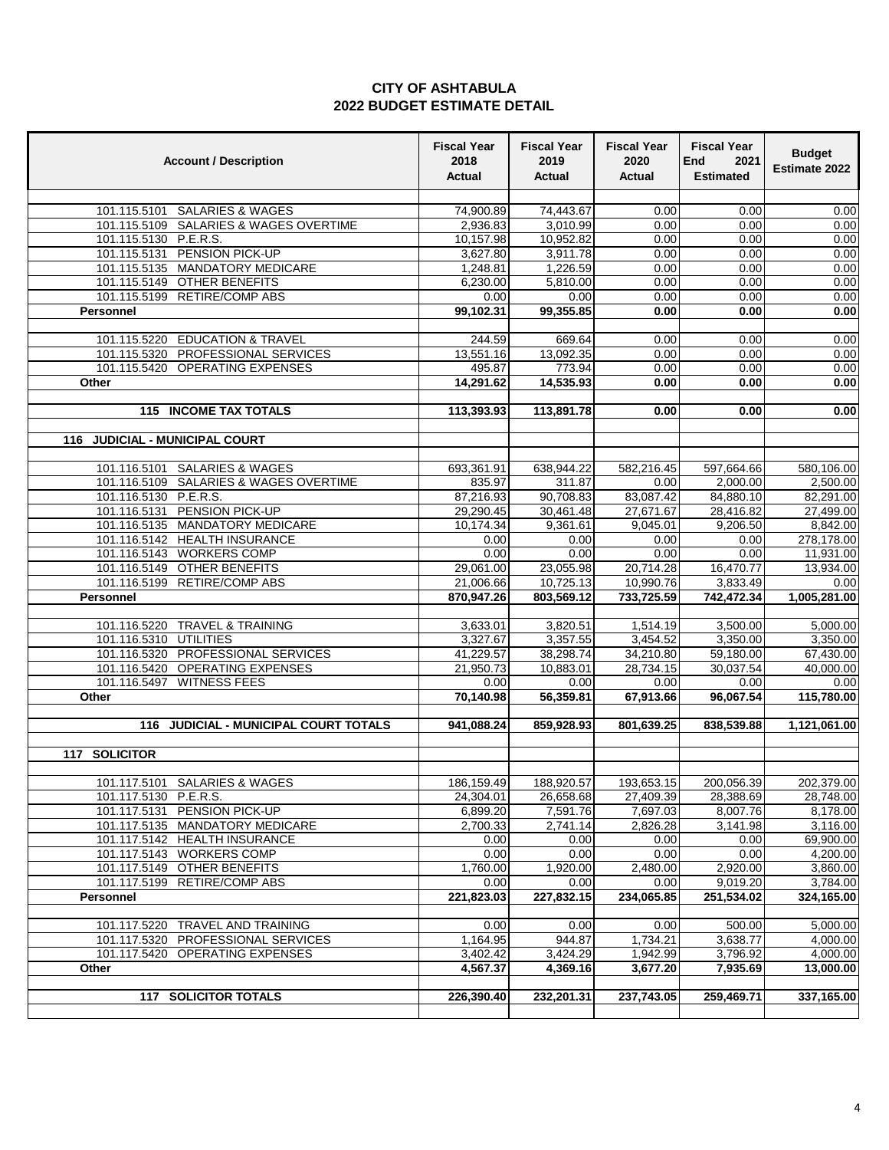| <b>Account / Description</b>                               | <b>Fiscal Year</b><br>2018<br><b>Actual</b> | <b>Fiscal Year</b><br>2019<br><b>Actual</b> | <b>Fiscal Year</b><br>2020<br>Actual | <b>Fiscal Year</b><br>End<br>2021<br><b>Estimated</b> | <b>Budget</b><br>Estimate 2022 |
|------------------------------------------------------------|---------------------------------------------|---------------------------------------------|--------------------------------------|-------------------------------------------------------|--------------------------------|
| 101.115.5101 SALARIES & WAGES                              | 74,900.89                                   | 74,443.67                                   | 0.00                                 | 0.00                                                  | 0.00                           |
| 101.115.5109 SALARIES & WAGES OVERTIME                     | 2,936.83                                    | 3,010.99                                    | 0.00                                 | 0.00                                                  | 0.00                           |
| 101.115.5130 P.E.R.S.                                      | 10,157.98                                   | 10,952.82                                   | 0.00                                 | 0.00                                                  | 0.00                           |
| 101.115.5131 PENSION PICK-UP                               | 3,627.80                                    | 3,911.78                                    | 0.00                                 | 0.00                                                  | 0.00                           |
| 101.115.5135 MANDATORY MEDICARE                            | 1,248.81                                    | 1,226.59                                    | 0.00                                 | 0.00                                                  | 0.00                           |
| 101.115.5149 OTHER BENEFITS                                | 6,230.00                                    | 5,810.00                                    | 0.00                                 | 0.00                                                  | 0.00                           |
| 101.115.5199 RETIRE/COMP ABS                               | 0.00                                        | 0.00                                        | 0.00                                 | 0.00                                                  | 0.00                           |
| Personnel                                                  | 99,102.31                                   | 99,355.85                                   | 0.00                                 | 0.00                                                  | 0.00                           |
| 101.115.5220 EDUCATION & TRAVEL                            | 244.59                                      | 669.64                                      | 0.00                                 | 0.00                                                  | 0.00                           |
| 101.115.5320 PROFESSIONAL SERVICES                         | 13,551.16                                   | 13,092.35                                   | 0.00                                 | 0.00                                                  | 0.00                           |
| 101.115.5420 OPERATING EXPENSES                            | 495.87                                      | 773.94                                      | 0.00                                 | 0.00                                                  | 0.00                           |
| Other                                                      | 14,291.62                                   | 14,535.93                                   | 0.00                                 | 0.00                                                  | 0.00                           |
| <b>115 INCOME TAX TOTALS</b>                               | 113,393.93                                  | 113,891.78                                  | 0.00                                 | 0.00                                                  | 0.00                           |
| 116 JUDICIAL - MUNICIPAL COURT                             |                                             |                                             |                                      |                                                       |                                |
|                                                            |                                             |                                             |                                      |                                                       |                                |
| 101.116.5101 SALARIES & WAGES                              | 693,361.91                                  | 638,944.22                                  | 582,216.45                           | 597,664.66                                            | 580,106.00                     |
| 101.116.5109 SALARIES & WAGES OVERTIME                     | 835.97                                      | 311.87                                      | 0.00                                 | 2,000.00                                              | 2,500.00                       |
| 101.116.5130 P.E.R.S.                                      | 87,216.93                                   | 90.708.83                                   | 83,087.42                            | 84,880.10                                             | 82,291.00                      |
| 101.116.5131 PENSION PICK-UP                               | 29,290.45                                   | 30,461.48                                   | 27,671.67                            | 28,416.82                                             | 27,499.00                      |
| 101.116.5135 MANDATORY MEDICARE                            | 10,174.34                                   | 9,361.61                                    | 9,045.01                             | 9,206.50                                              | 8,842.00                       |
| 101.116.5142 HEALTH INSURANCE<br>101.116.5143 WORKERS COMP | 0.00<br>0.00                                | 0.00<br>0.00                                | 0.00<br>0.00                         | 0.00<br>0.00                                          | 278.178.00<br>11,931.00        |
| 101.116.5149 OTHER BENEFITS                                | 29,061.00                                   | 23,055.98                                   | 20,714.28                            | 16,470.77                                             | 13,934.00                      |
| 101.116.5199 RETIRE/COMP ABS                               | 21,006.66                                   | 10,725.13                                   | 10,990.76                            | 3,833.49                                              | 0.00                           |
| <b>Personnel</b>                                           | 870,947.26                                  | 803,569.12                                  | 733,725.59                           | 742,472.34                                            | 1,005,281.00                   |
|                                                            |                                             |                                             |                                      |                                                       |                                |
| 101.116.5220 TRAVEL & TRAINING                             | 3,633.01                                    | 3,820.51                                    | 1,514.19                             | 3,500.00                                              | 5,000.00                       |
| 101.116.5310 UTILITIES                                     | 3,327.67                                    | 3,357.55                                    | 3,454.52                             | 3,350.00                                              | 3,350.00                       |
| 101.116.5320 PROFESSIONAL SERVICES                         | 41,229.57                                   | 38,298.74                                   | 34,210.80                            | 59,180.00                                             | 67,430.00                      |
| 101.116.5420 OPERATING EXPENSES                            | 21,950.73                                   | 10,883.01                                   | 28,734.15                            | 30,037.54                                             | 40,000.00                      |
| <b>WITNESS FEES</b><br>101.116.5497<br>Other               | 0.00<br>70,140.98                           | 0.00<br>56,359.81                           | 0.00<br>67,913.66                    | 0.00<br>96,067.54                                     | 0.00<br>115,780.00             |
| 116 JUDICIAL - MUNICIPAL COURT TOTALS                      | 941,088.24                                  | 859,928.93                                  | 801,639.25                           | 838,539.88                                            | 1,121,061.00                   |
|                                                            |                                             |                                             |                                      |                                                       |                                |
| 117 SOLICITOR                                              |                                             |                                             |                                      |                                                       |                                |
| 101.117.5101 SALARIES & WAGES                              | 186,159.49                                  | 188,920.57                                  | 193,653.15                           | 200,056.39                                            | 202,379.00                     |
| 101.117.5130 P.E.R.S.                                      | 24,304.01                                   | 26,658.68                                   | 27,409.39                            | 28,388.69                                             | 28,748.00                      |
| 101.117.5131 PENSION PICK-UP                               | 6,899.20                                    | 7,591.76                                    | 7,697.03                             | 8,007.76                                              | 8,178.00                       |
| 101.117.5135 MANDATORY MEDICARE                            | 2,700.33                                    | 2,741.14                                    | 2,826.28                             | 3,141.98                                              | 3,116.00                       |
| 101.117.5142 HEALTH INSURANCE                              | 0.00                                        | 0.00                                        | 0.00                                 | 0.00                                                  | 69,900.00                      |
| 101.117.5143 WORKERS COMP                                  | 0.00                                        | 0.00                                        | 0.00                                 | 0.00                                                  | 4,200.00                       |
| 101.117.5149 OTHER BENEFITS                                | 1,760.00                                    | 1,920.00                                    | 2,480.00                             | 2,920.00                                              | 3,860.00                       |
| 101.117.5199 RETIRE/COMP ABS                               | 0.00                                        | 0.00                                        | 0.00                                 | 9,019.20                                              | 3,784.00                       |
| Personnel                                                  | 221,823.03                                  | 227,832.15                                  | 234,065.85                           | 251,534.02                                            | 324,165.00                     |
| 101.117.5220 TRAVEL AND TRAINING                           | 0.00                                        | 0.00                                        | 0.00                                 | 500.00                                                | 5,000.00                       |
| 101.117.5320 PROFESSIONAL SERVICES                         | 1,164.95                                    | 944.87                                      | 1,734.21                             | 3,638.77                                              | 4,000.00                       |
| 101.117.5420 OPERATING EXPENSES                            | 3,402.42                                    | 3,424.29                                    | 1,942.99                             | 3,796.92                                              | 4,000.00                       |
| Other                                                      | 4,567.37                                    | 4,369.16                                    | 3,677.20                             | 7,935.69                                              | 13,000.00                      |
| 117 SOLICITOR TOTALS                                       | 226,390.40                                  | 232,201.31                                  | 237,743.05                           | 259,469.71                                            | 337,165.00                     |
|                                                            |                                             |                                             |                                      |                                                       |                                |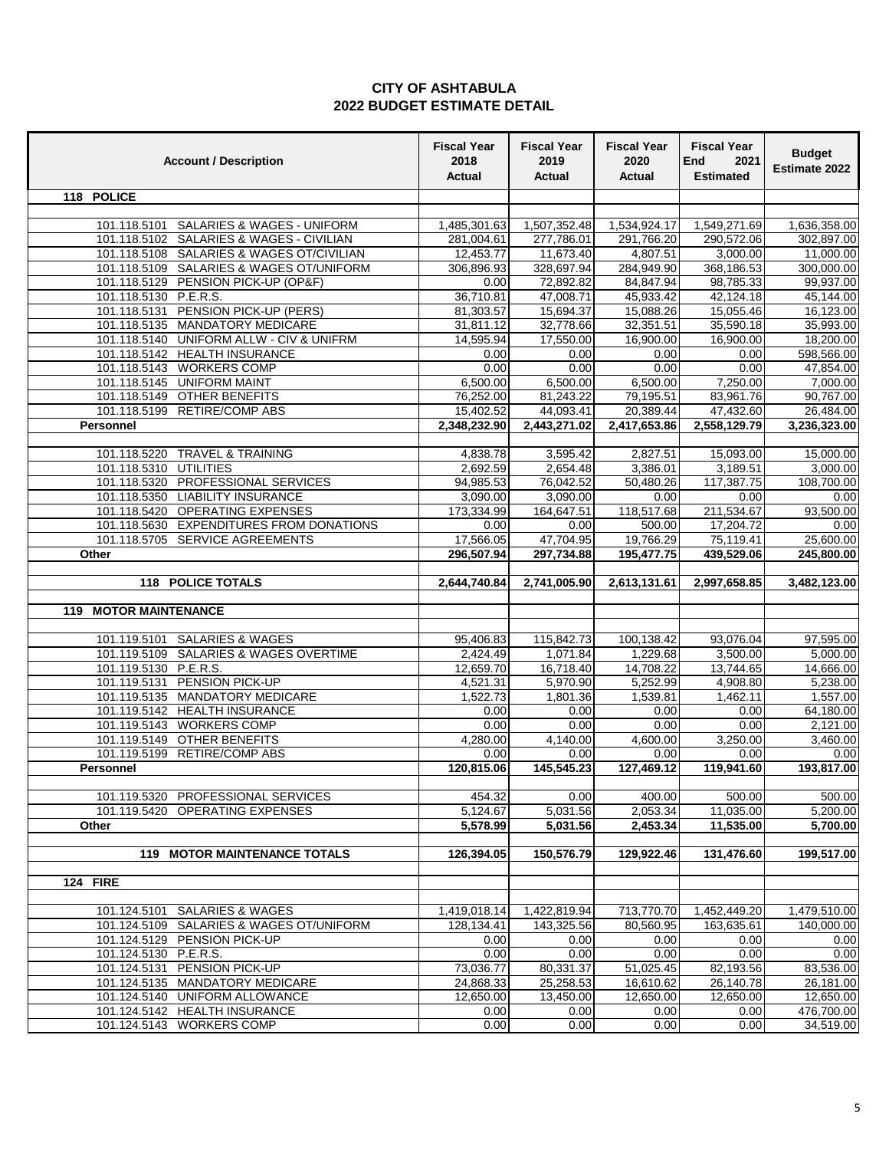| <b>Account / Description</b>                                           | <b>Fiscal Year</b><br>2018<br><b>Actual</b> | <b>Fiscal Year</b><br>2019<br>Actual | <b>Fiscal Year</b><br>2020<br>Actual | <b>Fiscal Year</b><br>2021<br><b>End</b><br><b>Estimated</b> | <b>Budget</b><br><b>Estimate 2022</b> |
|------------------------------------------------------------------------|---------------------------------------------|--------------------------------------|--------------------------------------|--------------------------------------------------------------|---------------------------------------|
| 118 POLICE                                                             |                                             |                                      |                                      |                                                              |                                       |
|                                                                        |                                             |                                      |                                      |                                                              |                                       |
| 101.118.5101 SALARIES & WAGES - UNIFORM                                | 1,485,301.63                                | 1,507,352.48                         | 1,534,924.17                         | 1,549,271.69                                                 | 1,636,358.00                          |
| 101.118.5102 SALARIES & WAGES - CIVILIAN                               | 281,004.61                                  | 277,786.01                           | 291,766.20                           | 290,572.06                                                   | 302,897.00                            |
| 101.118.5108<br>SALARIES & WAGES OT/CIVILIAN                           | 12,453.77                                   | 11,673.40                            | 4,807.51                             | 3,000.00                                                     | 11,000.00                             |
| 101.118.5109 SALARIES & WAGES OT/UNIFORM                               | 306,896.93                                  | 328,697.94                           | 284,949.90                           | 368,186.53                                                   | 300,000.00                            |
| 101.118.5129 PENSION PICK-UP (OP&F)                                    | 0.00                                        | 72,892.82                            | 84,847.94                            | 98,785.33                                                    | 99,937.00                             |
| 101.118.5130 P.E.R.S.<br><b>PENSION PICK-UP (PERS)</b><br>101.118.5131 | 36,710.81<br>81,303.57                      | 47,008.71<br>15,694.37               | 45,933.42<br>15,088.26               | 42,124.18<br>15,055.46                                       | 45,144.00<br>16,123.00                |
| MANDATORY MEDICARE<br>101.118.5135                                     | 31,811.12                                   | 32,778.66                            | 32,351.51                            | 35,590.18                                                    | 35,993.00                             |
| UNIFORM ALLW - CIV & UNIFRM<br>101.118.5140                            | 14,595.94                                   | 17,550.00                            | 16,900.00                            | 16,900.00                                                    | 18,200.00                             |
| 101.118.5142 HEALTH INSURANCE                                          | 0.00                                        | 0.00                                 | 0.00                                 | 0.00                                                         | 598,566.00                            |
| <b>WORKERS COMP</b><br>101.118.5143                                    | 0.00                                        | 0.00                                 | 0.00                                 | 0.00                                                         | 47,854.00                             |
| 101.118.5145 UNIFORM MAINT                                             | 6,500.00                                    | 6,500.00                             | 6,500.00                             | 7,250.00                                                     | 7,000.00                              |
| 101.118.5149 OTHER BENEFITS                                            | 76,252.00                                   | 81,243.22                            | 79,195.51                            | 83,961.76                                                    | 90,767.00                             |
| 101.118.5199 RETIRE/COMP ABS                                           | 15,402.52                                   | 44,093.41                            | 20,389.44                            | 47,432.60                                                    | 26,484.00                             |
| Personnel                                                              | 2,348,232.90                                | 2,443,271.02                         | 2,417,653.86                         | 2,558,129.79                                                 | 3,236,323.00                          |
|                                                                        |                                             |                                      |                                      |                                                              |                                       |
| 101.118.5220 TRAVEL & TRAINING<br>101.118.5310 UTILITIES               | 4,838.78<br>2,692.59                        | 3,595.42<br>2,654.48                 | 2,827.51<br>3,386.01                 | 15,093.00<br>3,189.51                                        | 15,000.00<br>3,000.00                 |
| PROFESSIONAL SERVICES<br>101.118.5320                                  | 94,985.53                                   | 76,042.52                            | 50.480.26                            | 117,387.75                                                   | 108.700.00                            |
| <b>LIABILITY INSURANCE</b><br>101.118.5350                             | 3,090.00                                    | 3,090.00                             | 0.00                                 | 0.00                                                         | 0.00                                  |
| 101.118.5420 OPERATING EXPENSES                                        | 173,334.99                                  | 164,647.51                           | 118,517.68                           | 211,534.67                                                   | 93,500.00                             |
| 101.118.5630 EXPENDITURES FROM DONATIONS                               | 0.00                                        | 0.00                                 | 500.00                               | 17,204.72                                                    | 0.00                                  |
| 101.118.5705 SERVICE AGREEMENTS                                        | 17,566.05                                   | 47,704.95                            | 19,766.29                            | 75,119.41                                                    | 25,600.00                             |
| Other                                                                  | 296,507.94                                  | 297,734.88                           | 195,477.75                           | 439,529.06                                                   | 245,800.00                            |
|                                                                        |                                             |                                      |                                      |                                                              |                                       |
| <b>118 POLICE TOTALS</b>                                               | 2,644,740.84                                | 2,741,005.90                         | 2,613,131.61                         | 2,997,658.85                                                 | 3,482,123.00                          |
| 119 MOTOR MAINTENANCE                                                  |                                             |                                      |                                      |                                                              |                                       |
|                                                                        |                                             |                                      |                                      |                                                              |                                       |
| 101.119.5101<br><b>SALARIES &amp; WAGES</b>                            | 95,406.83                                   | 115,842.73                           | 100,138.42                           | 93,076.04                                                    | 97,595.00                             |
| 101.119.5109 SALARIES & WAGES OVERTIME                                 | 2,424.49                                    | 1,071.84                             | 1,229.68                             | 3,500.00                                                     | 5,000.00                              |
| 101.119.5130<br>P.E.R.S.                                               | 12,659.70                                   | 16,718.40                            | 14,708.22                            | 13,744.65                                                    | 14,666.00                             |
| PENSION PICK-UP<br>101.119.5131                                        | 4,521.31                                    | 5,970.90                             | 5,252.99                             | 4,908.80                                                     | 5,238.00                              |
| 101.119.5135 MANDATORY MEDICARE<br>101.119.5142 HEALTH INSURANCE       | 1,522.73                                    | 1,801.36                             | 1,539.81                             | 1,462.11                                                     | 1,557.00                              |
| <b>WORKERS COMP</b><br>101.119.5143                                    | 0.00<br>0.00                                | 0.00<br>0.00                         | 0.00<br>0.00                         | 0.00<br>0.00                                                 | 64,180.00<br>2,121.00                 |
| 101.119.5149 OTHER BENEFITS                                            | 4,280.00                                    | 4,140.00                             | 4,600.00                             | 3,250.00                                                     | 3,460.00                              |
| 101.119.5199 RETIRE/COMP ABS                                           | 0.00                                        | 0.00                                 | 0.00                                 | 0.00                                                         | 0.00                                  |
| Personnel                                                              | 120,815.06                                  | 145,545.23                           | 127,469.12                           | 119,941.60                                                   | 193,817.00                            |
|                                                                        |                                             |                                      |                                      |                                                              |                                       |
| 101.119.5320 PROFESSIONAL SERVICES                                     | 454.32                                      | 0.00                                 | 400.00                               | 500.00                                                       | 500.00                                |
| 101.119.5420 OPERATING EXPENSES                                        | 5,124.67                                    | 5,031.56                             | 2,053.34                             | 11,035.00                                                    | 5,200.00                              |
| Other                                                                  | 5,578.99                                    | 5,031.56                             | 2.453.34                             | 11,535.00                                                    | 5,700.00                              |
|                                                                        |                                             |                                      |                                      |                                                              |                                       |
| <b>119 MOTOR MAINTENANCE TOTALS</b>                                    | 126,394.05                                  | 150,576.79                           | 129,922.46                           | 131,476.60                                                   | 199,517.00                            |
| <b>124 FIRE</b>                                                        |                                             |                                      |                                      |                                                              |                                       |
|                                                                        |                                             |                                      |                                      |                                                              |                                       |
| 101.124.5101 SALARIES & WAGES                                          | 1,419,018.14                                | 1,422,819.94                         | 713,770.70                           | 1,452,449.20                                                 | 1,479,510.00                          |
| 101.124.5109 SALARIES & WAGES OT/UNIFORM                               | 128.134.41                                  | 143,325.56                           | 80,560.95                            | 163,635.61                                                   | 140,000.00                            |
| 101.124.5129 PENSION PICK-UP                                           | 0.00                                        | 0.00                                 | 0.00                                 | 0.00                                                         | 0.00                                  |
| 101.124.5130 P.E.R.S.                                                  | 0.00                                        | 0.00                                 | 0.00                                 | 0.00                                                         | 0.00                                  |
| PENSION PICK-UP<br>101.124.5131                                        | 73,036.77                                   | 80,331.37                            | 51,025.45                            | 82,193.56                                                    | 83,536.00                             |
| 101.124.5135<br><b>MANDATORY MEDICARE</b>                              | 24,868.33                                   | 25,258.53                            | 16,610.62                            | 26,140.78                                                    | 26,181.00                             |
| 101.124.5140 UNIFORM ALLOWANCE                                         | 12,650.00                                   | 13,450.00                            | 12,650.00                            | 12,650.00                                                    | 12,650.00                             |
| 101.124.5142 HEALTH INSURANCE<br>101.124.5143 WORKERS COMP             | 0.00<br>0.00                                | 0.00<br>0.00                         | 0.00<br>0.00                         | 0.00<br>0.00                                                 | 476,700.00<br>34,519.00               |
|                                                                        |                                             |                                      |                                      |                                                              |                                       |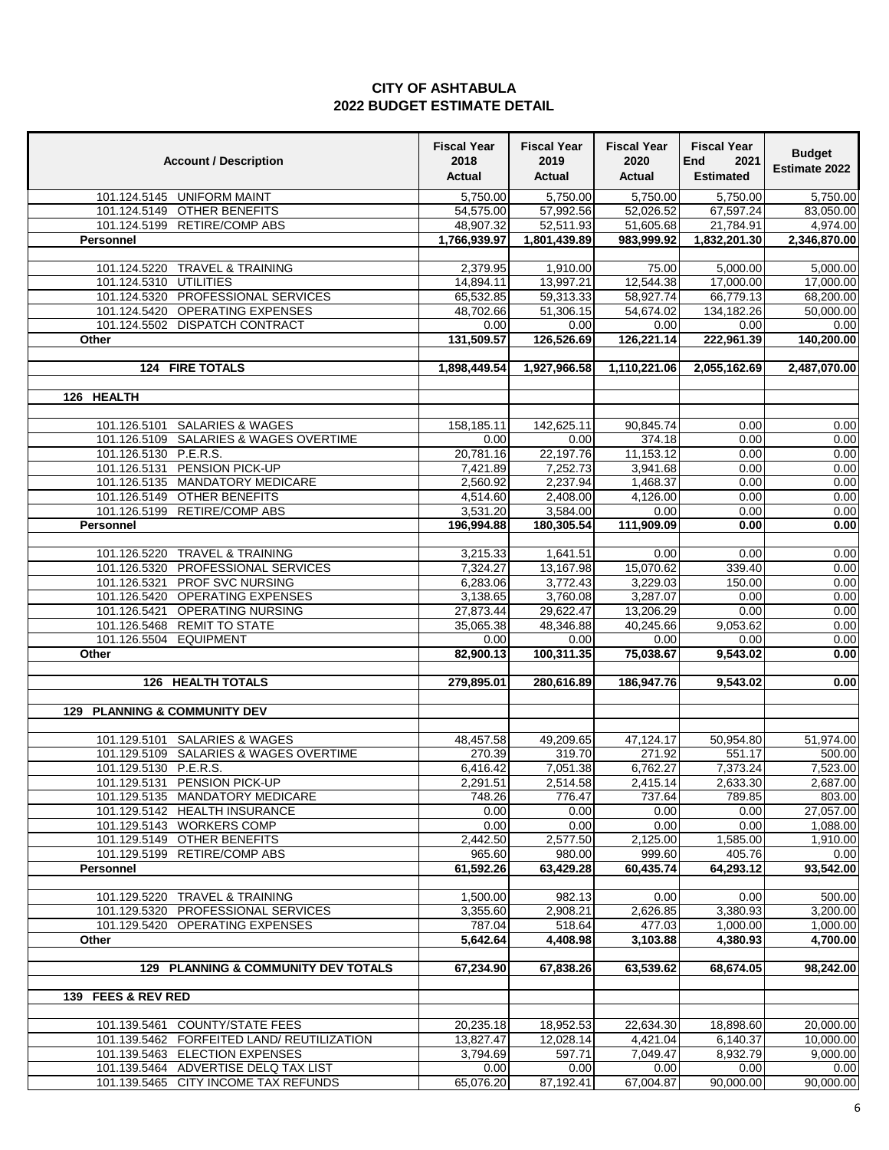|                                                                     | <b>Fiscal Year</b>   | <b>Fiscal Year</b>   | <b>Fiscal Year</b>   | <b>Fiscal Year</b> |                                |
|---------------------------------------------------------------------|----------------------|----------------------|----------------------|--------------------|--------------------------------|
| <b>Account / Description</b>                                        | 2018                 | 2019                 | 2020                 | 2021<br>End        | <b>Budget</b><br>Estimate 2022 |
|                                                                     | <b>Actual</b>        | <b>Actual</b>        | <b>Actual</b>        | <b>Estimated</b>   |                                |
| 101.124.5145 UNIFORM MAINT                                          | 5,750.00             | 5,750.00             | 5,750.00             | 5,750.00           | 5,750.00                       |
| 101.124.5149 OTHER BENEFITS                                         | 54.575.00            | 57,992.56            | 52,026.52            | 67,597.24          | 83,050.00                      |
| 101.124.5199 RETIRE/COMP ABS                                        | 48,907.32            | 52,511.93            | 51,605.68            | 21,784.91          | 4,974.00                       |
| <b>Personnel</b>                                                    | 1,766,939.97         | 1,801,439.89         | 983,999.92           | 1,832,201.30       | 2,346,870.00                   |
| 101.124.5220 TRAVEL & TRAINING                                      | 2,379.95             | 1,910.00             | 75.00                | 5,000.00           | 5,000.00                       |
| 101.124.5310 UTILITIES                                              | 14,894.11            | 13,997.21            | 12,544.38            | 17,000.00          | 17,000.00                      |
| 101.124.5320 PROFESSIONAL SERVICES                                  | 65,532.85            | 59,313.33            | 58,927.74            | 66,779.13          | 68,200.00                      |
| 101.124.5420 OPERATING EXPENSES                                     | 48,702.66            | 51,306.15            | 54,674.02            | 134,182.26         | 50,000.00                      |
| 101.124.5502 DISPATCH CONTRACT                                      | 0.00                 | 0.00                 | 0.00                 | 0.00               | 0.00                           |
| Other                                                               | 131,509.57           | 126,526.69           | 126,221.14           | 222,961.39         | 140,200.00                     |
| <b>124 FIRE TOTALS</b>                                              | 1,898,449.54         | 1,927,966.58         | 1,110,221.06         | 2,055,162.69       | 2,487,070.00                   |
|                                                                     |                      |                      |                      |                    |                                |
| 126 HEALTH                                                          |                      |                      |                      |                    |                                |
| 101.126.5101 SALARIES & WAGES                                       |                      |                      |                      |                    |                                |
| 101.126.5109 SALARIES & WAGES OVERTIME                              | 158,185.11<br>0.00   | 142,625.11<br>0.00   | 90,845.74<br>374.18  | 0.00<br>0.00       | 0.00<br>0.00                   |
| 101.126.5130 P.E.R.S.                                               | 20,781.16            | 22,197.76            | 11,153.12            | 0.00               | 0.00                           |
| 101.126.5131 PENSION PICK-UP                                        | 7,421.89             | 7,252.73             | 3,941.68             | 0.00               | 0.00                           |
| 101.126.5135 MANDATORY MEDICARE                                     | 2,560.92             | 2,237.94             | 1,468.37             | 0.00               | 0.00                           |
| 101.126.5149 OTHER BENEFITS                                         | 4,514.60             | 2,408.00             | 4,126.00             | 0.00               | 0.00                           |
| 101.126.5199 RETIRE/COMP ABS                                        | 3,531.20             | 3,584.00             | 0.00                 | 0.00               | 0.00                           |
| <b>Personnel</b>                                                    | 196,994.88           | 180,305.54           | 111,909.09           | 0.00               | 0.00                           |
|                                                                     |                      |                      |                      |                    |                                |
| 101.126.5220 TRAVEL & TRAINING                                      | 3,215.33             | 1,641.51             | 0.00                 | 0.00               | 0.00                           |
| 101.126.5320 PROFESSIONAL SERVICES<br>101.126.5321 PROF SVC NURSING | 7,324.27             | 13,167.98            | 15,070.62            | 339.40             | 0.00                           |
| 101.126.5420 OPERATING EXPENSES                                     | 6,283.06<br>3,138.65 | 3,772.43<br>3,760.08 | 3,229.03<br>3,287.07 | 150.00<br>0.00     | 0.00<br>0.00                   |
| 101.126.5421 OPERATING NURSING                                      | 27,873.44            | 29,622.47            | 13,206.29            | 0.00               | 0.00                           |
| 101.126.5468 REMIT TO STATE                                         | 35,065.38            | 48,346.88            | 40,245.66            | 9,053.62           | 0.00                           |
| 101.126.5504 EQUIPMENT                                              | 0.00                 | 0.00                 | 0.00                 | 0.00               | 0.00                           |
| Other                                                               | 82,900.13            | 100,311.35           | 75,038.67            | 9,543.02           | 0.00                           |
|                                                                     |                      |                      |                      |                    |                                |
| <b>126 HEALTH TOTALS</b>                                            | 279,895.01           | 280,616.89           | 186,947.76           | 9,543.02           | 0.00                           |
| <b>129 PLANNING &amp; COMMUNITY DEV</b>                             |                      |                      |                      |                    |                                |
|                                                                     |                      |                      |                      |                    |                                |
| 101.129.5101 SALARIES & WAGES                                       | 48,457.58            | 49,209.65            | 47,124.17            | 50,954.80          | 51,974.00                      |
| 101.129.5109 SALARIES & WAGES OVERTIME                              | 270.39               | 319.70               | 271.92               | 551.17             | 500.00                         |
| 101.129.5130 P.E.R.S.                                               | 6,416.42             | 7,051.38             | 6,762.27             | 7,373.24           | 7.523.00                       |
| 101.129.5131 PENSION PICK-UP                                        | 2,291.51             | 2,514.58             | 2,415.14             | 2,633.30           | 2,687.00                       |
| 101.129.5135 MANDATORY MEDICARE                                     | 748.26               | 776.47               | 737.64               | 789.85             | 803.00                         |
| 101.129.5142 HEALTH INSURANCE                                       | 0.00                 | 0.00                 | 0.00                 | 0.00               | 27,057.00                      |
| 101.129.5143 WORKERS COMP                                           | 0.00                 | 0.00                 | 0.00                 | 0.00               | 1,088.00                       |
| 101.129.5149 OTHER BENEFITS<br>101.129.5199 RETIRE/COMP ABS         | 2,442.50<br>965.60   | 2,577.50<br>980.00   | 2,125.00<br>999.60   | 1,585.00<br>405.76 | 1,910.00<br>0.00               |
| <b>Personnel</b>                                                    | 61,592.26            | 63,429.28            | 60.435.74            | 64,293.12          | 93,542.00                      |
|                                                                     |                      |                      |                      |                    |                                |
| 101.129.5220 TRAVEL & TRAINING                                      | 1,500.00             | 982.13               | 0.00                 | 0.00               | 500.00                         |
| 101.129.5320 PROFESSIONAL SERVICES                                  | 3,355.60             | 2,908.21             | 2,626.85             | 3,380.93           | 3,200.00                       |
| 101.129.5420 OPERATING EXPENSES                                     | 787.04               | 518.64               | 477.03               | 1,000.00           | 1,000.00                       |
| Other                                                               | 5.642.64             | 4,408.98             | 3,103.88             | 4,380.93           | 4,700.00                       |
| <b>129 PLANNING &amp; COMMUNITY DEV TOTALS</b>                      | 67,234.90            | 67,838.26            | 63,539.62            | 68,674.05          | 98,242.00                      |
|                                                                     |                      |                      |                      |                    |                                |
| 139 FEES & REV RED                                                  |                      |                      |                      |                    |                                |
| 101.139.5461 COUNTY/STATE FEES                                      | 20,235.18            | 18,952.53            | 22,634.30            | 18,898.60          | 20,000.00                      |
| 101.139.5462 FORFEITED LAND/ REUTILIZATION                          | 13,827.47            | 12,028.14            | 4,421.04             | 6,140.37           | 10,000.00                      |
| 101.139.5463 ELECTION EXPENSES                                      | 3,794.69             | 597.71               | 7,049.47             | 8,932.79           | 9,000.00                       |
| 101.139.5464 ADVERTISE DELQ TAX LIST                                | 0.00                 | 0.00                 | 0.00                 | 0.00               | 0.00                           |
| 101.139.5465 CITY INCOME TAX REFUNDS                                | 65,076.20            | 87,192.41            | 67,004.87            | 90,000.00          | 90,000.00                      |
|                                                                     |                      |                      |                      |                    |                                |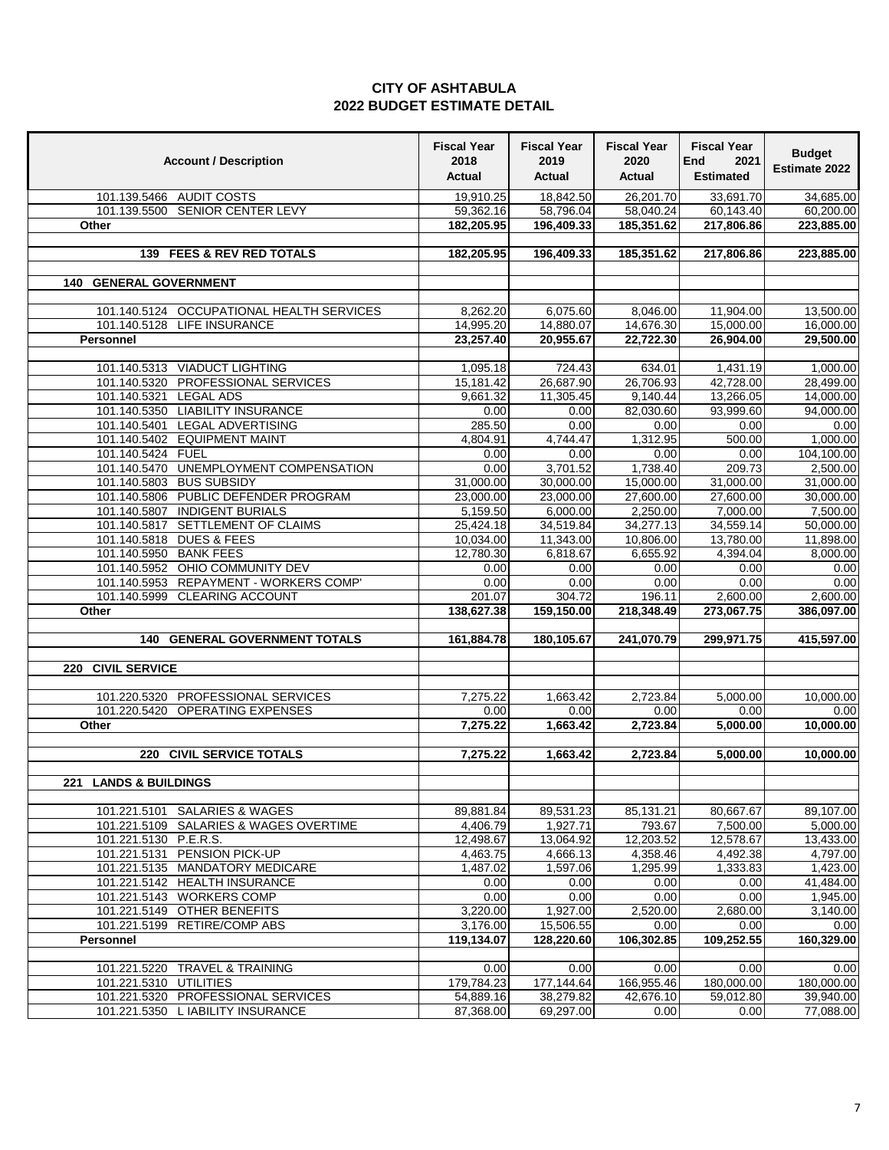|                                                                | <b>Fiscal Year</b><br>2018 | <b>Fiscal Year</b><br>2019 | <b>Fiscal Year</b><br>2020 | <b>Fiscal Year</b><br>End<br>2021 | <b>Budget</b>          |
|----------------------------------------------------------------|----------------------------|----------------------------|----------------------------|-----------------------------------|------------------------|
| <b>Account / Description</b>                                   | <b>Actual</b>              | <b>Actual</b>              | <b>Actual</b>              | <b>Estimated</b>                  | Estimate 2022          |
| 101.139.5466 AUDIT COSTS                                       | 19,910.25                  | 18,842.50                  | 26,201.70                  | 33,691.70                         | 34,685.00              |
| 101.139.5500 SENIOR CENTER LEVY                                | 59,362.16                  | 58,796.04                  | 58,040.24                  | 60,143.40                         | 60,200.00              |
| Other                                                          | 182,205.95                 | 196,409.33                 | 185,351.62                 | 217,806.86                        | 223,885.00             |
| 139 FEES & REV RED TOTALS                                      | 182,205.95                 | 196,409.33                 | 185,351.62                 | 217,806.86                        | 223,885.00             |
|                                                                |                            |                            |                            |                                   |                        |
| <b>140 GENERAL GOVERNMENT</b>                                  |                            |                            |                            |                                   |                        |
| 101.140.5124 OCCUPATIONAL HEALTH SERVICES                      | 8,262.20                   | 6,075.60                   | 8,046.00                   | 11,904.00                         | 13,500.00              |
| 101.140.5128 LIFE INSURANCE                                    | 14,995.20                  | 14,880.07                  | 14,676.30                  | 15,000.00                         | 16,000.00              |
| <b>Personnel</b>                                               | 23,257.40                  | 20,955.67                  | 22,722.30                  | 26,904.00                         | 29,500.00              |
|                                                                |                            |                            |                            |                                   |                        |
| 101.140.5313 VIADUCT LIGHTING                                  | 1,095.18                   | 724.43                     | 634.01                     | 1,431.19                          | 1,000.00               |
| 101.140.5320 PROFESSIONAL SERVICES                             | 15,181.42                  | 26,687.90                  | 26,706.93                  | 42,728.00                         | 28,499.00              |
| 101.140.5321 LEGAL ADS                                         | 9,661.32                   | 11,305.45                  | 9,140.44                   | 13,266.05                         | 14,000.00              |
| 101.140.5350 LIABILITY INSURANCE                               | 0.00<br>285.50             | 0.00                       | 82,030.60                  | 93,999.60                         | 94,000.00              |
| 101.140.5401 LEGAL ADVERTISING<br>101.140.5402 EQUIPMENT MAINT | 4,804.91                   | 0.00<br>4,744.47           | 0.00<br>1,312.95           | 0.00<br>500.00                    | 0.00<br>1,000.00       |
| 101.140.5424 FUEL                                              | 0.00                       | 0.00                       | 0.00                       | 0.00                              | 104,100.00             |
| 101.140.5470 UNEMPLOYMENT COMPENSATION                         | 0.00                       | 3,701.52                   | 1,738.40                   | 209.73                            | 2,500.00               |
| 101.140.5803 BUS SUBSIDY                                       | 31.000.00                  | 30,000.00                  | 15,000.00                  | 31,000.00                         | 31,000.00              |
| 101.140.5806 PUBLIC DEFENDER PROGRAM                           | 23,000.00                  | 23,000.00                  | 27,600.00                  | 27,600.00                         | 30,000.00              |
| 101.140.5807 INDIGENT BURIALS                                  | 5,159.50                   | 6,000.00                   | 2,250.00                   | 7,000.00                          | 7,500.00               |
| SETTLEMENT OF CLAIMS<br>101.140.5817                           | 25,424.18                  | 34,519.84                  | 34,277.13                  | 34,559.14                         | 50,000.00              |
| 101.140.5818 DUES & FEES                                       | 10,034.00                  | 11,343.00                  | 10,806.00                  | 13,780.00                         | 11,898.00              |
| 101.140.5950 BANK FEES                                         | 12,780.30                  | 6,818.67                   | 6,655.92                   | 4,394.04                          | 8,000.00               |
| 101.140.5952 OHIO COMMUNITY DEV                                | 0.00                       | 0.00                       | 0.00                       | 0.00                              | 0.00                   |
| 101.140.5953 REPAYMENT - WORKERS COMP'                         | 0.00                       | 0.00                       | 0.00                       | 0.00                              | 0.00                   |
| 101.140.5999 CLEARING ACCOUNT<br>Other                         | 201.07<br>138,627.38       | 304.72<br>159,150.00       | 196.11<br>218,348.49       | 2,600.00<br>273,067.75            | 2,600.00<br>386,097.00 |
|                                                                |                            |                            |                            |                                   |                        |
| <b>140 GENERAL GOVERNMENT TOTALS</b>                           | 161,884.78                 | 180,105.67                 | 241,070.79                 | 299,971.75                        | 415,597.00             |
| 220 CIVIL SERVICE                                              |                            |                            |                            |                                   |                        |
|                                                                |                            |                            |                            |                                   |                        |
| 101.220.5320 PROFESSIONAL SERVICES                             | 7,275.22                   | 1,663.42                   | 2,723.84                   | 5,000.00                          | 10,000.00              |
| 101.220.5420 OPERATING EXPENSES                                | 0.00                       | 0.00                       | 0.00                       | 0.00                              | 0.00                   |
| Other                                                          | 7,275.22                   | 1,663.42                   | 2,723.84                   | 5,000.00                          | 10,000.00              |
| 220 CIVIL SERVICE TOTALS                                       | 7,275.22                   | 1,663.42                   | 2,723.84                   | 5,000.00                          | 10,000.00              |
|                                                                |                            |                            |                            |                                   |                        |
| 221 LANDS & BUILDINGS                                          |                            |                            |                            |                                   |                        |
| 101.221.5101 SALARIES & WAGES                                  |                            |                            |                            |                                   | 89,107.00              |
| 101.221.5109 SALARIES & WAGES OVERTIME                         | 89,881.84<br>4,406.79      | 89,531.23<br>1,927.71      | 85,131.21<br>793.67        | 80,667.67<br>7,500.00             | 5,000.00               |
| 101.221.5130 P.E.R.S.                                          | 12,498.67                  | 13,064.92                  | 12,203.52                  | 12,578.67                         | 13,433.00              |
| 101.221.5131 PENSION PICK-UP                                   | 4,463.75                   | 4,666.13                   | 4,358.46                   | 4,492.38                          | 4,797.00               |
| 101.221.5135 MANDATORY MEDICARE                                | 1,487.02                   | 1,597.06                   | 1,295.99                   | 1,333.83                          | 1,423.00               |
| 101.221.5142 HEALTH INSURANCE                                  | 0.00                       | 0.00                       | 0.00                       | 0.00                              | 41,484.00              |
| 101.221.5143 WORKERS COMP                                      | 0.00                       | 0.00                       | 0.00                       | 0.00                              | 1,945.00               |
| 101.221.5149 OTHER BENEFITS                                    | 3,220.00                   | 1,927.00                   | 2,520.00                   | 2,680.00                          | 3,140.00               |
| 101.221.5199 RETIRE/COMP ABS                                   | 3,176.00                   | 15,506.55                  | 0.00                       | 0.00                              | 0.00                   |
| <b>Personnel</b>                                               | 119,134.07                 | 128,220.60                 | 106,302.85                 | 109.252.55                        | 160,329.00             |
| 101.221.5220 TRAVEL & TRAINING                                 |                            |                            |                            | 0.00                              | 0.00                   |
| 101.221.5310 UTILITIES                                         | 0.00<br>179,784.23         | 0.00<br>177,144.64         | 0.00<br>166,955.46         | 180,000.00                        | 180,000.00             |
| 101.221.5320 PROFESSIONAL SERVICES                             | 54,889.16                  | 38,279.82                  | 42,676.10                  | 59,012.80                         | 39,940.00              |
| 101.221.5350 L IABILITY INSURANCE                              | 87,368.00                  | 69,297.00                  | 0.00                       | 0.00                              | 77,088.00              |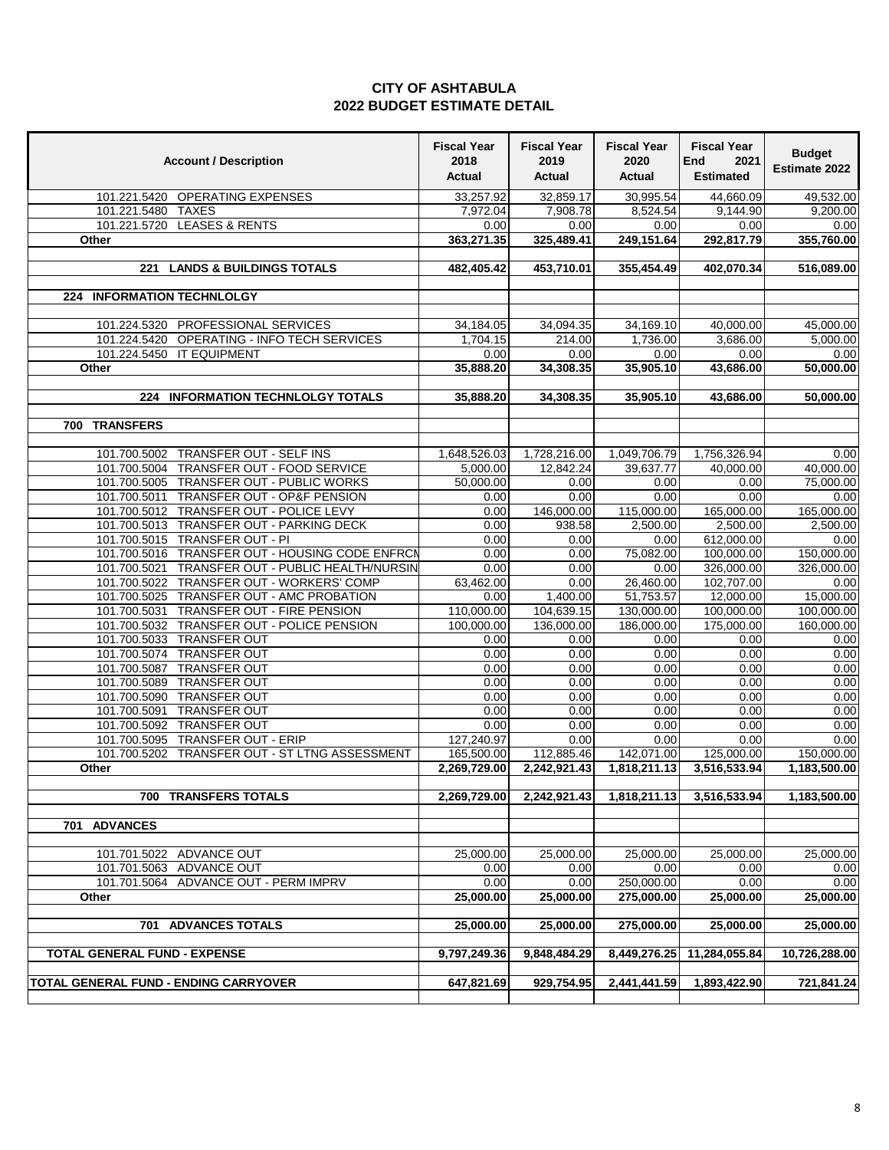| <b>Account / Description</b>                                                          | <b>Fiscal Year</b><br>2018<br><b>Actual</b> | <b>Fiscal Year</b><br>2019<br><b>Actual</b> | <b>Fiscal Year</b><br>2020<br>Actual | <b>Fiscal Year</b><br>2021<br><b>End</b><br><b>Estimated</b> | <b>Budget</b><br>Estimate 2022 |
|---------------------------------------------------------------------------------------|---------------------------------------------|---------------------------------------------|--------------------------------------|--------------------------------------------------------------|--------------------------------|
| 101.221.5420 OPERATING EXPENSES                                                       | 33,257.92                                   | 32,859.17                                   | 30,995.54                            | 44,660.09                                                    | 49,532.00                      |
| 101.221.5480 TAXES                                                                    | 7,972.04                                    | 7,908.78                                    | 8,524.54                             | 9,144.90                                                     | 9,200.00                       |
| 101.221.5720 LEASES & RENTS                                                           | 0.00                                        | 0.00                                        | 0.00                                 | 0.00                                                         | 0.00                           |
| Other                                                                                 | 363,271.35                                  | 325,489.41                                  | 249,151.64                           | 292,817.79                                                   | 355,760.00                     |
|                                                                                       |                                             |                                             |                                      |                                                              |                                |
| 221 LANDS & BUILDINGS TOTALS                                                          | 482,405.42                                  | 453,710.01                                  | 355,454.49                           | 402,070.34                                                   | 516,089.00                     |
| <b>INFORMATION TECHNLOLGY</b><br>224                                                  |                                             |                                             |                                      |                                                              |                                |
|                                                                                       |                                             |                                             |                                      |                                                              |                                |
| 101.224.5320 PROFESSIONAL SERVICES                                                    | 34,184.05                                   | 34,094.35                                   | 34,169.10                            | 40,000.00                                                    | 45,000.00                      |
| 101.224.5420 OPERATING - INFO TECH SERVICES                                           | 1,704.15                                    | 214.00                                      | 1,736.00                             | 3,686.00                                                     | 5,000.00                       |
| 101.224.5450 IT EQUIPMENT                                                             | 0.00                                        | 0.00                                        | 0.00                                 | 0.00                                                         | 0.00                           |
| Other                                                                                 | 35,888.20                                   | 34,308.35                                   | 35,905.10                            | 43,686.00                                                    | 50,000.00                      |
|                                                                                       |                                             |                                             |                                      |                                                              |                                |
| <b>INFORMATION TECHNLOLGY TOTALS</b><br>224                                           | 35,888.20                                   | 34,308.35                                   | 35,905.10                            | 43,686.00                                                    | 50,000.00                      |
| 700 TRANSFERS                                                                         |                                             |                                             |                                      |                                                              |                                |
|                                                                                       |                                             |                                             |                                      |                                                              |                                |
| 101.700.5002 TRANSFER OUT - SELF INS                                                  | 1,648,526.03                                | 1,728,216.00                                | 1,049,706.79                         | 1,756,326.94                                                 | 0.00                           |
| 101.700.5004 TRANSFER OUT - FOOD SERVICE                                              | 5,000.00                                    | 12,842.24                                   | 39,637.77                            | 40,000.00                                                    | 40,000.00                      |
| 101.700.5005<br>TRANSFER OUT - PUBLIC WORKS                                           | 50,000.00                                   | 0.00                                        | 0.00                                 | 0.00                                                         | 75,000.00                      |
| TRANSFER OUT - OP&F PENSION<br>101.700.5011                                           | 0.00                                        | 0.00                                        | 0.00                                 | 0.00                                                         | 0.00                           |
| 101.700.5012 TRANSFER OUT - POLICE LEVY                                               | 0.00                                        | 146,000.00                                  | 115,000.00                           | 165,000.00                                                   | 165,000.00                     |
| 101.700.5013 TRANSFER OUT - PARKING DECK                                              | 0.00                                        | 938.58                                      | 2,500.00                             | 2,500.00                                                     | 2,500.00                       |
| 101.700.5015 TRANSFER OUT - PI                                                        | 0.00                                        | 0.00                                        | 0.00                                 | 612,000.00                                                   | 0.00                           |
| 101.700.5016 TRANSFER OUT - HOUSING CODE ENFRCM                                       | 0.00                                        | 0.00                                        | 75,082.00                            | 100,000.00                                                   | 150,000.00                     |
| TRANSFER OUT - PUBLIC HEALTH/NURSIN<br>101.700.5021                                   | 0.00                                        | 0.00                                        | 0.00                                 | 326,000.00                                                   | 326,000.00                     |
| 101.700.5022 TRANSFER OUT - WORKERS' COMP                                             | 63,462.00                                   | 0.00                                        | 26,460.00                            | 102,707.00                                                   | 0.00                           |
| TRANSFER OUT - AMC PROBATION<br>101.700.5025                                          | 0.00                                        | 1,400.00                                    | 51,753.57                            | 12,000.00                                                    | 15,000.00                      |
| TRANSFER OUT - FIRE PENSION<br>101.700.5031                                           | 110,000.00                                  | 104,639.15                                  | 130,000.00                           | 100,000.00                                                   | 100,000.00                     |
| 101.700.5032 TRANSFER OUT - POLICE PENSION                                            | 100,000.00                                  | 136,000.00                                  | 186,000.00                           | 175,000.00                                                   | 160,000.00                     |
| <b>TRANSFER OUT</b><br>101.700.5033                                                   | 0.00                                        | 0.00                                        | 0.00                                 | 0.00                                                         | 0.00                           |
| <b>TRANSFER OUT</b><br>101.700.5074                                                   | 0.00                                        | 0.00                                        | 0.00                                 | 0.00                                                         | 0.00                           |
| <b>TRANSFER OUT</b><br>101.700.5087                                                   | 0.00                                        | 0.00                                        | 0.00                                 | 0.00                                                         | 0.00                           |
| 101.700.5089<br>TRANSFER OUT                                                          | 0.00                                        | 0.00                                        | 0.00                                 | 0.00                                                         | 0.00                           |
| 101.700.5090 TRANSFER OUT                                                             | 0.00                                        | 0.00                                        | 0.00                                 | 0.00                                                         | 0.00                           |
| <b>TRANSFER OUT</b><br>101.700.5091                                                   | 0.00<br>0.00                                | 0.00<br>0.00                                | 0.00                                 | 0.00<br>0.00                                                 | 0.00                           |
| 101.700.5092<br><b>TRANSFER OUT</b>                                                   |                                             | 0.00                                        | 0.00<br>0.00                         | 0.00                                                         | 0.00<br>0.00                   |
| 101.700.5095 TRANSFER OUT - ERIP<br>TRANSFER OUT - ST LTNG ASSESSMENT<br>101.700.5202 | 127,240.97<br>165,500.00                    | 112,885.46                                  | 142,071.00                           | 125,000.00                                                   | 150,000.00                     |
| Other                                                                                 | 2,269,729.00                                | 2,242,921.43                                | 1,818,211.13                         | 3,516,533.94                                                 | 1,183,500.00                   |
|                                                                                       |                                             |                                             |                                      |                                                              |                                |
| 700 TRANSFERS TOTALS                                                                  | 2,269,729.00                                | 2.242.921.43                                | 1,818,211.13                         | 3,516,533.94                                                 | 1,183,500.00                   |
|                                                                                       |                                             |                                             |                                      |                                                              |                                |
| <b>ADVANCES</b><br>701                                                                |                                             |                                             |                                      |                                                              |                                |
|                                                                                       |                                             |                                             |                                      |                                                              |                                |
| 101.701.5022 ADVANCE OUT<br>101.701.5063 ADVANCE OUT                                  | 25,000.00                                   | 25,000.00                                   | 25,000.00<br>0.00                    | 25,000.00                                                    | 25,000.00                      |
| 101.701.5064 ADVANCE OUT - PERM IMPRV                                                 | 0.00<br>0.00                                | 0.00<br>0.00                                | 250,000.00                           | 0.00<br>0.00                                                 | 0.00<br>0.00                   |
| Other                                                                                 | 25,000.00                                   | 25,000.00                                   | 275,000.00                           | 25,000.00                                                    | 25,000.00                      |
|                                                                                       |                                             |                                             |                                      |                                                              |                                |
| <b>ADVANCES TOTALS</b><br>701                                                         | 25,000.00                                   | 25,000.00                                   | 275,000.00                           | 25,000.00                                                    | 25,000.00                      |
| <b>TOTAL GENERAL FUND - EXPENSE</b>                                                   | 9,797,249.36                                | 9,848,484.29                                | 8,449,276.25                         | 11,284,055.84                                                | 10,726,288.00                  |
| TOTAL GENERAL FUND - ENDING CARRYOVER                                                 | 647,821.69                                  | 929,754.95                                  | 2,441,441.59                         | 1,893,422.90                                                 | 721,841.24                     |
|                                                                                       |                                             |                                             |                                      |                                                              |                                |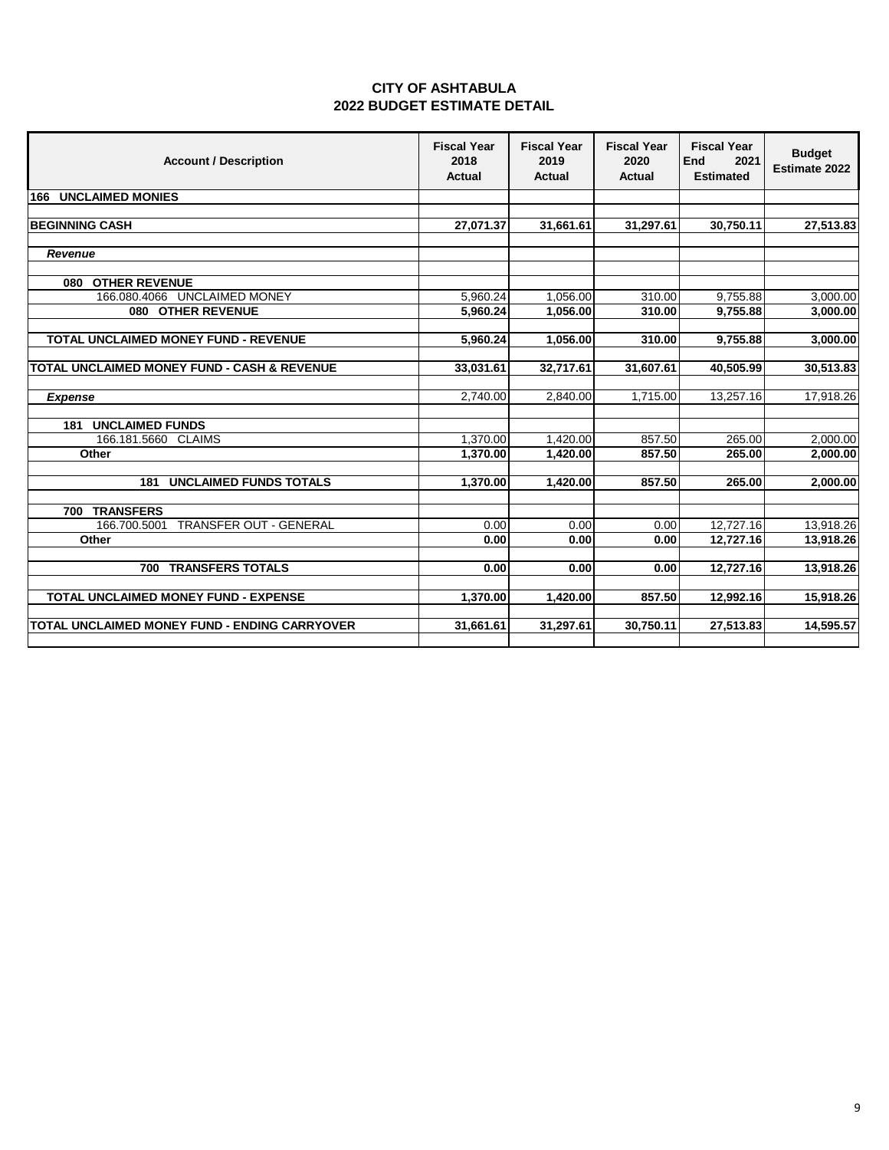| <b>CITY OF ASHTABULA</b>           |
|------------------------------------|
| <b>2022 BUDGET ESTIMATE DETAIL</b> |

| <b>Account / Description</b>                  | <b>Fiscal Year</b><br>2018<br><b>Actual</b> | <b>Fiscal Year</b><br>2019<br><b>Actual</b> | <b>Fiscal Year</b><br>2020<br><b>Actual</b> | <b>Fiscal Year</b><br>End<br>2021<br><b>Estimated</b> | <b>Budget</b><br><b>Estimate 2022</b> |
|-----------------------------------------------|---------------------------------------------|---------------------------------------------|---------------------------------------------|-------------------------------------------------------|---------------------------------------|
| <b>166 UNCLAIMED MONIES</b>                   |                                             |                                             |                                             |                                                       |                                       |
| <b>BEGINNING CASH</b>                         | 27,071.37                                   | 31,661.61                                   | 31,297.61                                   | 30,750.11                                             | 27,513.83                             |
| Revenue                                       |                                             |                                             |                                             |                                                       |                                       |
|                                               |                                             |                                             |                                             |                                                       |                                       |
| 080 OTHER REVENUE                             |                                             |                                             |                                             |                                                       |                                       |
| 166.080.4066 UNCLAIMED MONEY                  | 5,960.24                                    | 1,056.00                                    | 310.00                                      | 9,755.88                                              | 3,000.00                              |
| 080 OTHER REVENUE                             | 5,960.24                                    | 1,056.00                                    | 310.00                                      | 9,755.88                                              | 3,000.00                              |
| <b>TOTAL UNCLAIMED MONEY FUND - REVENUE</b>   | 5,960.24                                    | 1,056.00                                    | 310.00                                      | 9,755.88                                              | 3,000.00                              |
|                                               |                                             |                                             |                                             |                                                       |                                       |
| TOTAL UNCLAIMED MONEY FUND - CASH & REVENUE   | 33,031.61                                   | 32,717.61                                   | 31,607.61                                   | 40,505.99                                             | 30,513.83                             |
|                                               |                                             |                                             |                                             |                                                       |                                       |
| <b>Expense</b>                                | 2,740.00                                    | 2,840.00                                    | 1,715.00                                    | 13,257.16                                             | 17,918.26                             |
| <b>181 UNCLAIMED FUNDS</b>                    |                                             |                                             |                                             |                                                       |                                       |
| 166.181.5660 CLAIMS                           | 1,370.00                                    | 1,420.00                                    | 857.50                                      | 265.00                                                | 2,000.00                              |
| Other                                         | 1,370.00                                    | 1,420.00                                    | 857.50                                      | 265.00                                                | 2,000.00                              |
| <b>181 UNCLAIMED FUNDS TOTALS</b>             | 1,370.00                                    | 1,420.00                                    | 857.50                                      | 265.00                                                | 2,000.00                              |
| 700 TRANSFERS                                 |                                             |                                             |                                             |                                                       |                                       |
| 166.700.5001 TRANSFER OUT - GENERAL           | 0.00                                        | 0.00                                        | 0.00                                        | 12,727.16                                             | 13,918.26                             |
| Other                                         | 0.00                                        | 0.00                                        | 0.00                                        | 12,727.16                                             | 13,918.26                             |
|                                               |                                             |                                             |                                             |                                                       |                                       |
| <b>TRANSFERS TOTALS</b><br>700                | 0.00                                        | 0.00                                        | 0.00                                        | 12,727.16                                             | 13,918.26                             |
|                                               |                                             |                                             |                                             |                                                       |                                       |
| <b>TOTAL UNCLAIMED MONEY FUND - EXPENSE</b>   | 1,370.00                                    | 1,420.00                                    | 857.50                                      | 12,992.16                                             | 15,918.26                             |
| TOTAL UNCLAIMED MONEY FUND - ENDING CARRYOVER | 31,661.61                                   | 31,297.61                                   | 30,750.11                                   | 27,513.83                                             | 14,595.57                             |
|                                               |                                             |                                             |                                             |                                                       |                                       |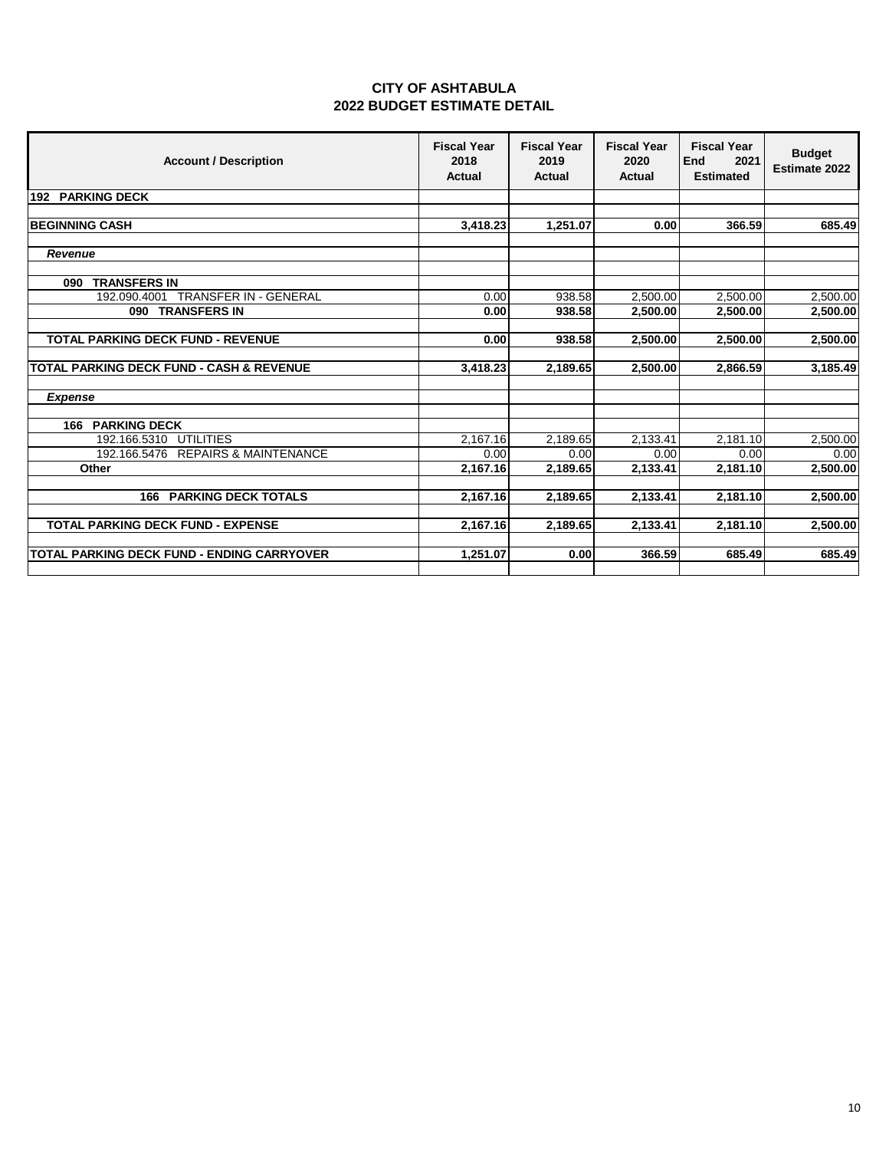| <b>CITY OF ASHTABULA</b>           |
|------------------------------------|
| <b>2022 BUDGET ESTIMATE DETAIL</b> |

| <b>Account / Description</b>                        | <b>Fiscal Year</b><br>2018<br><b>Actual</b> | <b>Fiscal Year</b><br>2019<br><b>Actual</b> | <b>Fiscal Year</b><br>2020<br>Actual | <b>Fiscal Year</b><br><b>End</b><br>2021<br><b>Estimated</b> | <b>Budget</b><br><b>Estimate 2022</b> |
|-----------------------------------------------------|---------------------------------------------|---------------------------------------------|--------------------------------------|--------------------------------------------------------------|---------------------------------------|
| 192 PARKING DECK                                    |                                             |                                             |                                      |                                                              |                                       |
|                                                     |                                             |                                             |                                      |                                                              |                                       |
| <b>BEGINNING CASH</b>                               | 3,418.23                                    | 1,251.07                                    | 0.00                                 | 366.59                                                       | 685.49                                |
|                                                     |                                             |                                             |                                      |                                                              |                                       |
| Revenue                                             |                                             |                                             |                                      |                                                              |                                       |
|                                                     |                                             |                                             |                                      |                                                              |                                       |
| <b>TRANSFERS IN</b><br>090                          |                                             |                                             |                                      |                                                              |                                       |
| <b>TRANSFER IN - GENERAL</b><br>192.090.4001        | 0.00                                        | 938.58                                      | 2.500.00                             | 2,500.00                                                     | 2.500.00                              |
| 090 TRANSFERS IN                                    | 0.00                                        | 938.58                                      | 2,500.00                             | 2,500.00                                                     | 2,500.00                              |
|                                                     |                                             |                                             |                                      |                                                              |                                       |
| <b>TOTAL PARKING DECK FUND - REVENUE</b>            | 0.00                                        | 938.58                                      | 2,500.00                             | 2,500.00                                                     | 2,500.00                              |
|                                                     |                                             |                                             |                                      |                                                              |                                       |
| <b>TOTAL PARKING DECK FUND - CASH &amp; REVENUE</b> | 3,418.23                                    | 2,189.65                                    | 2,500.00                             | 2,866.59                                                     | 3,185.49                              |
|                                                     |                                             |                                             |                                      |                                                              |                                       |
| <b>Expense</b>                                      |                                             |                                             |                                      |                                                              |                                       |
| <b>166 PARKING DECK</b>                             |                                             |                                             |                                      |                                                              |                                       |
| 192.166.5310<br><b>UTILITIES</b>                    | 2,167.16                                    | 2,189.65                                    | 2,133.41                             | 2,181.10                                                     | 2,500.00                              |
| 192.166.5476 REPAIRS & MAINTENANCE                  | 0.00                                        | 0.00                                        | 0.00                                 | 0.00                                                         | 0.00                                  |
| Other                                               | 2,167.16                                    | 2,189.65                                    | 2,133.41                             | 2,181.10                                                     | 2,500.00                              |
|                                                     |                                             |                                             |                                      |                                                              |                                       |
| <b>PARKING DECK TOTALS</b><br>166                   | 2,167.16                                    | 2,189.65                                    | 2,133.41                             | 2,181.10                                                     | 2,500.00                              |
|                                                     |                                             |                                             |                                      |                                                              |                                       |
| <b>TOTAL PARKING DECK FUND - EXPENSE</b>            | 2,167.16                                    | 2,189.65                                    | 2,133.41                             | 2,181.10                                                     | 2,500.00                              |
|                                                     |                                             |                                             |                                      |                                                              |                                       |
| <b>TOTAL PARKING DECK FUND - ENDING CARRYOVER</b>   | 1,251.07                                    | 0.00                                        | 366.59                               | 685.49                                                       | 685.49                                |
|                                                     |                                             |                                             |                                      |                                                              |                                       |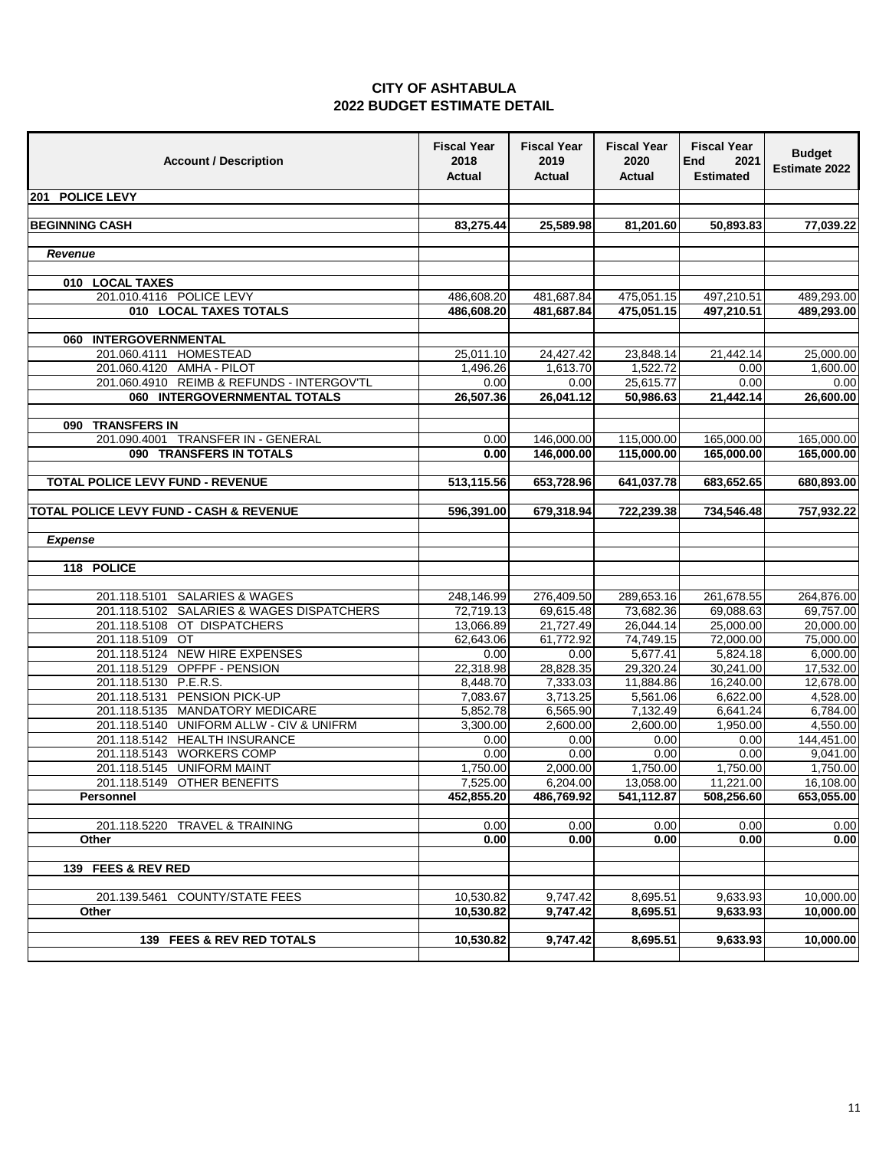| <b>Account / Description</b>                                  | <b>Fiscal Year</b><br>2018<br>Actual | <b>Fiscal Year</b><br>2019<br>Actual | <b>Fiscal Year</b><br>2020<br><b>Actual</b> | <b>Fiscal Year</b><br><b>End</b><br>2021<br><b>Estimated</b> | <b>Budget</b><br>Estimate 2022 |
|---------------------------------------------------------------|--------------------------------------|--------------------------------------|---------------------------------------------|--------------------------------------------------------------|--------------------------------|
| 201 POLICE LEVY                                               |                                      |                                      |                                             |                                                              |                                |
|                                                               |                                      |                                      |                                             |                                                              |                                |
| <b>BEGINNING CASH</b>                                         | 83,275.44                            | 25,589.98                            | 81,201.60                                   | 50,893.83                                                    | 77,039.22                      |
| Revenue                                                       |                                      |                                      |                                             |                                                              |                                |
|                                                               |                                      |                                      |                                             |                                                              |                                |
| 010 LOCAL TAXES                                               |                                      |                                      |                                             |                                                              |                                |
| 201.010.4116 POLICE LEVY                                      | 486,608.20                           | 481,687.84                           | 475,051.15                                  | 497,210.51                                                   | 489,293.00                     |
| 010 LOCAL TAXES TOTALS                                        | 486,608.20                           | 481,687.84                           | 475,051.15                                  | 497,210.51                                                   | 489,293.00                     |
| 060 INTERGOVERNMENTAL                                         |                                      |                                      |                                             |                                                              |                                |
| 201.060.4111 HOMESTEAD                                        | 25,011.10                            | 24,427.42                            | 23,848.14                                   | 21,442.14                                                    | 25,000.00                      |
| 201.060.4120 AMHA - PILOT                                     | 1,496.26                             | 1,613.70                             | 1,522.72                                    | 0.00                                                         | 1,600.00                       |
| 201.060.4910 REIMB & REFUNDS - INTERGOV'TL                    | 0.00                                 | 0.00                                 | 25,615.77                                   | 0.00                                                         | 0.00                           |
| 060 INTERGOVERNMENTAL TOTALS                                  | 26,507.36                            | 26,041.12                            | 50,986.63                                   | 21,442.14                                                    | 26,600.00                      |
|                                                               |                                      |                                      |                                             |                                                              |                                |
| 090 TRANSFERS IN                                              |                                      |                                      |                                             |                                                              |                                |
| 201.090.4001 TRANSFER IN - GENERAL<br>090 TRANSFERS IN TOTALS | 0.00<br>0.00                         | 146,000.00<br>146,000.00             | 115,000.00<br>115,000.00                    | 165,000.00<br>165,000.00                                     | 165,000.00<br>165,000.00       |
|                                                               |                                      |                                      |                                             |                                                              |                                |
| <b>TOTAL POLICE LEVY FUND - REVENUE</b>                       | 513,115.56                           | 653,728.96                           | 641,037.78                                  | 683,652.65                                                   | 680,893.00                     |
|                                                               |                                      |                                      |                                             |                                                              |                                |
| TOTAL POLICE LEVY FUND - CASH & REVENUE                       | 596,391.00                           | 679,318.94                           | 722,239.38                                  | 734,546.48                                                   | 757,932.22                     |
|                                                               |                                      |                                      |                                             |                                                              |                                |
| <b>Expense</b>                                                |                                      |                                      |                                             |                                                              |                                |
| 118 POLICE                                                    |                                      |                                      |                                             |                                                              |                                |
|                                                               |                                      |                                      |                                             |                                                              |                                |
| <b>SALARIES &amp; WAGES</b><br>201.118.5101                   | 248,146.99                           | 276,409.50                           | 289,653.16                                  | 261,678.55                                                   | 264,876.00                     |
| 201.118.5102 SALARIES & WAGES DISPATCHERS                     | 72,719.13                            | 69,615.48                            | 73,682.36                                   | 69,088.63                                                    | 69,757.00                      |
| 201.118.5108 OT DISPATCHERS                                   | 13,066.89                            | 21,727.49                            | 26,044.14                                   | 25,000.00                                                    | 20,000.00                      |
| 201.118.5109<br>OT                                            | 62,643.06                            | 61,772.92                            | 74,749.15                                   | 72,000.00                                                    | 75,000.00                      |
| <b>NEW HIRE EXPENSES</b><br>201.118.5124                      | 0.00                                 | 0.00                                 | 5,677.41                                    | 5,824.18                                                     | 6,000.00                       |
| 201.118.5129<br>OPFPF - PENSION<br><b>P.E.R.S.</b>            | 22,318.98                            | 28,828.35                            | 29,320.24                                   | 30,241.00                                                    | 17,532.00<br>12,678.00         |
| 201.118.5130<br>PENSION PICK-UP<br>201.118.5131               | 8,448.70<br>7,083.67                 | 7,333.03<br>3,713.25                 | 11,884.86<br>5,561.06                       | 16,240.00<br>6,622.00                                        | 4,528.00                       |
| <b>MANDATORY MEDICARE</b><br>201.118.5135                     | 5,852.78                             | 6,565.90                             | 7,132.49                                    | 6,641.24                                                     | 6,784.00                       |
| <b>UNIFORM ALLW - CIV &amp; UNIFRM</b><br>201.118.5140        | 3,300.00                             | 2,600.00                             | 2,600.00                                    | 1,950.00                                                     | 4,550.00                       |
| 201.118.5142<br><b>HEALTH INSURANCE</b>                       | 0.00                                 | 0.00                                 | 0.00                                        | 0.00                                                         | 144,451.00                     |
| 201.118.5143<br><b>WORKERS COMP</b>                           | 0.00                                 | 0.00                                 | 0.00                                        | 0.00                                                         | 9,041.00                       |
| 201.118.5145 UNIFORM MAINT                                    | 1,750.00                             | 2.000.00                             | 1,750.00                                    | 1,750.00                                                     | 1,750.00                       |
| 201.118.5149 OTHER BENEFITS                                   | 7,525.00                             | 6,204.00                             | 13,058.00                                   | 11,221.00                                                    | 16,108.00                      |
| Personnel                                                     | 452,855.20                           | 486,769.92                           | 541,112.87                                  | 508,256.60                                                   | 653.055.00                     |
| 201.118.5220 TRAVEL & TRAINING                                | 0.00                                 | 0.00                                 | 0.00                                        | 0.00                                                         | 0.00                           |
| Other                                                         | 0.00                                 | 0.00                                 | 0.00                                        | 0.00                                                         | 0.00                           |
|                                                               |                                      |                                      |                                             |                                                              |                                |
| 139 FEES & REV RED                                            |                                      |                                      |                                             |                                                              |                                |
|                                                               |                                      |                                      |                                             |                                                              |                                |
| 201.139.5461 COUNTY/STATE FEES                                | 10,530.82<br>10.530.82               | 9,747.42                             | 8,695.51                                    | 9.633.93                                                     | 10.000.00                      |
| Other                                                         |                                      | 9,747.42                             | 8,695.51                                    | 9,633.93                                                     | 10,000.00                      |
| 139 FEES & REV RED TOTALS                                     | 10,530.82                            | 9,747.42                             | 8,695.51                                    | 9,633.93                                                     | 10,000.00                      |
|                                                               |                                      |                                      |                                             |                                                              |                                |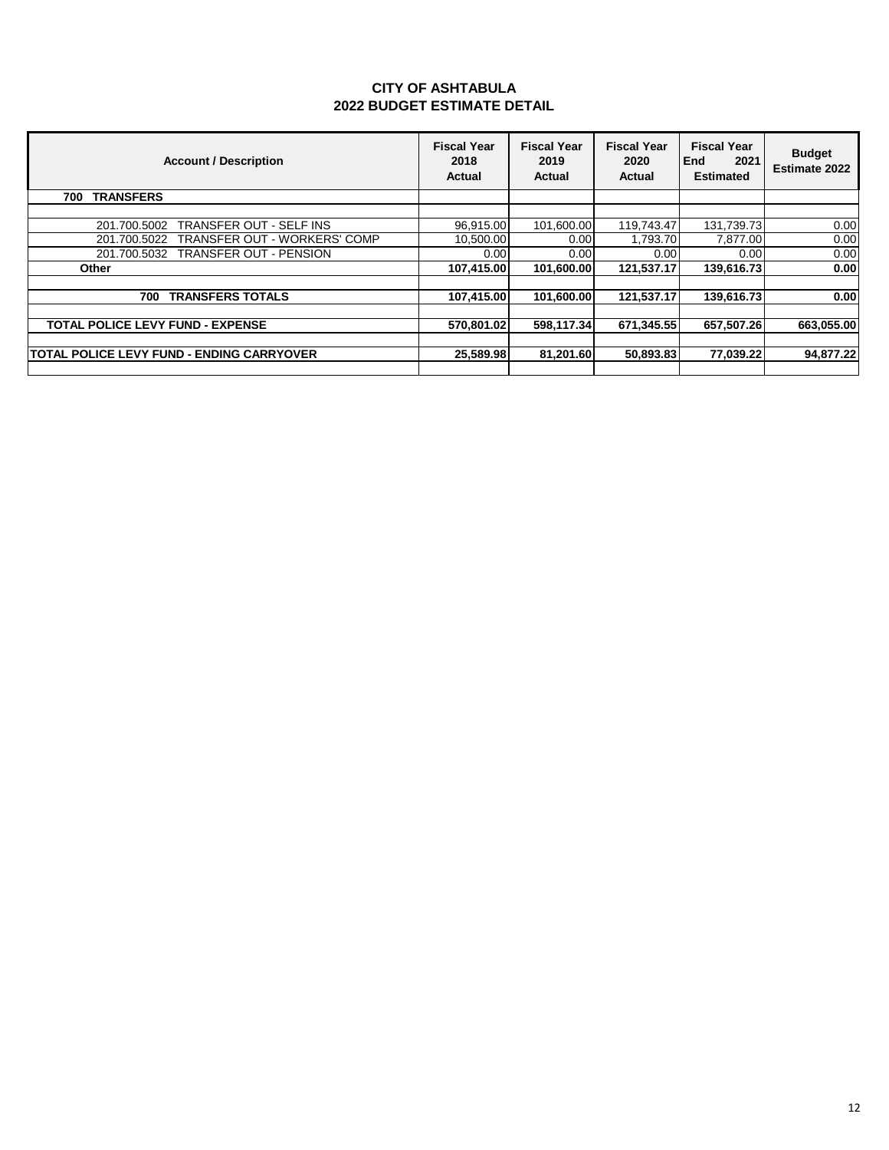| <b>Account / Description</b>                        | <b>Fiscal Year</b><br>2018<br>Actual | <b>Fiscal Year</b><br>2019<br>Actual | <b>Fiscal Year</b><br>2020<br>Actual | <b>Fiscal Year</b><br>End<br>2021<br>Estimated | <b>Budget</b><br><b>Estimate 2022</b> |
|-----------------------------------------------------|--------------------------------------|--------------------------------------|--------------------------------------|------------------------------------------------|---------------------------------------|
| <b>TRANSFERS</b><br>700                             |                                      |                                      |                                      |                                                |                                       |
|                                                     |                                      |                                      |                                      |                                                |                                       |
| TRANSFER OUT - SELF INS<br>201.700.5002             | 96.915.00                            | 101.600.00                           | 119.743.47                           | 131,739.73                                     | 0.00                                  |
| <b>TRANSFER OUT - WORKERS' COMP</b><br>201.700.5022 | 10.500.00                            | 0.00                                 | 1.793.70                             | 7.877.00                                       | 0.00                                  |
| <b>TRANSFER OUT - PENSION</b><br>201.700.5032       | 0.00                                 | 0.00                                 | 0.00                                 | 0.00                                           | 0.00                                  |
| Other                                               | 107.415.00                           | 101.600.00                           | 121.537.17                           | 139,616.73                                     | 0.00                                  |
|                                                     |                                      |                                      |                                      |                                                |                                       |
| <b>TRANSFERS TOTALS</b><br>700                      | 107,415.00                           | 101.600.00                           | 121.537.17                           | 139,616.73                                     | 0.00                                  |
|                                                     |                                      |                                      |                                      |                                                |                                       |
| <b>TOTAL POLICE LEVY FUND - EXPENSE</b>             | 570,801.02                           | 598.117.34                           | 671,345.55                           | 657,507.26                                     | 663,055.00                            |
|                                                     |                                      |                                      |                                      |                                                |                                       |
| <b>TOTAL POLICE LEVY FUND - ENDING CARRYOVER</b>    | 25,589.98                            | 81,201.60                            | 50,893.83                            | 77,039.22                                      | 94,877.22                             |
|                                                     |                                      |                                      |                                      |                                                |                                       |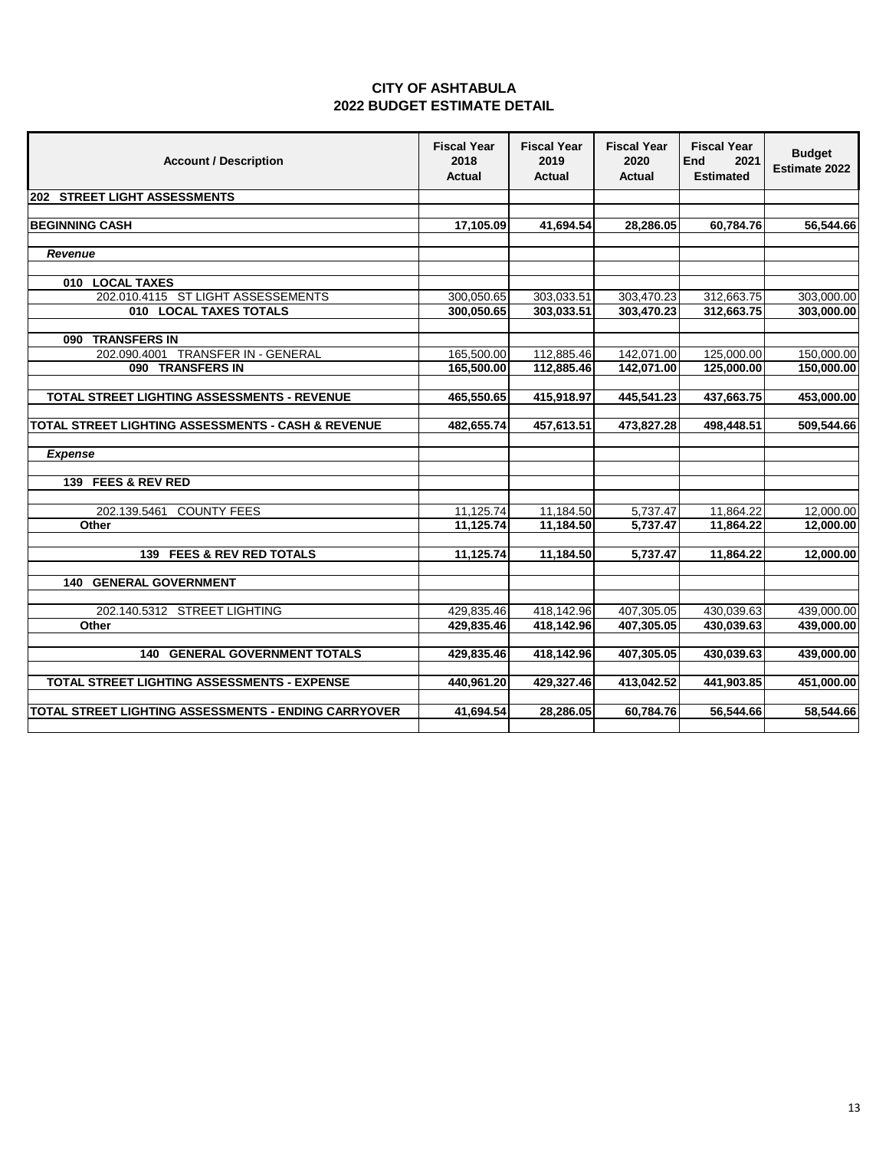|                                    | <b>CITY OF ASHTABULA</b> |  |
|------------------------------------|--------------------------|--|
| <b>2022 BUDGET ESTIMATE DETAIL</b> |                          |  |

| <b>Account / Description</b>                         | <b>Fiscal Year</b><br>2018<br><b>Actual</b> | <b>Fiscal Year</b><br>2019<br><b>Actual</b> | <b>Fiscal Year</b><br>2020<br><b>Actual</b> | <b>Fiscal Year</b><br>End<br>2021<br><b>Estimated</b> | <b>Budget</b><br>Estimate 2022 |
|------------------------------------------------------|---------------------------------------------|---------------------------------------------|---------------------------------------------|-------------------------------------------------------|--------------------------------|
| 202 STREET LIGHT ASSESSMENTS                         |                                             |                                             |                                             |                                                       |                                |
|                                                      |                                             |                                             |                                             |                                                       |                                |
| <b>BEGINNING CASH</b>                                | 17,105.09                                   | 41,694.54                                   | 28,286.05                                   | 60,784.76                                             | 56,544.66                      |
| Revenue                                              |                                             |                                             |                                             |                                                       |                                |
|                                                      |                                             |                                             |                                             |                                                       |                                |
| 010 LOCAL TAXES                                      |                                             |                                             |                                             |                                                       |                                |
| 202.010.4115 ST LIGHT ASSESSEMENTS                   | 300,050.65                                  | 303,033.51                                  | 303,470.23                                  | 312,663.75                                            | 303,000.00                     |
| 010 LOCAL TAXES TOTALS                               | 300,050.65                                  | 303.033.51                                  | 303,470.23                                  | 312,663.75                                            | 303,000.00                     |
|                                                      |                                             |                                             |                                             |                                                       |                                |
| 090 TRANSFERS IN                                     |                                             |                                             |                                             |                                                       |                                |
| 202.090.4001 TRANSFER IN - GENERAL                   | 165,500.00                                  | 112,885.46                                  | 142,071.00                                  | 125,000.00                                            | 150,000.00                     |
| 090 TRANSFERS IN                                     | 165,500.00                                  | 112,885.46                                  | 142,071.00                                  | 125,000.00                                            | 150,000.00                     |
| TOTAL STREET LIGHTING ASSESSMENTS - REVENUE          | 465,550.65                                  | 415,918.97                                  | 445,541.23                                  | 437,663.75                                            | 453,000.00                     |
|                                                      |                                             |                                             |                                             |                                                       |                                |
| TOTAL STREET LIGHTING ASSESSMENTS - CASH & REVENUE   | 482,655.74                                  | 457,613.51                                  | 473,827.28                                  | 498,448.51                                            | 509,544.66                     |
|                                                      |                                             |                                             |                                             |                                                       |                                |
| <b>Expense</b>                                       |                                             |                                             |                                             |                                                       |                                |
|                                                      |                                             |                                             |                                             |                                                       |                                |
| 139 FEES & REV RED                                   |                                             |                                             |                                             |                                                       |                                |
| 202.139.5461 COUNTY FEES                             | 11,125.74                                   | 11,184.50                                   | 5,737.47                                    | 11,864.22                                             | 12,000.00                      |
| Other                                                | 11,125.74                                   | 11,184.50                                   | 5,737.47                                    | 11,864.22                                             | 12,000.00                      |
|                                                      |                                             |                                             |                                             |                                                       |                                |
| 139 FEES & REV RED TOTALS                            | 11,125.74                                   | 11,184.50                                   | 5,737.47                                    | 11,864.22                                             | 12,000.00                      |
|                                                      |                                             |                                             |                                             |                                                       |                                |
| <b>140 GENERAL GOVERNMENT</b>                        |                                             |                                             |                                             |                                                       |                                |
|                                                      |                                             |                                             |                                             |                                                       |                                |
| 202.140.5312 STREET LIGHTING                         | 429,835.46                                  | 418,142.96                                  | 407,305.05                                  | 430,039.63                                            | 439,000.00                     |
| Other                                                | 429,835.46                                  | 418,142.96                                  | 407,305.05                                  | 430,039.63                                            | 439,000.00                     |
| <b>140 GENERAL GOVERNMENT TOTALS</b>                 | 429,835.46                                  | 418,142.96                                  | 407,305.05                                  | 430,039.63                                            | 439,000.00                     |
|                                                      |                                             |                                             |                                             |                                                       |                                |
| TOTAL STREET LIGHTING ASSESSMENTS - EXPENSE          | 440,961.20                                  | 429,327.46                                  | 413,042.52                                  | 441,903.85                                            | 451,000.00                     |
|                                                      |                                             |                                             |                                             |                                                       |                                |
| TOTAL STREET LIGHTING ASSESSMENTS - ENDING CARRYOVER | 41,694.54                                   | 28,286.05                                   | 60,784.76                                   | 56,544.66                                             | 58,544.66                      |
|                                                      |                                             |                                             |                                             |                                                       |                                |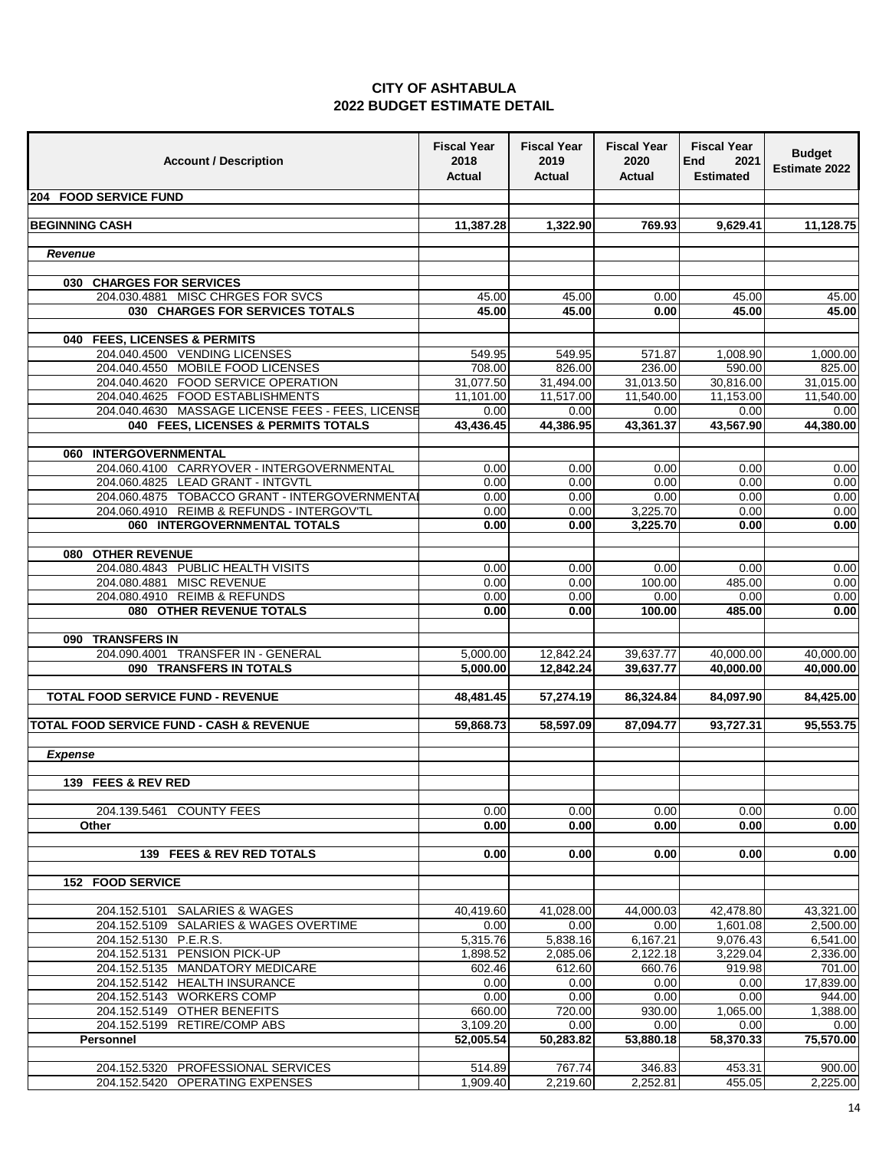| <b>Account / Description</b>                                                        | <b>Fiscal Year</b><br>2018<br>Actual | <b>Fiscal Year</b><br>2019<br>Actual | <b>Fiscal Year</b><br>2020<br>Actual | <b>Fiscal Year</b><br>End<br>2021<br><b>Estimated</b> | <b>Budget</b><br><b>Estimate 2022</b> |
|-------------------------------------------------------------------------------------|--------------------------------------|--------------------------------------|--------------------------------------|-------------------------------------------------------|---------------------------------------|
| 204 FOOD SERVICE FUND                                                               |                                      |                                      |                                      |                                                       |                                       |
|                                                                                     |                                      |                                      |                                      |                                                       |                                       |
| <b>BEGINNING CASH</b>                                                               | 11,387.28                            | 1,322.90                             | 769.93                               | 9.629.41                                              | 11,128.75                             |
| Revenue                                                                             |                                      |                                      |                                      |                                                       |                                       |
|                                                                                     |                                      |                                      |                                      |                                                       |                                       |
| 030 CHARGES FOR SERVICES                                                            |                                      |                                      |                                      |                                                       |                                       |
| 204.030.4881 MISC CHRGES FOR SVCS                                                   | 45.00                                | 45.00                                | 0.00                                 | 45.00                                                 | 45.00                                 |
| 030 CHARGES FOR SERVICES TOTALS                                                     | 45.00                                | 45.00                                | 0.00                                 | 45.00                                                 | 45.00                                 |
| 040 FEES, LICENSES & PERMITS                                                        |                                      |                                      |                                      |                                                       |                                       |
| 204.040.4500 VENDING LICENSES                                                       | 549.95                               | 549.95                               | 571.87                               | 1,008.90                                              | 1,000.00                              |
| 204.040.4550 MOBILE FOOD LICENSES                                                   | 708.00                               | 826.00                               | 236.00                               | 590.00                                                | 825.00                                |
| 204.040.4620 FOOD SERVICE OPERATION                                                 | 31,077.50                            | 31,494.00                            | 31,013.50                            | 30,816.00                                             | 31,015.00                             |
| 204.040.4625 FOOD ESTABLISHMENTS                                                    | 11,101.00                            | 11,517.00                            | 11,540.00                            | 11,153.00                                             | 11,540.00                             |
| 204.040.4630 MASSAGE LICENSE FEES - FEES, LICENSE                                   | 0.00                                 | 0.00                                 | 0.00                                 | 0.00                                                  | 0.00                                  |
| 040 FEES, LICENSES & PERMITS TOTALS                                                 | 43,436.45                            | 44,386.95                            | 43,361.37                            | 43,567.90                                             | 44,380.00                             |
|                                                                                     |                                      |                                      |                                      |                                                       |                                       |
| 060 INTERGOVERNMENTAL                                                               |                                      |                                      |                                      |                                                       |                                       |
| 204.060.4100 CARRYOVER - INTERGOVERNMENTAL                                          | 0.00                                 | 0.00<br>0.00                         | 0.00<br>0.00                         | 0.00                                                  | 0.00                                  |
| 204.060.4825 LEAD GRANT - INTGVTL<br>204.060.4875 TOBACCO GRANT - INTERGOVERNMENTAL | 0.00<br>0.00                         | 0.00                                 | 0.00                                 | 0.00<br>0.00                                          | 0.00<br>0.00                          |
| 204.060.4910 REIMB & REFUNDS - INTERGOV'TL                                          | 0.00                                 | 0.00                                 | 3,225.70                             | 0.00                                                  | 0.00                                  |
| 060 INTERGOVERNMENTAL TOTALS                                                        | 0.00                                 | 0.00                                 | 3,225.70                             | 0.00                                                  | 0.00                                  |
|                                                                                     |                                      |                                      |                                      |                                                       |                                       |
| 080 OTHER REVENUE                                                                   |                                      |                                      |                                      |                                                       |                                       |
| 204.080.4843 PUBLIC HEALTH VISITS                                                   | 0.00                                 | 0.00                                 | 0.00                                 | 0.00                                                  | 0.00                                  |
| 204.080.4881 MISC REVENUE                                                           | 0.00                                 | 0.00                                 | 100.00                               | 485.00                                                | 0.00                                  |
| 204.080.4910 REIMB & REFUNDS                                                        | 0.00                                 | 0.00                                 | 0.00                                 | 0.00                                                  | 0.00                                  |
| 080 OTHER REVENUE TOTALS                                                            | 0.00                                 | 0.00                                 | 100.00                               | 485.00                                                | 0.00                                  |
|                                                                                     |                                      |                                      |                                      |                                                       |                                       |
| 090 TRANSFERS IN                                                                    |                                      |                                      |                                      |                                                       |                                       |
| 204.090.4001 TRANSFER IN - GENERAL                                                  | 5,000.00<br>5,000.00                 | 12,842.24                            | 39,637.77                            | 40,000.00                                             | 40,000.00                             |
| 090 TRANSFERS IN TOTALS                                                             |                                      | 12,842.24                            | 39,637.77                            | 40,000.00                                             | 40,000.00                             |
| <b>TOTAL FOOD SERVICE FUND - REVENUE</b>                                            | 48,481.45                            | 57,274.19                            | 86,324.84                            | 84,097.90                                             | 84,425.00                             |
| <b>TOTAL FOOD SERVICE FUND - CASH &amp; REVENUE</b>                                 | 59,868.73                            | 58,597.09                            | 87,094.77                            | 93,727.31                                             | 95,553.75                             |
|                                                                                     |                                      |                                      |                                      |                                                       |                                       |
| <b>Expense</b>                                                                      |                                      |                                      |                                      |                                                       |                                       |
|                                                                                     |                                      |                                      |                                      |                                                       |                                       |
| 139 FEES & REV RED                                                                  |                                      |                                      |                                      |                                                       |                                       |
| 204.139.5461 COUNTY FEES                                                            | 0.00                                 | 0.00                                 | 0.00                                 | 0.00                                                  | 0.00                                  |
| Other                                                                               | 0.00                                 | 0.00                                 | 0.00                                 | 0.00                                                  | 0.00                                  |
| 139 FEES & REV RED TOTALS                                                           | 0.00                                 | 0.00                                 | 0.00                                 | 0.00                                                  | 0.00                                  |
|                                                                                     |                                      |                                      |                                      |                                                       |                                       |
| <b>152 FOOD SERVICE</b>                                                             |                                      |                                      |                                      |                                                       |                                       |
| 204.152.5101 SALARIES & WAGES                                                       | 40,419.60                            | 41,028.00                            | 44,000.03                            | 42,478.80                                             | 43,321.00                             |
| 204.152.5109 SALARIES & WAGES OVERTIME                                              | 0.00                                 | 0.00                                 | 0.00                                 | 1,601.08                                              | 2,500.00                              |
| 204.152.5130 P.E.R.S.                                                               | 5,315.76                             | 5,838.16                             | 6,167.21                             | 9,076.43                                              | 6,541.00                              |
| 204.152.5131 PENSION PICK-UP                                                        | 1,898.52                             | 2,085.06                             | 2,122.18                             | 3,229.04                                              | 2,336.00                              |
| 204.152.5135 MANDATORY MEDICARE                                                     | 602.46                               | 612.60                               | 660.76                               | 919.98                                                | 701.00                                |
| 204.152.5142 HEALTH INSURANCE                                                       | 0.00                                 | 0.00                                 | 0.00                                 | 0.00                                                  | 17,839.00                             |
| 204.152.5143 WORKERS COMP                                                           | 0.00                                 | 0.00                                 | 0.00                                 | 0.00                                                  | 944.00                                |
| 204.152.5149 OTHER BENEFITS                                                         | 660.00                               | 720.00                               | 930.00                               | 1,065.00                                              | 1,388.00                              |
| 204.152.5199 RETIRE/COMP ABS                                                        | 3,109.20                             | 0.00                                 | 0.00                                 | 0.00                                                  | 0.00                                  |
| Personnel                                                                           | 52,005.54                            | 50,283.82                            | 53,880.18                            | 58,370.33                                             | 75,570.00                             |
| 204.152.5320 PROFESSIONAL SERVICES                                                  | 514.89                               | 767.74                               | 346.83                               | 453.31                                                | 900.00                                |
| 204.152.5420 OPERATING EXPENSES                                                     | 1,909.40                             | 2,219.60                             | 2,252.81                             | 455.05                                                | 2,225.00                              |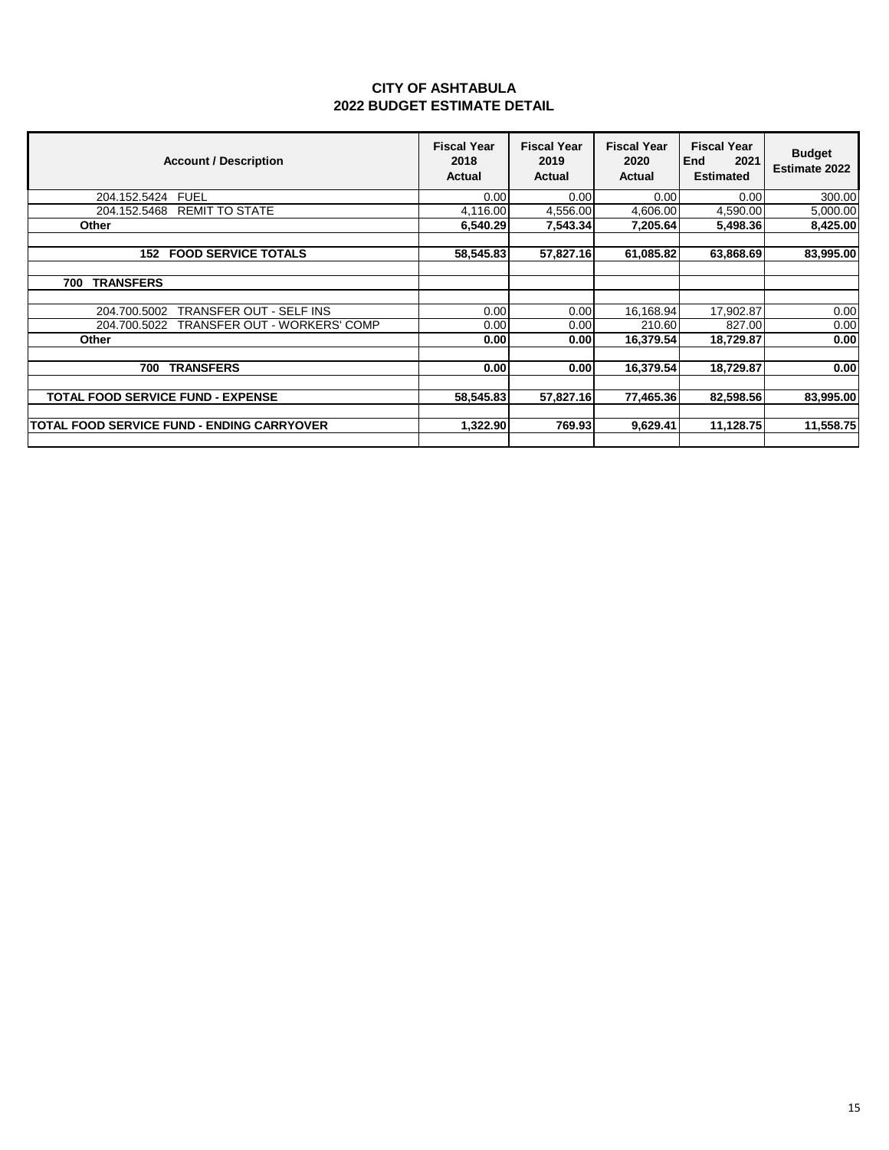| <b>Account / Description</b>                                                                   | <b>Fiscal Year</b><br>2018<br>Actual | <b>Fiscal Year</b><br>2019<br><b>Actual</b> | <b>Fiscal Year</b><br>2020<br><b>Actual</b> | <b>Fiscal Year</b><br>End<br>2021<br><b>Estimated</b> | <b>Budget</b><br><b>Estimate 2022</b> |
|------------------------------------------------------------------------------------------------|--------------------------------------|---------------------------------------------|---------------------------------------------|-------------------------------------------------------|---------------------------------------|
| <b>FUEL</b><br>204.152.5424                                                                    | 0.00                                 | 0.00                                        | 0.00                                        | 0.00                                                  | 300.00                                |
| <b>REMIT TO STATE</b><br>204.152.5468                                                          | 4,116.00                             | 4,556.00                                    | 4,606.00                                    | 4,590.00                                              | 5,000.00                              |
| Other                                                                                          | 6,540.29                             | 7,543.34                                    | 7,205.64                                    | 5,498.36                                              | 8,425.00                              |
| <b>FOOD SERVICE TOTALS</b><br>152                                                              | 58,545.83                            | 57,827.16                                   | 61,085.82                                   | 63,868.69                                             | 83,995.00                             |
| <b>TRANSFERS</b><br>700                                                                        |                                      |                                             |                                             |                                                       |                                       |
| <b>TRANSFER OUT - SELF INS</b><br>204.700.5002<br>TRANSFER OUT - WORKERS' COMP<br>204.700.5022 | 0.00<br>0.00                         | 0.00<br>0.00                                | 16,168.94<br>210.60                         | 17,902.87<br>827.00                                   | 0.00<br>0.00                          |
| Other                                                                                          | 0.00                                 | 0.00                                        | 16,379.54                                   | 18,729.87                                             | 0.00                                  |
| <b>TRANSFERS</b><br>700                                                                        | 0.00                                 | 0.00                                        | 16,379.54                                   | 18.729.87                                             | 0.00                                  |
| <b>TOTAL FOOD SERVICE FUND - EXPENSE</b>                                                       | 58,545.83                            | 57,827.16                                   | 77,465.36                                   | 82,598.56                                             | 83,995.00                             |
| <b>TOTAL FOOD SERVICE FUND - ENDING CARRYOVER</b>                                              | 1,322.90                             | 769.93                                      | 9,629.41                                    | 11,128.75                                             | 11,558.75                             |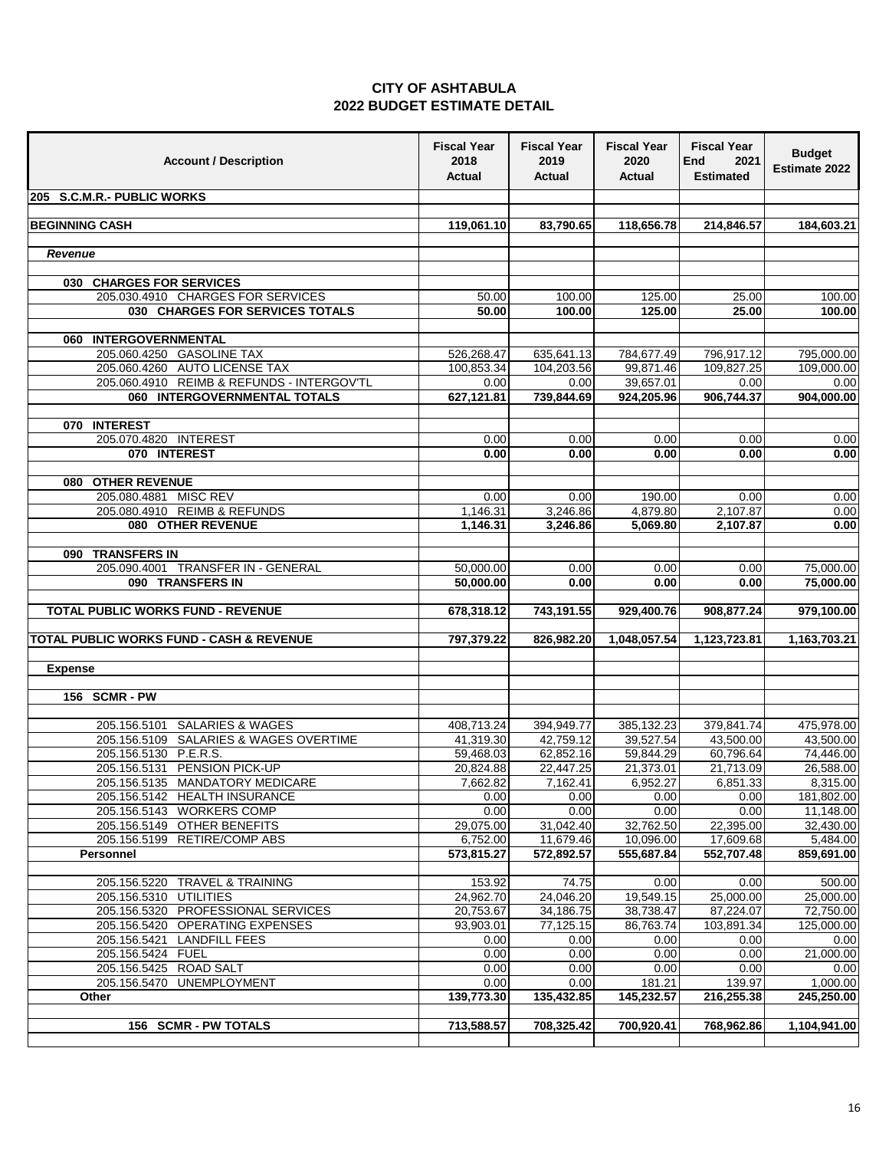| <b>Account / Description</b>                               | <b>Fiscal Year</b><br>2018<br>Actual | <b>Fiscal Year</b><br>2019<br>Actual | <b>Fiscal Year</b><br>2020<br>Actual | <b>Fiscal Year</b><br>End<br>2021<br><b>Estimated</b> | <b>Budget</b><br>Estimate 2022 |
|------------------------------------------------------------|--------------------------------------|--------------------------------------|--------------------------------------|-------------------------------------------------------|--------------------------------|
| 205 S.C.M.R.- PUBLIC WORKS                                 |                                      |                                      |                                      |                                                       |                                |
| <b>BEGINNING CASH</b>                                      | 119,061.10                           | 83,790.65                            | 118,656.78                           | 214,846.57                                            | 184,603.21                     |
|                                                            |                                      |                                      |                                      |                                                       |                                |
| Revenue                                                    |                                      |                                      |                                      |                                                       |                                |
| 030 CHARGES FOR SERVICES                                   |                                      |                                      |                                      |                                                       |                                |
| 205.030.4910 CHARGES FOR SERVICES                          | 50.00                                | 100.00                               | 125.00                               | 25.00                                                 | 100.00                         |
| 030 CHARGES FOR SERVICES TOTALS                            | 50.00                                | 100.00                               | 125.00                               | 25.00                                                 | 100.00                         |
| 060 INTERGOVERNMENTAL                                      |                                      |                                      |                                      |                                                       |                                |
| 205.060.4250 GASOLINE TAX                                  | 526,268.47                           | 635,641.13                           | 784,677.49                           | 796,917.12                                            | 795,000.00                     |
| 205.060.4260 AUTO LICENSE TAX                              | 100,853.34                           | 104,203.56                           | 99,871.46                            | 109,827.25                                            | 109,000.00                     |
| 205.060.4910 REIMB & REFUNDS - INTERGOV'TL                 | 0.00                                 | 0.00                                 | 39,657.01                            | 0.00                                                  | 0.00                           |
| 060 INTERGOVERNMENTAL TOTALS                               | 627,121.81                           | 739,844.69                           | 924,205.96                           | 906,744.37                                            | 904,000.00                     |
| 070 INTEREST                                               |                                      |                                      |                                      |                                                       |                                |
| 205.070.4820 INTEREST                                      | 0.00                                 | 0.00                                 | 0.00                                 | 0.00                                                  | 0.00                           |
| 070 INTEREST                                               | 0.00                                 | 0.00                                 | 0.00                                 | 0.00                                                  | 0.00                           |
|                                                            |                                      |                                      |                                      |                                                       |                                |
| <b>OTHER REVENUE</b><br>080                                |                                      |                                      |                                      |                                                       |                                |
| 205.080.4881 MISC REV                                      | 0.00                                 | 0.00                                 | 190.00                               | 0.00                                                  | 0.00                           |
| 205.080.4910 REIMB & REFUNDS                               | 1,146.31                             | 3,246.86                             | 4,879.80                             | 2,107.87                                              | 0.00                           |
| <b>080 OTHER REVENUE</b>                                   | 1,146.31                             | 3,246.86                             | 5,069.80                             | 2,107.87                                              | 0.00                           |
| 090 TRANSFERS IN                                           |                                      |                                      |                                      |                                                       |                                |
| 205.090.4001 TRANSFER IN - GENERAL                         | 50,000.00                            | 0.00                                 | 0.00                                 | 0.00                                                  | 75,000.00                      |
| 090 TRANSFERS IN                                           | 50,000.00                            | 0.00                                 | 0.00                                 | 0.00                                                  | 75,000.00                      |
| TOTAL PUBLIC WORKS FUND - REVENUE                          | 678,318.12                           | 743,191.55                           | 929,400.76                           | 908,877.24                                            | 979,100.00                     |
| TOTAL PUBLIC WORKS FUND - CASH & REVENUE                   | 797,379.22                           | 826,982.20                           | 1,048,057.54                         | 1,123,723.81                                          | 1,163,703.21                   |
| <b>Expense</b>                                             |                                      |                                      |                                      |                                                       |                                |
|                                                            |                                      |                                      |                                      |                                                       |                                |
| <b>156 SCMR-PW</b>                                         |                                      |                                      |                                      |                                                       |                                |
| <b>SALARIES &amp; WAGES</b><br>205.156.5101                | 408,713.24                           | 394,949.77                           | 385,132.23                           | 379,841.74                                            | 475,978.00                     |
| 205.156.5109 SALARIES & WAGES OVERTIME                     | 41,319.30                            | 42,759.12                            | 39,527.54                            | 43,500.00                                             | 43,500.00                      |
| 205.156.5130 P.E.R.S.                                      | 59,468.03                            | 62.852.16                            | 59,844.29                            | 60,796.64                                             | 74,446.00                      |
| 205.156.5131 PENSION PICK-UP                               | 20,824.88                            | 22,447.25                            | 21,373.01                            | 21,713.09                                             | 26,588.00                      |
| 205.156.5135 MANDATORY MEDICARE                            | 7,662.82                             | 7,162.41                             | 6,952.27                             | 6,851.33                                              | 8,315.00<br>181,802.00         |
| 205.156.5142 HEALTH INSURANCE<br>205.156.5143 WORKERS COMP | 0.00<br>0.00                         | 0.00<br>0.00                         | 0.00<br>0.00                         | 0.00<br>0.00                                          | 11,148.00                      |
| 205.156.5149 OTHER BENEFITS                                | 29,075.00                            | 31,042.40                            | 32,762.50                            | 22,395.00                                             | 32,430.00                      |
| 205.156.5199 RETIRE/COMP ABS                               | 6,752.00                             | 11,679.46                            | 10,096.00                            | 17,609.68                                             | 5,484.00                       |
| <b>Personnel</b>                                           | 573,815.27                           | 572,892.57                           | 555,687.84                           | 552,707.48                                            | 859.691.00                     |
|                                                            |                                      |                                      |                                      |                                                       |                                |
| 205.156.5220 TRAVEL & TRAINING<br>205.156.5310 UTILITIES   | 153.92<br>24,962.70                  | 74.75<br>24,046.20                   | 0.00<br>19,549.15                    | 0.00                                                  | 500.00<br>25,000.00            |
| 205.156.5320 PROFESSIONAL SERVICES                         | 20,753.67                            | 34,186.75                            | 38,738.47                            | 25,000.00<br>87,224.07                                | 72,750.00                      |
| 205.156.5420 OPERATING EXPENSES                            | 93,903.01                            | 77,125.15                            | 86,763.74                            | 103,891.34                                            | 125,000.00                     |
| 205.156.5421<br><b>LANDFILL FEES</b>                       | 0.00                                 | 0.00                                 | 0.00                                 | 0.00                                                  | 0.00                           |
| 205.156.5424 FUEL                                          | 0.00                                 | 0.00                                 | 0.00                                 | 0.00                                                  | 21,000.00                      |
| 205.156.5425 ROAD SALT                                     | 0.00                                 | 0.00                                 | 0.00                                 | 0.00                                                  | 0.00                           |
| 205.156.5470 UNEMPLOYMENT                                  | 0.00                                 | 0.00                                 | 181.21                               | 139.97                                                | 1,000.00                       |
| Other                                                      | 139,773.30                           | 135,432.85                           | 145,232.57                           | 216,255.38                                            | 245,250.00                     |
| 156 SCMR - PW TOTALS                                       | 713,588.57                           | 708,325.42                           | 700,920.41                           | 768,962.86                                            | 1,104,941.00                   |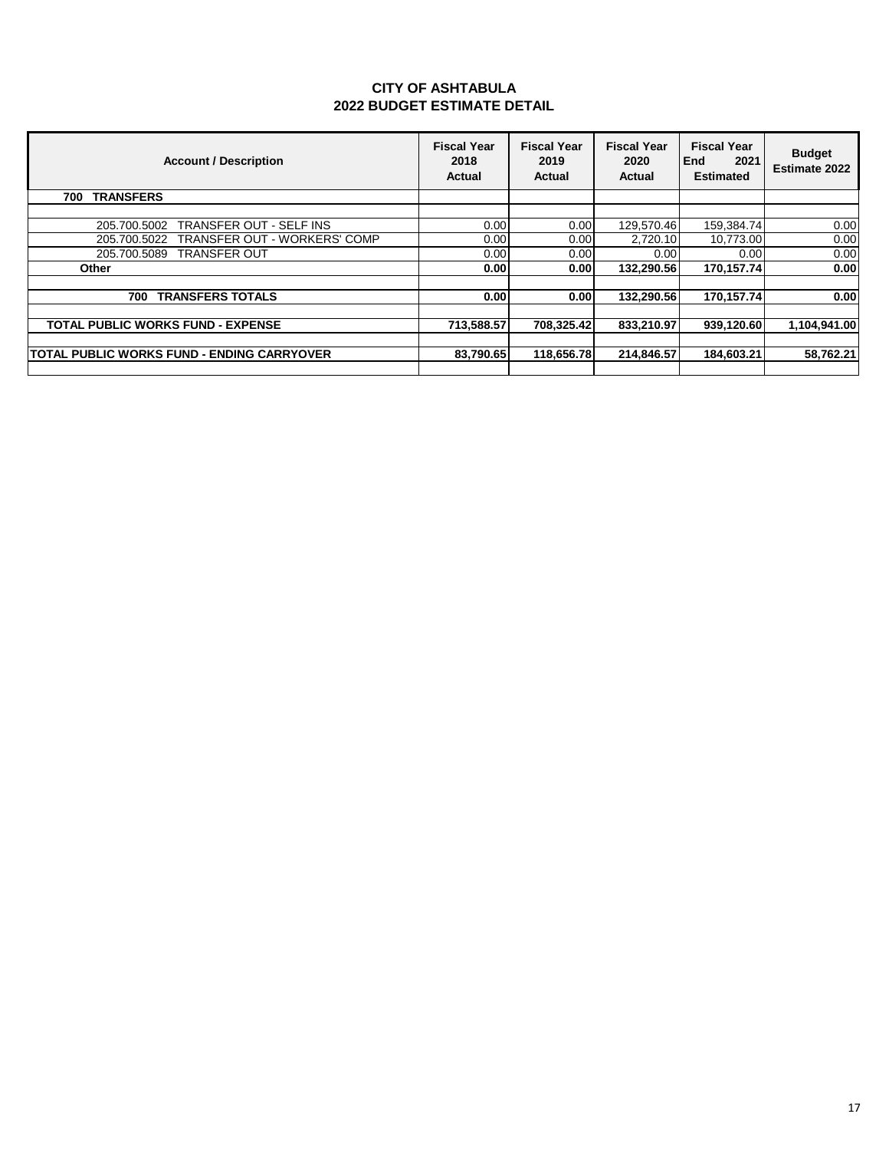| <b>Account / Description</b>                        | <b>Fiscal Year</b><br>2018<br>Actual | <b>Fiscal Year</b><br>2019<br>Actual | <b>Fiscal Year</b><br>2020<br>Actual | <b>Fiscal Year</b><br>End<br>2021<br>Estimated | <b>Budget</b><br>Estimate 2022 |
|-----------------------------------------------------|--------------------------------------|--------------------------------------|--------------------------------------|------------------------------------------------|--------------------------------|
| <b>TRANSFERS</b><br>700                             |                                      |                                      |                                      |                                                |                                |
|                                                     |                                      |                                      |                                      |                                                |                                |
| TRANSFER OUT - SELF INS<br>205.700.5002             | 0.00                                 | 0.00                                 | 129,570.46                           | 159,384.74                                     | 0.00                           |
| <b>TRANSFER OUT - WORKERS' COMP</b><br>205.700.5022 | 0.00                                 | 0.00                                 | 2.720.10                             | 10,773.00                                      | 0.00                           |
| 205.700.5089<br><b>TRANSFER OUT</b>                 | 0.00                                 | 0.00                                 | 0.00                                 | 0.00                                           | 0.00                           |
| <b>Other</b>                                        | 0.00                                 | 0.00                                 | 132.290.56                           | 170,157.74                                     | 0.00                           |
|                                                     |                                      |                                      |                                      |                                                |                                |
| 700<br><b>TRANSFERS TOTALS</b>                      | 0.00                                 | 0.00                                 | 132.290.56                           | 170.157.74                                     | 0.00                           |
|                                                     |                                      |                                      |                                      |                                                |                                |
| <b>TOTAL PUBLIC WORKS FUND - EXPENSE</b>            | 713,588.57                           | 708,325.42                           | 833,210.97                           | 939,120.60                                     | 1,104,941.00                   |
|                                                     |                                      |                                      |                                      |                                                |                                |
| <b>TOTAL PUBLIC WORKS FUND - ENDING CARRYOVER</b>   | 83,790.65                            | 118.656.78                           | 214.846.57                           | 184,603.21                                     | 58,762.21                      |
|                                                     |                                      |                                      |                                      |                                                |                                |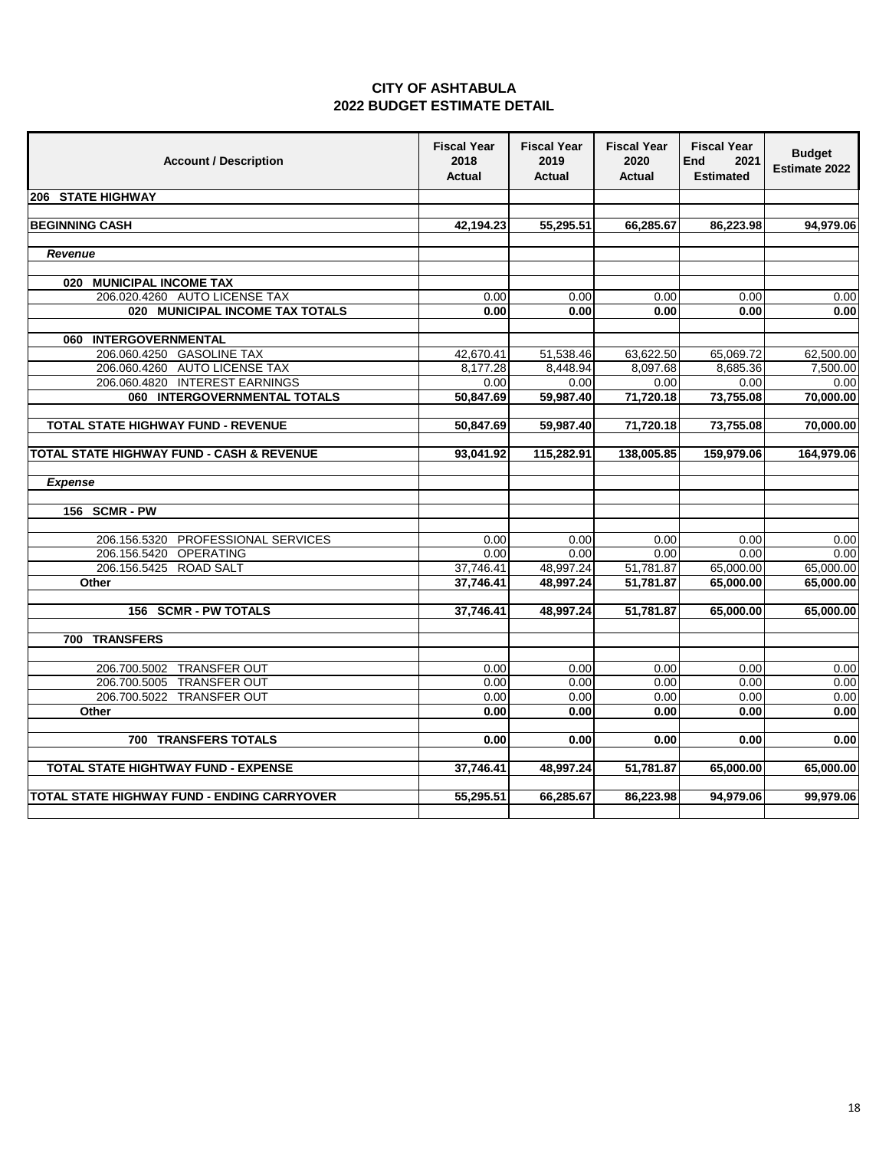| <b>Account / Description</b>                              | <b>Fiscal Year</b><br>2018<br><b>Actual</b> | <b>Fiscal Year</b><br>2019<br>Actual | <b>Fiscal Year</b><br>2020<br><b>Actual</b> | <b>Fiscal Year</b><br>End<br>2021<br><b>Estimated</b> | <b>Budget</b><br><b>Estimate 2022</b> |
|-----------------------------------------------------------|---------------------------------------------|--------------------------------------|---------------------------------------------|-------------------------------------------------------|---------------------------------------|
| 206 STATE HIGHWAY                                         |                                             |                                      |                                             |                                                       |                                       |
|                                                           |                                             |                                      |                                             |                                                       |                                       |
| <b>BEGINNING CASH</b>                                     | 42,194.23                                   | 55,295.51                            | 66,285.67                                   | 86,223.98                                             | 94,979.06                             |
| Revenue                                                   |                                             |                                      |                                             |                                                       |                                       |
|                                                           |                                             |                                      |                                             |                                                       |                                       |
| 020 MUNICIPAL INCOME TAX<br>206.020.4260 AUTO LICENSE TAX | 0.00                                        | 0.00                                 | 0.00                                        | 0.00                                                  | 0.00                                  |
| 020 MUNICIPAL INCOME TAX TOTALS                           | 0.00                                        | 0.00                                 | 0.00                                        | 0.00                                                  | 0.00                                  |
|                                                           |                                             |                                      |                                             |                                                       |                                       |
| 060 INTERGOVERNMENTAL                                     |                                             |                                      |                                             |                                                       |                                       |
| 206.060.4250 GASOLINE TAX                                 | 42,670.41                                   | 51,538.46                            | 63,622.50                                   | 65,069.72                                             | 62,500.00                             |
| 206.060.4260 AUTO LICENSE TAX                             | 8,177.28                                    | 8.448.94                             | 8,097.68                                    | 8,685.36                                              | 7,500.00                              |
| 206.060.4820 INTEREST EARNINGS                            | 0.00                                        | 0.00                                 | 0.00                                        | 0.00                                                  | 0.00                                  |
| 060 INTERGOVERNMENTAL TOTALS                              | 50,847.69                                   | 59,987.40                            | 71,720.18                                   | 73,755.08                                             | 70,000.00                             |
| <b>TOTAL STATE HIGHWAY FUND - REVENUE</b>                 | 50,847.69                                   | 59,987.40                            | 71,720.18                                   | 73,755.08                                             | 70,000.00                             |
|                                                           |                                             |                                      |                                             |                                                       |                                       |
| TOTAL STATE HIGHWAY FUND - CASH & REVENUE                 | 93,041.92                                   | 115,282.91                           | 138,005.85                                  | 159,979.06                                            | 164,979.06                            |
| <b>Expense</b>                                            |                                             |                                      |                                             |                                                       |                                       |
| 156 SCMR-PW                                               |                                             |                                      |                                             |                                                       |                                       |
|                                                           |                                             |                                      |                                             |                                                       |                                       |
| 206.156.5320 PROFESSIONAL SERVICES                        | 0.00                                        | 0.00                                 | 0.00                                        | 0.00                                                  | 0.00                                  |
| 206.156.5420 OPERATING                                    | 0.00                                        | 0.00                                 | 0.00                                        | 0.00                                                  | 0.00                                  |
| 206.156.5425 ROAD SALT                                    | 37,746.41                                   | 48,997.24                            | 51,781.87                                   | 65,000.00                                             | 65,000.00                             |
| Other                                                     | 37,746.41                                   | 48,997.24                            | 51,781.87                                   | 65,000.00                                             | 65,000.00                             |
| 156 SCMR - PW TOTALS                                      | 37,746.41                                   | 48,997.24                            | 51,781.87                                   | 65,000.00                                             | 65,000.00                             |
|                                                           |                                             |                                      |                                             |                                                       |                                       |
| 700 TRANSFERS                                             |                                             |                                      |                                             |                                                       |                                       |
| 206.700.5002 TRANSFER OUT                                 | 0.00                                        | 0.00                                 | 0.00                                        | 0.00                                                  | 0.00                                  |
| 206.700.5005 TRANSFER OUT                                 | 0.00                                        | 0.00                                 | 0.00                                        | 0.00                                                  | 0.00                                  |
| 206.700.5022 TRANSFER OUT                                 | 0.00                                        | 0.00                                 | 0.00                                        | 0.00                                                  | 0.00                                  |
| Other                                                     | 0.00                                        | 0.00                                 | 0.00                                        | 0.00                                                  | 0.00                                  |
|                                                           |                                             |                                      |                                             |                                                       |                                       |
| 700 TRANSFERS TOTALS                                      | 0.00                                        | 0.00                                 | 0.00                                        | 0.00                                                  | 0.00                                  |
| <b>TOTAL STATE HIGHTWAY FUND - EXPENSE</b>                | 37,746.41                                   | 48,997.24                            | 51,781.87                                   | 65,000.00                                             | 65,000.00                             |
| TOTAL STATE HIGHWAY FUND - ENDING CARRYOVER               | 55,295.51                                   | 66,285.67                            | 86,223.98                                   | 94,979.06                                             | 99,979.06                             |
|                                                           |                                             |                                      |                                             |                                                       |                                       |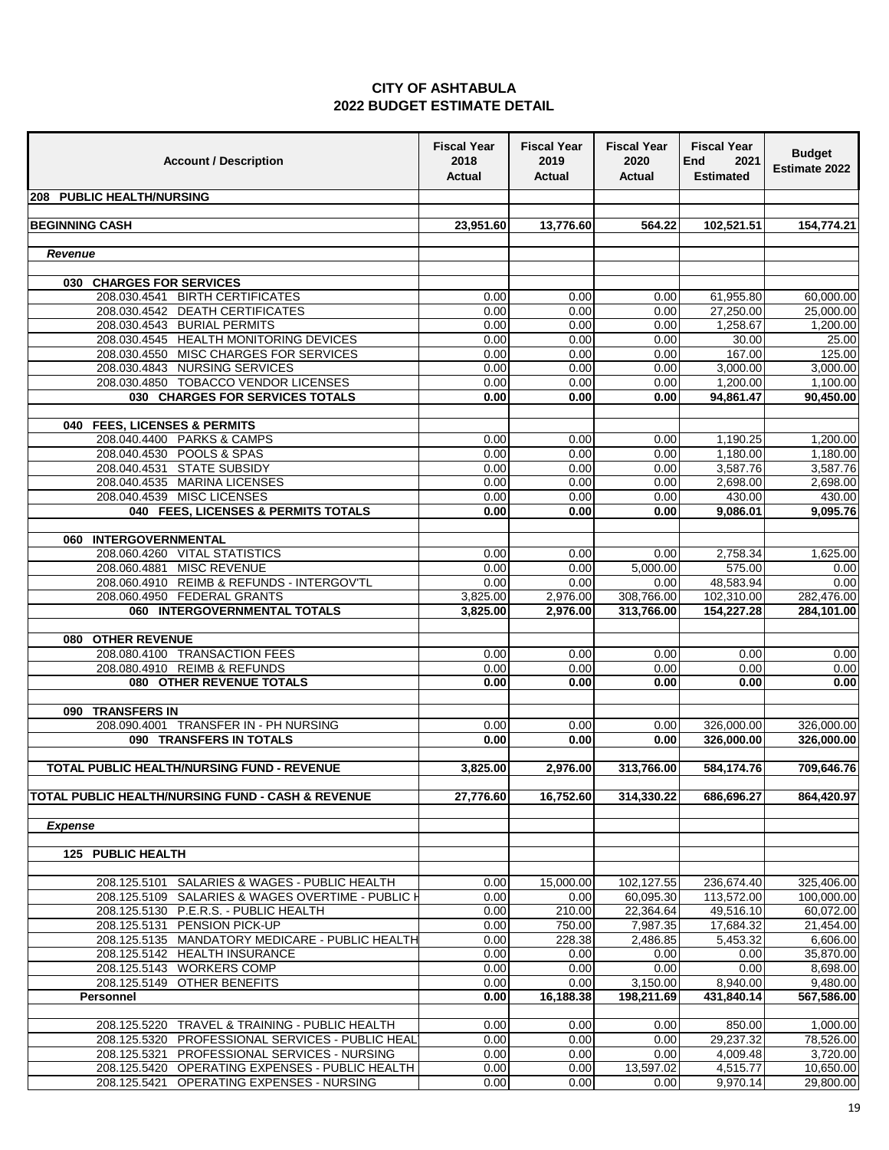| <b>Account / Description</b>                                        | <b>Fiscal Year</b><br>2018<br>Actual | <b>Fiscal Year</b><br>2019<br>Actual | Fiscal Year<br>2020<br><b>Actual</b> | <b>Fiscal Year</b><br><b>End</b><br>2021<br><b>Estimated</b> | <b>Budget</b><br><b>Estimate 2022</b> |
|---------------------------------------------------------------------|--------------------------------------|--------------------------------------|--------------------------------------|--------------------------------------------------------------|---------------------------------------|
| 208 PUBLIC HEALTH/NURSING                                           |                                      |                                      |                                      |                                                              |                                       |
| <b>BEGINNING CASH</b>                                               | 23,951.60                            | 13,776.60                            | 564.22                               | 102,521.51                                                   | 154,774.21                            |
|                                                                     |                                      |                                      |                                      |                                                              |                                       |
| Revenue                                                             |                                      |                                      |                                      |                                                              |                                       |
|                                                                     |                                      |                                      |                                      |                                                              |                                       |
| <b>CHARGES FOR SERVICES</b><br>030                                  |                                      |                                      |                                      |                                                              |                                       |
| 208.030.4541 BIRTH CERTIFICATES<br>208.030.4542 DEATH CERTIFICATES  | 0.00<br>0.00                         | 0.00<br>0.00                         | 0.00<br>0.00                         | 61,955.80<br>27,250.00                                       | 60,000.00<br>25,000.00                |
| 208.030.4543 BURIAL PERMITS                                         | 0.00                                 | 0.00                                 | 0.00                                 | 1,258.67                                                     | 1,200.00                              |
| 208.030.4545 HEALTH MONITORING DEVICES                              | 0.00                                 | 0.00                                 | 0.00                                 | 30.00                                                        | 25.00                                 |
| 208.030.4550 MISC CHARGES FOR SERVICES                              | 0.00                                 | 0.00                                 | 0.00                                 | 167.00                                                       | 125.00                                |
| 208.030.4843 NURSING SERVICES                                       | 0.00                                 | 0.00                                 | 0.00                                 | 3,000.00                                                     | 3,000.00                              |
| 208.030.4850 TOBACCO VENDOR LICENSES                                | 0.00                                 | 0.00                                 | 0.00                                 | 1,200.00                                                     | 1,100.00                              |
| 030 CHARGES FOR SERVICES TOTALS                                     | 0.00                                 | 0.00                                 | 0.00                                 | 94,861.47                                                    | 90,450.00                             |
| 040 FEES, LICENSES & PERMITS                                        |                                      |                                      |                                      |                                                              |                                       |
| 208.040.4400 PARKS & CAMPS                                          | 0.00                                 | 0.00                                 | 0.00                                 | 1,190.25                                                     | 1,200.00                              |
| 208.040.4530 POOLS & SPAS                                           | 0.00                                 | 0.00                                 | 0.00                                 | 1,180.00                                                     | 1,180.00                              |
| 208.040.4531 STATE SUBSIDY                                          | 0.00                                 | 0.00                                 | 0.00                                 | 3,587.76                                                     | 3,587.76                              |
| 208.040.4535 MARINA LICENSES                                        | 0.00                                 | 0.00                                 | 0.00                                 | 2,698.00                                                     | 2,698.00                              |
| 208.040.4539 MISC LICENSES                                          | 0.00<br>0.00                         | 0.00                                 | 0.00                                 | 430.00                                                       | 430.00                                |
| 040 FEES, LICENSES & PERMITS TOTALS                                 |                                      | 0.00                                 | 0.00                                 | 9,086.01                                                     | 9,095.76                              |
| 060 INTERGOVERNMENTAL                                               |                                      |                                      |                                      |                                                              |                                       |
| 208.060.4260 VITAL STATISTICS                                       | 0.00                                 | 0.00                                 | 0.00                                 | 2,758.34                                                     | 1,625.00                              |
| MISC REVENUE<br>208.060.4881                                        | 0.00                                 | 0.00                                 | 5,000.00                             | 575.00                                                       | 0.00                                  |
| 208.060.4910 REIMB & REFUNDS - INTERGOV'TL                          | 0.00                                 | 0.00                                 | 0.00                                 | 48,583.94                                                    | 0.00                                  |
| 208.060.4950 FEDERAL GRANTS                                         | 3,825.00                             | 2,976.00                             | 308,766.00                           | 102,310.00                                                   | 282,476.00                            |
| 060 INTERGOVERNMENTAL TOTALS                                        | 3,825.00                             | 2,976.00                             | 313,766.00                           | 154,227.28                                                   | 284,101.00                            |
| <b>OTHER REVENUE</b><br>080                                         |                                      |                                      |                                      |                                                              |                                       |
| 208.080.4100 TRANSACTION FEES                                       | 0.00                                 | 0.00                                 | 0.00                                 | 0.00                                                         | 0.00                                  |
| 208.080.4910 REIMB & REFUNDS                                        | 0.00                                 | 0.00                                 | 0.00                                 | 0.00                                                         | 0.00                                  |
| 080 OTHER REVENUE TOTALS                                            | 0.00                                 | 0.00                                 | 0.00                                 | 0.00                                                         | 0.00                                  |
|                                                                     |                                      |                                      |                                      |                                                              |                                       |
| <b>TRANSFERS IN</b><br>090<br>208.090.4001 TRANSFER IN - PH NURSING | 0.00                                 | 0.00                                 | 0.00                                 | 326,000.00                                                   | 326,000.00                            |
| 090 TRANSFERS IN TOTALS                                             | 0.00                                 | 0.00                                 | 0.00                                 | 326,000.00                                                   | 326,000.00                            |
|                                                                     |                                      |                                      |                                      |                                                              |                                       |
| TOTAL PUBLIC HEALTH/NURSING FUND - REVENUE                          | 3,825.00                             | 2,976.00                             | 313,766.00                           | 584,174.76                                                   | 709,646.76                            |
| <b>TOTAL PUBLIC HEALTH/NURSING FUND - CASH &amp; REVENUE</b>        | 27.776.60                            | 16,752.60                            | 314,330.22                           | 686,696.27                                                   | 864.420.97                            |
| <b>Expense</b>                                                      |                                      |                                      |                                      |                                                              |                                       |
|                                                                     |                                      |                                      |                                      |                                                              |                                       |
| <b>PUBLIC HEALTH</b><br>125                                         |                                      |                                      |                                      |                                                              |                                       |
| 208.125.5101 SALARIES & WAGES - PUBLIC HEALTH                       | 0.00                                 | 15,000.00                            | 102,127.55                           | 236,674.40                                                   | 325,406.00                            |
| 208.125.5109 SALARIES & WAGES OVERTIME - PUBLIC H                   | 0.00                                 | 0.00                                 | 60,095.30                            | 113,572.00                                                   | 100,000.00                            |
| 208.125.5130 P.E.R.S. - PUBLIC HEALTH                               | 0.00                                 | 210.00                               | 22,364.64                            | 49,516.10                                                    | 60,072.00                             |
| PENSION PICK-UP<br>208.125.5131                                     | 0.00                                 | 750.00                               | 7,987.35                             | 17,684.32                                                    | 21,454.00                             |
| 208.125.5135 MANDATORY MEDICARE - PUBLIC HEALTH                     | 0.00                                 | 228.38                               | 2,486.85                             | 5,453.32                                                     | 6,606.00                              |
| 208.125.5142 HEALTH INSURANCE                                       | 0.00                                 | 0.00                                 | 0.00                                 | 0.00                                                         | 35,870.00                             |
| 208.125.5143 WORKERS COMP<br>208.125.5149 OTHER BENEFITS            | 0.00<br>0.00                         | 0.00<br>0.00                         | 0.00                                 | 0.00                                                         | 8,698.00                              |
| <b>Personnel</b>                                                    | 0.00                                 | 16,188.38                            | 3,150.00<br>198,211.69               | 8,940.00<br>431,840.14                                       | 9,480.00<br>567,586.00                |
|                                                                     |                                      |                                      |                                      |                                                              |                                       |
| 208.125.5220 TRAVEL & TRAINING - PUBLIC HEALTH                      | 0.00                                 | 0.00                                 | 0.00                                 | 850.00                                                       | 1,000.00                              |
| 208.125.5320<br>PROFESSIONAL SERVICES - PUBLIC HEAL                 | 0.00                                 | 0.00                                 | 0.00                                 | 29,237.32                                                    | 78,526.00                             |
| 208.125.5321<br>PROFESSIONAL SERVICES - NURSING                     | 0.00                                 | 0.00                                 | 0.00                                 | 4,009.48                                                     | 3,720.00                              |
| 208.125.5420<br>OPERATING EXPENSES - PUBLIC HEALTH                  | 0.00                                 | 0.00                                 | 13,597.02                            | 4,515.77                                                     | 10,650.00                             |
| 208.125.5421<br>OPERATING EXPENSES - NURSING                        | 0.00                                 | 0.00                                 | 0.00                                 | 9,970.14                                                     | 29,800.00                             |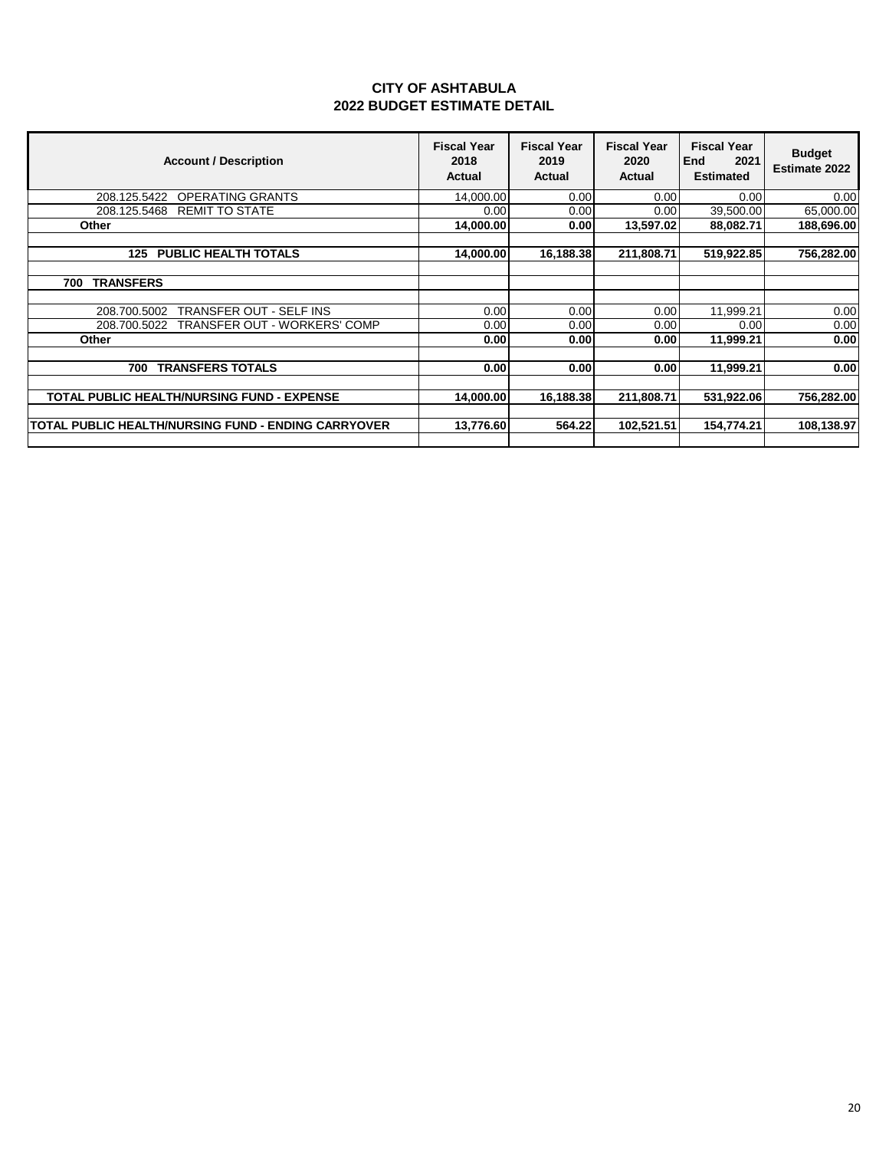| <b>Account / Description</b>                                                                   | <b>Fiscal Year</b><br>2018<br>Actual | <b>Fiscal Year</b><br>2019<br><b>Actual</b> | <b>Fiscal Year</b><br>2020<br>Actual | <b>Fiscal Year</b><br>End<br>2021<br><b>Estimated</b> | <b>Budget</b><br><b>Estimate 2022</b> |
|------------------------------------------------------------------------------------------------|--------------------------------------|---------------------------------------------|--------------------------------------|-------------------------------------------------------|---------------------------------------|
| <b>OPERATING GRANTS</b><br>208.125.5422                                                        | 14,000.00                            | 0.00                                        | 0.00                                 | 0.00                                                  | 0.00                                  |
| <b>REMIT TO STATE</b><br>208.125.5468                                                          | 0.00                                 | 0.00                                        | 0.00                                 | 39,500.00                                             | 65,000.00                             |
| Other                                                                                          | 14,000.00                            | 0.00                                        | 13,597.02                            | 88,082.71                                             | 188,696.00                            |
| <b>PUBLIC HEALTH TOTALS</b><br>125                                                             | 14,000.00                            | 16,188.38                                   | 211,808.71                           | 519,922.85                                            | 756,282.00                            |
| <b>TRANSFERS</b><br>700                                                                        |                                      |                                             |                                      |                                                       |                                       |
| <b>TRANSFER OUT - SELF INS</b><br>208.700.5002<br>TRANSFER OUT - WORKERS' COMP<br>208.700.5022 | 0.00<br>0.00                         | 0.00<br>0.00                                | 0.00<br>0.00                         | 11,999.21<br>0.00                                     | 0.00<br>0.00                          |
| Other                                                                                          | 0.00                                 | 0.00                                        | 0.00                                 | 11,999.21                                             | 0.00                                  |
| <b>TRANSFERS TOTALS</b><br>700                                                                 | 0.00                                 | 0.00                                        | 0.00                                 | 11.999.21                                             | 0.00                                  |
| <b>TOTAL PUBLIC HEALTH/NURSING FUND - EXPENSE</b>                                              | 14.000.00                            | 16,188.38                                   | 211.808.71                           | 531,922.06                                            | 756,282.00                            |
| TOTAL PUBLIC HEALTH/NURSING FUND - ENDING CARRYOVER                                            | 13,776.60                            | 564.22                                      | 102,521.51                           | 154.774.21                                            | 108.138.97                            |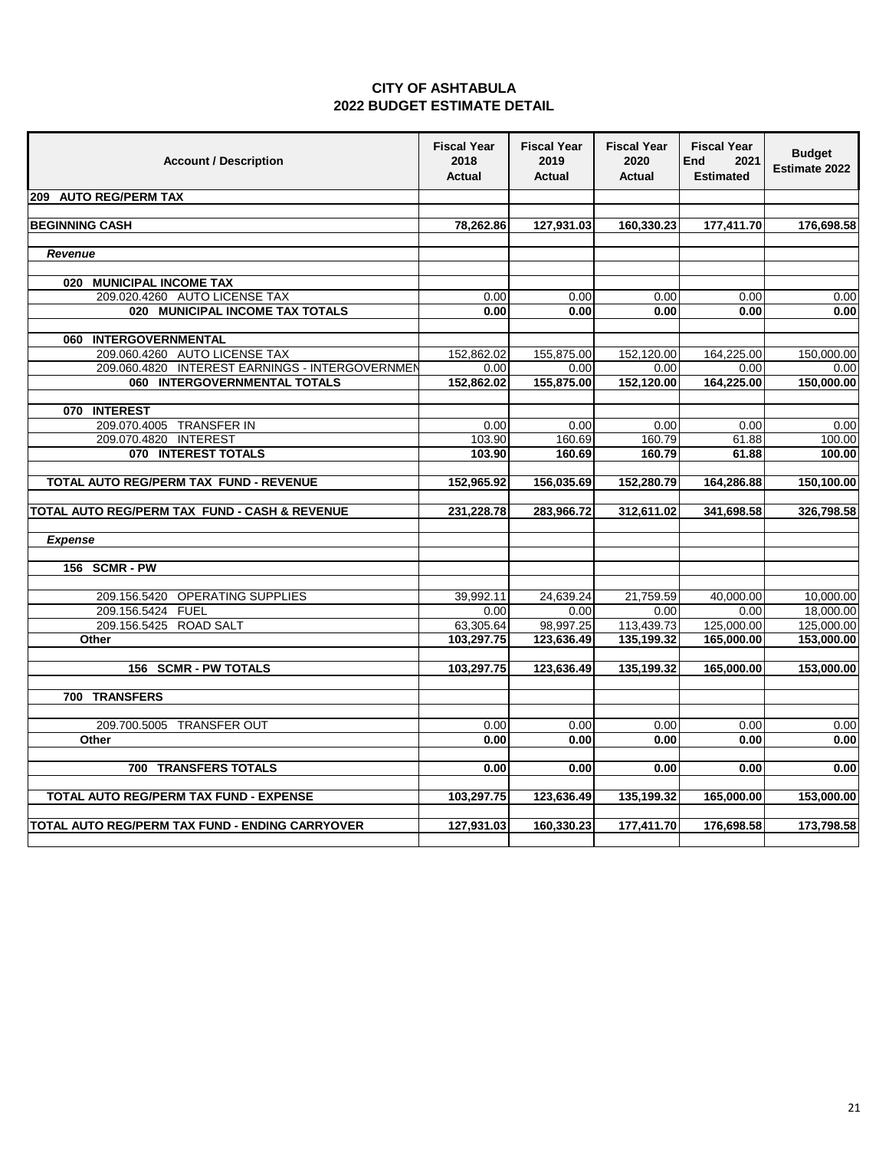| <b>Account / Description</b>                              | <b>Fiscal Year</b><br>2018<br><b>Actual</b> | <b>Fiscal Year</b><br>2019<br><b>Actual</b> | <b>Fiscal Year</b><br>2020<br><b>Actual</b> | <b>Fiscal Year</b><br>End<br>2021<br><b>Estimated</b> | <b>Budget</b><br><b>Estimate 2022</b> |
|-----------------------------------------------------------|---------------------------------------------|---------------------------------------------|---------------------------------------------|-------------------------------------------------------|---------------------------------------|
| <b>AUTO REG/PERM TAX</b><br>209                           |                                             |                                             |                                             |                                                       |                                       |
| <b>BEGINNING CASH</b>                                     | 78,262.86                                   | 127,931.03                                  | 160,330.23                                  | 177,411.70                                            | 176,698.58                            |
|                                                           |                                             |                                             |                                             |                                                       |                                       |
| Revenue                                                   |                                             |                                             |                                             |                                                       |                                       |
|                                                           |                                             |                                             |                                             |                                                       |                                       |
| 020 MUNICIPAL INCOME TAX<br>209.020.4260 AUTO LICENSE TAX | 0.00                                        | 0.00                                        | 0.00                                        | 0.00                                                  | 0.00                                  |
| 020 MUNICIPAL INCOME TAX TOTALS                           | 0.00                                        | 0.00                                        | 0.00                                        | 0.00                                                  | 0.00                                  |
|                                                           |                                             |                                             |                                             |                                                       |                                       |
| 060 INTERGOVERNMENTAL                                     |                                             |                                             |                                             |                                                       |                                       |
| 209.060.4260 AUTO LICENSE TAX                             | 152,862.02                                  | 155,875.00                                  | 152,120.00                                  | 164,225.00                                            | 150,000.00                            |
| 209.060.4820 INTEREST EARNINGS - INTERGOVERNMEN           | 0.00                                        | 0.00                                        | 0.00                                        | 0.00                                                  | 0.00                                  |
| 060 INTERGOVERNMENTAL TOTALS                              | 152,862.02                                  | 155,875.00                                  | 152,120.00                                  | 164,225.00                                            | 150,000.00                            |
|                                                           |                                             |                                             |                                             |                                                       |                                       |
| 070 INTEREST<br>209.070.4005 TRANSFER IN                  | 0.00                                        | 0.00                                        | 0.00                                        | 0.00                                                  | 0.00                                  |
| 209.070.4820 INTEREST                                     | 103.90                                      | 160.69                                      | 160.79                                      | 61.88                                                 | 100.00                                |
| 070 INTEREST TOTALS                                       | 103.90                                      | 160.69                                      | 160.79                                      | 61.88                                                 | 100.00                                |
|                                                           |                                             |                                             |                                             |                                                       |                                       |
| TOTAL AUTO REG/PERM TAX FUND - REVENUE                    | 152,965.92                                  | 156,035.69                                  | 152,280.79                                  | 164,286.88                                            | 150,100.00                            |
| TOTAL AUTO REG/PERM TAX FUND - CASH & REVENUE             | 231,228.78                                  | 283,966.72                                  | 312,611.02                                  | 341,698.58                                            | 326,798.58                            |
| <b>Expense</b>                                            |                                             |                                             |                                             |                                                       |                                       |
| <b>156 SCMR - PW</b>                                      |                                             |                                             |                                             |                                                       |                                       |
| 209.156.5420 OPERATING SUPPLIES                           | 39,992.11                                   | 24,639.24                                   | 21,759.59                                   | 40,000.00                                             | 10,000.00                             |
| 209.156.5424 FUEL                                         | 0.00                                        | 0.00                                        | 0.00                                        | 0.00                                                  | 18.000.00                             |
| 209.156.5425 ROAD SALT                                    | 63,305.64                                   | 98,997.25                                   | 113,439.73                                  | 125,000.00                                            | 125,000.00                            |
| Other                                                     | 103,297.75                                  | 123,636.49                                  | 135,199.32                                  | 165,000.00                                            | 153,000.00                            |
|                                                           |                                             |                                             |                                             |                                                       |                                       |
| 156 SCMR - PW TOTALS                                      | 103,297.75                                  | 123,636.49                                  | 135,199.32                                  | 165,000.00                                            | 153,000.00                            |
| 700 TRANSFERS                                             |                                             |                                             |                                             |                                                       |                                       |
| 209.700.5005 TRANSFER OUT                                 | 0.00                                        | 0.00                                        | 0.00                                        | 0.00                                                  | 0.00                                  |
| Other                                                     | 0.00                                        | 0.00                                        | 0.00                                        | 0.00                                                  | 0.00                                  |
|                                                           |                                             |                                             |                                             |                                                       |                                       |
| 700 TRANSFERS TOTALS                                      | 0.00                                        | 0.00                                        | 0.00                                        | 0.00                                                  | 0.00                                  |
| TOTAL AUTO REG/PERM TAX FUND - EXPENSE                    | 103,297.75                                  | 123,636.49                                  | 135,199.32                                  | 165,000.00                                            | 153,000.00                            |
| TOTAL AUTO REG/PERM TAX FUND - ENDING CARRYOVER           | 127,931.03                                  | 160,330.23                                  | 177,411.70                                  | 176,698.58                                            | 173,798.58                            |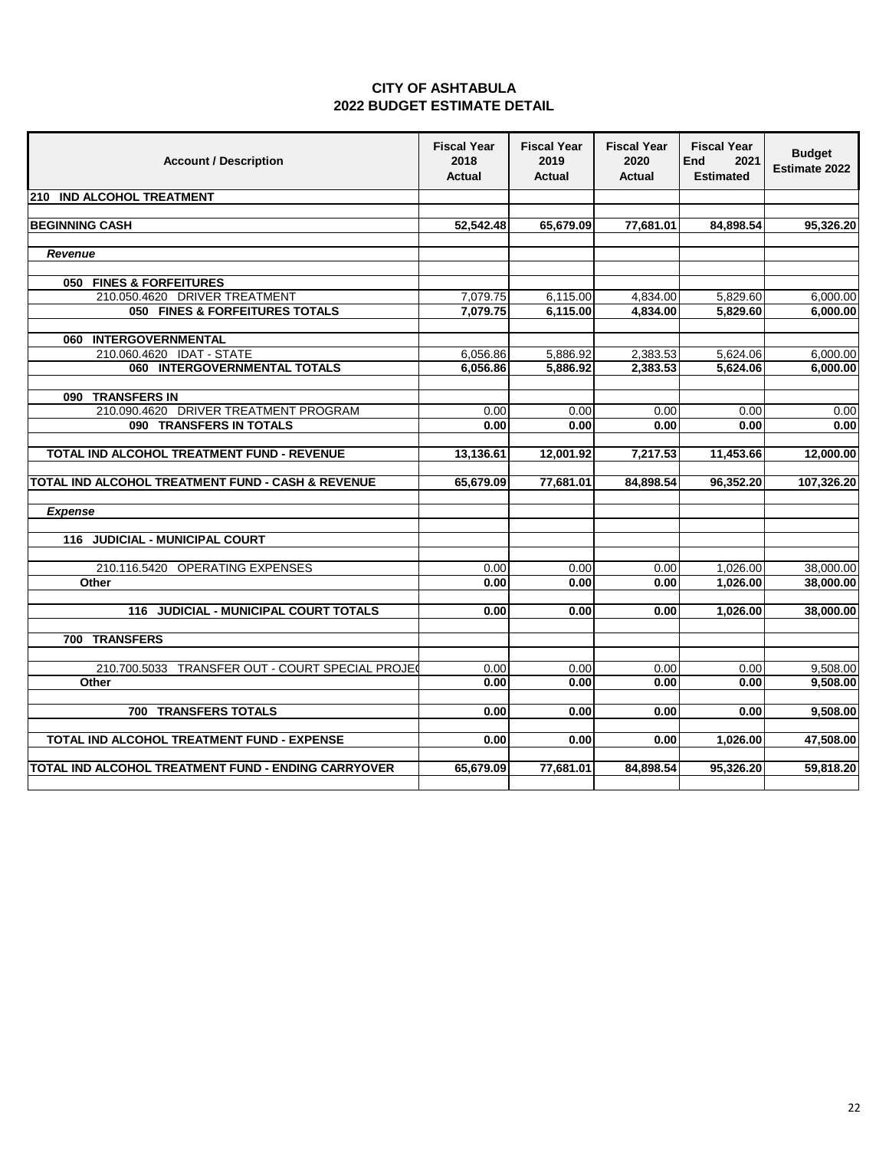|                                    | <b>CITY OF ASHTABULA</b> |  |
|------------------------------------|--------------------------|--|
| <b>2022 BUDGET ESTIMATE DETAIL</b> |                          |  |

| <b>Account / Description</b>                        | <b>Fiscal Year</b><br>2018<br><b>Actual</b> | <b>Fiscal Year</b><br>2019<br><b>Actual</b> | <b>Fiscal Year</b><br>2020<br><b>Actual</b> | <b>Fiscal Year</b><br><b>End</b><br>2021<br><b>Estimated</b> | <b>Budget</b><br><b>Estimate 2022</b> |
|-----------------------------------------------------|---------------------------------------------|---------------------------------------------|---------------------------------------------|--------------------------------------------------------------|---------------------------------------|
| 210 IND ALCOHOL TREATMENT                           |                                             |                                             |                                             |                                                              |                                       |
|                                                     |                                             |                                             |                                             |                                                              |                                       |
| <b>BEGINNING CASH</b>                               | 52,542.48                                   | 65,679.09                                   | 77,681.01                                   | 84,898.54                                                    | 95,326.20                             |
|                                                     |                                             |                                             |                                             |                                                              |                                       |
| Revenue                                             |                                             |                                             |                                             |                                                              |                                       |
|                                                     |                                             |                                             |                                             |                                                              |                                       |
| 050 FINES & FORFEITURES                             |                                             |                                             |                                             |                                                              |                                       |
| 210.050.4620 DRIVER TREATMENT                       | 7,079.75                                    | 6,115.00                                    | 4,834.00                                    | 5,829.60                                                     | 6,000.00                              |
| 050 FINES & FORFEITURES TOTALS                      | 7,079.75                                    | 6,115.00                                    | 4,834.00                                    | 5,829.60                                                     | 6,000.00                              |
|                                                     |                                             |                                             |                                             |                                                              |                                       |
| 060 INTERGOVERNMENTAL                               |                                             |                                             |                                             |                                                              |                                       |
| 210.060.4620 IDAT - STATE                           | 6,056.86                                    | 5,886.92                                    | 2,383.53                                    | 5,624.06                                                     | 6,000.00                              |
| 060 INTERGOVERNMENTAL TOTALS                        | 6,056.86                                    | 5,886.92                                    | 2,383.53                                    | 5,624.06                                                     | 6,000.00                              |
| 090 TRANSFERS IN                                    |                                             |                                             |                                             |                                                              |                                       |
| 210.090.4620 DRIVER TREATMENT PROGRAM               | 0.00                                        | 0.00                                        | 0.00                                        | 0.00                                                         | 0.00                                  |
| 090 TRANSFERS IN TOTALS                             | 0.00                                        | 0.00                                        | 0.00                                        | 0.00                                                         | 0.00                                  |
|                                                     |                                             |                                             |                                             |                                                              |                                       |
| TOTAL IND ALCOHOL TREATMENT FUND - REVENUE          | 13,136.61                                   | 12,001.92                                   | 7,217.53                                    | 11,453.66                                                    | 12,000.00                             |
|                                                     |                                             |                                             |                                             |                                                              |                                       |
| TOTAL IND ALCOHOL TREATMENT FUND - CASH & REVENUE   | 65,679.09                                   | 77,681.01                                   | 84,898.54                                   | 96,352.20                                                    | 107,326.20                            |
|                                                     |                                             |                                             |                                             |                                                              |                                       |
| <b>Expense</b>                                      |                                             |                                             |                                             |                                                              |                                       |
|                                                     |                                             |                                             |                                             |                                                              |                                       |
| 116 JUDICIAL - MUNICIPAL COURT                      |                                             |                                             |                                             |                                                              |                                       |
|                                                     |                                             |                                             |                                             |                                                              |                                       |
| 210.116.5420 OPERATING EXPENSES                     | 0.00                                        | 0.00                                        | 0.00                                        | 1,026.00                                                     | 38,000.00                             |
| Other                                               | 0.00                                        | 0.00                                        | 0.00                                        | 1,026.00                                                     | 38,000.00                             |
|                                                     |                                             |                                             |                                             |                                                              |                                       |
| 116 JUDICIAL - MUNICIPAL COURT TOTALS               | 0.00                                        | 0.00                                        | 0.00                                        | 1,026.00                                                     | 38,000.00                             |
|                                                     |                                             |                                             |                                             |                                                              |                                       |
| 700 TRANSFERS                                       |                                             |                                             |                                             |                                                              |                                       |
| 210.700.5033 TRANSFER OUT - COURT SPECIAL PROJE(    | 0.00                                        | 0.00                                        | 0.00                                        | 0.00                                                         | 9,508.00                              |
| Other                                               | 0.00                                        | 0.00                                        | 0.00                                        | 0.00                                                         | 9,508.00                              |
|                                                     |                                             |                                             |                                             |                                                              |                                       |
| 700 TRANSFERS TOTALS                                | 0.00                                        | 0.00                                        | 0.00                                        | 0.00                                                         | 9,508.00                              |
|                                                     |                                             |                                             |                                             |                                                              |                                       |
| TOTAL IND ALCOHOL TREATMENT FUND - EXPENSE          | 0.00                                        | 0.00                                        | 0.00                                        | 1,026.00                                                     | 47,508.00                             |
|                                                     |                                             |                                             |                                             |                                                              |                                       |
| TOTAL IND ALCOHOL TREATMENT FUND - ENDING CARRYOVER | 65,679.09                                   | 77,681.01                                   | 84,898.54                                   | 95,326.20                                                    | 59,818.20                             |
|                                                     |                                             |                                             |                                             |                                                              |                                       |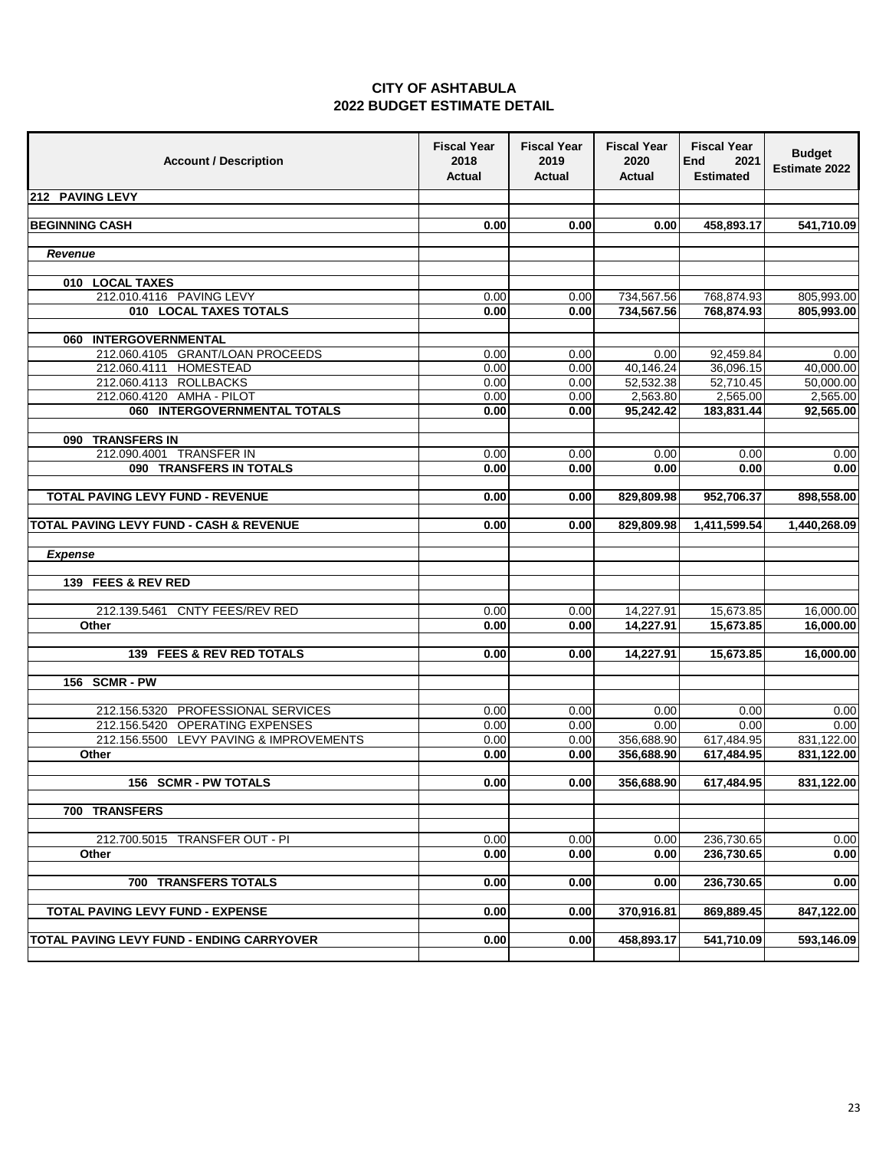| <b>Account / Description</b>                                          | <b>Fiscal Year</b><br>2018<br>Actual | <b>Fiscal Year</b><br>2019<br>Actual | <b>Fiscal Year</b><br>2020<br>Actual | <b>Fiscal Year</b><br><b>End</b><br>2021<br><b>Estimated</b> | <b>Budget</b><br><b>Estimate 2022</b> |
|-----------------------------------------------------------------------|--------------------------------------|--------------------------------------|--------------------------------------|--------------------------------------------------------------|---------------------------------------|
| 212 PAVING LEVY                                                       |                                      |                                      |                                      |                                                              |                                       |
|                                                                       |                                      |                                      |                                      |                                                              |                                       |
| <b>BEGINNING CASH</b>                                                 | 0.00                                 | 0.00                                 | 0.00                                 | 458,893.17                                                   | 541,710.09                            |
| Revenue                                                               |                                      |                                      |                                      |                                                              |                                       |
|                                                                       |                                      |                                      |                                      |                                                              |                                       |
| 010 LOCAL TAXES                                                       |                                      |                                      |                                      |                                                              |                                       |
| 212.010.4116 PAVING LEVY                                              | 0.00                                 | 0.00                                 | 734,567.56                           | 768,874.93                                                   | 805,993.00                            |
| 010 LOCAL TAXES TOTALS                                                | 0.00                                 | 0.00                                 | 734,567.56                           | 768,874.93                                                   | 805,993.00                            |
| 060 INTERGOVERNMENTAL                                                 |                                      |                                      |                                      |                                                              |                                       |
| 212.060.4105 GRANT/LOAN PROCEEDS                                      | 0.00                                 | 0.00                                 | 0.00                                 | 92,459.84                                                    | 0.00                                  |
| 212.060.4111 HOMESTEAD                                                | 0.00                                 | 0.00                                 | 40,146.24                            | 36,096.15                                                    | 40,000.00                             |
| 212.060.4113 ROLLBACKS                                                | 0.00                                 | 0.00                                 | 52,532.38                            | 52,710.45                                                    | 50,000.00                             |
| 212.060.4120 AMHA - PILOT                                             | 0.00                                 | 0.00                                 | 2,563.80                             | 2,565.00                                                     | 2,565.00                              |
| 060 INTERGOVERNMENTAL TOTALS                                          | 0.00                                 | 0.00                                 | 95,242.42                            | 183,831.44                                                   | 92,565.00                             |
|                                                                       |                                      |                                      |                                      |                                                              |                                       |
| 090 TRANSFERS IN                                                      |                                      |                                      |                                      |                                                              |                                       |
| 212.090.4001 TRANSFER IN<br>090 TRANSFERS IN TOTALS                   | 0.00<br>0.00                         | 0.00<br>0.00                         | 0.00<br>0.00                         | 0.00<br>0.00                                                 | 0.00                                  |
|                                                                       |                                      |                                      |                                      |                                                              | 0.00                                  |
| TOTAL PAVING LEVY FUND - REVENUE                                      | 0.00                                 | 0.00                                 | 829,809.98                           | 952,706.37                                                   | 898,558.00                            |
|                                                                       |                                      |                                      |                                      |                                                              |                                       |
| TOTAL PAVING LEVY FUND - CASH & REVENUE                               | 0.00                                 | 0.00                                 | 829,809.98                           | 1,411,599.54                                                 | 1,440,268.09                          |
| <b>Expense</b>                                                        |                                      |                                      |                                      |                                                              |                                       |
|                                                                       |                                      |                                      |                                      |                                                              |                                       |
| 139 FEES & REV RED                                                    |                                      |                                      |                                      |                                                              |                                       |
| 212.139.5461 CNTY FEES/REV RED                                        | 0.00                                 | 0.00                                 | 14,227.91                            | 15,673.85                                                    | 16,000.00                             |
| Other                                                                 | 0.00                                 | 0.00                                 | 14,227.91                            | 15,673.85                                                    | 16,000.00                             |
|                                                                       |                                      |                                      |                                      |                                                              |                                       |
| 139 FEES & REV RED TOTALS                                             | 0.00                                 | 0.00                                 | 14,227.91                            | 15,673.85                                                    | 16,000.00                             |
|                                                                       |                                      |                                      |                                      |                                                              |                                       |
| 156 SCMR-PW                                                           |                                      |                                      |                                      |                                                              |                                       |
|                                                                       |                                      |                                      |                                      |                                                              |                                       |
| 212.156.5320 PROFESSIONAL SERVICES<br>212.156.5420 OPERATING EXPENSES | 0.00<br>0.00                         | 0.00<br>0.00                         | 0.00<br>0.00                         | 0.00<br>0.00                                                 | 0.00                                  |
| 212.156.5500 LEVY PAVING & IMPROVEMENTS                               | 0.00                                 | 0.00                                 | 356,688.90                           | 617,484.95                                                   | 0.00<br>831,122.00                    |
| Other                                                                 | 0.00                                 | 0.00                                 | 356,688.90                           | 617,484.95                                                   | 831,122.00                            |
|                                                                       |                                      |                                      |                                      |                                                              |                                       |
| 156 SCMR - PW TOTALS                                                  | 0.00                                 | 0.00                                 | 356,688.90                           | 617,484.95                                                   | 831,122.00                            |
|                                                                       |                                      |                                      |                                      |                                                              |                                       |
| 700 TRANSFERS                                                         |                                      |                                      |                                      |                                                              |                                       |
| 212.700.5015 TRANSFER OUT - PI                                        | 0.00                                 | 0.00                                 | 0.00                                 | 236,730.65                                                   | 0.00                                  |
| Other                                                                 | 0.00                                 | 0.00                                 | 0.00                                 | 236,730.65                                                   | 0.00                                  |
|                                                                       |                                      |                                      |                                      |                                                              |                                       |
| 700 TRANSFERS TOTALS                                                  | 0.00                                 | 0.00                                 | 0.00                                 | 236,730.65                                                   | 0.00                                  |
|                                                                       |                                      |                                      |                                      |                                                              |                                       |
| TOTAL PAVING LEVY FUND - EXPENSE                                      | 0.00                                 | 0.00                                 | 370,916.81                           | 869,889.45                                                   | 847,122.00                            |
| TOTAL PAVING LEVY FUND - ENDING CARRYOVER                             | 0.00                                 | 0.00                                 | 458,893.17                           | 541,710.09                                                   | 593,146.09                            |
|                                                                       |                                      |                                      |                                      |                                                              |                                       |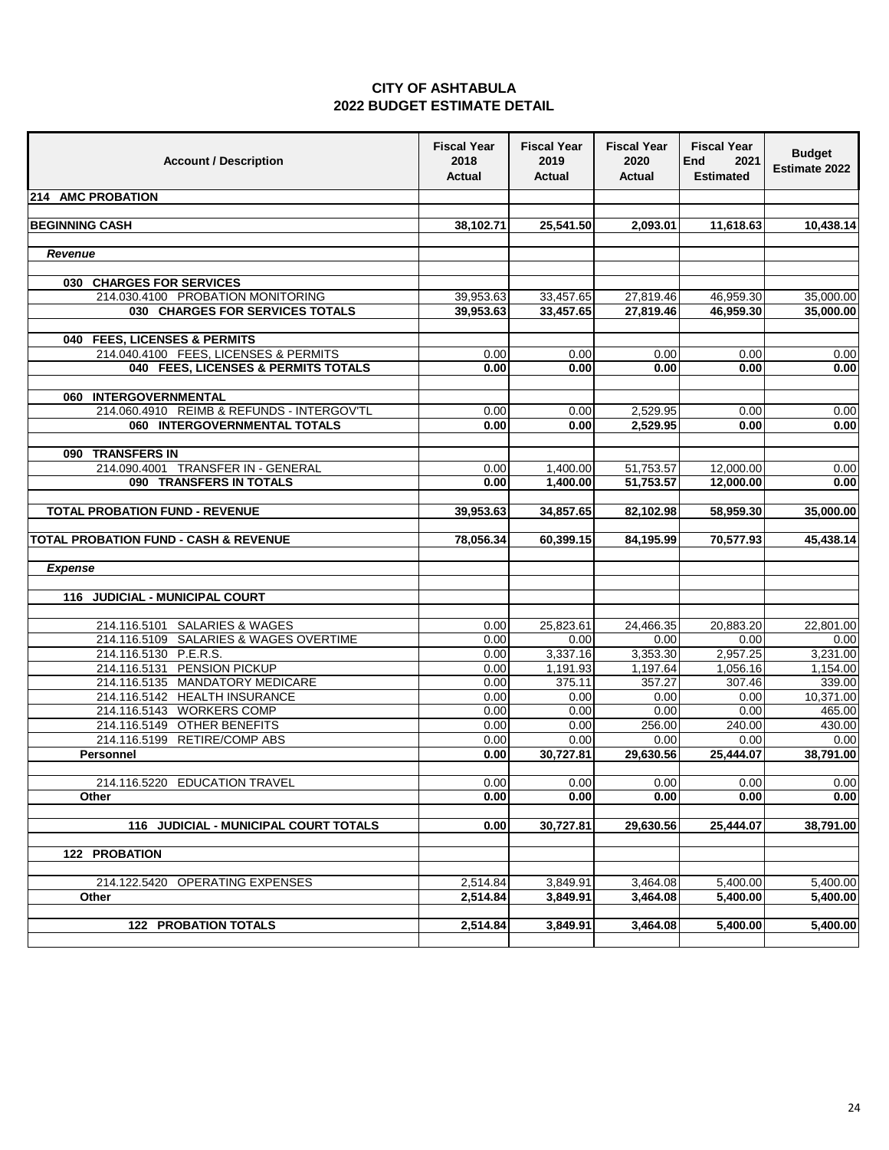| <b>Account / Description</b>                             | <b>Fiscal Year</b><br>2018<br>Actual | <b>Fiscal Year</b><br>2019<br>Actual | <b>Fiscal Year</b><br>2020<br>Actual | <b>Fiscal Year</b><br><b>End</b><br>2021<br><b>Estimated</b> | <b>Budget</b><br><b>Estimate 2022</b> |
|----------------------------------------------------------|--------------------------------------|--------------------------------------|--------------------------------------|--------------------------------------------------------------|---------------------------------------|
| 214 AMC PROBATION                                        |                                      |                                      |                                      |                                                              |                                       |
|                                                          |                                      |                                      |                                      |                                                              |                                       |
| <b>BEGINNING CASH</b>                                    | 38,102.71                            | 25,541.50                            | 2,093.01                             | 11,618.63                                                    | 10,438.14                             |
| Revenue                                                  |                                      |                                      |                                      |                                                              |                                       |
|                                                          |                                      |                                      |                                      |                                                              |                                       |
| 030 CHARGES FOR SERVICES                                 |                                      |                                      |                                      |                                                              |                                       |
| 214.030.4100 PROBATION MONITORING                        | 39,953.63                            | 33,457.65                            | 27,819.46                            | 46,959.30                                                    | 35,000.00                             |
| 030 CHARGES FOR SERVICES TOTALS                          | 39,953.63                            | 33,457.65                            | 27,819.46                            | 46,959.30                                                    | 35,000.00                             |
| 040 FEES, LICENSES & PERMITS                             |                                      |                                      |                                      |                                                              |                                       |
| 214.040.4100 FEES, LICENSES & PERMITS                    | 0.00                                 | 0.00                                 | 0.00                                 | 0.00                                                         | 0.00                                  |
| 040 FEES, LICENSES & PERMITS TOTALS                      | 0.00                                 | 0.00                                 | 0.00                                 | 0.00                                                         | 0.00                                  |
|                                                          |                                      |                                      |                                      |                                                              |                                       |
| 060 INTERGOVERNMENTAL                                    |                                      |                                      |                                      |                                                              |                                       |
| 214.060.4910 REIMB & REFUNDS - INTERGOV'TL               | 0.00                                 | 0.00                                 | 2,529.95                             | 0.00                                                         | 0.00                                  |
| 060 INTERGOVERNMENTAL TOTALS                             | 0.00                                 | 0.00                                 | 2,529.95                             | 0.00                                                         | 0.00                                  |
| 090 TRANSFERS IN                                         |                                      |                                      |                                      |                                                              |                                       |
| 214.090.4001 TRANSFER IN - GENERAL                       | 0.00                                 | 1,400.00                             | 51,753.57                            | 12,000.00                                                    | 0.00                                  |
| 090 TRANSFERS IN TOTALS                                  | 0.00                                 | 1,400.00                             | 51,753.57                            | 12,000.00                                                    | 0.00                                  |
|                                                          |                                      |                                      |                                      |                                                              |                                       |
| <b>TOTAL PROBATION FUND - REVENUE</b>                    | 39,953.63                            | 34,857.65                            | 82,102.98                            | 58,959.30                                                    | 35,000.00                             |
| TOTAL PROBATION FUND - CASH & REVENUE                    | 78,056.34                            | 60,399.15                            | 84,195.99                            | 70,577.93                                                    | 45,438.14                             |
|                                                          |                                      |                                      |                                      |                                                              |                                       |
| Expense                                                  |                                      |                                      |                                      |                                                              |                                       |
|                                                          |                                      |                                      |                                      |                                                              |                                       |
| 116 JUDICIAL - MUNICIPAL COURT                           |                                      |                                      |                                      |                                                              |                                       |
| 214.116.5101 SALARIES & WAGES                            | 0.00                                 | 25,823.61                            | 24,466.35                            | 20,883.20                                                    | 22,801.00                             |
| 214.116.5109 SALARIES & WAGES OVERTIME                   | 0.00                                 | 0.00                                 | 0.00                                 | 0.00                                                         | 0.00                                  |
| 214.116.5130 P.E.R.S.                                    | 0.00                                 | 3,337.16                             | 3,353.30                             | 2,957.25                                                     | 3,231.00                              |
| 214.116.5131 PENSION PICKUP                              | 0.00                                 | 1,191.93                             | 1,197.64                             | 1,056.16                                                     | 1,154.00                              |
| 214.116.5135 MANDATORY MEDICARE                          | 0.00                                 | 375.11                               | 357.27                               | 307.46                                                       | 339.00                                |
| 214.116.5142 HEALTH INSURANCE                            | 0.00                                 | 0.00                                 | 0.00                                 | 0.00                                                         | 10,371.00                             |
| 214.116.5143 WORKERS COMP<br>214.116.5149 OTHER BENEFITS | 0.00<br>0.00                         | 0.00<br>0.00                         | 0.00<br>256.00                       | 0.00<br>240.00                                               | 465.00<br>430.00                      |
| 214.116.5199 RETIRE/COMP ABS                             | 0.00                                 | 0.00                                 | 0.00                                 | 0.00                                                         | 0.00                                  |
| <b>Personnel</b>                                         | 0.00                                 | 30,727.81                            | 29,630.56                            | 25,444.07                                                    | 38,791.00                             |
|                                                          |                                      |                                      |                                      |                                                              |                                       |
| 214.116.5220 EDUCATION TRAVEL                            | 0.00                                 | 0.00                                 | 0.00                                 | 0.00                                                         | 0.00                                  |
| Other                                                    | 0.00                                 | 0.00                                 | 0.00                                 | 0.00                                                         | 0.00                                  |
| 116 JUDICIAL - MUNICIPAL COURT TOTALS                    | 0.00                                 | 30,727.81                            | 29,630.56                            | 25,444.07                                                    | 38,791.00                             |
|                                                          |                                      |                                      |                                      |                                                              |                                       |
| <b>122 PROBATION</b>                                     |                                      |                                      |                                      |                                                              |                                       |
|                                                          |                                      |                                      |                                      |                                                              |                                       |
| 214.122.5420 OPERATING EXPENSES                          | 2,514.84                             | 3,849.91                             | 3,464.08                             | 5,400.00                                                     | 5,400.00                              |
| Other                                                    | 2,514.84                             | 3,849.91                             | 3,464.08                             | 5,400.00                                                     | 5,400.00                              |
| <b>122 PROBATION TOTALS</b>                              | 2,514.84                             | 3,849.91                             | 3,464.08                             | 5,400.00                                                     | 5,400.00                              |
|                                                          |                                      |                                      |                                      |                                                              |                                       |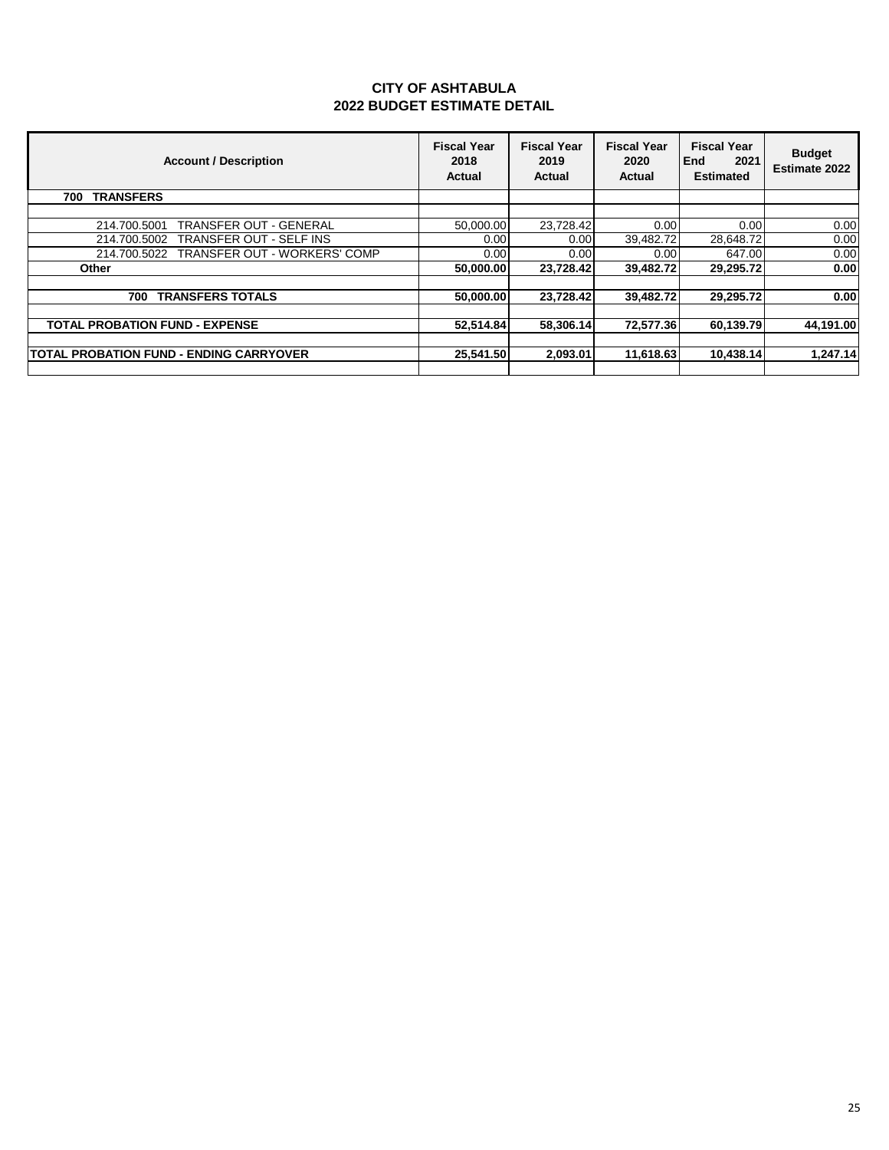| <b>Account / Description</b>                        | <b>Fiscal Year</b><br>2018<br>Actual | <b>Fiscal Year</b><br>2019<br>Actual | <b>Fiscal Year</b><br>2020<br>Actual | <b>Fiscal Year</b><br>End<br>2021<br>Estimated | <b>Budget</b><br><b>Estimate 2022</b> |
|-----------------------------------------------------|--------------------------------------|--------------------------------------|--------------------------------------|------------------------------------------------|---------------------------------------|
| <b>TRANSFERS</b><br>700                             |                                      |                                      |                                      |                                                |                                       |
|                                                     |                                      |                                      |                                      |                                                |                                       |
| <b>TRANSFER OUT - GENERAL</b><br>214.700.5001       | 50.000.00                            | 23,728.42                            | 0.00                                 | 0.00                                           | 0.00                                  |
| TRANSFER OUT - SELF INS<br>214.700.5002             | 0.00                                 | 0.00                                 | 39,482.72                            | 28,648.72                                      | 0.00                                  |
| <b>TRANSFER OUT - WORKERS' COMP</b><br>214.700.5022 | 0.00                                 | 0.00                                 | 0.00                                 | 647.00                                         | 0.00                                  |
| Other                                               | 50,000,00                            | 23,728.42                            | 39,482.72                            | 29,295.72                                      | 0.00                                  |
|                                                     |                                      |                                      |                                      |                                                |                                       |
| <b>TRANSFERS TOTALS</b><br>700                      | 50.000.00                            | 23.728.42                            | 39.482.72                            | 29.295.72                                      | 0.00                                  |
|                                                     |                                      |                                      |                                      |                                                |                                       |
| <b>TOTAL PROBATION FUND - EXPENSE</b>               | 52.514.84                            | 58.306.14                            | 72.577.36                            | 60,139.79                                      | 44.191.00                             |
|                                                     |                                      |                                      |                                      |                                                |                                       |
| <b>TOTAL PROBATION FUND - ENDING CARRYOVER</b>      | 25.541.50                            | 2,093.01                             | 11,618.63                            | 10,438.14                                      | 1.247.14                              |
|                                                     |                                      |                                      |                                      |                                                |                                       |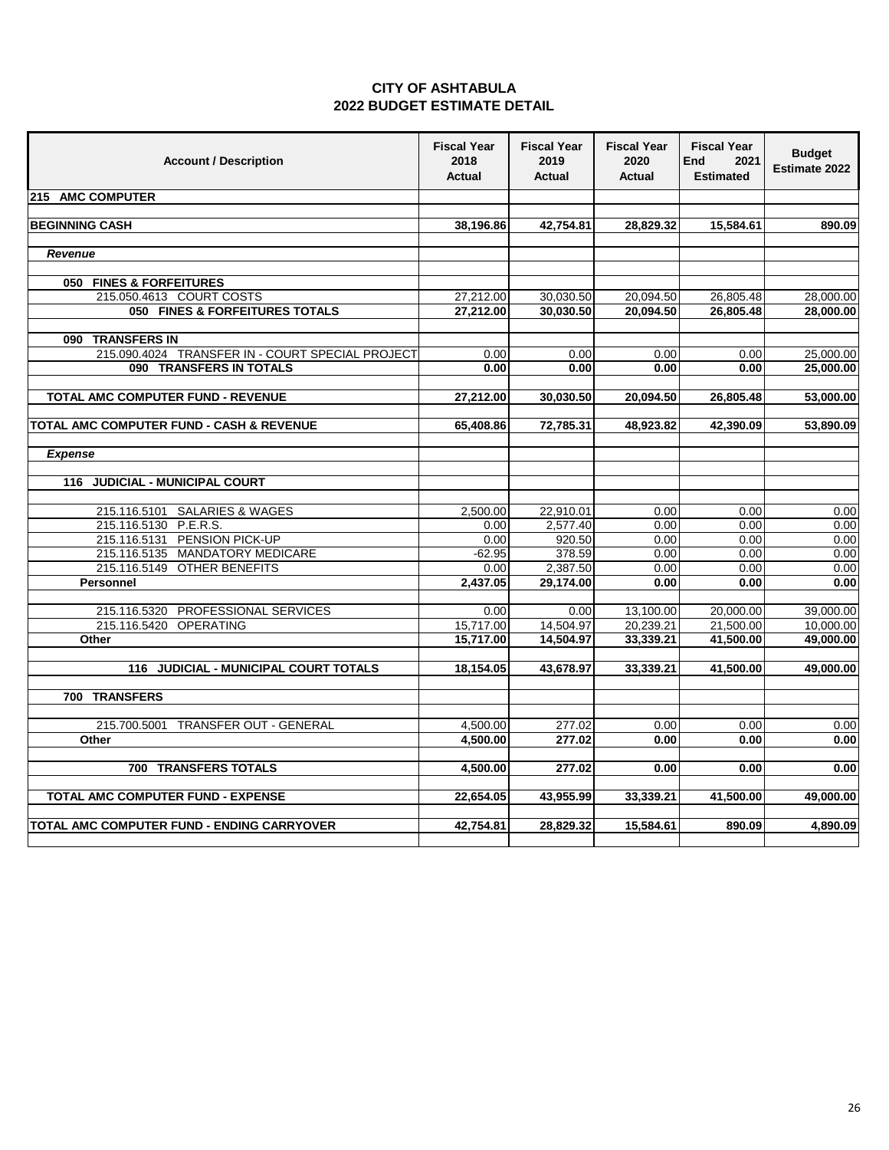| <b>Account / Description</b>                                                | <b>Fiscal Year</b><br>2018<br><b>Actual</b> | <b>Fiscal Year</b><br>2019<br>Actual | <b>Fiscal Year</b><br>2020<br><b>Actual</b> | <b>Fiscal Year</b><br>End<br>2021<br><b>Estimated</b> | <b>Budget</b><br>Estimate 2022 |
|-----------------------------------------------------------------------------|---------------------------------------------|--------------------------------------|---------------------------------------------|-------------------------------------------------------|--------------------------------|
| 215 AMC COMPUTER                                                            |                                             |                                      |                                             |                                                       |                                |
|                                                                             |                                             |                                      |                                             |                                                       | 890.09                         |
| <b>BEGINNING CASH</b>                                                       | 38,196.86                                   | 42,754.81                            | 28,829.32                                   | 15,584.61                                             |                                |
| Revenue                                                                     |                                             |                                      |                                             |                                                       |                                |
|                                                                             |                                             |                                      |                                             |                                                       |                                |
| 050 FINES & FORFEITURES                                                     |                                             |                                      |                                             |                                                       |                                |
| 215.050.4613 COURT COSTS                                                    | 27,212.00                                   | 30,030.50                            | 20,094.50                                   | 26,805.48                                             | 28,000.00                      |
| 050 FINES & FORFEITURES TOTALS                                              | 27,212.00                                   | 30,030.50                            | 20,094.50                                   | 26,805.48                                             | 28,000.00                      |
|                                                                             |                                             |                                      |                                             |                                                       |                                |
| 090 TRANSFERS IN                                                            |                                             |                                      |                                             |                                                       |                                |
| 215.090.4024 TRANSFER IN - COURT SPECIAL PROJECT<br>090 TRANSFERS IN TOTALS | 0.00<br>0.00                                | 0.00<br>0.00                         | 0.00<br>0.00                                | 0.00<br>0.00                                          | 25,000.00<br>25,000.00         |
|                                                                             |                                             |                                      |                                             |                                                       |                                |
| TOTAL AMC COMPUTER FUND - REVENUE                                           | 27,212.00                                   | 30,030.50                            | 20,094.50                                   | 26,805.48                                             | 53,000.00                      |
|                                                                             |                                             |                                      |                                             |                                                       |                                |
| TOTAL AMC COMPUTER FUND - CASH & REVENUE                                    | 65,408.86                                   | 72,785.31                            | 48,923.82                                   | 42,390.09                                             | 53,890.09                      |
| <b>Expense</b>                                                              |                                             |                                      |                                             |                                                       |                                |
| 116 JUDICIAL - MUNICIPAL COURT                                              |                                             |                                      |                                             |                                                       |                                |
|                                                                             |                                             |                                      |                                             |                                                       |                                |
| 215.116.5101 SALARIES & WAGES                                               | 2,500.00                                    | 22,910.01                            | 0.00                                        | 0.00                                                  | 0.00                           |
| 215.116.5130 P.E.R.S.                                                       | 0.00                                        | 2,577.40                             | 0.00                                        | 0.00                                                  | 0.00                           |
| 215.116.5131 PENSION PICK-UP                                                | 0.00                                        | 920.50                               | 0.00                                        | 0.00                                                  | 0.00                           |
| 215.116.5135 MANDATORY MEDICARE                                             | $-62.95$                                    | 378.59                               | 0.00                                        | 0.00                                                  | 0.00                           |
| 215.116.5149 OTHER BENEFITS                                                 | 0.00                                        | 2,387.50                             | 0.00                                        | 0.00                                                  | 0.00                           |
| <b>Personnel</b>                                                            | 2,437.05                                    | 29,174.00                            | 0.00                                        | 0.00                                                  | 0.00                           |
|                                                                             |                                             |                                      |                                             |                                                       |                                |
| 215.116.5320 PROFESSIONAL SERVICES                                          | 0.00                                        | 0.00                                 | 13,100.00                                   | 20,000.00                                             | 39.000.00                      |
| 215.116.5420 OPERATING                                                      | 15,717.00                                   | 14,504.97                            | 20,239.21                                   | 21,500.00                                             | 10,000.00                      |
| Other                                                                       | 15,717.00                                   | 14,504.97                            | 33,339.21                                   | 41,500.00                                             | 49,000.00                      |
|                                                                             |                                             |                                      |                                             |                                                       |                                |
| 116 JUDICIAL - MUNICIPAL COURT TOTALS                                       | 18,154.05                                   | 43,678.97                            | 33,339.21                                   | 41,500.00                                             | 49,000.00                      |
| 700 TRANSFERS                                                               |                                             |                                      |                                             |                                                       |                                |
| 215.700.5001<br><b>TRANSFER OUT - GENERAL</b>                               | 4.500.00                                    | 277.02                               | 0.00                                        | 0.00                                                  | 0.00                           |
| Other                                                                       | 4,500.00                                    | 277.02                               | 0.00                                        | 0.00                                                  | 0.00                           |
|                                                                             |                                             |                                      |                                             |                                                       |                                |
| 700 TRANSFERS TOTALS                                                        | 4,500.00                                    | 277.02                               | 0.00                                        | 0.00                                                  | 0.00                           |
| TOTAL AMC COMPUTER FUND - EXPENSE                                           | 22,654.05                                   | 43,955.99                            | 33,339.21                                   | 41,500.00                                             | 49,000.00                      |
|                                                                             |                                             |                                      |                                             |                                                       |                                |
| TOTAL AMC COMPUTER FUND - ENDING CARRYOVER                                  | 42,754.81                                   | 28,829.32                            | 15,584.61                                   | 890.09                                                | 4,890.09                       |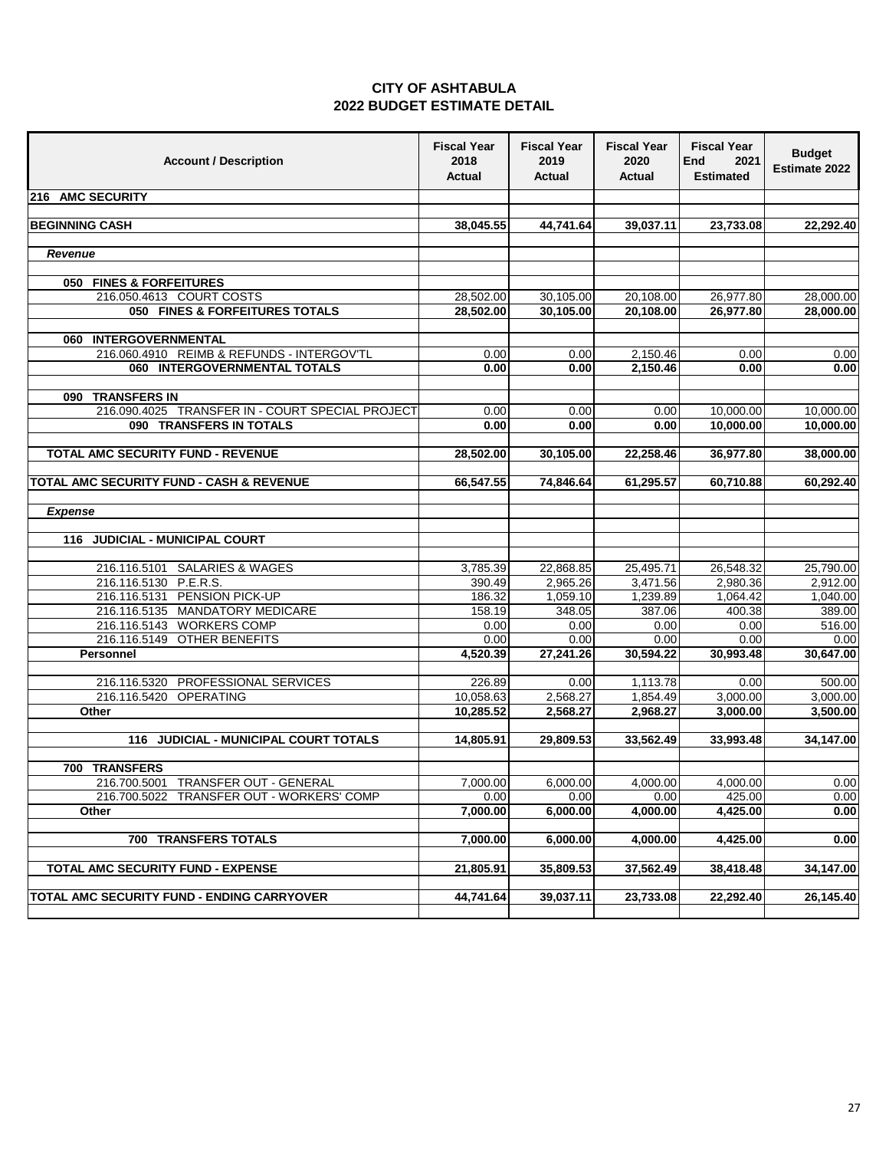| <b>Account / Description</b>                                        | <b>Fiscal Year</b><br>2018<br>Actual | <b>Fiscal Year</b><br>2019<br>Actual | <b>Fiscal Year</b><br>2020<br>Actual | <b>Fiscal Year</b><br><b>End</b><br>2021<br><b>Estimated</b> | <b>Budget</b><br>Estimate 2022 |
|---------------------------------------------------------------------|--------------------------------------|--------------------------------------|--------------------------------------|--------------------------------------------------------------|--------------------------------|
| 216 AMC SECURITY                                                    |                                      |                                      |                                      |                                                              |                                |
|                                                                     |                                      |                                      |                                      |                                                              |                                |
| <b>BEGINNING CASH</b>                                               | 38,045.55                            | 44,741.64                            | 39,037.11                            | 23,733.08                                                    | 22,292.40                      |
| Revenue                                                             |                                      |                                      |                                      |                                                              |                                |
|                                                                     |                                      |                                      |                                      |                                                              |                                |
| 050 FINES & FORFEITURES                                             |                                      |                                      |                                      |                                                              |                                |
| 216.050.4613 COURT COSTS                                            | 28,502.00                            | 30,105.00                            | 20,108.00                            | 26,977.80                                                    | 28,000.00                      |
| 050 FINES & FORFEITURES TOTALS                                      | 28,502.00                            | 30,105.00                            | 20,108.00                            | 26,977.80                                                    | 28,000.00                      |
|                                                                     |                                      |                                      |                                      |                                                              |                                |
| 060 INTERGOVERNMENTAL<br>216.060.4910 REIMB & REFUNDS - INTERGOV'TL | 0.00                                 | 0.00                                 | 2,150.46                             | 0.00                                                         | 0.00                           |
| 060 INTERGOVERNMENTAL TOTALS                                        | 0.00                                 | 0.00                                 | 2,150.46                             | 0.00                                                         | 0.00                           |
|                                                                     |                                      |                                      |                                      |                                                              |                                |
| 090 TRANSFERS IN                                                    |                                      |                                      |                                      |                                                              |                                |
| 216.090.4025 TRANSFER IN - COURT SPECIAL PROJECT                    | 0.00                                 | 0.00                                 | 0.00                                 | 10,000.00                                                    | 10,000.00                      |
| 090 TRANSFERS IN TOTALS                                             | 0.00                                 | 0.00                                 | 0.00                                 | 10,000.00                                                    | 10,000.00                      |
|                                                                     |                                      |                                      |                                      |                                                              |                                |
| TOTAL AMC SECURITY FUND - REVENUE                                   | 28,502.00                            | 30,105.00                            | 22,258.46                            | 36,977.80                                                    | 38,000.00                      |
| TOTAL AMC SECURITY FUND - CASH & REVENUE                            | 66,547.55                            | 74,846.64                            | 61,295.57                            | 60,710.88                                                    | 60,292.40                      |
|                                                                     |                                      |                                      |                                      |                                                              |                                |
| <b>Expense</b>                                                      |                                      |                                      |                                      |                                                              |                                |
|                                                                     |                                      |                                      |                                      |                                                              |                                |
| 116 JUDICIAL - MUNICIPAL COURT                                      |                                      |                                      |                                      |                                                              |                                |
|                                                                     |                                      |                                      |                                      |                                                              |                                |
| 216.116.5101 SALARIES & WAGES                                       | 3,785.39                             | 22,868.85                            | 25,495.71                            | 26,548.32                                                    | 25,790.00                      |
| 216.116.5130 P.E.R.S.<br>216.116.5131 PENSION PICK-UP               | 390.49<br>186.32                     | 2,965.26<br>1,059.10                 | 3,471.56<br>1,239.89                 | 2,980.36                                                     | 2,912.00<br>1,040.00           |
| 216.116.5135 MANDATORY MEDICARE                                     | 158.19                               | 348.05                               | 387.06                               | 1,064.42<br>400.38                                           | 389.00                         |
| 216.116.5143 WORKERS COMP                                           | 0.00                                 | 0.00                                 | 0.00                                 | 0.00                                                         | 516.00                         |
| 216.116.5149 OTHER BENEFITS                                         | 0.00                                 | 0.00                                 | 0.00                                 | 0.00                                                         | 0.00                           |
| Personnel                                                           | 4,520.39                             | 27,241.26                            | 30,594.22                            | 30,993.48                                                    | 30,647.00                      |
|                                                                     |                                      |                                      |                                      |                                                              |                                |
| 216.116.5320 PROFESSIONAL SERVICES                                  | 226.89                               | 0.00                                 | 1,113.78                             | 0.00                                                         | 500.00                         |
| 216.116.5420 OPERATING                                              | 10,058.63                            | 2,568.27                             | 1,854.49                             | 3,000.00                                                     | 3,000.00                       |
| Other                                                               | 10.285.52                            | 2,568.27                             | 2,968.27                             | 3,000.00                                                     | 3,500.00                       |
| 116 JUDICIAL - MUNICIPAL COURT TOTALS                               | 14,805.91                            | 29,809.53                            | 33,562.49                            | 33,993.48                                                    | 34,147.00                      |
|                                                                     |                                      |                                      |                                      |                                                              |                                |
| 700 TRANSFERS                                                       |                                      |                                      |                                      |                                                              |                                |
| 216.700.5001 TRANSFER OUT - GENERAL                                 | 7,000.00                             | 6,000.00                             | 4,000.00                             | 4,000.00                                                     | 0.00                           |
| 216.700.5022 TRANSFER OUT - WORKERS' COMP                           | 0.00                                 | 0.00                                 | 0.00                                 | 425.00                                                       | 0.00                           |
| Other                                                               | 7,000.00                             | 6,000.00                             | 4,000.00                             | 4,425.00                                                     | 0.00                           |
|                                                                     |                                      |                                      |                                      |                                                              |                                |
| <b>TRANSFERS TOTALS</b><br>700                                      | 7,000.00                             | 6,000.00                             | 4,000.00                             | 4,425.00                                                     | 0.00                           |
| TOTAL AMC SECURITY FUND - EXPENSE                                   | 21,805.91                            | 35,809.53                            | 37,562.49                            | 38,418.48                                                    | 34,147.00                      |
|                                                                     |                                      |                                      |                                      |                                                              |                                |
| TOTAL AMC SECURITY FUND - ENDING CARRYOVER                          | 44,741.64                            | 39,037.11                            | 23,733.08                            | 22,292.40                                                    | 26,145.40                      |
|                                                                     |                                      |                                      |                                      |                                                              |                                |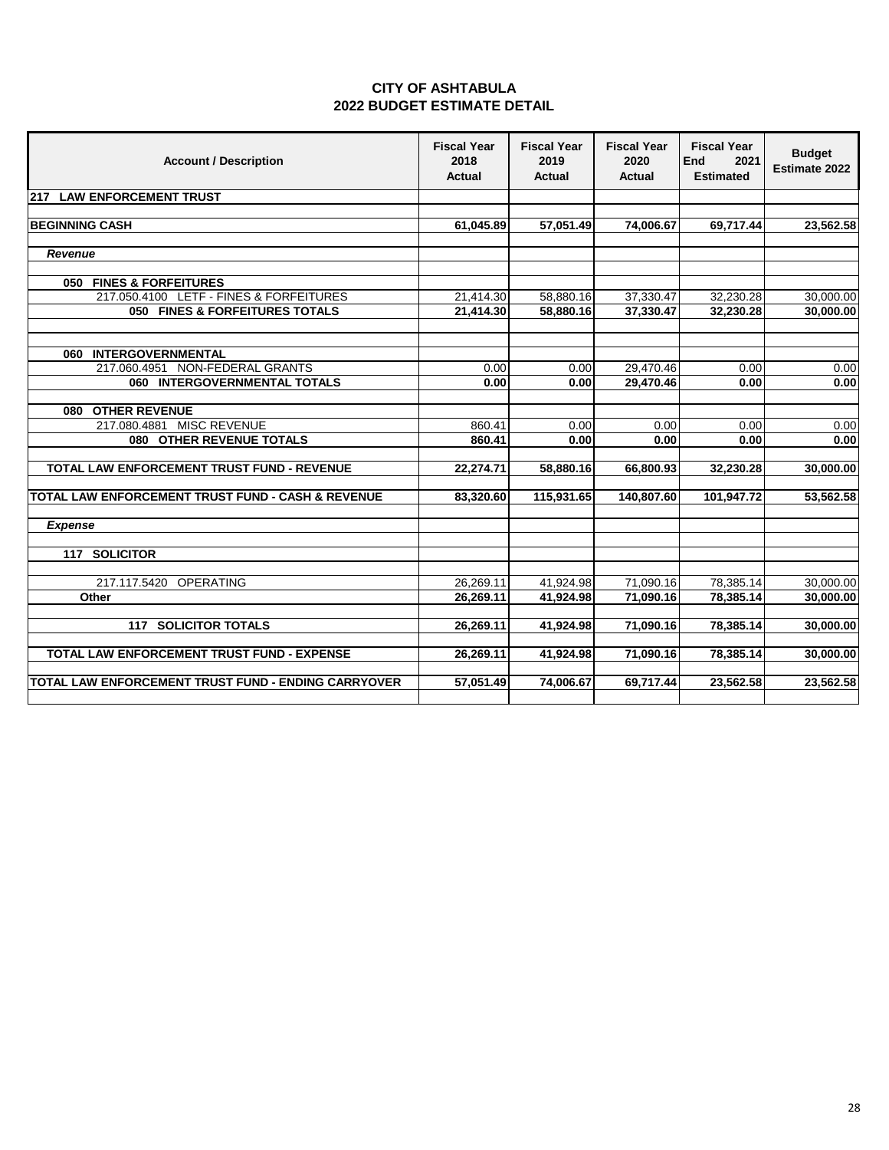|                                    | <b>CITY OF ASHTABULA</b> |  |
|------------------------------------|--------------------------|--|
| <b>2022 BUDGET ESTIMATE DETAIL</b> |                          |  |

| <b>Account / Description</b>                        | <b>Fiscal Year</b><br>2018<br><b>Actual</b> | <b>Fiscal Year</b><br>2019<br><b>Actual</b> | <b>Fiscal Year</b><br>2020<br><b>Actual</b> | <b>Fiscal Year</b><br>End<br>2021<br><b>Estimated</b> | <b>Budget</b><br>Estimate 2022 |
|-----------------------------------------------------|---------------------------------------------|---------------------------------------------|---------------------------------------------|-------------------------------------------------------|--------------------------------|
| 217 LAW ENFORCEMENT TRUST                           |                                             |                                             |                                             |                                                       |                                |
|                                                     |                                             |                                             |                                             |                                                       |                                |
| <b>BEGINNING CASH</b>                               | 61,045.89                                   | 57,051.49                                   | 74,006.67                                   | 69,717.44                                             | 23,562.58                      |
|                                                     |                                             |                                             |                                             |                                                       |                                |
| <b>Revenue</b>                                      |                                             |                                             |                                             |                                                       |                                |
|                                                     |                                             |                                             |                                             |                                                       |                                |
| 050 FINES & FORFEITURES                             |                                             |                                             |                                             |                                                       |                                |
| 217.050.4100 LETF - FINES & FORFEITURES             | 21,414.30                                   | 58,880.16                                   | 37,330.47                                   | 32,230.28                                             | 30,000.00                      |
| 050 FINES & FORFEITURES TOTALS                      | 21,414.30                                   | 58,880.16                                   | 37,330.47                                   | 32,230.28                                             | 30,000.00                      |
| 060 INTERGOVERNMENTAL                               |                                             |                                             |                                             |                                                       |                                |
| 217.060.4951 NON-FEDERAL GRANTS                     | 0.00                                        | 0.00                                        | 29,470.46                                   | 0.00                                                  | 0.00                           |
| 060 INTERGOVERNMENTAL TOTALS                        | 0.00                                        | 0.00                                        | 29,470.46                                   | 0.00                                                  | 0.00                           |
|                                                     |                                             |                                             |                                             |                                                       |                                |
| <b>OTHER REVENUE</b><br>080                         |                                             |                                             |                                             |                                                       |                                |
| 217.080.4881 MISC REVENUE                           | 860.41                                      | 0.00                                        | 0.00                                        | 0.00                                                  | 0.00                           |
| 080 OTHER REVENUE TOTALS                            | 860.41                                      | 0.00                                        | 0.00                                        | 0.00                                                  | 0.00                           |
|                                                     |                                             |                                             |                                             |                                                       |                                |
| TOTAL LAW ENFORCEMENT TRUST FUND - REVENUE          | 22,274.71                                   | 58,880.16                                   | 66,800.93                                   | 32,230.28                                             | 30,000.00                      |
| TOTAL LAW ENFORCEMENT TRUST FUND - CASH & REVENUE   | 83,320.60                                   | 115,931.65                                  | 140,807.60                                  | 101,947.72                                            | 53,562.58                      |
| <b>Expense</b>                                      |                                             |                                             |                                             |                                                       |                                |
| 117 SOLICITOR                                       |                                             |                                             |                                             |                                                       |                                |
| 217.117.5420 OPERATING                              | 26,269.11                                   | 41,924.98                                   | 71,090.16                                   | 78,385.14                                             | 30,000.00                      |
| Other                                               | 26,269.11                                   | 41,924.98                                   | 71,090.16                                   | 78,385.14                                             | 30,000.00                      |
| <b>SOLICITOR TOTALS</b><br>117                      | 26,269.11                                   | 41,924.98                                   | 71,090.16                                   | 78,385.14                                             | 30,000.00                      |
| TOTAL LAW ENFORCEMENT TRUST FUND - EXPENSE          | 26,269.11                                   | 41,924.98                                   | 71,090.16                                   | 78,385.14                                             | 30,000.00                      |
|                                                     |                                             |                                             |                                             |                                                       |                                |
| TOTAL LAW ENFORCEMENT TRUST FUND - ENDING CARRYOVER | 57,051.49                                   | 74,006.67                                   | 69,717.44                                   | 23,562.58                                             | 23,562.58                      |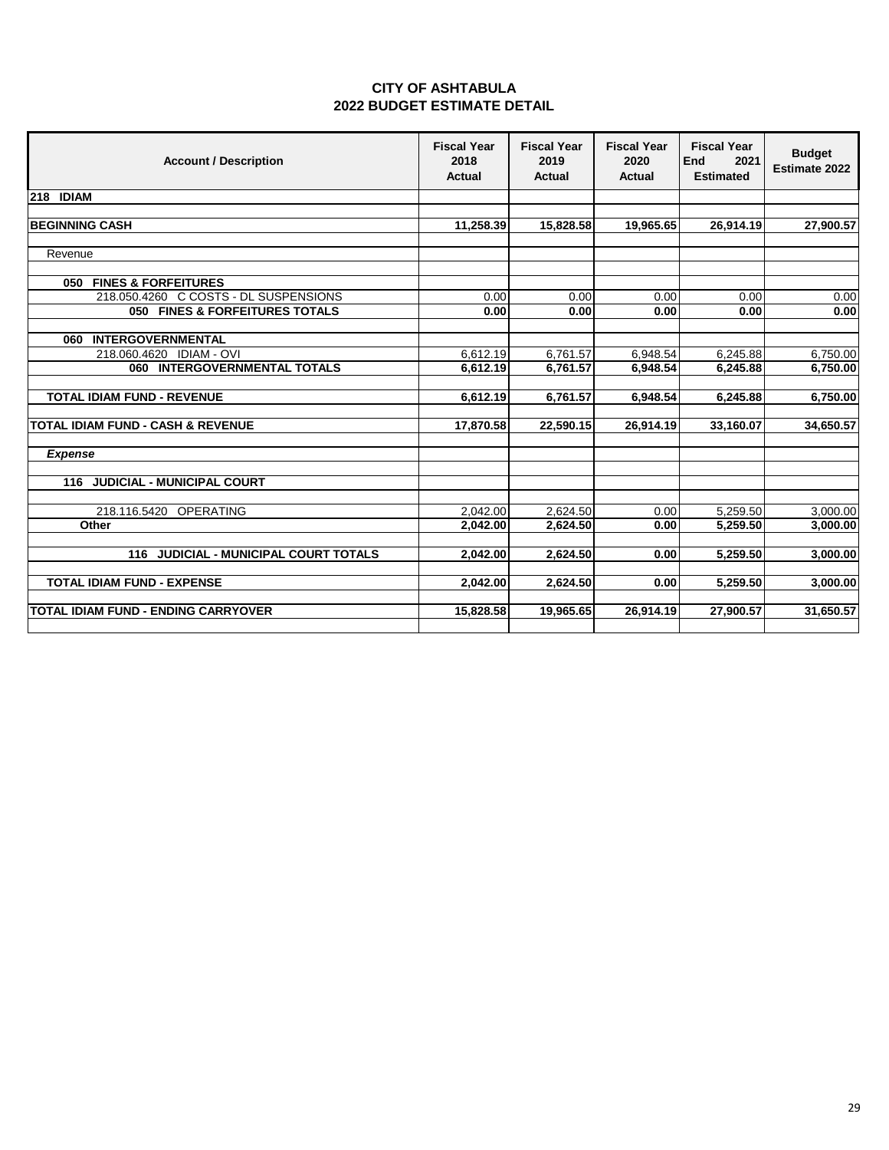|  | <b>CITY OF ASHTABULA</b>           |  |
|--|------------------------------------|--|
|  | <b>2022 BUDGET ESTIMATE DETAIL</b> |  |

| <b>Account / Description</b>                 | <b>Fiscal Year</b><br>2018<br><b>Actual</b> | <b>Fiscal Year</b><br>2019<br><b>Actual</b> | <b>Fiscal Year</b><br>2020<br><b>Actual</b> | <b>Fiscal Year</b><br>End<br>2021<br><b>Estimated</b> | <b>Budget</b><br><b>Estimate 2022</b> |
|----------------------------------------------|---------------------------------------------|---------------------------------------------|---------------------------------------------|-------------------------------------------------------|---------------------------------------|
| 218 IDIAM                                    |                                             |                                             |                                             |                                                       |                                       |
|                                              |                                             |                                             |                                             |                                                       |                                       |
| <b>BEGINNING CASH</b>                        | 11,258.39                                   | 15,828.58                                   | 19,965.65                                   | 26,914.19                                             | 27,900.57                             |
| Revenue                                      |                                             |                                             |                                             |                                                       |                                       |
|                                              |                                             |                                             |                                             |                                                       |                                       |
| 050 FINES & FORFEITURES                      |                                             |                                             |                                             |                                                       |                                       |
| 218.050.4260 C COSTS - DL SUSPENSIONS        | 0.00                                        | 0.00                                        | 0.00                                        | 0.00                                                  | 0.00                                  |
| <b>050 FINES &amp; FORFEITURES TOTALS</b>    | 0.00                                        | 0.00                                        | 0.00                                        | 0.00                                                  | 0.00                                  |
|                                              |                                             |                                             |                                             |                                                       |                                       |
| 060 INTERGOVERNMENTAL                        |                                             |                                             |                                             |                                                       |                                       |
| 218.060.4620 IDIAM - OVI                     | 6,612.19                                    | 6,761.57                                    | 6,948.54                                    | 6,245.88                                              | 6,750.00                              |
| 060 INTERGOVERNMENTAL TOTALS                 | 6,612.19                                    | 6,761.57                                    | 6,948.54                                    | 6,245.88                                              | 6,750.00                              |
| <b>TOTAL IDIAM FUND - REVENUE</b>            | 6,612.19                                    | 6,761.57                                    | 6,948.54                                    | 6,245.88                                              | 6,750.00                              |
|                                              |                                             |                                             |                                             |                                                       |                                       |
| <b>TOTAL IDIAM FUND - CASH &amp; REVENUE</b> | 17,870.58                                   | 22,590.15                                   | 26,914.19                                   | 33,160.07                                             | 34,650.57                             |
| <b>Expense</b>                               |                                             |                                             |                                             |                                                       |                                       |
| 116 JUDICIAL - MUNICIPAL COURT               |                                             |                                             |                                             |                                                       |                                       |
| 218.116.5420 OPERATING                       | 2,042.00                                    | 2,624.50                                    | 0.00                                        | 5,259.50                                              | 3,000.00                              |
| Other                                        | 2,042.00                                    | 2,624.50                                    | 0.00                                        | 5,259.50                                              | 3,000.00                              |
| 116 JUDICIAL - MUNICIPAL COURT TOTALS        | 2,042.00                                    | 2,624.50                                    | 0.00                                        | 5,259.50                                              | 3,000.00                              |
|                                              |                                             |                                             |                                             |                                                       |                                       |
| <b>TOTAL IDIAM FUND - EXPENSE</b>            | 2,042.00                                    | 2,624.50                                    | 0.00                                        | 5,259.50                                              | 3,000.00                              |
| <b>TOTAL IDIAM FUND - ENDING CARRYOVER</b>   | 15,828.58                                   | 19,965.65                                   | 26,914.19                                   | 27,900.57                                             | 31,650.57                             |
|                                              |                                             |                                             |                                             |                                                       |                                       |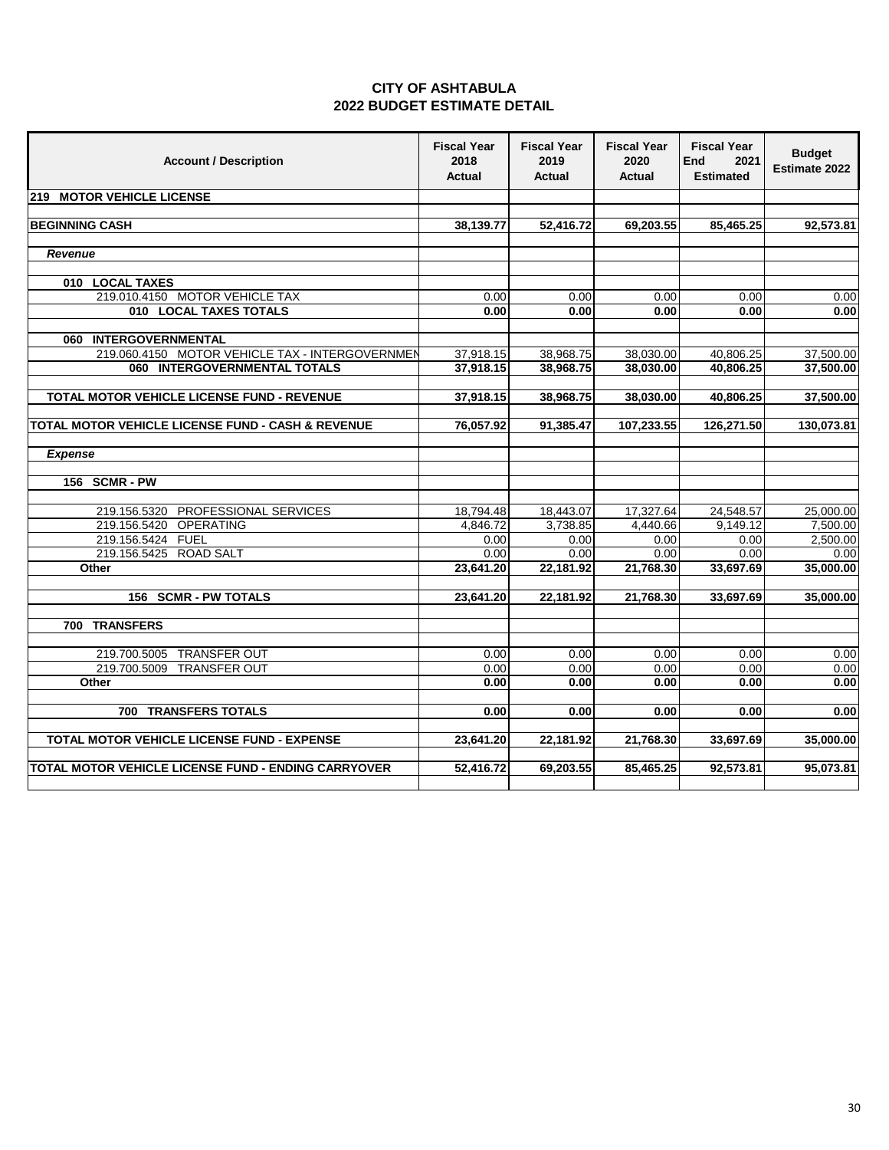| <b>Account / Description</b>                        | <b>Fiscal Year</b><br>2018<br><b>Actual</b> | <b>Fiscal Year</b><br>2019<br><b>Actual</b> | <b>Fiscal Year</b><br>2020<br><b>Actual</b> | <b>Fiscal Year</b><br><b>End</b><br>2021<br><b>Estimated</b> | <b>Budget</b><br><b>Estimate 2022</b> |
|-----------------------------------------------------|---------------------------------------------|---------------------------------------------|---------------------------------------------|--------------------------------------------------------------|---------------------------------------|
| 219 MOTOR VEHICLE LICENSE                           |                                             |                                             |                                             |                                                              |                                       |
|                                                     |                                             |                                             |                                             |                                                              |                                       |
| <b>BEGINNING CASH</b>                               | 38,139.77                                   | 52,416.72                                   | 69,203.55                                   | 85,465.25                                                    | 92,573.81                             |
| Revenue                                             |                                             |                                             |                                             |                                                              |                                       |
| 010 LOCAL TAXES                                     |                                             |                                             |                                             |                                                              |                                       |
| 219.010.4150 MOTOR VEHICLE TAX                      | 0.00                                        | 0.00                                        | 0.00                                        | 0.00                                                         | 0.00                                  |
| 010 LOCAL TAXES TOTALS                              | 0.00                                        | 0.00                                        | 0.00                                        | 0.00                                                         | 0.00                                  |
| 060 INTERGOVERNMENTAL                               |                                             |                                             |                                             |                                                              |                                       |
| 219.060.4150 MOTOR VEHICLE TAX - INTERGOVERNMEN     | 37,918.15                                   | 38.968.75                                   | 38,030.00                                   | 40.806.25                                                    | 37.500.00                             |
| 060 INTERGOVERNMENTAL TOTALS                        | 37,918.15                                   | 38,968.75                                   | 38,030.00                                   | 40,806.25                                                    | 37,500.00                             |
| TOTAL MOTOR VEHICLE LICENSE FUND - REVENUE          | 37,918.15                                   | 38,968.75                                   | 38,030.00                                   | 40,806.25                                                    | 37,500.00                             |
| TOTAL MOTOR VEHICLE LICENSE FUND - CASH & REVENUE   | 76,057.92                                   | 91,385.47                                   | 107,233.55                                  | 126,271.50                                                   | 130,073.81                            |
| <b>Expense</b>                                      |                                             |                                             |                                             |                                                              |                                       |
| <b>156 SCMR-PW</b>                                  |                                             |                                             |                                             |                                                              |                                       |
| 219.156.5320 PROFESSIONAL SERVICES                  | 18,794.48                                   | 18,443.07                                   | 17,327.64                                   | 24,548.57                                                    | 25,000.00                             |
| 219.156.5420 OPERATING                              | 4.846.72                                    | 3.738.85                                    | 4,440.66                                    | 9,149.12                                                     | 7,500.00                              |
| 219.156.5424 FUEL                                   | 0.00                                        | 0.00                                        | 0.00                                        | 0.00                                                         | 2,500.00                              |
| 219.156.5425 ROAD SALT                              | 0.00                                        | 0.00                                        | 0.00                                        | 0.00                                                         | 0.00                                  |
| Other                                               | 23,641.20                                   | 22,181.92                                   | 21,768.30                                   | 33,697.69                                                    | 35,000.00                             |
| 156 SCMR - PW TOTALS                                | 23,641.20                                   | 22,181.92                                   | 21,768.30                                   | 33,697.69                                                    | 35,000.00                             |
| 700 TRANSFERS                                       |                                             |                                             |                                             |                                                              |                                       |
| 219.700.5005 TRANSFER OUT                           | 0.00                                        | 0.00                                        | 0.00                                        | 0.00                                                         | 0.00                                  |
| 219.700.5009 TRANSFER OUT                           | 0.00                                        | 0.00                                        | 0.00                                        | 0.00                                                         | 0.00                                  |
| Other                                               | 0.00                                        | 0.00                                        | 0.00                                        | 0.00                                                         | 0.00                                  |
| <b>700 TRANSFERS TOTALS</b>                         | 0.00                                        | 0.00                                        | 0.00                                        | 0.00                                                         | 0.00                                  |
| TOTAL MOTOR VEHICLE LICENSE FUND - EXPENSE          | 23,641.20                                   | 22,181.92                                   | 21,768.30                                   | 33,697.69                                                    | 35,000.00                             |
| TOTAL MOTOR VEHICLE LICENSE FUND - ENDING CARRYOVER | 52,416.72                                   | 69,203.55                                   | 85,465.25                                   | 92,573.81                                                    | 95,073.81                             |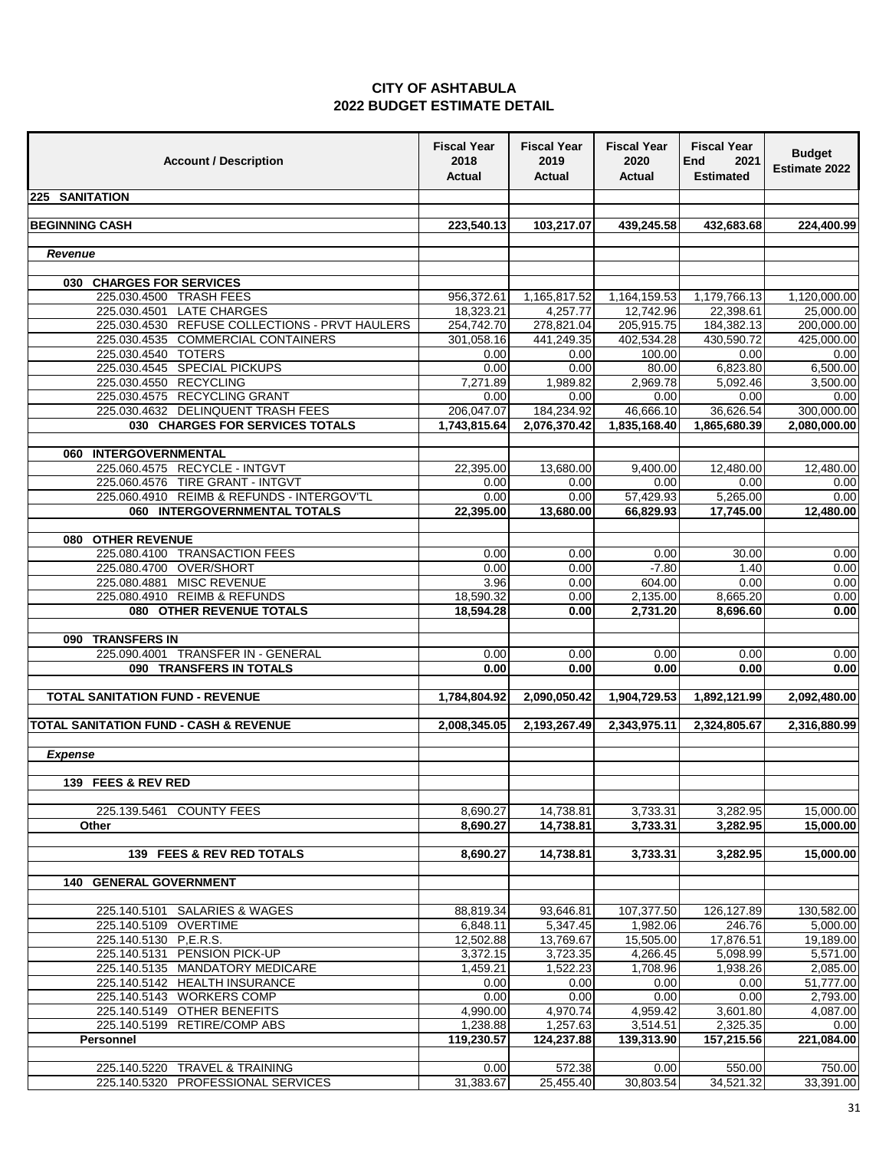| <b>Account / Description</b>                                                   | <b>Fiscal Year</b><br>2018<br>Actual | <b>Fiscal Year</b><br>2019<br>Actual | <b>Fiscal Year</b><br>2020<br>Actual | <b>Fiscal Year</b><br><b>End</b><br>2021<br><b>Estimated</b> | <b>Budget</b><br><b>Estimate 2022</b> |
|--------------------------------------------------------------------------------|--------------------------------------|--------------------------------------|--------------------------------------|--------------------------------------------------------------|---------------------------------------|
| 225 SANITATION                                                                 |                                      |                                      |                                      |                                                              |                                       |
| <b>BEGINNING CASH</b>                                                          | 223,540.13                           | 103,217.07                           | 439,245.58                           | 432,683.68                                                   | 224,400.99                            |
|                                                                                |                                      |                                      |                                      |                                                              |                                       |
| Revenue                                                                        |                                      |                                      |                                      |                                                              |                                       |
| 030 CHARGES FOR SERVICES                                                       |                                      |                                      |                                      |                                                              |                                       |
| 225.030.4500 TRASH FEES                                                        | 956,372.61                           | 1,165,817.52                         | 1,164,159.53                         | 1,179,766.13                                                 | 1,120,000.00                          |
| 225.030.4501 LATE CHARGES                                                      | 18,323.21                            | 4,257.77                             | 12,742.96                            | 22,398.61                                                    | 25,000.00                             |
| 225.030.4530 REFUSE COLLECTIONS - PRVT HAULERS                                 | 254,742.70                           | 278,821.04                           | 205,915.75                           | 184,382.13                                                   | 200,000.00                            |
| 225.030.4535 COMMERCIAL CONTAINERS                                             | 301,058.16                           | 441,249.35                           | 402,534.28                           | 430,590.72                                                   | 425,000.00                            |
| 225.030.4540 TOTERS                                                            | 0.00                                 | 0.00                                 | 100.00                               | 0.00                                                         | 0.00                                  |
| 225.030.4545 SPECIAL PICKUPS<br>225.030.4550 RECYCLING                         | 0.00<br>7,271.89                     | 0.00<br>1,989.82                     | 80.00<br>2,969.78                    | 6,823.80<br>5,092.46                                         | 6,500.00<br>3,500.00                  |
| 225.030.4575 RECYCLING GRANT                                                   | 0.00                                 | 0.00                                 | 0.00                                 | 0.00                                                         | 0.00                                  |
| 225.030.4632 DELINQUENT TRASH FEES                                             | 206,047.07                           | 184,234.92                           | 46,666.10                            | 36,626.54                                                    | 300,000.00                            |
| 030 CHARGES FOR SERVICES TOTALS                                                | 1,743,815.64                         | 2,076,370.42                         | 1,835,168.40                         | 1,865,680.39                                                 | 2,080,000.00                          |
|                                                                                |                                      |                                      |                                      |                                                              |                                       |
| 060 INTERGOVERNMENTAL                                                          |                                      |                                      |                                      |                                                              |                                       |
| 225.060.4575 RECYCLE - INTGVT                                                  | 22,395.00                            | 13,680.00                            | 9,400.00                             | 12,480.00                                                    | 12,480.00                             |
| 225.060.4576 TIRE GRANT - INTGVT<br>225.060.4910 REIMB & REFUNDS - INTERGOV'TL | 0.00<br>0.00                         | 0.00<br>0.00                         | 0.00<br>57,429.93                    | 0.00<br>5,265.00                                             | 0.00<br>0.00                          |
| 060 INTERGOVERNMENTAL TOTALS                                                   | 22,395.00                            | 13,680.00                            | 66,829.93                            | 17,745.00                                                    | 12,480.00                             |
|                                                                                |                                      |                                      |                                      |                                                              |                                       |
| 080 OTHER REVENUE                                                              |                                      |                                      |                                      |                                                              |                                       |
| 225.080.4100 TRANSACTION FEES                                                  | 0.00                                 | 0.00                                 | 0.00                                 | 30.00                                                        | 0.00                                  |
| 225.080.4700 OVER/SHORT                                                        | 0.00                                 | 0.00                                 | $-7.80$                              | 1.40                                                         | 0.00                                  |
| MISC REVENUE<br>225.080.4881                                                   | 3.96                                 | 0.00                                 | 604.00                               | 0.00                                                         | 0.00                                  |
| 225.080.4910 REIMB & REFUNDS                                                   | 18,590.32                            | 0.00                                 | 2,135.00                             | 8,665.20                                                     | 0.00                                  |
| 080 OTHER REVENUE TOTALS                                                       | 18,594.28                            | 0.00                                 | 2,731.20                             | 8,696.60                                                     | 0.00                                  |
| 090 TRANSFERS IN                                                               |                                      |                                      |                                      |                                                              |                                       |
| 225.090.4001 TRANSFER IN - GENERAL                                             | 0.00                                 | 0.00                                 | 0.00                                 | 0.00                                                         | 0.00                                  |
| 090 TRANSFERS IN TOTALS                                                        | 0.00                                 | 0.00                                 | 0.00                                 | 0.00                                                         | 0.00                                  |
|                                                                                |                                      |                                      |                                      |                                                              |                                       |
| <b>TOTAL SANITATION FUND - REVENUE</b>                                         | 1,784,804.92                         | 2,090,050.42                         | 1,904,729.53                         | 1,892,121.99                                                 | 2,092,480.00                          |
| TOTAL SANITATION FUND - CASH & REVENUE                                         | 2,008,345.05                         | 2,193,267.49                         | 2,343,975.11                         | 2,324,805.67                                                 | 2,316,880.99                          |
| <b>Expense</b>                                                                 |                                      |                                      |                                      |                                                              |                                       |
|                                                                                |                                      |                                      |                                      |                                                              |                                       |
| 139 FEES & REV RED                                                             |                                      |                                      |                                      |                                                              |                                       |
| 225.139.5461 COUNTY FEES                                                       |                                      |                                      |                                      |                                                              | 15.000.00                             |
| Other                                                                          | 8,690.27<br>8,690.27                 | 14,738.81<br>14,738.81               | 3,733.31<br>3,733.31                 | 3,282.95<br>3,282.95                                         | 15,000.00                             |
|                                                                                |                                      |                                      |                                      |                                                              |                                       |
| 139 FEES & REV RED TOTALS                                                      | 8,690.27                             | 14,738.81                            | 3,733.31                             | 3,282.95                                                     | 15,000.00                             |
| <b>140 GENERAL GOVERNMENT</b>                                                  |                                      |                                      |                                      |                                                              |                                       |
|                                                                                |                                      |                                      |                                      |                                                              |                                       |
| 225.140.5101 SALARIES & WAGES                                                  | 88,819.34                            | 93,646.81                            | 107,377.50                           | 126, 127.89                                                  | 130,582.00                            |
| 225.140.5109 OVERTIME                                                          | 6,848.11                             | 5,347.45                             | 1,982.06                             | 246.76                                                       | 5,000.00                              |
| 225.140.5130 P.E.R.S.                                                          | 12,502.88                            | 13,769.67                            | 15,505.00                            | 17,876.51                                                    | 19,189.00                             |
| 225.140.5131 PENSION PICK-UP                                                   | 3,372.15                             | 3,723.35                             | 4,266.45                             | 5,098.99                                                     | 5,571.00                              |
| 225.140.5135 MANDATORY MEDICARE<br>225.140.5142 HEALTH INSURANCE               | 1,459.21                             | 1,522.23<br>0.00                     | 1,708.96<br>0.00                     | 1,938.26                                                     | 2,085.00                              |
| 225.140.5143 WORKERS COMP                                                      | 0.00<br>0.00                         | 0.00                                 | 0.00                                 | 0.00<br>0.00                                                 | 51,777.00<br>2,793.00                 |
| 225.140.5149 OTHER BENEFITS                                                    | 4,990.00                             | 4,970.74                             | 4,959.42                             | 3,601.80                                                     | 4,087.00                              |
| 225.140.5199 RETIRE/COMP ABS                                                   | 1,238.88                             | 1,257.63                             | 3,514.51                             | 2,325.35                                                     | 0.00                                  |
| Personnel                                                                      | 119,230.57                           | 124,237.88                           | 139,313.90                           | 157,215.56                                                   | 221,084.00                            |
|                                                                                |                                      |                                      |                                      |                                                              |                                       |
| 225.140.5220 TRAVEL & TRAINING                                                 | 0.00                                 | 572.38                               | 0.00                                 | 550.00                                                       | 750.00                                |
| 225.140.5320 PROFESSIONAL SERVICES                                             | 31,383.67                            | 25,455.40                            | 30,803.54                            | 34,521.32                                                    | 33,391.00                             |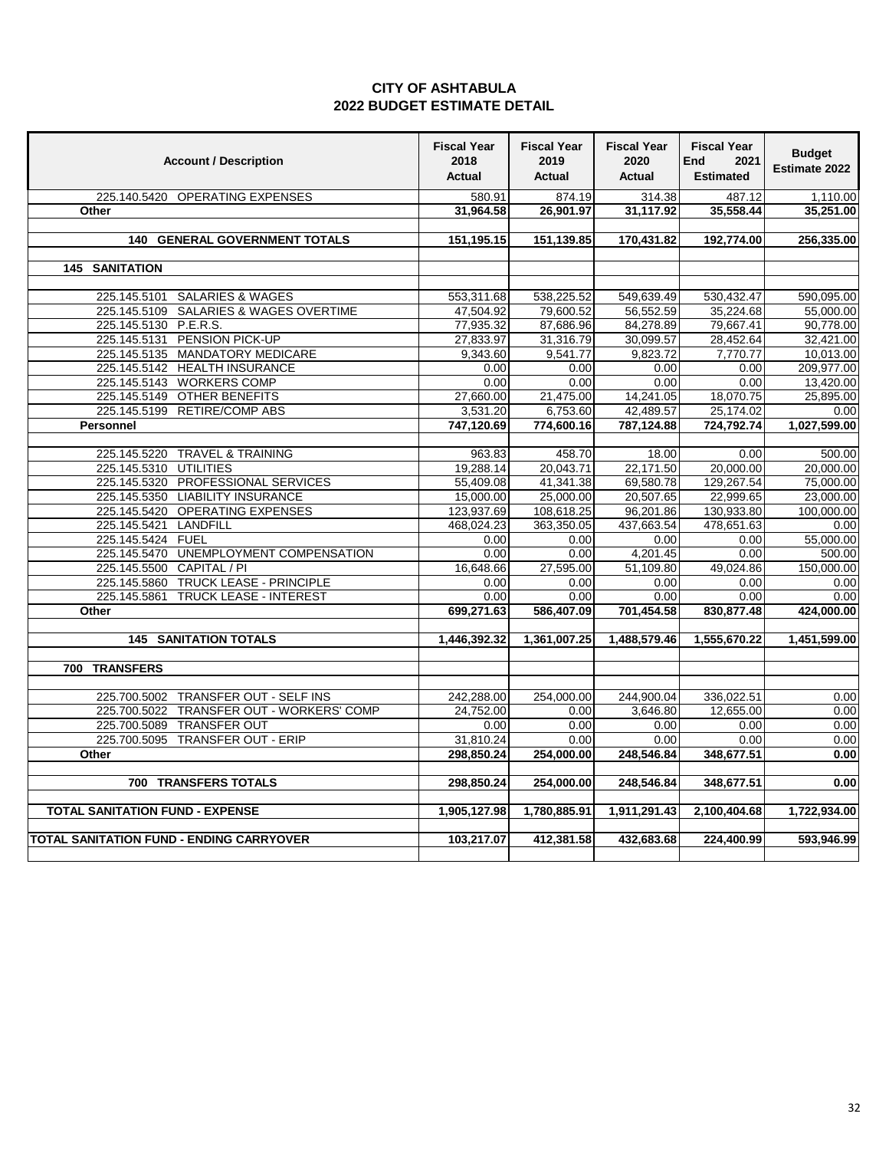| <b>Account / Description</b>                                  | <b>Fiscal Year</b><br>2018<br><b>Actual</b> | <b>Fiscal Year</b><br>2019<br><b>Actual</b> | <b>Fiscal Year</b><br>2020<br><b>Actual</b> | <b>Fiscal Year</b><br>End<br>2021<br><b>Estimated</b> | <b>Budget</b><br>Estimate 2022 |
|---------------------------------------------------------------|---------------------------------------------|---------------------------------------------|---------------------------------------------|-------------------------------------------------------|--------------------------------|
| 225.140.5420 OPERATING EXPENSES                               | 580.91                                      | 874.19                                      | 314.38                                      | 487.12                                                | 1,110.00                       |
| Other                                                         | 31,964.58                                   | 26,901.97                                   | 31,117.92                                   | 35,558.44                                             | 35,251.00                      |
|                                                               |                                             |                                             |                                             |                                                       | 256,335.00                     |
| <b>140 GENERAL GOVERNMENT TOTALS</b>                          | 151,195.15                                  | 151,139.85                                  | 170,431.82                                  | 192,774.00                                            |                                |
| <b>145 SANITATION</b>                                         |                                             |                                             |                                             |                                                       |                                |
|                                                               |                                             |                                             |                                             |                                                       |                                |
| 225.145.5101 SALARIES & WAGES                                 | 553,311.68                                  | 538,225.52                                  | 549,639.49                                  | 530,432.47                                            | 590,095.00                     |
| 225.145.5109 SALARIES & WAGES OVERTIME                        | 47.504.92                                   | 79.600.52                                   | 56.552.59                                   | 35,224.68                                             | 55.000.00                      |
| 225.145.5130 P.E.R.S.                                         | 77,935.32                                   | 87,686.96                                   | 84,278.89                                   | 79,667.41                                             | 90,778.00                      |
| 225.145.5131 PENSION PICK-UP                                  | 27,833.97                                   | 31,316.79                                   | 30,099.57                                   | 28,452.64                                             | 32,421.00                      |
| <b>MANDATORY MEDICARE</b><br>225.145.5135                     | 9,343.60                                    | 9,541.77                                    | 9,823.72                                    | 7,770.77                                              | 10,013.00                      |
| 225.145.5142 HEALTH INSURANCE                                 | 0.00                                        | 0.00                                        | 0.00                                        | 0.00                                                  | 209,977.00                     |
| 225.145.5143 WORKERS COMP                                     | 0.00                                        | 0.00                                        | 0.00                                        | 0.00                                                  | 13,420.00                      |
| 225.145.5149 OTHER BENEFITS                                   | 27,660.00                                   | 21,475.00                                   | 14,241.05                                   | 18,070.75                                             | 25,895.00                      |
| <b>RETIRE/COMP ABS</b><br>225.145.5199                        | 3,531.20                                    | 6,753.60                                    | 42,489.57                                   | 25,174.02                                             | 0.00                           |
| Personnel                                                     | 747,120.69                                  | 774,600.16                                  | 787,124.88                                  | 724,792.74                                            | 1,027,599.00                   |
|                                                               |                                             |                                             |                                             |                                                       |                                |
| 225.145.5220 TRAVEL & TRAINING                                | 963.83                                      | 458.70                                      | 18.00                                       | 0.00                                                  | 500.00                         |
| 225.145.5310 UTILITIES                                        | 19.288.14                                   | 20,043.71                                   | 22,171.50                                   | 20,000.00                                             | 20.000.00                      |
| 225.145.5320 PROFESSIONAL SERVICES                            | 55,409.08                                   | 41,341.38                                   | 69,580.78<br>20,507.65                      | 129,267.54                                            | 75,000.00                      |
| 225.145.5350 LIABILITY INSURANCE<br><b>OPERATING EXPENSES</b> | 15,000.00                                   | 25,000.00                                   |                                             | 22,999.65                                             | 23,000.00                      |
| 225.145.5420<br><b>LANDFILL</b><br>225.145.5421               | 123,937.69<br>468,024.23                    | 108,618.25<br>363,350.05                    | 96,201.86<br>437,663.54                     | 130,933.80<br>478,651.63                              | 100,000.00<br>0.00             |
| 225.145.5424 FUEL                                             | 0.00                                        | 0.00                                        | 0.00                                        | 0.00                                                  | 55,000.00                      |
| UNEMPLOYMENT COMPENSATION<br>225.145.5470                     | 0.00                                        | 0.00                                        | 4,201.45                                    | 0.00                                                  | 500.00                         |
| 225.145.5500 CAPITAL / PI                                     | 16,648.66                                   | 27,595.00                                   | 51,109.80                                   | 49,024.86                                             | 150,000.00                     |
| 225.145.5860 TRUCK LEASE - PRINCIPLE                          | 0.00                                        | 0.00                                        | 0.00                                        | 0.00                                                  | 0.00                           |
| <b>TRUCK LEASE - INTEREST</b><br>225.145.5861                 | 0.00                                        | 0.00                                        | 0.00                                        | 0.00                                                  | 0.00                           |
| Other                                                         | 699,271.63                                  | 586,407.09                                  | 701,454.58                                  | 830, 877.48                                           | 424,000.00                     |
|                                                               |                                             |                                             |                                             |                                                       |                                |
| <b>145 SANITATION TOTALS</b>                                  | 1,446,392.32                                | 1,361,007.25                                | 1,488,579.46                                | 1,555,670.22                                          | 1,451,599.00                   |
|                                                               |                                             |                                             |                                             |                                                       |                                |
| 700 TRANSFERS                                                 |                                             |                                             |                                             |                                                       |                                |
|                                                               |                                             |                                             |                                             |                                                       |                                |
| 225.700.5002 TRANSFER OUT - SELF INS                          | 242,288.00                                  | 254,000.00                                  | 244,900.04                                  | 336,022.51                                            | 0.00                           |
| 225.700.5022 TRANSFER OUT - WORKERS' COMP                     | 24,752.00                                   | 0.00                                        | 3,646.80                                    | 12,655.00                                             | 0.00                           |
| 225.700.5089<br><b>TRANSFER OUT</b>                           | 0.00                                        | 0.00                                        | 0.00                                        | 0.00                                                  | 0.00                           |
| <b>TRANSFER OUT - ERIP</b><br>225.700.5095                    | 31,810.24                                   | 0.00                                        | 0.00                                        | 0.00                                                  | 0.00                           |
| Other                                                         | 298,850.24                                  | 254,000.00                                  | 248,546.84                                  | 348,677.51                                            | 0.00                           |
| 700 TRANSFERS TOTALS                                          | 298,850.24                                  | 254,000.00                                  | 248,546.84                                  | 348,677.51                                            | 0.00                           |
|                                                               |                                             |                                             |                                             |                                                       |                                |
| <b>TOTAL SANITATION FUND - EXPENSE</b>                        | 1,905,127.98                                | 1,780,885.91                                | 1,911,291.43                                | 2,100,404.68                                          | 1,722,934.00                   |
|                                                               |                                             |                                             |                                             |                                                       |                                |
| TOTAL SANITATION FUND - ENDING CARRYOVER                      | 103,217.07                                  | 412,381.58                                  | 432,683.68                                  | 224,400.99                                            | 593,946.99                     |
|                                                               |                                             |                                             |                                             |                                                       |                                |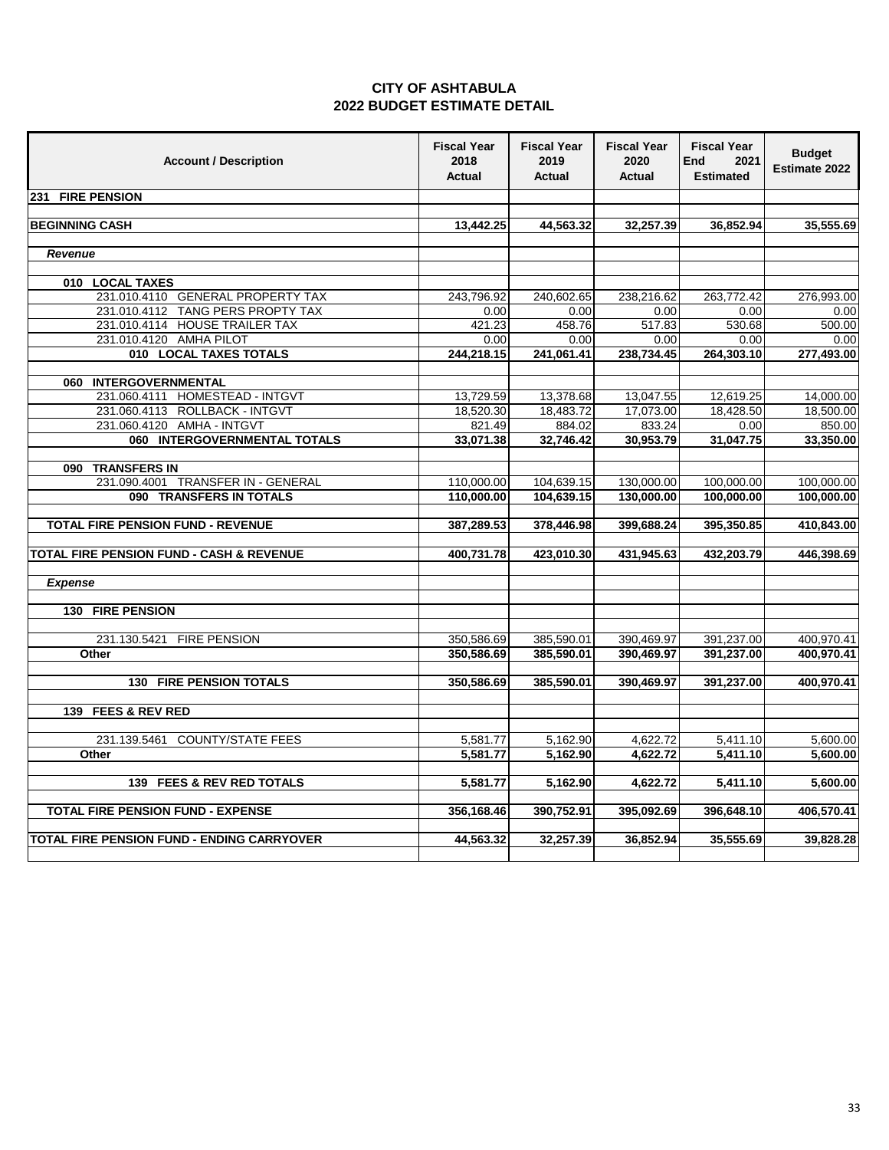| <b>Account / Description</b>                             | <b>Fiscal Year</b><br>2018<br><b>Actual</b> | <b>Fiscal Year</b><br>2019<br><b>Actual</b> | <b>Fiscal Year</b><br>2020<br><b>Actual</b> | <b>Fiscal Year</b><br>End<br>2021<br><b>Estimated</b> | <b>Budget</b><br>Estimate 2022 |
|----------------------------------------------------------|---------------------------------------------|---------------------------------------------|---------------------------------------------|-------------------------------------------------------|--------------------------------|
| 231 FIRE PENSION                                         |                                             |                                             |                                             |                                                       |                                |
| <b>BEGINNING CASH</b>                                    | 13,442.25                                   | 44,563.32                                   | 32,257.39                                   | 36,852.94                                             | 35,555.69                      |
|                                                          |                                             |                                             |                                             |                                                       |                                |
| Revenue                                                  |                                             |                                             |                                             |                                                       |                                |
| 010 LOCAL TAXES                                          |                                             |                                             |                                             |                                                       |                                |
| 231.010.4110 GENERAL PROPERTY TAX                        | 243,796.92                                  | 240,602.65                                  | 238,216.62                                  | 263,772.42                                            | 276,993.00                     |
| 231.010.4112 TANG PERS PROPTY TAX                        | 0.00                                        | 0.00                                        | 0.00                                        | 0.00                                                  | 0.00                           |
| 231.010.4114 HOUSE TRAILER TAX                           | 421.23                                      | 458.76                                      | 517.83                                      | 530.68                                                | 500.00                         |
| 231.010.4120 AMHA PILOT                                  | 0.00                                        | 0.00                                        | 0.00                                        | 0.00                                                  | 0.00                           |
| 010 LOCAL TAXES TOTALS                                   | 244,218.15                                  | 241,061.41                                  | 238,734.45                                  | 264,303.10                                            | 277,493.00                     |
|                                                          |                                             |                                             |                                             |                                                       |                                |
| 060 INTERGOVERNMENTAL<br>231.060.4111 HOMESTEAD - INTGVT | 13,729.59                                   | 13,378.68                                   | 13,047.55                                   |                                                       | 14,000.00                      |
| 231.060.4113 ROLLBACK - INTGVT                           | 18,520.30                                   | 18,483.72                                   | 17,073.00                                   | 12,619.25<br>18,428.50                                | 18,500.00                      |
| 231.060.4120 AMHA - INTGVT                               | 821.49                                      | 884.02                                      | 833.24                                      | 0.00                                                  | 850.00                         |
| 060 INTERGOVERNMENTAL TOTALS                             | 33,071.38                                   | 32,746.42                                   | 30,953.79                                   | 31,047.75                                             | 33,350.00                      |
|                                                          |                                             |                                             |                                             |                                                       |                                |
| 090 TRANSFERS IN                                         |                                             |                                             |                                             |                                                       |                                |
| 231.090.4001 TRANSFER IN - GENERAL                       | 110,000.00                                  | 104,639.15                                  | 130,000.00                                  | 100,000.00                                            | 100,000.00                     |
| 090 TRANSFERS IN TOTALS                                  | 110,000.00                                  | 104,639.15                                  | 130,000.00                                  | 100,000.00                                            | 100,000.00                     |
| <b>TOTAL FIRE PENSION FUND - REVENUE</b>                 | 387,289.53                                  | 378,446.98                                  | 399,688.24                                  | 395,350.85                                            | 410,843.00                     |
|                                                          |                                             |                                             |                                             |                                                       |                                |
| TOTAL FIRE PENSION FUND - CASH & REVENUE                 | 400,731.78                                  | 423,010.30                                  | 431,945.63                                  | 432,203.79                                            | 446,398.69                     |
| <b>Expense</b>                                           |                                             |                                             |                                             |                                                       |                                |
|                                                          |                                             |                                             |                                             |                                                       |                                |
| 130 FIRE PENSION                                         |                                             |                                             |                                             |                                                       |                                |
| 231.130.5421 FIRE PENSION                                | 350,586.69                                  | 385,590.01                                  | 390,469.97                                  | 391,237.00                                            | 400,970.41                     |
| Other                                                    | 350,586.69                                  | 385,590.01                                  | 390,469.97                                  | 391,237.00                                            | 400,970.41                     |
|                                                          |                                             |                                             |                                             |                                                       |                                |
| <b>130 FIRE PENSION TOTALS</b>                           | 350,586.69                                  | 385,590.01                                  | 390,469.97                                  | 391,237.00                                            | 400,970.41                     |
| 139 FEES & REV RED                                       |                                             |                                             |                                             |                                                       |                                |
|                                                          |                                             |                                             |                                             |                                                       |                                |
| 231.139.5461 COUNTY/STATE FEES                           | 5,581.77                                    | 5,162.90                                    | 4,622.72                                    | 5,411.10                                              | 5,600.00                       |
| Other                                                    | 5,581.77                                    | 5,162.90                                    | 4,622.72                                    | 5,411.10                                              | 5,600.00                       |
|                                                          |                                             |                                             |                                             |                                                       |                                |
| 139 FEES & REV RED TOTALS                                | 5,581.77                                    | 5,162.90                                    | 4,622.72                                    | 5,411.10                                              | 5,600.00                       |
| TOTAL FIRE PENSION FUND - EXPENSE                        | 356,168.46                                  | 390,752.91                                  | 395,092.69                                  | 396,648.10                                            | 406,570.41                     |
|                                                          |                                             |                                             |                                             |                                                       |                                |
| TOTAL FIRE PENSION FUND - ENDING CARRYOVER               | 44,563.32                                   | 32,257.39                                   | 36,852.94                                   | 35,555.69                                             | 39,828.28                      |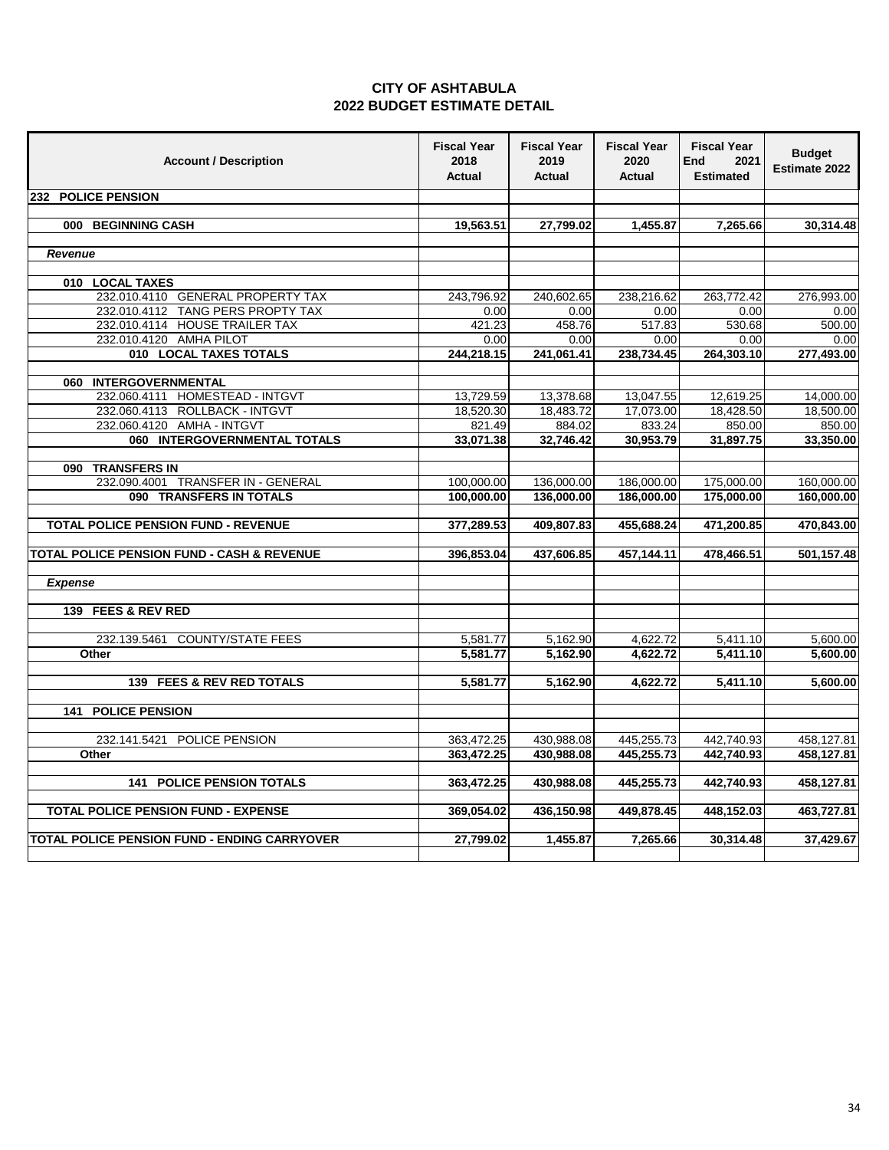| <b>Account / Description</b>                             | <b>Fiscal Year</b><br>2018<br><b>Actual</b> | <b>Fiscal Year</b><br>2019<br><b>Actual</b> | <b>Fiscal Year</b><br>2020<br><b>Actual</b> | <b>Fiscal Year</b><br>2021<br><b>End</b><br><b>Estimated</b> | <b>Budget</b><br>Estimate 2022 |
|----------------------------------------------------------|---------------------------------------------|---------------------------------------------|---------------------------------------------|--------------------------------------------------------------|--------------------------------|
| <b>POLICE PENSION</b><br>232                             |                                             |                                             |                                             |                                                              |                                |
|                                                          |                                             |                                             |                                             |                                                              |                                |
| 000 BEGINNING CASH                                       | 19,563.51                                   | 27,799.02                                   | 1,455.87                                    | 7,265.66                                                     | 30,314.48                      |
| Revenue                                                  |                                             |                                             |                                             |                                                              |                                |
|                                                          |                                             |                                             |                                             |                                                              |                                |
| 010 LOCAL TAXES                                          |                                             |                                             |                                             |                                                              |                                |
| 232.010.4110 GENERAL PROPERTY TAX                        | 243,796.92                                  | 240,602.65                                  | 238,216.62                                  | 263,772.42                                                   | 276,993.00                     |
| 232.010.4112 TANG PERS PROPTY TAX                        | 0.00                                        | 0.00                                        | 0.00                                        | 0.00                                                         | 0.00                           |
| 232.010.4114 HOUSE TRAILER TAX                           | 421.23                                      | 458.76                                      | 517.83                                      | 530.68                                                       | 500.00                         |
| 232.010.4120 AMHA PILOT                                  | 0.00                                        | 0.00                                        | 0.00                                        | 0.00                                                         | 0.00                           |
| 010 LOCAL TAXES TOTALS                                   | 244,218.15                                  | 241,061.41                                  | 238,734.45                                  | 264,303.10                                                   | 277,493.00                     |
|                                                          |                                             |                                             |                                             |                                                              |                                |
| 060 INTERGOVERNMENTAL<br>232.060.4111 HOMESTEAD - INTGVT | 13,729.59                                   | 13,378.68                                   | 13,047.55                                   | 12,619.25                                                    | 14,000.00                      |
| 232.060.4113 ROLLBACK - INTGVT                           | 18,520.30                                   | 18,483.72                                   | 17,073.00                                   | 18,428.50                                                    | 18,500.00                      |
| 232.060.4120 AMHA - INTGVT                               | 821.49                                      | 884.02                                      | 833.24                                      | 850.00                                                       | 850.00                         |
| 060 INTERGOVERNMENTAL TOTALS                             | 33,071.38                                   | 32,746.42                                   | 30,953.79                                   | 31,897.75                                                    | 33,350.00                      |
|                                                          |                                             |                                             |                                             |                                                              |                                |
| 090 TRANSFERS IN                                         |                                             |                                             |                                             |                                                              |                                |
| 232.090.4001 TRANSFER IN - GENERAL                       | 100,000.00                                  | 136,000.00                                  | 186,000.00                                  | 175,000.00                                                   | 160,000.00                     |
| 090 TRANSFERS IN TOTALS                                  | 100,000.00                                  | 136,000.00                                  | 186,000.00                                  | 175,000.00                                                   | 160,000.00                     |
|                                                          |                                             |                                             |                                             |                                                              |                                |
| <b>TOTAL POLICE PENSION FUND - REVENUE</b>               | 377,289.53                                  | 409,807.83                                  | 455,688.24                                  | 471,200.85                                                   | 470,843.00                     |
| TOTAL POLICE PENSION FUND - CASH & REVENUE               | 396,853.04                                  | 437,606.85                                  | 457,144.11                                  | 478,466.51                                                   | 501,157.48                     |
| <b>Expense</b>                                           |                                             |                                             |                                             |                                                              |                                |
|                                                          |                                             |                                             |                                             |                                                              |                                |
| 139 FEES & REV RED                                       |                                             |                                             |                                             |                                                              |                                |
| 232.139.5461 COUNTY/STATE FEES                           | 5,581.77                                    | 5,162.90                                    | 4,622.72                                    | 5,411.10                                                     | 5,600.00                       |
| Other                                                    | 5.581.77                                    | 5,162.90                                    | 4,622.72                                    | 5,411.10                                                     | 5,600.00                       |
|                                                          |                                             |                                             |                                             |                                                              |                                |
| 139 FEES & REV RED TOTALS                                | 5,581.77                                    | 5,162.90                                    | 4,622.72                                    | 5,411.10                                                     | 5,600.00                       |
|                                                          |                                             |                                             |                                             |                                                              |                                |
| <b>141 POLICE PENSION</b>                                |                                             |                                             |                                             |                                                              |                                |
| 232.141.5421 POLICE PENSION                              | 363,472.25                                  | 430,988.08                                  | 445,255.73                                  | 442,740.93                                                   | 458,127.81                     |
| Other                                                    | 363,472.25                                  | 430,988.08                                  | 445,255.73                                  | 442,740.93                                                   | 458,127.81                     |
|                                                          |                                             |                                             |                                             |                                                              |                                |
| <b>POLICE PENSION TOTALS</b><br>141                      | 363,472.25                                  | 430,988.08                                  | 445,255.73                                  | 442,740.93                                                   | 458,127.81                     |
|                                                          |                                             |                                             |                                             |                                                              |                                |
| <b>TOTAL POLICE PENSION FUND - EXPENSE</b>               | 369,054.02                                  | 436,150.98                                  | 449,878.45                                  | 448,152.03                                                   | 463,727.81                     |
|                                                          |                                             |                                             |                                             |                                                              |                                |
| TOTAL POLICE PENSION FUND - ENDING CARRYOVER             | 27,799.02                                   | 1,455.87                                    | 7,265.66                                    | 30,314.48                                                    | 37,429.67                      |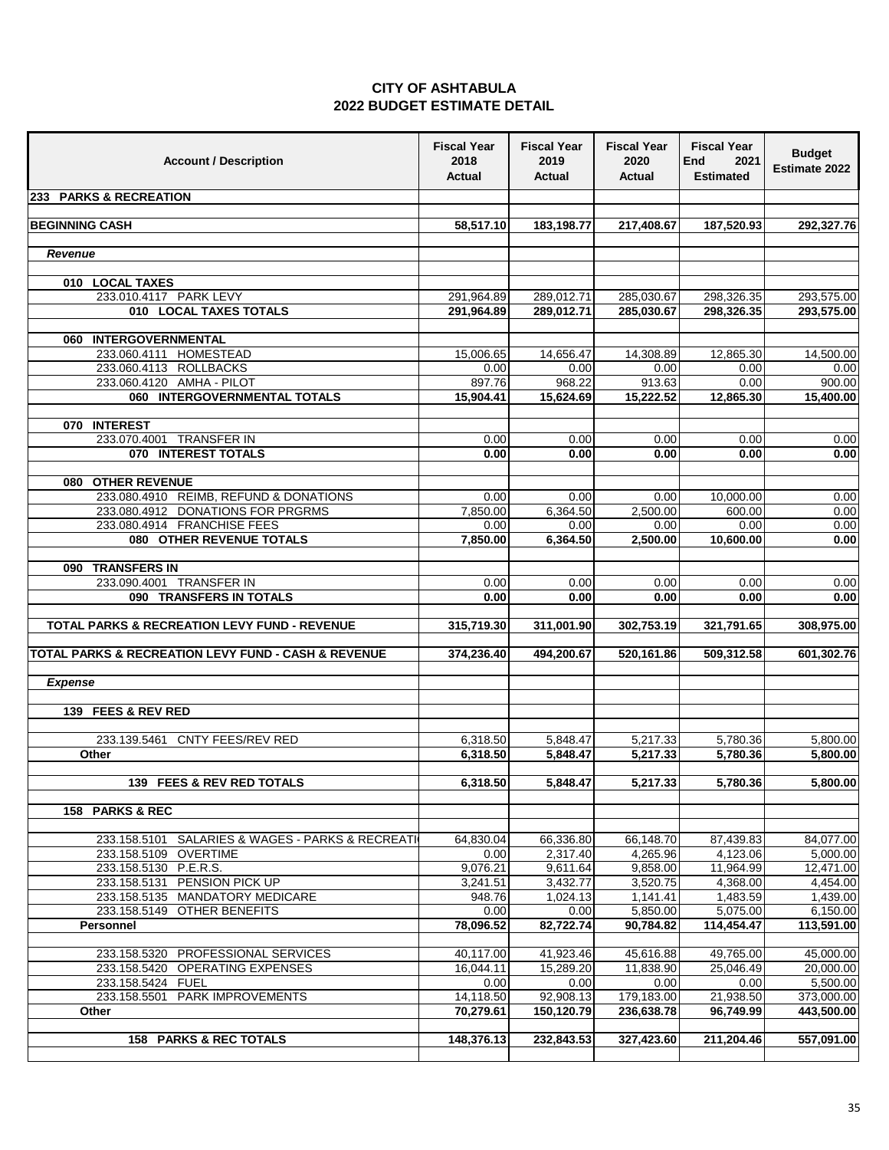| <b>Account / Description</b>                            | <b>Fiscal Year</b><br>2018<br>Actual | <b>Fiscal Year</b><br>2019<br>Actual | <b>Fiscal Year</b><br>2020<br>Actual | <b>Fiscal Year</b><br>End<br>2021<br><b>Estimated</b> | <b>Budget</b><br>Estimate 2022 |
|---------------------------------------------------------|--------------------------------------|--------------------------------------|--------------------------------------|-------------------------------------------------------|--------------------------------|
| 233 PARKS & RECREATION                                  |                                      |                                      |                                      |                                                       |                                |
| <b>BEGINNING CASH</b>                                   | 58,517.10                            | 183,198.77                           | 217,408.67                           | 187,520.93                                            | 292,327.76                     |
|                                                         |                                      |                                      |                                      |                                                       |                                |
| <b>Revenue</b>                                          |                                      |                                      |                                      |                                                       |                                |
| 010 LOCAL TAXES                                         |                                      |                                      |                                      |                                                       |                                |
| 233.010.4117 PARK LEVY                                  | 291,964.89                           | 289,012.71                           | 285,030.67                           | 298,326.35                                            | 293,575.00                     |
| 010 LOCAL TAXES TOTALS                                  | 291,964.89                           | 289,012.71                           | 285,030.67                           | 298,326.35                                            | 293,575.00                     |
| 060 INTERGOVERNMENTAL                                   |                                      |                                      |                                      |                                                       |                                |
| 233.060.4111 HOMESTEAD                                  | 15,006.65                            | 14,656.47                            | 14,308.89                            | 12,865.30                                             | 14,500.00                      |
| 233.060.4113 ROLLBACKS                                  | 0.00                                 | 0.00                                 | 0.00                                 | 0.00                                                  | 0.00                           |
| 233.060.4120 AMHA - PILOT                               | 897.76                               | 968.22                               | 913.63                               | 0.00                                                  | 900.00                         |
| 060 INTERGOVERNMENTAL TOTALS                            | 15,904.41                            | 15,624.69                            | 15,222.52                            | 12,865.30                                             | 15,400.00                      |
| 070 INTEREST                                            |                                      |                                      |                                      |                                                       |                                |
| 233.070.4001 TRANSFER IN                                | 0.00                                 | 0.00                                 | 0.00                                 | 0.00                                                  | 0.00                           |
| 070 INTEREST TOTALS                                     | 0.00                                 | 0.00                                 | 0.00                                 | 0.00                                                  | 0.00                           |
| <b>OTHER REVENUE</b><br>080                             |                                      |                                      |                                      |                                                       |                                |
| 233.080.4910 REIMB, REFUND & DONATIONS                  | 0.00                                 | 0.00                                 | 0.00                                 | 10,000.00                                             | 0.00                           |
| 233.080.4912 DONATIONS FOR PRGRMS                       | 7,850.00                             | 6,364.50                             | 2,500.00                             | 600.00                                                | 0.00                           |
| 233.080.4914 FRANCHISE FEES                             | 0.00                                 | 0.00                                 | 0.00                                 | 0.00                                                  | 0.00                           |
| 080 OTHER REVENUE TOTALS                                | 7,850.00                             | 6.364.50                             | 2.500.00                             | 10,600.00                                             | 0.00                           |
| 090 TRANSFERS IN                                        |                                      |                                      |                                      |                                                       |                                |
| 233.090.4001 TRANSFER IN                                | 0.00                                 | 0.00                                 | 0.00                                 | 0.00                                                  | 0.00                           |
| 090 TRANSFERS IN TOTALS                                 | 0.00                                 | 0.00                                 | 0.00                                 | 0.00                                                  | 0.00                           |
| <b>TOTAL PARKS &amp; RECREATION LEVY FUND - REVENUE</b> | 315,719.30                           | 311,001.90                           | 302,753.19                           | 321,791.65                                            | 308,975.00                     |
| TOTAL PARKS & RECREATION LEVY FUND - CASH & REVENUE     | 374,236.40                           | 494,200.67                           | 520,161.86                           | 509,312.58                                            | 601,302.76                     |
| <b>Expense</b>                                          |                                      |                                      |                                      |                                                       |                                |
| 139 FEES & REV RED                                      |                                      |                                      |                                      |                                                       |                                |
| 233.139.5461 CNTY FEES/REV RED                          | 6,318.50                             | 5,848.47                             | 5,217.33                             | 5,780.36                                              | 5,800.00                       |
| Other                                                   | 6.318.50                             | 5,848.47                             | 5,217.33                             | 5,780.36                                              | 5,800.00                       |
|                                                         |                                      |                                      |                                      |                                                       |                                |
| 139 FEES & REV RED TOTALS                               | 6,318.50                             | 5,848.47                             | 5,217.33                             | 5,780.36                                              | 5,800.00                       |
| 158 PARKS & REC                                         |                                      |                                      |                                      |                                                       |                                |
| SALARIES & WAGES - PARKS & RECREATI<br>233.158.5101     | 64,830.04                            | 66,336.80                            | 66,148.70                            | 87,439.83                                             | 84,077.00                      |
| 233.158.5109 OVERTIME                                   | 0.00                                 | 2,317.40                             | 4,265.96                             | 4,123.06                                              | 5,000.00                       |
| 233.158.5130 P.E.R.S.                                   | 9,076.21                             | 9,611.64                             | 9,858.00                             | 11,964.99                                             | 12,471.00                      |
| 233.158.5131 PENSION PICK UP                            | 3,241.51                             | 3,432.77                             | 3,520.75                             | 4,368.00                                              | 4,454.00                       |
| 233.158.5135 MANDATORY MEDICARE                         | 948.76<br>0.00                       | 1,024.13                             | 1,141.41                             | 1,483.59                                              | 1,439.00                       |
| 233.158.5149 OTHER BENEFITS<br>Personnel                | 78,096.52                            | 0.00<br>82,722.74                    | 5,850.00<br>90,784.82                | 5,075.00<br>114,454.47                                | 6,150.00<br>113,591.00         |
|                                                         |                                      |                                      |                                      |                                                       |                                |
| 233.158.5320 PROFESSIONAL SERVICES                      | 40,117.00                            | 41,923.46                            | 45,616.88                            | 49,765.00                                             | 45,000.00                      |
| 233.158.5420 OPERATING EXPENSES                         | 16,044.11                            | 15,289.20                            | 11,838.90                            | 25,046.49                                             | 20,000.00                      |
| 233.158.5424 FUEL                                       | 0.00                                 | 0.00                                 | 0.00                                 | 0.00                                                  | 5,500.00                       |
| 233.158.5501 PARK IMPROVEMENTS<br>Other                 | 14,118.50<br>70,279.61               | 92,908.13<br>150,120.79              | 179,183.00<br>236,638.78             | 21,938.50<br>96,749.99                                | 373,000.00<br>443,500.00       |
|                                                         |                                      |                                      |                                      |                                                       |                                |
| 158 PARKS & REC TOTALS                                  | 148,376.13                           | 232,843.53                           | 327,423.60                           | 211,204.46                                            | 557,091.00                     |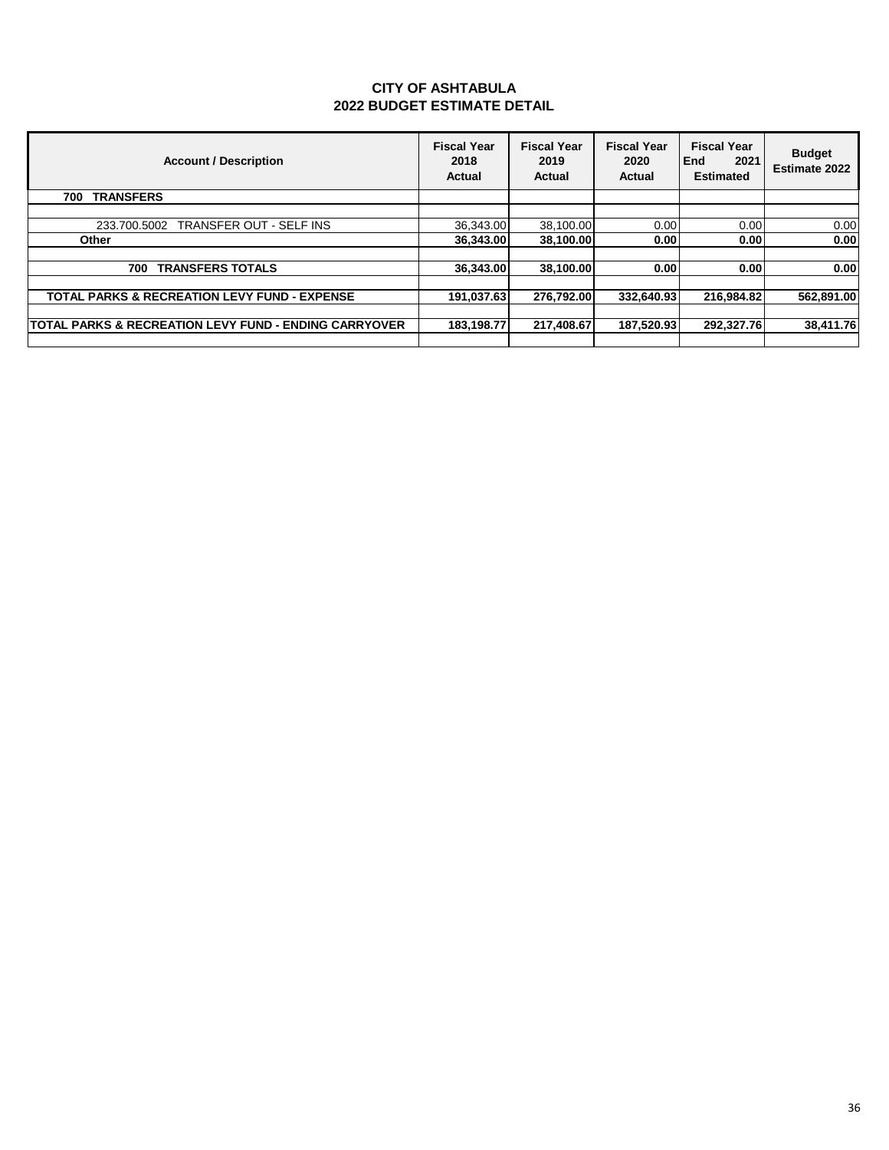| <b>Account / Description</b>                            | <b>Fiscal Year</b><br>2018<br>Actual | <b>Fiscal Year</b><br>2019<br>Actual | <b>Fiscal Year</b><br>2020<br>Actual | <b>Fiscal Year</b><br><b>End</b><br>2021<br><b>Estimated</b> | <b>Budget</b><br><b>Estimate 2022</b> |
|---------------------------------------------------------|--------------------------------------|--------------------------------------|--------------------------------------|--------------------------------------------------------------|---------------------------------------|
| 700<br><b>TRANSFERS</b>                                 |                                      |                                      |                                      |                                                              |                                       |
|                                                         |                                      |                                      |                                      |                                                              |                                       |
| TRANSFER OUT - SELF INS<br>233.700.5002                 | 36,343.00                            | 38,100.00                            | 0.00                                 | 0.00                                                         | 0.00                                  |
| Other                                                   | 36.343.00                            | 38,100.00                            | 0.00                                 | 0.00                                                         | 0.00                                  |
|                                                         |                                      |                                      |                                      |                                                              |                                       |
| <b>TRANSFERS TOTALS</b><br>700                          | 36.343.00                            | 38,100.00                            | 0.00                                 | 0.00                                                         | 0.00                                  |
|                                                         |                                      |                                      |                                      |                                                              |                                       |
| <b>TOTAL PARKS &amp; RECREATION LEVY FUND - EXPENSE</b> | 191,037.63                           | 276.792.00                           | 332.640.93                           | 216,984.82                                                   | 562,891.00                            |
|                                                         |                                      |                                      |                                      |                                                              |                                       |
| TOTAL PARKS & RECREATION LEVY FUND - ENDING CARRYOVER   | 183.198.77                           | 217.408.67                           | 187.520.93                           | 292.327.76                                                   | 38.411.76                             |
|                                                         |                                      |                                      |                                      |                                                              |                                       |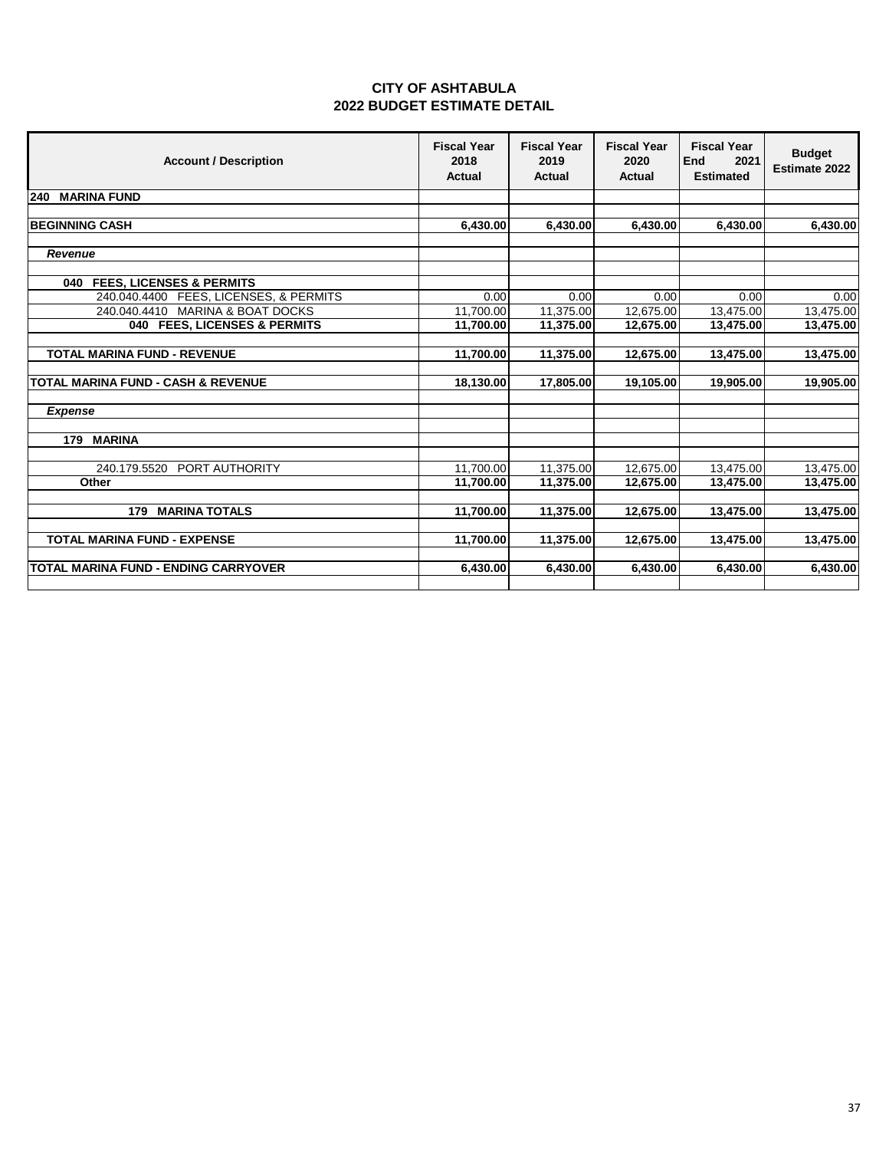| <b>Account / Description</b>                   | <b>Fiscal Year</b><br>2018<br>Actual | <b>Fiscal Year</b><br>2019<br><b>Actual</b> | <b>Fiscal Year</b><br>2020<br><b>Actual</b> | <b>Fiscal Year</b><br>End<br>2021<br><b>Estimated</b> | <b>Budget</b><br><b>Estimate 2022</b> |
|------------------------------------------------|--------------------------------------|---------------------------------------------|---------------------------------------------|-------------------------------------------------------|---------------------------------------|
| <b>MARINA FUND</b><br>240                      |                                      |                                             |                                             |                                                       |                                       |
|                                                |                                      |                                             |                                             |                                                       |                                       |
| <b>BEGINNING CASH</b>                          | 6,430.00                             | 6,430.00                                    | 6,430.00                                    | 6,430.00                                              | 6,430.00                              |
| Revenue                                        |                                      |                                             |                                             |                                                       |                                       |
| <b>FEES, LICENSES &amp; PERMITS</b><br>040     |                                      |                                             |                                             |                                                       |                                       |
| FEES, LICENSES, & PERMITS<br>240.040.4400      | 0.00                                 | 0.00                                        | 0.00                                        | 0.00                                                  | 0.00                                  |
| <b>MARINA &amp; BOAT DOCKS</b><br>240.040.4410 | 11,700.00                            | 11,375.00                                   | 12,675.00                                   | 13,475.00                                             | 13,475.00                             |
| 040 FEES, LICENSES & PERMITS                   | 11,700.00                            | 11,375.00                                   | 12,675.00                                   | 13,475.00                                             | 13,475.00                             |
| <b>TOTAL MARINA FUND - REVENUE</b>             | 11,700.00                            | 11,375.00                                   | 12,675.00                                   | 13,475.00                                             | 13,475.00                             |
| <b>TOTAL MARINA FUND - CASH &amp; REVENUE</b>  | 18,130.00                            | 17,805.00                                   | 19,105.00                                   | 19,905.00                                             | 19,905.00                             |
| <b>Expense</b>                                 |                                      |                                             |                                             |                                                       |                                       |
| 179 MARINA                                     |                                      |                                             |                                             |                                                       |                                       |
| 240.179.5520 PORT AUTHORITY                    | 11,700.00                            | 11,375.00                                   | 12.675.00                                   | 13,475.00                                             | 13,475.00                             |
| Other                                          | 11,700.00                            | 11,375.00                                   | 12,675.00                                   | 13,475.00                                             | 13,475.00                             |
| <b>MARINA TOTALS</b><br>179                    | 11,700.00                            | 11,375.00                                   | 12,675.00                                   | 13,475.00                                             | 13,475.00                             |
| <b>TOTAL MARINA FUND - EXPENSE</b>             | 11,700.00                            | 11,375.00                                   | 12,675.00                                   | 13,475.00                                             | 13,475.00                             |
| <b>TOTAL MARINA FUND - ENDING CARRYOVER</b>    | 6,430.00                             | 6,430.00                                    | 6,430.00                                    | 6,430.00                                              | 6,430.00                              |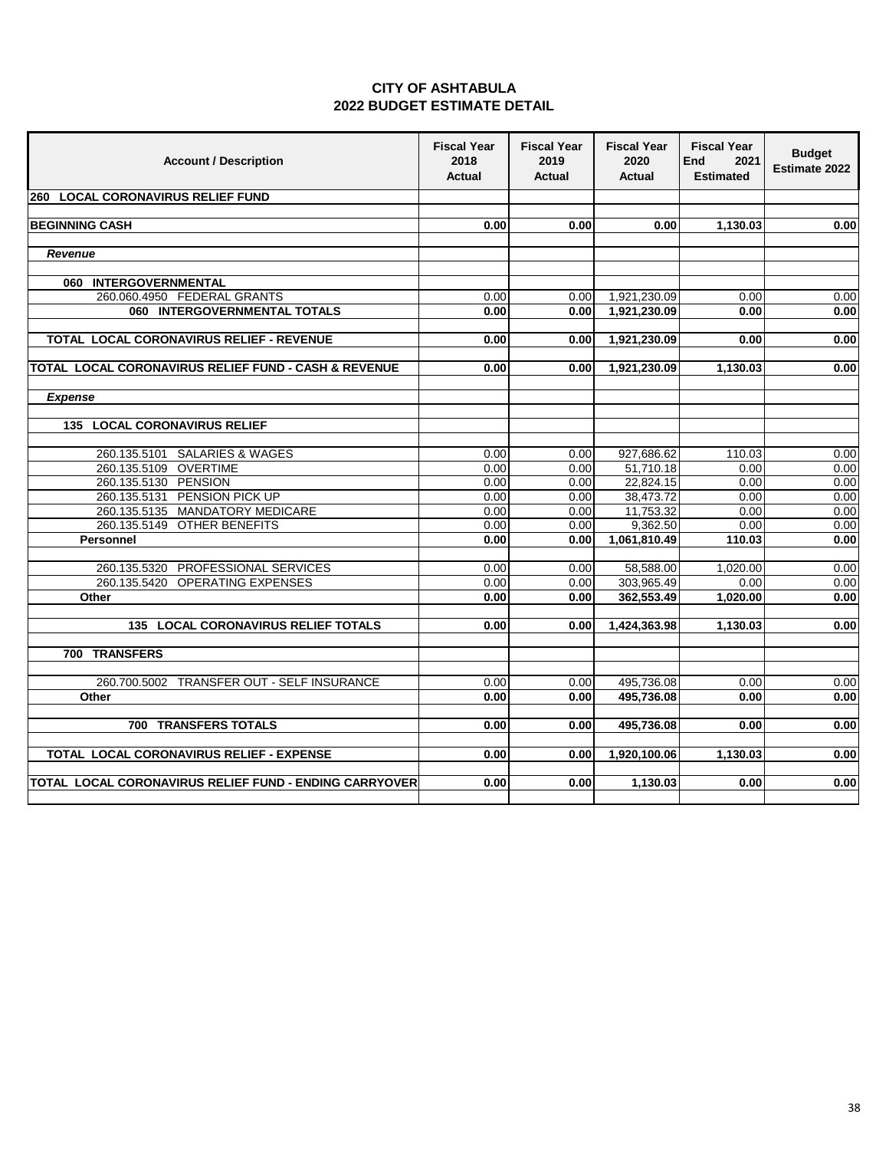|                                    | <b>CITY OF ASHTABULA</b> |  |
|------------------------------------|--------------------------|--|
| <b>2022 BUDGET ESTIMATE DETAIL</b> |                          |  |

| <b>Account / Description</b>                           | <b>Fiscal Year</b><br>2018<br><b>Actual</b> | <b>Fiscal Year</b><br>2019<br><b>Actual</b> | <b>Fiscal Year</b><br>2020<br><b>Actual</b> | <b>Fiscal Year</b><br><b>End</b><br>2021<br><b>Estimated</b> | <b>Budget</b><br>Estimate 2022 |
|--------------------------------------------------------|---------------------------------------------|---------------------------------------------|---------------------------------------------|--------------------------------------------------------------|--------------------------------|
| 260 LOCAL CORONAVIRUS RELIEF FUND                      |                                             |                                             |                                             |                                                              |                                |
|                                                        |                                             | 0.00                                        | 0.00                                        | 1,130.03                                                     | 0.00                           |
| <b>BEGINNING CASH</b>                                  | 0.00                                        |                                             |                                             |                                                              |                                |
| Revenue                                                |                                             |                                             |                                             |                                                              |                                |
|                                                        |                                             |                                             |                                             |                                                              |                                |
| 060 INTERGOVERNMENTAL<br>260.060.4950 FEDERAL GRANTS   | 0.00                                        | 0.00                                        | 1,921,230.09                                | 0.00                                                         | 0.00                           |
| 060 INTERGOVERNMENTAL TOTALS                           | 0.00                                        | 0.00                                        | 1,921,230.09                                | 0.00                                                         | 0.00                           |
|                                                        |                                             |                                             |                                             |                                                              |                                |
| TOTAL LOCAL CORONAVIRUS RELIEF - REVENUE               | 0.00                                        | 0.00                                        | 1,921,230.09                                | 0.00                                                         | 0.00                           |
| TOTAL LOCAL CORONAVIRUS RELIEF FUND - CASH & REVENUE   | 0.00                                        | 0.00                                        | 1,921,230.09                                | 1,130.03                                                     | 0.00                           |
| <b>Expense</b>                                         |                                             |                                             |                                             |                                                              |                                |
| 135 LOCAL CORONAVIRUS RELIEF                           |                                             |                                             |                                             |                                                              |                                |
| 260.135.5101 SALARIES & WAGES                          | 0.00                                        | 0.00                                        | 927,686.62                                  | 110.03                                                       | 0.00                           |
| 260.135.5109 OVERTIME                                  | 0.00                                        | 0.00                                        | 51,710.18                                   | 0.00                                                         | 0.00                           |
| 260.135.5130 PENSION                                   | 0.00                                        | 0.00                                        | 22,824.15                                   | 0.00                                                         | 0.00                           |
| 260.135.5131 PENSION PICK UP                           | 0.00                                        | 0.00                                        | 38,473.72                                   | 0.00                                                         | 0.00                           |
| 260.135.5135 MANDATORY MEDICARE                        | 0.00                                        | 0.00                                        | 11,753.32                                   | 0.00                                                         | 0.00                           |
| 260.135.5149 OTHER BENEFITS                            | 0.00                                        | 0.00                                        | 9,362.50                                    | 0.00                                                         | 0.00                           |
| <b>Personnel</b>                                       | 0.00                                        | 0.00                                        | 1,061,810.49                                | 110.03                                                       | 0.00                           |
| 260.135.5320 PROFESSIONAL SERVICES                     | 0.00                                        | 0.00                                        | 58,588.00                                   | 1,020.00                                                     | 0.00                           |
| 260.135.5420 OPERATING EXPENSES                        | 0.00                                        | 0.00                                        | 303,965.49                                  | 0.00                                                         | 0.00                           |
| Other                                                  | 0.00                                        | 0.00                                        | 362,553.49                                  | 1,020.00                                                     | 0.00                           |
| <b>135 LOCAL CORONAVIRUS RELIEF TOTALS</b>             | 0.00                                        | 0.00                                        | 1,424,363.98                                | 1,130.03                                                     | 0.00                           |
| 700 TRANSFERS                                          |                                             |                                             |                                             |                                                              |                                |
|                                                        |                                             |                                             |                                             |                                                              |                                |
| 260.700.5002 TRANSFER OUT - SELF INSURANCE             | 0.00                                        | 0.00                                        | 495,736.08                                  | 0.00                                                         | 0.00                           |
| Other                                                  | 0.00                                        | 0.00                                        | 495,736.08                                  | 0.00                                                         | 0.00                           |
| 700 TRANSFERS TOTALS                                   | 0.00                                        | 0.00                                        | 495,736.08                                  | 0.00                                                         | 0.00                           |
| TOTAL LOCAL CORONAVIRUS RELIEF - EXPENSE               | 0.00                                        | 0.00                                        | 1,920,100.06                                | 1,130.03                                                     | 0.00                           |
|                                                        |                                             |                                             |                                             |                                                              |                                |
| TOTAL LOCAL CORONAVIRUS RELIEF FUND - ENDING CARRYOVER | 0.00                                        | 0.00                                        | 1,130.03                                    | 0.00                                                         | 0.00                           |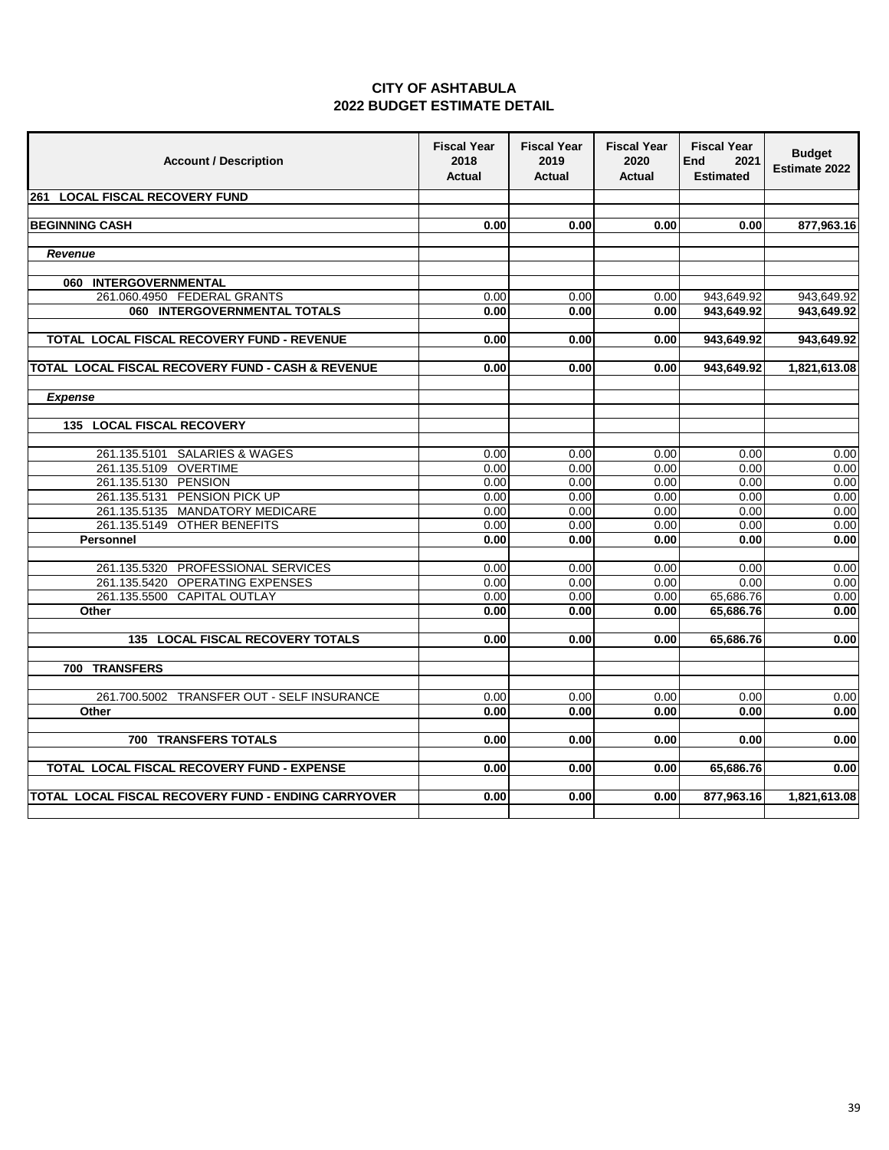|                                    | <b>CITY OF ASHTABULA</b> |  |
|------------------------------------|--------------------------|--|
| <b>2022 BUDGET ESTIMATE DETAIL</b> |                          |  |

| <b>Account / Description</b>                        | <b>Fiscal Year</b><br>2018<br><b>Actual</b> | <b>Fiscal Year</b><br>2019<br><b>Actual</b> | <b>Fiscal Year</b><br>2020<br><b>Actual</b> | <b>Fiscal Year</b><br><b>End</b><br>2021<br><b>Estimated</b> | <b>Budget</b><br><b>Estimate 2022</b> |
|-----------------------------------------------------|---------------------------------------------|---------------------------------------------|---------------------------------------------|--------------------------------------------------------------|---------------------------------------|
| 261 LOCAL FISCAL RECOVERY FUND                      |                                             |                                             |                                             |                                                              |                                       |
|                                                     | 0.00                                        | 0.00                                        | 0.00                                        |                                                              |                                       |
| <b>BEGINNING CASH</b>                               |                                             |                                             |                                             | 0.00                                                         | 877,963.16                            |
| Revenue                                             |                                             |                                             |                                             |                                                              |                                       |
| 060 INTERGOVERNMENTAL                               |                                             |                                             |                                             |                                                              |                                       |
| 261.060.4950 FEDERAL GRANTS                         | 0.00                                        | 0.00                                        | 0.00                                        | 943,649.92                                                   | 943,649.92                            |
| 060 INTERGOVERNMENTAL TOTALS                        | 0.00                                        | 0.00                                        | 0.00                                        | 943,649.92                                                   | 943,649.92                            |
| TOTAL LOCAL FISCAL RECOVERY FUND - REVENUE          | 0.00                                        | 0.00                                        | 0.00                                        | 943,649.92                                                   | 943,649.92                            |
| TOTAL LOCAL FISCAL RECOVERY FUND - CASH & REVENUE   | 0.00                                        | 0.00                                        | 0.00                                        | 943,649.92                                                   | 1,821,613.08                          |
|                                                     |                                             |                                             |                                             |                                                              |                                       |
| <b>Expense</b>                                      |                                             |                                             |                                             |                                                              |                                       |
| 135 LOCAL FISCAL RECOVERY                           |                                             |                                             |                                             |                                                              |                                       |
| 261.135.5101 SALARIES & WAGES                       | 0.00                                        | 0.00                                        | 0.00                                        | 0.00                                                         | 0.00                                  |
| 261.135.5109 OVERTIME                               | 0.00                                        | 0.00                                        | 0.00                                        | 0.00                                                         | 0.00                                  |
| 261.135.5130 PENSION                                | 0.00                                        | 0.00                                        | 0.00                                        | 0.00                                                         | 0.00                                  |
| 261.135.5131 PENSION PICK UP                        | 0.00                                        | 0.00                                        | 0.00                                        | 0.00                                                         | 0.00                                  |
| 261.135.5135 MANDATORY MEDICARE                     | 0.00                                        | 0.00                                        | 0.00                                        | 0.00                                                         | 0.00                                  |
| 261.135.5149 OTHER BENEFITS                         | 0.00                                        | 0.00                                        | 0.00                                        | 0.00                                                         | 0.00                                  |
| <b>Personnel</b>                                    | 0.00                                        | 0.00                                        | 0.00                                        | 0.00                                                         | 0.00                                  |
| 261.135.5320 PROFESSIONAL SERVICES                  | 0.00                                        | 0.00                                        | 0.00                                        | 0.00                                                         | 0.00                                  |
| 261.135.5420 OPERATING EXPENSES                     | 0.00                                        | 0.00                                        | 0.00                                        | 0.00                                                         | 0.00                                  |
| 261.135.5500 CAPITAL OUTLAY                         | 0.00                                        | 0.00                                        | 0.00                                        | 65,686.76                                                    | 0.00                                  |
| Other                                               | 0.00                                        | 0.00                                        | 0.00                                        | 65,686.76                                                    | 0.00                                  |
| 135 LOCAL FISCAL RECOVERY TOTALS                    | 0.00                                        | 0.00                                        | 0.00                                        | 65,686.76                                                    | 0.00                                  |
| 700 TRANSFERS                                       |                                             |                                             |                                             |                                                              |                                       |
|                                                     |                                             |                                             |                                             |                                                              |                                       |
| 261.700.5002 TRANSFER OUT - SELF INSURANCE          | 0.00                                        | 0.00                                        | 0.00                                        | 0.00                                                         | 0.00                                  |
| Other                                               | 0.00                                        | 0.00                                        | 0.00                                        | 0.00                                                         | 0.00                                  |
| 700 TRANSFERS TOTALS                                | 0.00                                        | 0.00                                        | 0.00                                        | 0.00                                                         | 0.00                                  |
|                                                     |                                             |                                             |                                             |                                                              |                                       |
| TOTAL LOCAL FISCAL RECOVERY FUND - EXPENSE          | 0.00                                        | 0.00                                        | 0.00                                        | 65,686.76                                                    | 0.00                                  |
| TOTAL LOCAL FISCAL RECOVERY FUND - ENDING CARRYOVER | 0.00                                        | 0.00                                        | 0.00                                        | 877,963.16                                                   | 1,821,613.08                          |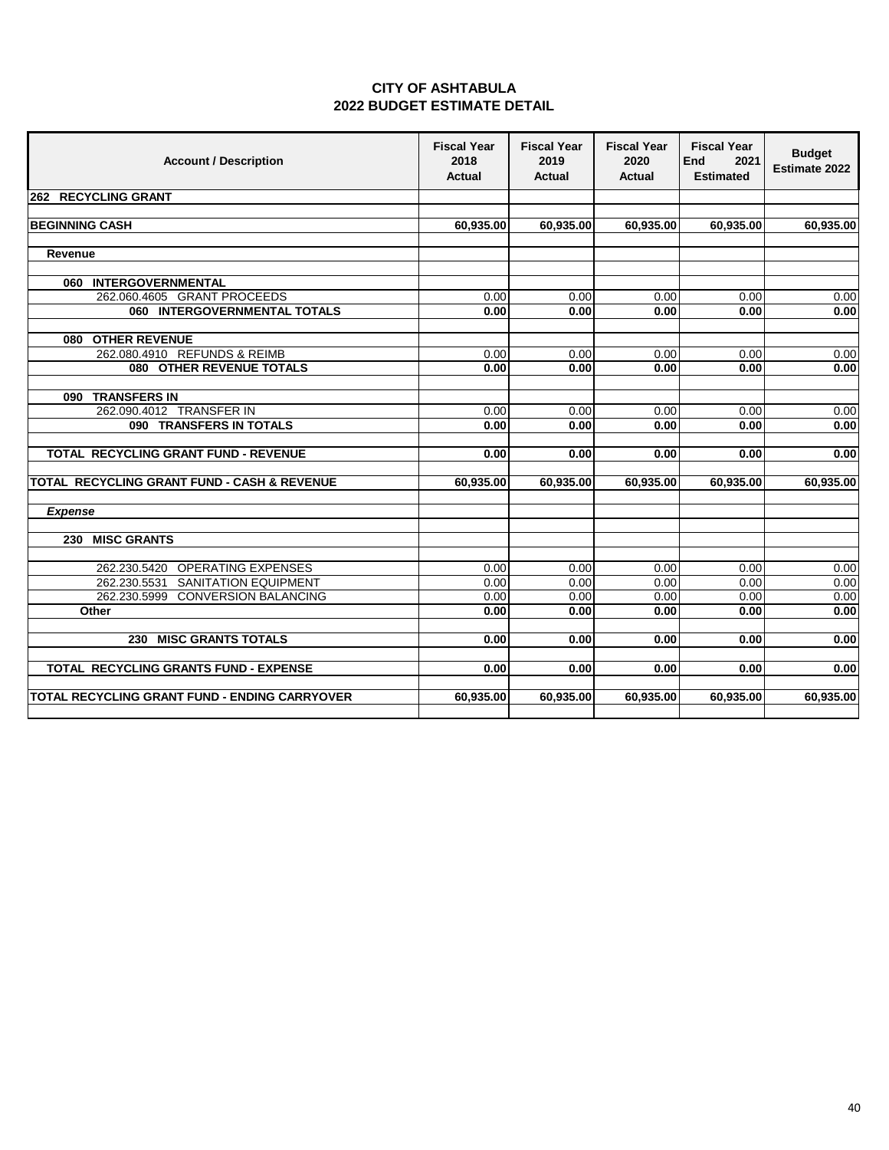|                                    | <b>CITY OF ASHTABULA</b> |  |
|------------------------------------|--------------------------|--|
| <b>2022 BUDGET ESTIMATE DETAIL</b> |                          |  |

| <b>Account / Description</b>                           | <b>Fiscal Year</b><br>2018<br><b>Actual</b> | <b>Fiscal Year</b><br>2019<br><b>Actual</b> | <b>Fiscal Year</b><br>2020<br>Actual | <b>Fiscal Year</b><br>End<br>2021<br><b>Estimated</b> | <b>Budget</b><br><b>Estimate 2022</b> |
|--------------------------------------------------------|---------------------------------------------|---------------------------------------------|--------------------------------------|-------------------------------------------------------|---------------------------------------|
| 262 RECYCLING GRANT                                    |                                             |                                             |                                      |                                                       |                                       |
|                                                        |                                             |                                             |                                      |                                                       |                                       |
| <b>BEGINNING CASH</b>                                  | 60,935.00                                   | 60,935.00                                   | 60,935.00                            | 60,935.00                                             | 60,935.00                             |
|                                                        |                                             |                                             |                                      |                                                       |                                       |
| Revenue                                                |                                             |                                             |                                      |                                                       |                                       |
| 060 INTERGOVERNMENTAL                                  |                                             |                                             |                                      |                                                       |                                       |
| 262.060.4605 GRANT PROCEEDS                            | 0.00                                        | 0.00                                        | 0.00                                 | 0.00                                                  | 0.00                                  |
| 060 INTERGOVERNMENTAL TOTALS                           | 0.00                                        | 0.00                                        | 0.00                                 | 0.00                                                  | 0.00                                  |
|                                                        |                                             |                                             |                                      |                                                       |                                       |
| <b>OTHER REVENUE</b><br>080                            |                                             |                                             |                                      |                                                       |                                       |
| 262.080.4910 REFUNDS & REIMB                           | 0.00                                        | 0.00                                        | 0.00                                 | 0.00                                                  | 0.00                                  |
| 080 OTHER REVENUE TOTALS                               | 0.00                                        | 0.00                                        | 0.00                                 | 0.00                                                  | 0.00                                  |
|                                                        |                                             |                                             |                                      |                                                       |                                       |
| 090 TRANSFERS IN                                       |                                             |                                             |                                      |                                                       |                                       |
| 262.090.4012 TRANSFER IN                               | 0.00                                        | 0.00                                        | 0.00                                 | 0.00                                                  | 0.00                                  |
| 090 TRANSFERS IN TOTALS                                | 0.00                                        | 0.00                                        | 0.00                                 | 0.00                                                  | 0.00                                  |
|                                                        |                                             |                                             |                                      |                                                       |                                       |
| TOTAL RECYCLING GRANT FUND - REVENUE                   | 0.00                                        | 0.00                                        | 0.00                                 | 0.00                                                  | 0.00                                  |
| <b>TOTAL RECYCLING GRANT FUND - CASH &amp; REVENUE</b> | 60,935.00                                   | 60,935.00                                   | 60,935.00                            | 60,935.00                                             | 60,935.00                             |
|                                                        |                                             |                                             |                                      |                                                       |                                       |
| <b>Expense</b>                                         |                                             |                                             |                                      |                                                       |                                       |
|                                                        |                                             |                                             |                                      |                                                       |                                       |
| 230 MISC GRANTS                                        |                                             |                                             |                                      |                                                       |                                       |
|                                                        |                                             |                                             |                                      |                                                       |                                       |
| 262.230.5420 OPERATING EXPENSES                        | 0.00                                        | 0.00                                        | 0.00                                 | 0.00                                                  | 0.00                                  |
| 262.230.5531 SANITATION EQUIPMENT                      | 0.00                                        | 0.00                                        | 0.00                                 | 0.00                                                  | 0.00                                  |
| 262.230.5999 CONVERSION BALANCING                      | 0.00                                        | 0.00                                        | 0.00                                 | 0.00                                                  | 0.00                                  |
| Other                                                  | 0.00                                        | 0.00                                        | 0.00                                 | 0.00                                                  | 0.00                                  |
| 230 MISC GRANTS TOTALS                                 | 0.00                                        | 0.00                                        | 0.00                                 | 0.00                                                  | 0.00                                  |
|                                                        |                                             |                                             |                                      |                                                       |                                       |
| TOTAL RECYCLING GRANTS FUND - EXPENSE                  | 0.00                                        | 0.00                                        | 0.00                                 | 0.00                                                  | 0.00                                  |
|                                                        |                                             |                                             |                                      |                                                       |                                       |
| <b>TOTAL RECYCLING GRANT FUND - ENDING CARRYOVER</b>   | 60,935.00                                   | 60,935.00                                   | 60,935.00                            | 60,935.00                                             | 60,935.00                             |
|                                                        |                                             |                                             |                                      |                                                       |                                       |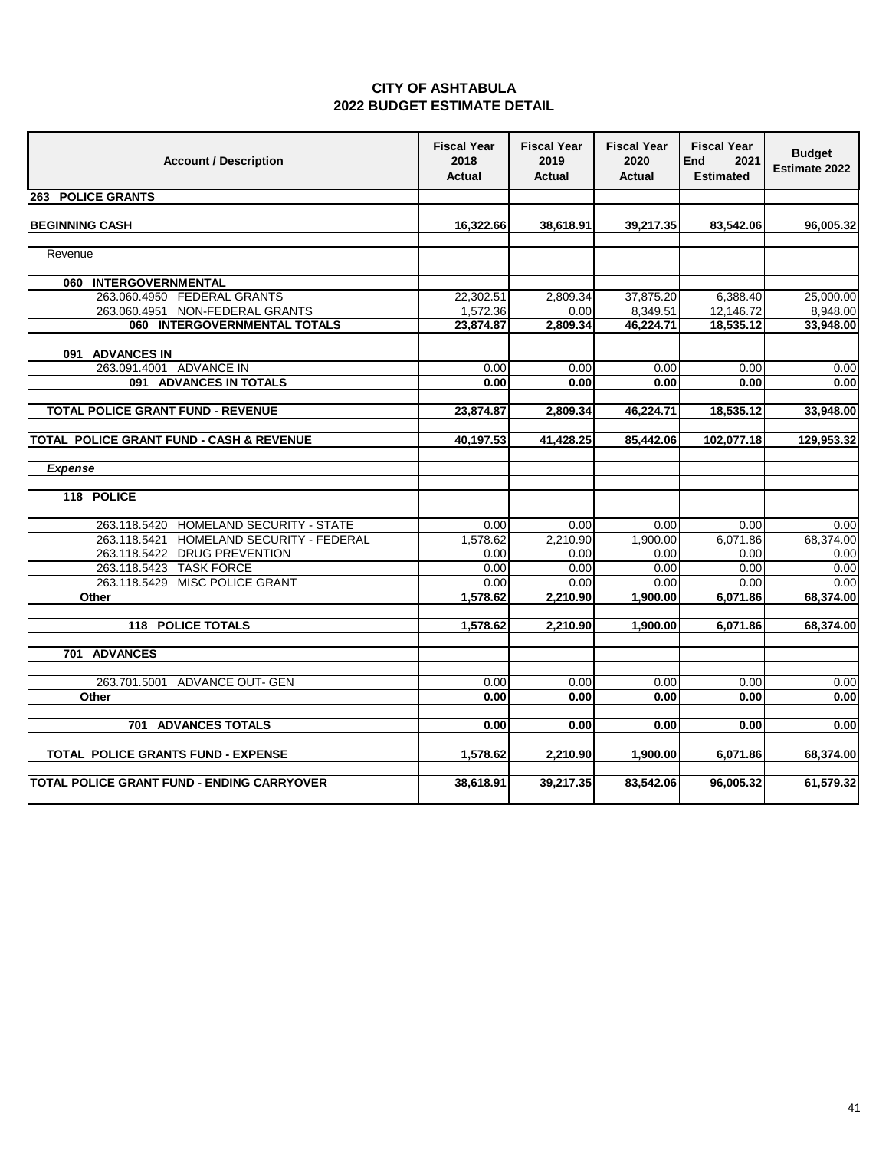|                                    | <b>CITY OF ASHTABULA</b> |  |
|------------------------------------|--------------------------|--|
| <b>2022 BUDGET ESTIMATE DETAIL</b> |                          |  |

| <b>Account / Description</b>                | <b>Fiscal Year</b><br>2018<br><b>Actual</b> | <b>Fiscal Year</b><br>2019<br><b>Actual</b> | <b>Fiscal Year</b><br>2020<br><b>Actual</b> | <b>Fiscal Year</b><br><b>End</b><br>2021<br><b>Estimated</b> | <b>Budget</b><br><b>Estimate 2022</b> |
|---------------------------------------------|---------------------------------------------|---------------------------------------------|---------------------------------------------|--------------------------------------------------------------|---------------------------------------|
| <b>263 POLICE GRANTS</b>                    |                                             |                                             |                                             |                                                              |                                       |
|                                             |                                             |                                             |                                             |                                                              |                                       |
| <b>BEGINNING CASH</b>                       | 16,322.66                                   | 38,618.91                                   | 39,217.35                                   | 83,542.06                                                    | 96,005.32                             |
| Revenue                                     |                                             |                                             |                                             |                                                              |                                       |
| 060 INTERGOVERNMENTAL                       |                                             |                                             |                                             |                                                              |                                       |
| 263.060.4950 FEDERAL GRANTS                 | 22,302.51                                   | 2,809.34                                    | 37,875.20                                   | 6,388.40                                                     | 25,000.00                             |
| 263.060.4951 NON-FEDERAL GRANTS             | 1,572.36                                    | 0.00                                        | 8,349.51                                    | 12,146.72                                                    | 8,948.00                              |
| 060 INTERGOVERNMENTAL TOTALS                | 23,874.87                                   | 2,809.34                                    | 46,224.71                                   | 18,535.12                                                    | 33,948.00                             |
| 091 ADVANCES IN                             |                                             |                                             |                                             |                                                              |                                       |
| 263.091.4001 ADVANCE IN                     | 0.00                                        | 0.00                                        | 0.00                                        | 0.00                                                         | 0.00                                  |
| 091 ADVANCES IN TOTALS                      | 0.00                                        | 0.00                                        | 0.00                                        | 0.00                                                         | 0.00                                  |
|                                             |                                             |                                             |                                             |                                                              |                                       |
| <b>TOTAL POLICE GRANT FUND - REVENUE</b>    | 23,874.87                                   | 2,809.34                                    | 46,224.71                                   | 18,535.12                                                    | 33,948.00                             |
| TOTAL POLICE GRANT FUND - CASH & REVENUE    | 40,197.53                                   | 41,428.25                                   | 85,442.06                                   | 102,077.18                                                   | 129,953.32                            |
| <b>Expense</b>                              |                                             |                                             |                                             |                                                              |                                       |
| 118 POLICE                                  |                                             |                                             |                                             |                                                              |                                       |
| 263.118.5420 HOMELAND SECURITY - STATE      | 0.00                                        | 0.00                                        | 0.00                                        | 0.00                                                         | 0.00                                  |
| HOMELAND SECURITY - FEDERAL<br>263.118.5421 | 1,578.62                                    | 2,210.90                                    | 1,900.00                                    | 6,071.86                                                     | 68,374.00                             |
| 263.118.5422 DRUG PREVENTION                | 0.00                                        | 0.00                                        | 0.00                                        | 0.00                                                         | 0.00                                  |
| 263.118.5423 TASK FORCE                     | 0.00                                        | 0.00                                        | 0.00                                        | 0.00                                                         | 0.00                                  |
| <b>MISC POLICE GRANT</b><br>263.118.5429    | 0.00<br>1,578.62                            | 0.00<br>2,210.90                            | 0.00<br>1,900.00                            | 0.00                                                         | 0.00<br>68,374.00                     |
| Other                                       |                                             |                                             |                                             | 6,071.86                                                     |                                       |
| <b>118 POLICE TOTALS</b>                    | 1,578.62                                    | 2,210.90                                    | 1,900.00                                    | 6,071.86                                                     | 68,374.00                             |
| 701 ADVANCES                                |                                             |                                             |                                             |                                                              |                                       |
|                                             |                                             |                                             |                                             |                                                              |                                       |
| 263.701.5001 ADVANCE OUT- GEN               | 0.00                                        | 0.00                                        | 0.00                                        | 0.00                                                         | 0.00                                  |
| Other                                       | 0.00                                        | 0.00                                        | 0.00                                        | 0.00                                                         | 0.00                                  |
|                                             |                                             |                                             |                                             |                                                              |                                       |
| 701 ADVANCES TOTALS                         | 0.00                                        | 0.00                                        | 0.00                                        | 0.00                                                         | 0.00                                  |
| TOTAL POLICE GRANTS FUND - EXPENSE          | 1,578.62                                    | 2,210.90                                    | 1,900.00                                    | 6,071.86                                                     | 68,374.00                             |
|                                             |                                             |                                             |                                             |                                                              |                                       |
| TOTAL POLICE GRANT FUND - ENDING CARRYOVER  | 38,618.91                                   | 39,217.35                                   | 83,542.06                                   | 96,005.32                                                    | 61,579.32                             |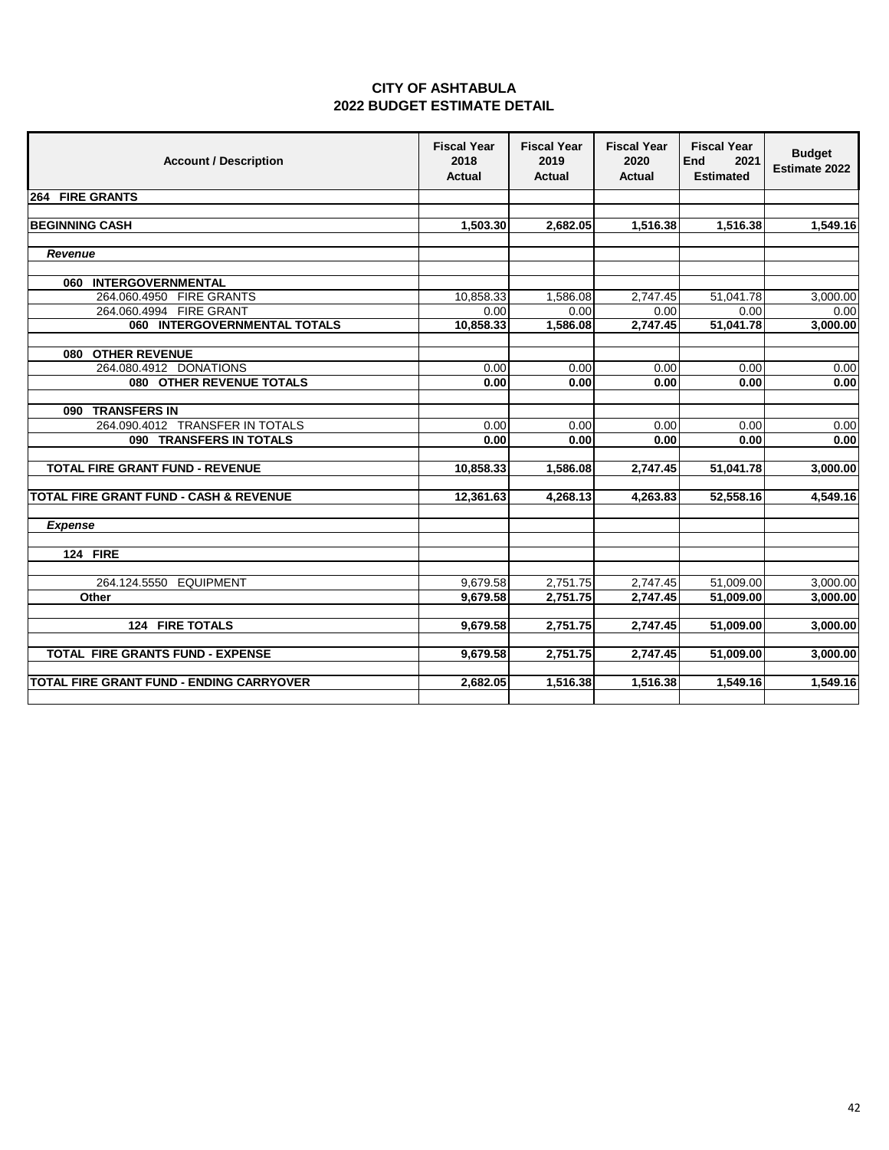|                                    | <b>CITY OF ASHTABULA</b> |  |
|------------------------------------|--------------------------|--|
| <b>2022 BUDGET ESTIMATE DETAIL</b> |                          |  |

| <b>Account / Description</b>             | <b>Fiscal Year</b><br>2018<br><b>Actual</b> | <b>Fiscal Year</b><br>2019<br><b>Actual</b> | <b>Fiscal Year</b><br>2020<br><b>Actual</b> | <b>Fiscal Year</b><br><b>End</b><br>2021<br><b>Estimated</b> | <b>Budget</b><br><b>Estimate 2022</b> |
|------------------------------------------|---------------------------------------------|---------------------------------------------|---------------------------------------------|--------------------------------------------------------------|---------------------------------------|
| 264 FIRE GRANTS                          |                                             |                                             |                                             |                                                              |                                       |
|                                          |                                             |                                             |                                             |                                                              |                                       |
| <b>BEGINNING CASH</b>                    | 1,503.30                                    | 2,682.05                                    | 1,516.38                                    | 1,516.38                                                     | 1,549.16                              |
|                                          |                                             |                                             |                                             |                                                              |                                       |
| <b>Revenue</b>                           |                                             |                                             |                                             |                                                              |                                       |
|                                          |                                             |                                             |                                             |                                                              |                                       |
| 060 INTERGOVERNMENTAL                    |                                             |                                             |                                             |                                                              |                                       |
| 264.060.4950 FIRE GRANTS                 | 10,858.33                                   | 1,586.08                                    | 2,747.45                                    | 51,041.78                                                    | 3,000.00                              |
| 264.060.4994 FIRE GRANT                  | 0.00                                        | 0.00                                        | 0.00                                        | 0.00                                                         | 0.00                                  |
| 060 INTERGOVERNMENTAL TOTALS             | 10,858.33                                   | 1,586.08                                    | 2,747.45                                    | 51,041.78                                                    | 3,000.00                              |
| 080 OTHER REVENUE                        |                                             |                                             |                                             |                                                              |                                       |
| 264.080.4912 DONATIONS                   | 0.00                                        | 0.00                                        | 0.00                                        | 0.00                                                         | 0.00                                  |
| 080 OTHER REVENUE TOTALS                 | 0.00                                        | 0.00                                        | 0.00                                        | 0.00                                                         | 0.00                                  |
|                                          |                                             |                                             |                                             |                                                              |                                       |
| <b>TRANSFERS IN</b><br>090               |                                             |                                             |                                             |                                                              |                                       |
| 264.090.4012 TRANSFER IN TOTALS          | 0.00                                        | 0.00                                        | 0.00                                        | 0.00                                                         | 0.00                                  |
| 090 TRANSFERS IN TOTALS                  | 0.00                                        | 0.00                                        | 0.00                                        | 0.00                                                         | 0.00                                  |
|                                          |                                             |                                             |                                             |                                                              |                                       |
| <b>TOTAL FIRE GRANT FUND - REVENUE</b>   | 10,858.33                                   | 1,586.08                                    | 2,747.45                                    | 51,041.78                                                    | 3,000.00                              |
|                                          |                                             |                                             |                                             |                                                              |                                       |
| TOTAL FIRE GRANT FUND - CASH & REVENUE   | 12,361.63                                   | 4,268.13                                    | 4,263.83                                    | 52,558.16                                                    | 4,549.16                              |
|                                          |                                             |                                             |                                             |                                                              |                                       |
| <b>Expense</b>                           |                                             |                                             |                                             |                                                              |                                       |
| <b>124 FIRE</b>                          |                                             |                                             |                                             |                                                              |                                       |
|                                          |                                             |                                             |                                             |                                                              |                                       |
| 264.124.5550 EQUIPMENT                   | 9,679.58                                    | 2,751.75                                    | 2,747.45                                    | 51,009.00                                                    | 3,000.00                              |
| Other                                    | 9,679.58                                    | 2,751.75                                    | 2,747.45                                    | 51,009.00                                                    | 3,000.00                              |
|                                          |                                             |                                             |                                             |                                                              |                                       |
| <b>124 FIRE TOTALS</b>                   | 9,679.58                                    | 2,751.75                                    | 2,747.45                                    | 51,009.00                                                    | 3,000.00                              |
|                                          |                                             |                                             |                                             |                                                              |                                       |
| TOTAL FIRE GRANTS FUND - EXPENSE         | 9,679.58                                    | 2,751.75                                    | 2,747.45                                    | 51,009.00                                                    | 3,000.00                              |
|                                          |                                             |                                             |                                             |                                                              |                                       |
| TOTAL FIRE GRANT FUND - ENDING CARRYOVER | 2,682.05                                    | 1,516.38                                    | 1,516.38                                    | 1,549.16                                                     | 1,549.16                              |
|                                          |                                             |                                             |                                             |                                                              |                                       |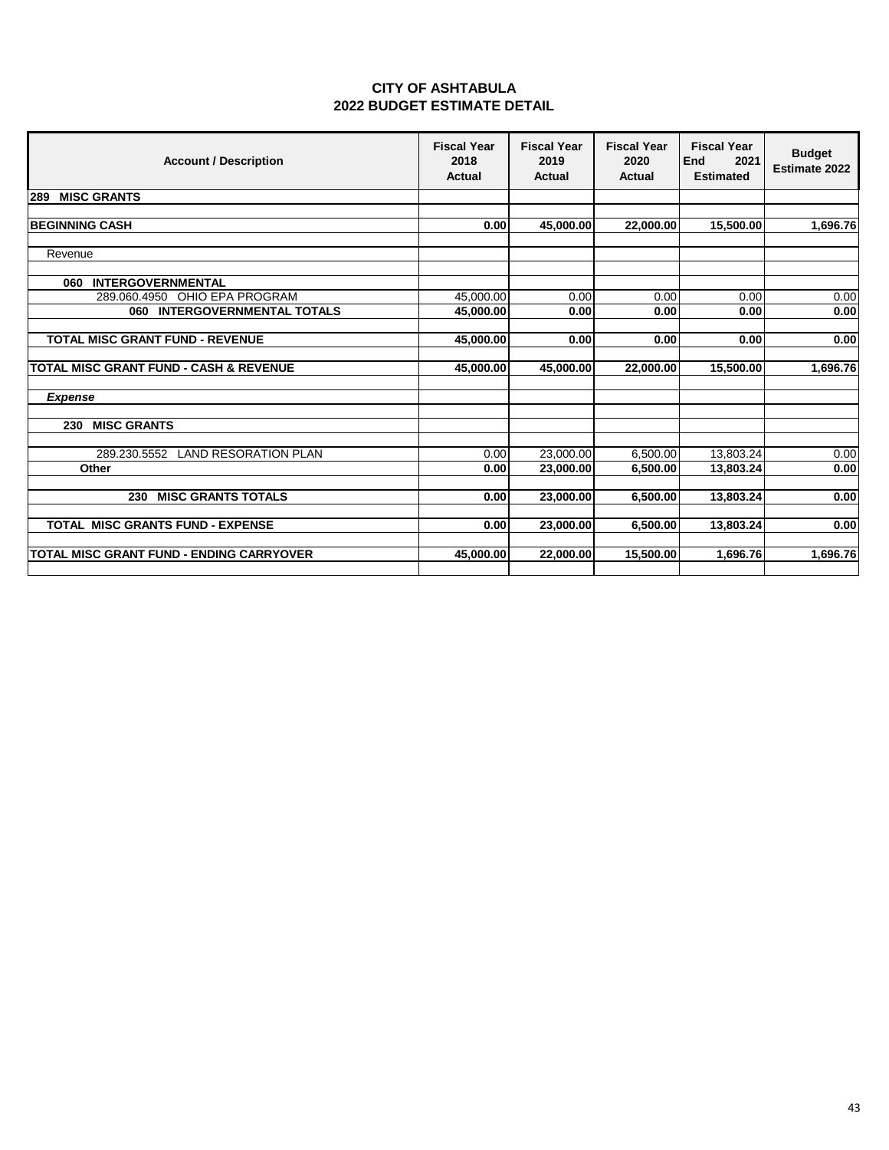|                                    | <b>CITY OF ASHTABULA</b> |  |
|------------------------------------|--------------------------|--|
| <b>2022 BUDGET ESTIMATE DETAIL</b> |                          |  |

| <b>Account / Description</b>                      | <b>Fiscal Year</b><br>2018<br>Actual | <b>Fiscal Year</b><br>2019<br><b>Actual</b> | <b>Fiscal Year</b><br>2020<br>Actual | <b>Fiscal Year</b><br>End<br>2021<br><b>Estimated</b> | <b>Budget</b><br><b>Estimate 2022</b> |
|---------------------------------------------------|--------------------------------------|---------------------------------------------|--------------------------------------|-------------------------------------------------------|---------------------------------------|
| <b>MISC GRANTS</b><br>289                         |                                      |                                             |                                      |                                                       |                                       |
|                                                   |                                      |                                             |                                      |                                                       |                                       |
| <b>BEGINNING CASH</b>                             | 0.00                                 | 45,000.00                                   | 22,000.00                            | 15,500.00                                             | 1,696.76                              |
|                                                   |                                      |                                             |                                      |                                                       |                                       |
| Revenue                                           |                                      |                                             |                                      |                                                       |                                       |
| <b>INTERGOVERNMENTAL</b><br>060                   |                                      |                                             |                                      |                                                       |                                       |
| 289.060.4950 OHIO EPA PROGRAM                     | 45.000.00                            | 0.00                                        | 0.00                                 | 0.00                                                  | 0.00                                  |
| 060 INTERGOVERNMENTAL TOTALS                      | 45,000.00                            | 0.00                                        | 0.00                                 | 0.00                                                  | 0.00                                  |
|                                                   |                                      |                                             |                                      |                                                       |                                       |
| <b>TOTAL MISC GRANT FUND - REVENUE</b>            | 45,000.00                            | 0.00                                        | 0.00                                 | 0.00                                                  | 0.00                                  |
|                                                   |                                      |                                             |                                      |                                                       |                                       |
| <b>TOTAL MISC GRANT FUND - CASH &amp; REVENUE</b> | 45,000.00                            | 45,000.00                                   | 22,000.00                            | 15,500.00                                             | 1,696.76                              |
|                                                   |                                      |                                             |                                      |                                                       |                                       |
| <b>Expense</b>                                    |                                      |                                             |                                      |                                                       |                                       |
|                                                   |                                      |                                             |                                      |                                                       |                                       |
| <b>MISC GRANTS</b><br>230                         |                                      |                                             |                                      |                                                       |                                       |
| <b>LAND RESORATION PLAN</b><br>289.230.5552       | 0.00                                 | 23,000.00                                   | 6,500.00                             | 13,803.24                                             | 0.00                                  |
| Other                                             | 0.00                                 | 23,000,00                                   | 6,500.00                             | 13,803.24                                             | 0.00                                  |
|                                                   |                                      |                                             |                                      |                                                       |                                       |
| <b>MISC GRANTS TOTALS</b><br>230                  | 0.00                                 | 23,000.00                                   | 6,500.00                             | 13,803.24                                             | 0.00                                  |
|                                                   |                                      |                                             |                                      |                                                       |                                       |
| <b>TOTAL MISC GRANTS FUND - EXPENSE</b>           | 0.00                                 | 23,000.00                                   | 6,500.00                             | 13,803.24                                             | 0.00                                  |
|                                                   |                                      |                                             |                                      |                                                       |                                       |
| <b>TOTAL MISC GRANT FUND - ENDING CARRYOVER</b>   | 45,000.00                            | 22,000.00                                   | 15,500.00                            | 1,696.76                                              | 1,696.76                              |
|                                                   |                                      |                                             |                                      |                                                       |                                       |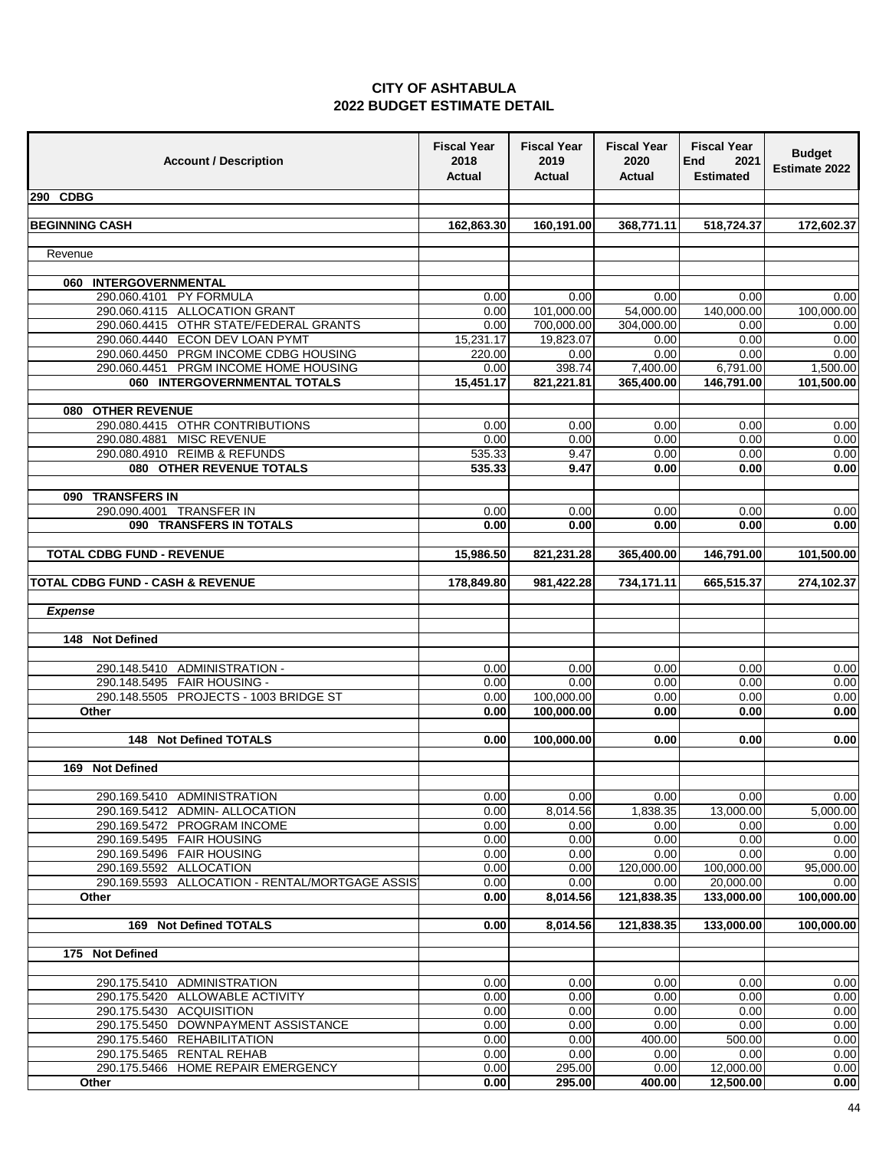| <b>Account / Description</b>                                  | <b>Fiscal Year</b><br>2018<br>Actual | <b>Fiscal Year</b><br>2019<br>Actual | <b>Fiscal Year</b><br>2020<br>Actual | <b>Fiscal Year</b><br>End<br>2021<br><b>Estimated</b> | <b>Budget</b><br>Estimate 2022 |
|---------------------------------------------------------------|--------------------------------------|--------------------------------------|--------------------------------------|-------------------------------------------------------|--------------------------------|
| 290 CDBG                                                      |                                      |                                      |                                      |                                                       |                                |
| <b>BEGINNING CASH</b>                                         | 162,863.30                           | 160,191.00                           | 368,771.11                           | 518,724.37                                            | 172,602.37                     |
|                                                               |                                      |                                      |                                      |                                                       |                                |
| Revenue                                                       |                                      |                                      |                                      |                                                       |                                |
|                                                               |                                      |                                      |                                      |                                                       |                                |
| 060 INTERGOVERNMENTAL<br>290.060.4101 PY FORMULA              | 0.00                                 | 0.00                                 | 0.00                                 | 0.00                                                  | 0.00                           |
| 290.060.4115 ALLOCATION GRANT                                 | 0.00                                 | 101,000.00                           | 54,000.00                            | 140,000.00                                            | 100,000.00                     |
| 290.060.4415 OTHR STATE/FEDERAL GRANTS                        | 0.00                                 | 700,000.00                           | 304,000.00                           | 0.00                                                  | 0.00                           |
| 290.060.4440 ECON DEV LOAN PYMT                               | 15,231.17                            | 19,823.07                            | 0.00                                 | 0.00                                                  | 0.00                           |
| 290.060.4450 PRGM INCOME CDBG HOUSING                         | 220.00                               | 0.00                                 | 0.00                                 | 0.00                                                  | 0.00                           |
| 290.060.4451 PRGM INCOME HOME HOUSING                         | 0.00                                 | 398.74                               | 7,400.00                             | 6,791.00                                              | 1,500.00                       |
| 060 INTERGOVERNMENTAL TOTALS                                  | 15,451.17                            | 821,221.81                           | 365,400.00                           | 146,791.00                                            | 101,500.00                     |
| 080 OTHER REVENUE                                             |                                      |                                      |                                      |                                                       |                                |
| 290.080.4415 OTHR CONTRIBUTIONS                               | 0.00                                 | 0.00                                 | 0.00                                 | 0.00                                                  | 0.00                           |
| 290.080.4881 MISC REVENUE                                     | 0.00                                 | 0.00                                 | 0.00                                 | 0.00                                                  | 0.00                           |
| 290.080.4910 REIMB & REFUNDS                                  | 535.33                               | 9.47                                 | 0.00                                 | 0.00                                                  | 0.00                           |
| 080 OTHER REVENUE TOTALS                                      | 535.33                               | 9.47                                 | 0.00                                 | 0.00                                                  | 0.00                           |
| 090 TRANSFERS IN                                              |                                      |                                      |                                      |                                                       |                                |
| 290.090.4001 TRANSFER IN                                      | 0.00                                 | 0.00                                 | 0.00                                 | 0.00                                                  | 0.00                           |
| 090 TRANSFERS IN TOTALS                                       | 0.00                                 | 0.00                                 | 0.00                                 | 0.00                                                  | 0.00                           |
|                                                               |                                      |                                      |                                      |                                                       |                                |
| <b>TOTAL CDBG FUND - REVENUE</b>                              | 15,986.50                            | 821,231.28                           | 365,400.00                           | 146,791.00                                            | 101,500.00                     |
| <b>TOTAL CDBG FUND - CASH &amp; REVENUE</b>                   | 178,849.80                           | 981,422.28                           | 734,171.11                           | 665,515.37                                            | 274,102.37                     |
|                                                               |                                      |                                      |                                      |                                                       |                                |
| <b>Expense</b>                                                |                                      |                                      |                                      |                                                       |                                |
| 148 Not Defined                                               |                                      |                                      |                                      |                                                       |                                |
|                                                               |                                      |                                      |                                      |                                                       |                                |
| 290.148.5410 ADMINISTRATION -                                 | 0.00                                 | 0.00                                 | 0.00                                 | 0.00                                                  | 0.00                           |
| 290.148.5495 FAIR HOUSING -                                   | 0.00                                 | 0.00                                 | 0.00                                 | 0.00                                                  | 0.00                           |
| 290.148.5505 PROJECTS - 1003 BRIDGE ST                        | 0.00                                 | 100,000.00                           | 0.00                                 | 0.00                                                  | 0.00                           |
| Other                                                         | 0.00                                 | 100,000.00                           | 0.00                                 | 0.00                                                  | 0.00                           |
| 148 Not Defined TOTALS                                        | 0.00                                 | 100,000.00                           | 0.00                                 | 0.00                                                  | 0.00                           |
|                                                               |                                      |                                      |                                      |                                                       |                                |
| 169 Not Defined                                               |                                      |                                      |                                      |                                                       |                                |
|                                                               |                                      |                                      |                                      |                                                       |                                |
| 290.169.5410 ADMINISTRATION<br>290.169.5412 ADMIN- ALLOCATION | 0.00<br>0.00                         | 0.00<br>8,014.56                     | 0.00<br>1,838.35                     | 0.00<br>13,000.00                                     | 0.00<br>5.000.00               |
| 290.169.5472 PROGRAM INCOME                                   | 0.00                                 | 0.00                                 | 0.00                                 | 0.00                                                  | 0.00                           |
| 290.169.5495 FAIR HOUSING                                     | 0.00                                 | 0.00                                 | 0.00                                 | 0.00                                                  | 0.00                           |
| 290.169.5496 FAIR HOUSING                                     | 0.00                                 | 0.00                                 | 0.00                                 | 0.00                                                  | 0.00                           |
| 290.169.5592 ALLOCATION                                       | 0.00                                 | 0.00                                 | 120,000.00                           | 100,000.00                                            | 95,000.00                      |
| 290.169.5593 ALLOCATION - RENTAL/MORTGAGE ASSIS               | 0.00                                 | 0.00                                 | 0.00                                 | 20,000.00                                             | 0.00                           |
| Other                                                         | 0.00                                 | 8,014.56                             | 121,838.35                           | 133,000.00                                            | 100,000.00                     |
| 169 Not Defined TOTALS                                        | 0.00                                 | 8,014.56                             | 121,838.35                           | 133,000.00                                            | 100,000.00                     |
| 175 Not Defined                                               |                                      |                                      |                                      |                                                       |                                |
|                                                               |                                      |                                      |                                      |                                                       |                                |
| 290.175.5410 ADMINISTRATION                                   | 0.00                                 | 0.00                                 | 0.00                                 | 0.00                                                  | 0.00                           |
| 290.175.5420 ALLOWABLE ACTIVITY                               | 0.00                                 | 0.00                                 | 0.00                                 | 0.00                                                  | 0.00                           |
| 290.175.5430 ACQUISITION                                      | 0.00                                 | 0.00                                 | 0.00                                 | 0.00                                                  | 0.00                           |
| 290.175.5450 DOWNPAYMENT ASSISTANCE                           | 0.00                                 | 0.00                                 | 0.00                                 | 0.00                                                  | 0.00                           |
| 290.175.5460 REHABILITATION<br>290.175.5465 RENTAL REHAB      | 0.00<br>0.00                         | 0.00<br>0.00                         | 400.00<br>0.00                       | 500.00<br>0.00                                        | 0.00<br>0.00                   |
| 290.175.5466 HOME REPAIR EMERGENCY                            | 0.00                                 | 295.00                               | 0.00                                 | 12,000.00                                             | 0.00                           |
| Other                                                         | 0.00                                 | 295.00                               | 400.00                               | 12,500.00                                             | 0.00                           |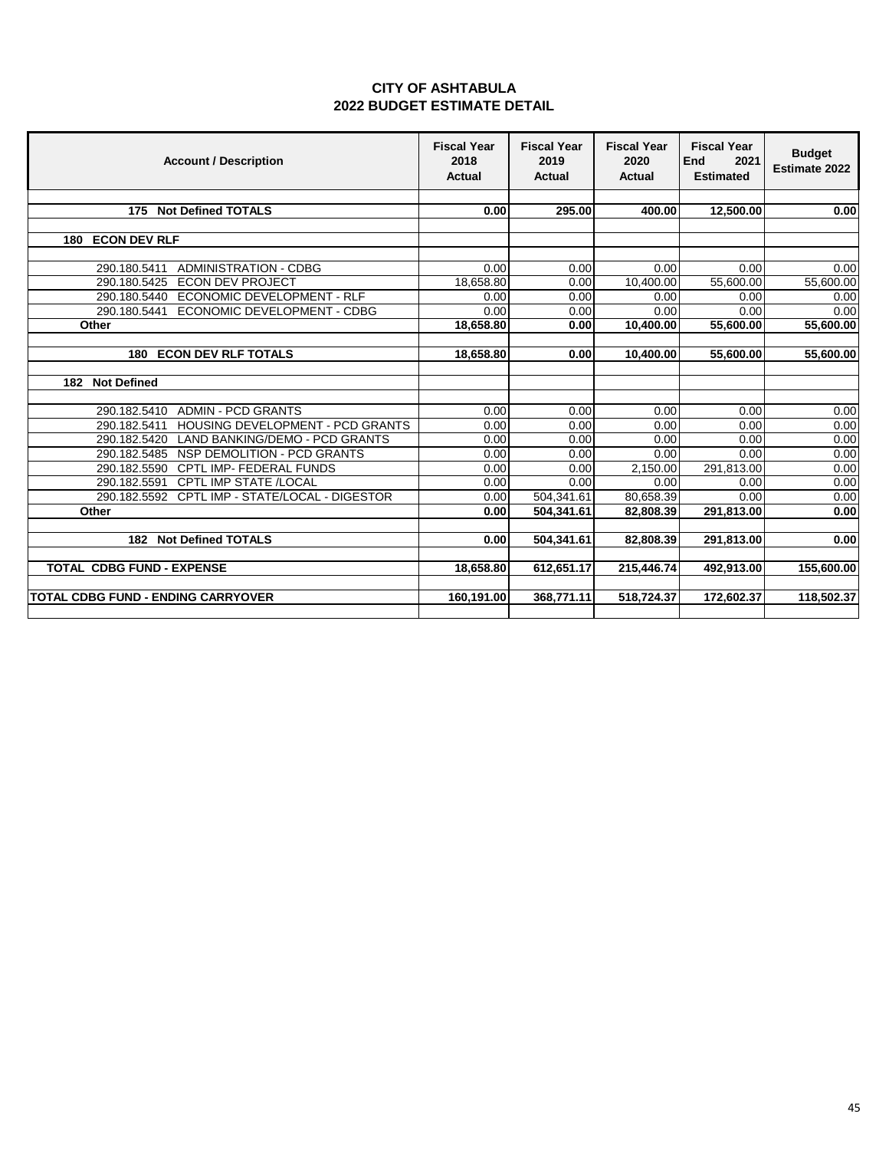| <b>Account / Description</b>                            | <b>Fiscal Year</b><br>2018<br><b>Actual</b> | <b>Fiscal Year</b><br>2019<br><b>Actual</b> | <b>Fiscal Year</b><br>2020<br><b>Actual</b> | <b>Fiscal Year</b><br>End<br>2021<br><b>Estimated</b> | <b>Budget</b><br><b>Estimate 2022</b> |
|---------------------------------------------------------|---------------------------------------------|---------------------------------------------|---------------------------------------------|-------------------------------------------------------|---------------------------------------|
|                                                         |                                             |                                             |                                             |                                                       |                                       |
| <b>Not Defined TOTALS</b><br>175                        | 0.00                                        | 295.00                                      | 400.00                                      | 12,500.00                                             | 0.00                                  |
| 180 ECON DEV RLF                                        |                                             |                                             |                                             |                                                       |                                       |
|                                                         |                                             |                                             |                                             |                                                       |                                       |
| 290.180.5411<br><b>ADMINISTRATION - CDBG</b>            | 0.00                                        | 0.00                                        | 0.00                                        | 0.00                                                  | 0.00                                  |
| <b>ECON DEV PROJECT</b><br>290.180.5425                 | 18,658.80                                   | 0.00                                        | 10,400.00                                   | 55,600.00                                             | 55,600.00                             |
| ECONOMIC DEVELOPMENT - RLF<br>290.180.5440              | 0.00                                        | 0.00                                        | 0.00                                        | 0.00                                                  | 0.00                                  |
| ECONOMIC DEVELOPMENT - CDBG<br>290.180.5441             | 0.00                                        | 0.00                                        | 0.00                                        | 0.00                                                  | 0.00                                  |
| <b>Other</b>                                            | 18,658.80                                   | 0.00                                        | 10,400.00                                   | 55,600.00                                             | 55,600.00                             |
|                                                         |                                             |                                             |                                             |                                                       |                                       |
| <b>ECON DEV RLF TOTALS</b><br>180                       | 18,658.80                                   | 0.00                                        | 10,400.00                                   | 55,600.00                                             | 55,600.00                             |
| 182 Not Defined                                         |                                             |                                             |                                             |                                                       |                                       |
|                                                         |                                             |                                             |                                             |                                                       |                                       |
| <b>ADMIN - PCD GRANTS</b><br>290.182.5410               | 0.00                                        | 0.00                                        | 0.00                                        | 0.00                                                  | 0.00                                  |
| <b>HOUSING DEVELOPMENT - PCD GRANTS</b><br>290.182.5411 | 0.00                                        | 0.00                                        | 0.00                                        | 0.00                                                  | 0.00                                  |
| LAND BANKING/DEMO - PCD GRANTS<br>290.182.5420          | 0.00                                        | 0.00                                        | 0.00                                        | 0.00                                                  | 0.00                                  |
| NSP DEMOLITION - PCD GRANTS<br>290.182.5485             | 0.00                                        | 0.00                                        | 0.00                                        | 0.00                                                  | 0.00                                  |
| CPTL IMP- FEDERAL FUNDS<br>290.182.5590                 | 0.00                                        | 0.00                                        | 2,150.00                                    | 291,813.00                                            | 0.00                                  |
| <b>CPTL IMP STATE /LOCAL</b><br>290.182.5591            | 0.00                                        | 0.00                                        | 0.00                                        | 0.00                                                  | 0.00                                  |
| 290.182.5592 CPTL IMP - STATE/LOCAL - DIGESTOR          | 0.00                                        | 504,341.61                                  | 80,658.39                                   | 0.00                                                  | 0.00                                  |
| Other                                                   | 0.00                                        | 504,341.61                                  | 82,808.39                                   | 291,813.00                                            | 0.00                                  |
|                                                         |                                             |                                             |                                             |                                                       |                                       |
| <b>182 Not Defined TOTALS</b>                           | 0.00                                        | 504,341.61                                  | 82,808.39                                   | 291,813.00                                            | 0.00                                  |
|                                                         |                                             |                                             |                                             |                                                       |                                       |
| <b>TOTAL CDBG FUND - EXPENSE</b>                        | 18,658.80                                   | 612,651.17                                  | 215,446.74                                  | 492,913.00                                            | 155,600.00                            |
| <b>TOTAL CDBG FUND - ENDING CARRYOVER</b>               | 160,191.00                                  | 368,771.11                                  | 518,724.37                                  | 172,602.37                                            | 118,502.37                            |
|                                                         |                                             |                                             |                                             |                                                       |                                       |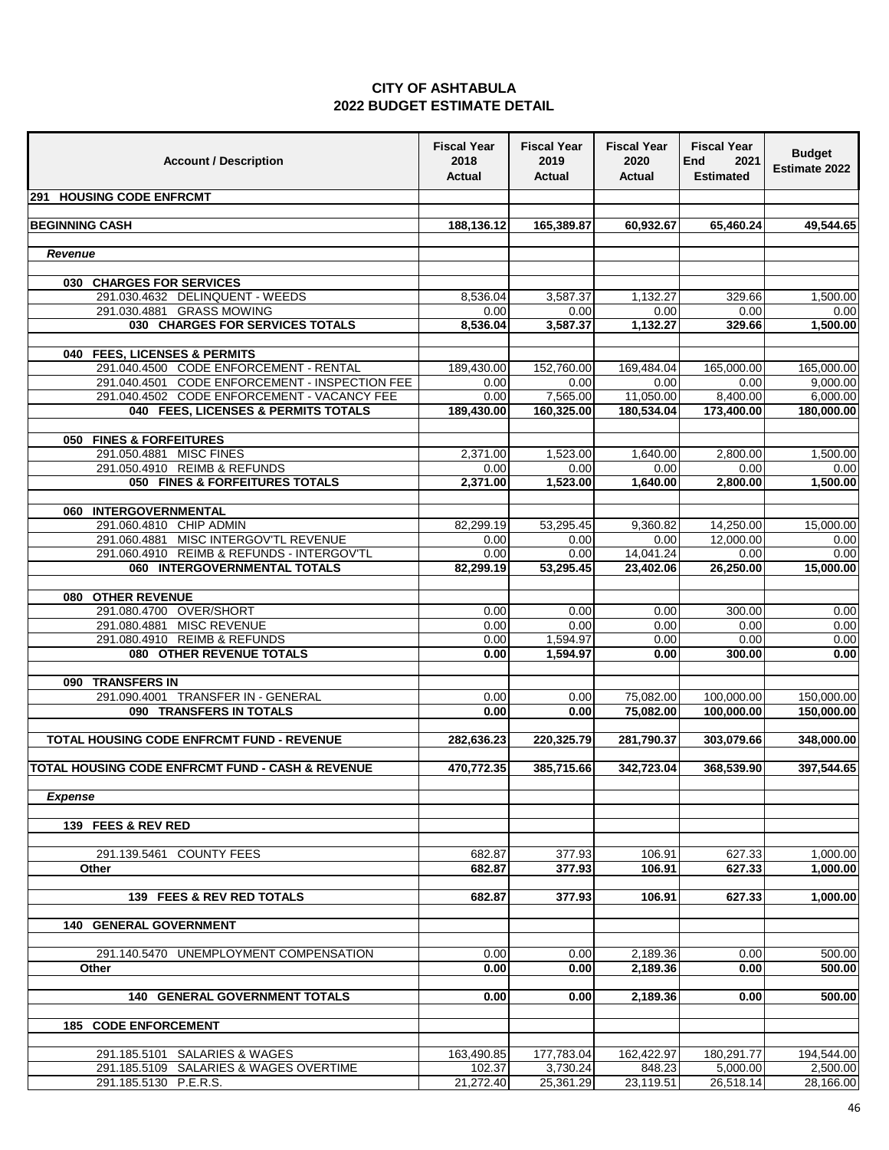| <b>Account / Description</b>                                               | <b>Fiscal Year</b><br>2018<br>Actual | <b>Fiscal Year</b><br>2019<br>Actual | <b>Fiscal Year</b><br>2020<br>Actual | <b>Fiscal Year</b><br>End<br>2021<br><b>Estimated</b> | <b>Budget</b><br>Estimate 2022 |
|----------------------------------------------------------------------------|--------------------------------------|--------------------------------------|--------------------------------------|-------------------------------------------------------|--------------------------------|
| 291 HOUSING CODE ENFRCMT                                                   |                                      |                                      |                                      |                                                       |                                |
| <b>BEGINNING CASH</b>                                                      | 188,136.12                           | 165,389.87                           | 60,932.67                            | 65,460.24                                             | 49,544.65                      |
|                                                                            |                                      |                                      |                                      |                                                       |                                |
| <b>Revenue</b>                                                             |                                      |                                      |                                      |                                                       |                                |
| 030 CHARGES FOR SERVICES                                                   |                                      |                                      |                                      |                                                       |                                |
| 291.030.4632 DELINQUENT - WEEDS                                            | 8,536.04                             | 3,587.37                             | 1,132.27                             | 329.66                                                | 1,500.00                       |
| 291.030.4881 GRASS MOWING                                                  | 0.00                                 | 0.00                                 | 0.00                                 | 0.00                                                  | 0.00                           |
| 030 CHARGES FOR SERVICES TOTALS                                            | 8,536.04                             | 3,587.37                             | 1,132.27                             | 329.66                                                | 1,500.00                       |
|                                                                            |                                      |                                      |                                      |                                                       |                                |
| 040 FEES, LICENSES & PERMITS<br>291.040.4500 CODE ENFORCEMENT - RENTAL     | 189,430.00                           | 152,760.00                           | 169,484.04                           | 165,000.00                                            | 165,000.00                     |
| 291.040.4501 CODE ENFORCEMENT - INSPECTION FEE                             | 0.00                                 | 0.00                                 | 0.00                                 | 0.00                                                  | 9,000.00                       |
| 291.040.4502 CODE ENFORCEMENT - VACANCY FEE                                | 0.00                                 | 7,565.00                             | 11,050.00                            | 8,400.00                                              | 6,000.00                       |
| 040 FEES, LICENSES & PERMITS TOTALS                                        | 189,430.00                           | 160,325.00                           | 180,534.04                           | 173,400.00                                            | 180,000.00                     |
|                                                                            |                                      |                                      |                                      |                                                       |                                |
| 050 FINES & FORFEITURES<br>291.050.4881 MISC FINES                         |                                      |                                      |                                      |                                                       |                                |
| 291.050.4910 REIMB & REFUNDS                                               | 2,371.00<br>0.00                     | 1,523.00<br>0.00                     | 1,640.00<br>0.00                     | 2,800.00<br>0.00                                      | 1,500.00<br>0.00               |
| 050 FINES & FORFEITURES TOTALS                                             | 2,371.00                             | 1,523.00                             | 1,640.00                             | 2,800.00                                              | 1,500.00                       |
|                                                                            |                                      |                                      |                                      |                                                       |                                |
| 060 INTERGOVERNMENTAL                                                      |                                      |                                      |                                      |                                                       |                                |
| 291.060.4810 CHIP ADMIN                                                    | 82,299.19                            | 53,295.45                            | 9,360.82                             | 14,250.00                                             | 15,000.00                      |
| 291.060.4881 MISC INTERGOV'TL REVENUE                                      | 0.00                                 | 0.00                                 | 0.00                                 | 12,000.00                                             | 0.00                           |
| 291.060.4910 REIMB & REFUNDS - INTERGOV'TL<br>060 INTERGOVERNMENTAL TOTALS | 0.00<br>82,299.19                    | 0.00<br>53,295.45                    | 14,041.24<br>23,402.06               | 0.00<br>26,250.00                                     | 0.00<br>15,000.00              |
|                                                                            |                                      |                                      |                                      |                                                       |                                |
| 080 OTHER REVENUE                                                          |                                      |                                      |                                      |                                                       |                                |
| 291.080.4700 OVER/SHORT                                                    | 0.00                                 | 0.00                                 | 0.00                                 | 300.00                                                | 0.00                           |
| MISC REVENUE<br>291.080.4881                                               | 0.00                                 | 0.00                                 | 0.00                                 | 0.00                                                  | 0.00                           |
| 291.080.4910 REIMB & REFUNDS                                               | 0.00                                 | 1,594.97                             | 0.00                                 | 0.00                                                  | 0.00                           |
| 080 OTHER REVENUE TOTALS                                                   | 0.00                                 | 1,594.97                             | 0.00                                 | 300.00                                                | 0.00                           |
| 090 TRANSFERS IN                                                           |                                      |                                      |                                      |                                                       |                                |
| 291.090.4001 TRANSFER IN - GENERAL                                         | 0.00                                 | 0.00                                 | 75,082.00                            | 100,000.00                                            | 150,000.00                     |
| 090 TRANSFERS IN TOTALS                                                    | 0.00                                 | 0.00                                 | 75,082.00                            | 100,000.00                                            | 150,000.00                     |
|                                                                            |                                      |                                      |                                      |                                                       |                                |
| TOTAL HOUSING CODE ENFRCMT FUND - REVENUE                                  | 282,636.23                           | 220,325.79                           | 281,790.37                           | 303,079.66                                            | 348,000.00                     |
| TOTAL HOUSING CODE ENFRCMT FUND - CASH & REVENUE                           | 470,772.35                           | 385,715.66                           | 342,723.04                           | 368,539.90                                            | 397,544.65                     |
|                                                                            |                                      |                                      |                                      |                                                       |                                |
| <b>Expense</b>                                                             |                                      |                                      |                                      |                                                       |                                |
|                                                                            |                                      |                                      |                                      |                                                       |                                |
| 139 FEES & REV RED                                                         |                                      |                                      |                                      |                                                       |                                |
| 291.139.5461 COUNTY FEES                                                   | 682.87                               | 377.93                               | 106.91                               | 627.33                                                | 1,000.00                       |
| Other                                                                      | 682.87                               | 377.93                               | 106.91                               | 627.33                                                | 1,000.00                       |
|                                                                            |                                      |                                      |                                      |                                                       |                                |
| 139 FEES & REV RED TOTALS                                                  | 682.87                               | 377.93                               | 106.91                               | 627.33                                                | 1,000.00                       |
| <b>140 GENERAL GOVERNMENT</b>                                              |                                      |                                      |                                      |                                                       |                                |
|                                                                            |                                      |                                      |                                      |                                                       |                                |
| 291.140.5470 UNEMPLOYMENT COMPENSATION                                     | 0.00                                 | 0.00                                 | 2,189.36                             | 0.00                                                  | 500.00                         |
| Other                                                                      | 0.00                                 | 0.00                                 | 2,189.36                             | 0.00                                                  | 500.00                         |
|                                                                            |                                      |                                      |                                      |                                                       |                                |
| <b>140 GENERAL GOVERNMENT TOTALS</b>                                       | 0.00                                 | 0.00                                 | 2,189.36                             | 0.00                                                  | 500.00                         |
| <b>185 CODE ENFORCEMENT</b>                                                |                                      |                                      |                                      |                                                       |                                |
|                                                                            |                                      |                                      |                                      |                                                       |                                |
| 291.185.5101 SALARIES & WAGES                                              | 163,490.85                           | 177,783.04                           | 162,422.97                           | 180,291.77                                            | 194,544.00                     |
| 291.185.5109 SALARIES & WAGES OVERTIME                                     | 102.37                               | 3,730.24                             | 848.23                               | 5,000.00                                              | 2,500.00                       |
| 291.185.5130 P.E.R.S.                                                      | 21,272.40                            | 25,361.29                            | 23,119.51                            | 26,518.14                                             | 28,166.00                      |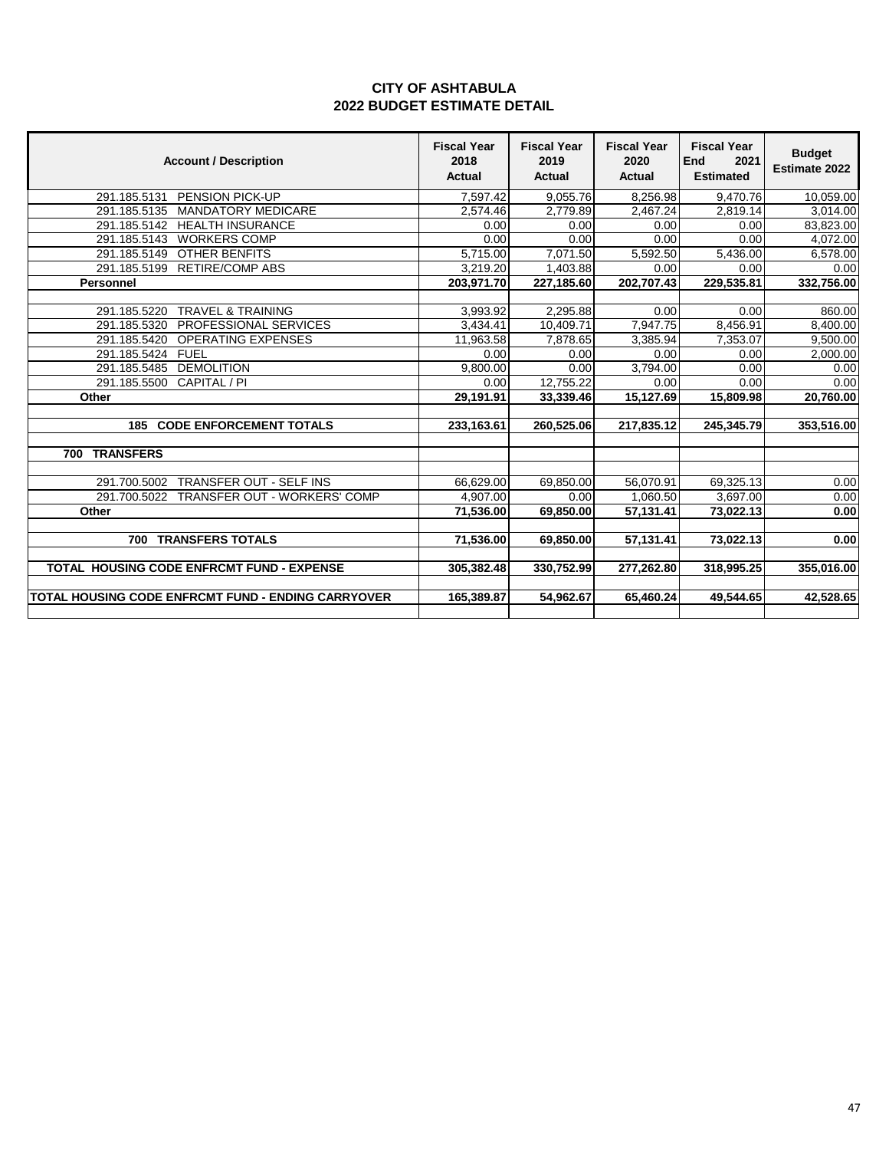| <b>Account / Description</b>                        | <b>Fiscal Year</b><br>2018<br><b>Actual</b> | <b>Fiscal Year</b><br>2019<br><b>Actual</b> | <b>Fiscal Year</b><br>2020<br>Actual | <b>Fiscal Year</b><br>End<br>2021<br><b>Estimated</b> | <b>Budget</b><br><b>Estimate 2022</b> |
|-----------------------------------------------------|---------------------------------------------|---------------------------------------------|--------------------------------------|-------------------------------------------------------|---------------------------------------|
| <b>PENSION PICK-UP</b><br>291.185.5131              | 7,597.42                                    | 9,055.76                                    | 8,256.98                             | 9,470.76                                              | 10,059.00                             |
| <b>MANDATORY MEDICARE</b><br>291.185.5135           | 2,574.46                                    | 2,779.89                                    | 2,467.24                             | 2,819.14                                              | 3,014.00                              |
| <b>HEALTH INSURANCE</b><br>291.185.5142             | 0.00                                        | 0.00                                        | 0.00                                 | 0.00                                                  | 83,823.00                             |
| <b>WORKERS COMP</b><br>291.185.5143                 | 0.00                                        | 0.00                                        | 0.00                                 | 0.00                                                  | 4,072.00                              |
| <b>OTHER BENFITS</b><br>291.185.5149                | 5,715.00                                    | 7,071.50                                    | 5,592.50                             | 5,436.00                                              | 6,578.00                              |
| <b>RETIRE/COMP ABS</b><br>291.185.5199              | 3,219.20                                    | 1,403.88                                    | 0.00                                 | 0.00                                                  | 0.00                                  |
| <b>Personnel</b>                                    | 203,971.70                                  | 227.185.60                                  | 202.707.43                           | 229,535.81                                            | 332,756.00                            |
|                                                     |                                             |                                             |                                      |                                                       |                                       |
| <b>TRAVEL &amp; TRAINING</b><br>291.185.5220        | 3,993.92                                    | 2,295.88                                    | 0.00                                 | 0.00                                                  | 860.00                                |
| PROFESSIONAL SERVICES<br>291.185.5320               | 3,434.41                                    | 10,409.71                                   | 7,947.75                             | 8,456.91                                              | 8,400.00                              |
| 291.185.5420<br><b>OPERATING EXPENSES</b>           | 11,963.58                                   | 7,878.65                                    | 3,385.94                             | 7,353.07                                              | 9,500.00                              |
| 291.185.5424<br><b>FUEL</b>                         | 0.00                                        | 0.00                                        | 0.00                                 | 0.00                                                  | 2,000.00                              |
| <b>DEMOLITION</b><br>291.185.5485                   | 9,800.00                                    | 0.00                                        | 3,794.00                             | 0.00                                                  | 0.00                                  |
| CAPITAL / PI<br>291.185.5500                        | 0.00                                        | 12,755.22                                   | 0.00                                 | 0.00                                                  | 0.00                                  |
| Other                                               | 29,191.91                                   | 33,339.46                                   | 15,127.69                            | 15,809.98                                             | 20,760.00                             |
|                                                     |                                             |                                             |                                      |                                                       |                                       |
| <b>185 CODE ENFORCEMENT TOTALS</b>                  | 233,163.61                                  | 260,525.06                                  | 217,835.12                           | 245,345.79                                            | 353,516.00                            |
| <b>TRANSFERS</b><br>700                             |                                             |                                             |                                      |                                                       |                                       |
| TRANSFER OUT - SELF INS<br>291.700.5002             | 66,629.00                                   | 69,850.00                                   | 56,070.91                            | 69,325.13                                             | 0.00                                  |
| <b>TRANSFER OUT - WORKERS' COMP</b><br>291.700.5022 | 4,907.00                                    | 0.00                                        | 1,060.50                             | 3,697.00                                              | 0.00                                  |
| Other                                               | 71,536.00                                   | 69,850.00                                   | 57,131.41                            | 73,022.13                                             | 0.00                                  |
|                                                     |                                             |                                             |                                      |                                                       |                                       |
| <b>TRANSFERS TOTALS</b><br>700                      | 71,536.00                                   | 69,850.00                                   | 57,131.41                            | 73,022.13                                             | 0.00                                  |
|                                                     |                                             |                                             |                                      |                                                       |                                       |
| TOTAL HOUSING CODE ENFRCMT FUND - EXPENSE           | 305,382.48                                  | 330,752.99                                  | 277,262.80                           | 318,995.25                                            | 355,016.00                            |
|                                                     |                                             |                                             |                                      |                                                       |                                       |
| TOTAL HOUSING CODE ENFRCMT FUND - ENDING CARRYOVER  | 165,389.87                                  | 54,962.67                                   | 65,460.24                            | 49,544.65                                             | 42,528.65                             |
|                                                     |                                             |                                             |                                      |                                                       |                                       |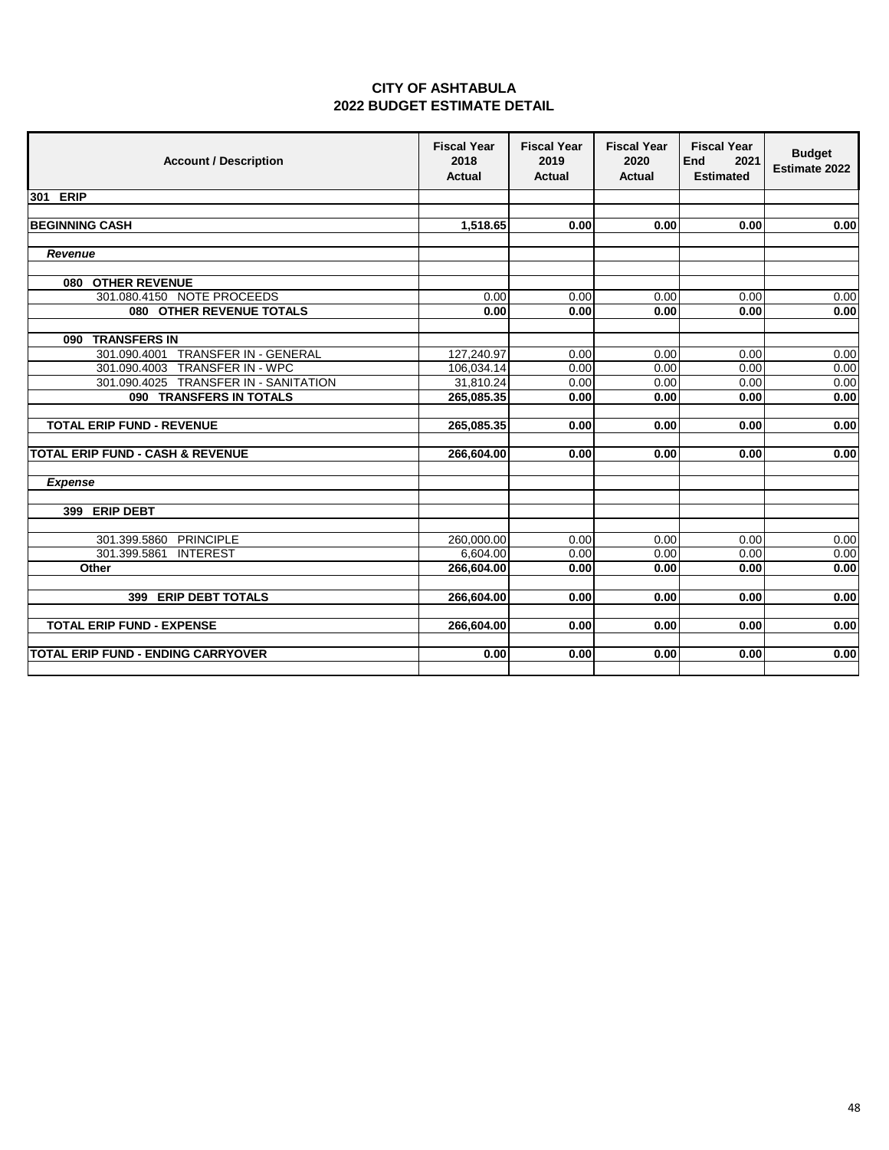| <b>Account / Description</b>                | <b>Fiscal Year</b><br>2018<br><b>Actual</b> | <b>Fiscal Year</b><br>2019<br><b>Actual</b> | <b>Fiscal Year</b><br>2020<br><b>Actual</b> | <b>Fiscal Year</b><br><b>End</b><br>2021<br><b>Estimated</b> | <b>Budget</b><br><b>Estimate 2022</b> |
|---------------------------------------------|---------------------------------------------|---------------------------------------------|---------------------------------------------|--------------------------------------------------------------|---------------------------------------|
| 301 ERIP                                    |                                             |                                             |                                             |                                                              |                                       |
|                                             |                                             |                                             |                                             |                                                              |                                       |
| <b>BEGINNING CASH</b>                       | 1,518.65                                    | 0.00                                        | 0.00                                        | 0.00                                                         | 0.00                                  |
|                                             |                                             |                                             |                                             |                                                              |                                       |
| <b>Revenue</b>                              |                                             |                                             |                                             |                                                              |                                       |
|                                             |                                             |                                             |                                             |                                                              |                                       |
| 080 OTHER REVENUE                           |                                             |                                             |                                             |                                                              |                                       |
| 301.080.4150 NOTE PROCEEDS                  | 0.00                                        | 0.00                                        | 0.00                                        | 0.00                                                         | 0.00                                  |
| 080 OTHER REVENUE TOTALS                    | 0.00                                        | 0.00                                        | 0.00                                        | 0.00                                                         | 0.00                                  |
|                                             |                                             |                                             |                                             |                                                              |                                       |
| <b>TRANSFERS IN</b><br>090                  |                                             |                                             |                                             |                                                              |                                       |
| 301.090.4001 TRANSFER IN - GENERAL          | 127,240.97                                  | 0.00                                        | 0.00                                        | 0.00                                                         | 0.00                                  |
| 301.090.4003 TRANSFER IN - WPC              | 106,034.14                                  | 0.00                                        | 0.00                                        | 0.00                                                         | 0.00                                  |
| 301.090.4025 TRANSFER IN - SANITATION       | 31.810.24                                   | 0.00                                        | 0.00                                        | 0.00                                                         | 0.00                                  |
| 090 TRANSFERS IN TOTALS                     | 265,085.35                                  | 0.00                                        | 0.00                                        | 0.00                                                         | 0.00                                  |
|                                             |                                             |                                             |                                             |                                                              |                                       |
| <b>TOTAL ERIP FUND - REVENUE</b>            | 265,085.35                                  | 0.00                                        | 0.00                                        | 0.00                                                         | 0.00                                  |
|                                             |                                             |                                             |                                             |                                                              |                                       |
| <b>TOTAL ERIP FUND - CASH &amp; REVENUE</b> | 266,604.00                                  | 0.00                                        | 0.00                                        | 0.00                                                         | 0.00                                  |
|                                             |                                             |                                             |                                             |                                                              |                                       |
| <b>Expense</b>                              |                                             |                                             |                                             |                                                              |                                       |
|                                             |                                             |                                             |                                             |                                                              |                                       |
| 399 ERIP DEBT                               |                                             |                                             |                                             |                                                              |                                       |
|                                             |                                             |                                             |                                             |                                                              |                                       |
| 301.399.5860 PRINCIPLE                      | 260,000.00                                  | 0.00                                        | 0.00                                        | 0.00                                                         | 0.00                                  |
| 301.399.5861 INTEREST                       | 6.604.00                                    | 0.00                                        | 0.00                                        | 0.00                                                         | 0.00                                  |
| Other                                       | 266,604.00                                  | 0.00                                        | 0.00                                        | 0.00                                                         | 0.00                                  |
|                                             |                                             |                                             |                                             |                                                              |                                       |
| 399 ERIP DEBT TOTALS                        | 266,604.00                                  | 0.00                                        | 0.00                                        | 0.00                                                         | 0.00                                  |
|                                             |                                             |                                             |                                             |                                                              |                                       |
| <b>TOTAL ERIP FUND - EXPENSE</b>            | 266,604.00                                  | 0.00                                        | 0.00                                        | 0.00                                                         | 0.00                                  |
|                                             |                                             |                                             |                                             |                                                              |                                       |
| <b>TOTAL ERIP FUND - ENDING CARRYOVER</b>   | 0.00                                        | 0.00                                        | 0.00                                        | 0.00                                                         | 0.00                                  |
|                                             |                                             |                                             |                                             |                                                              |                                       |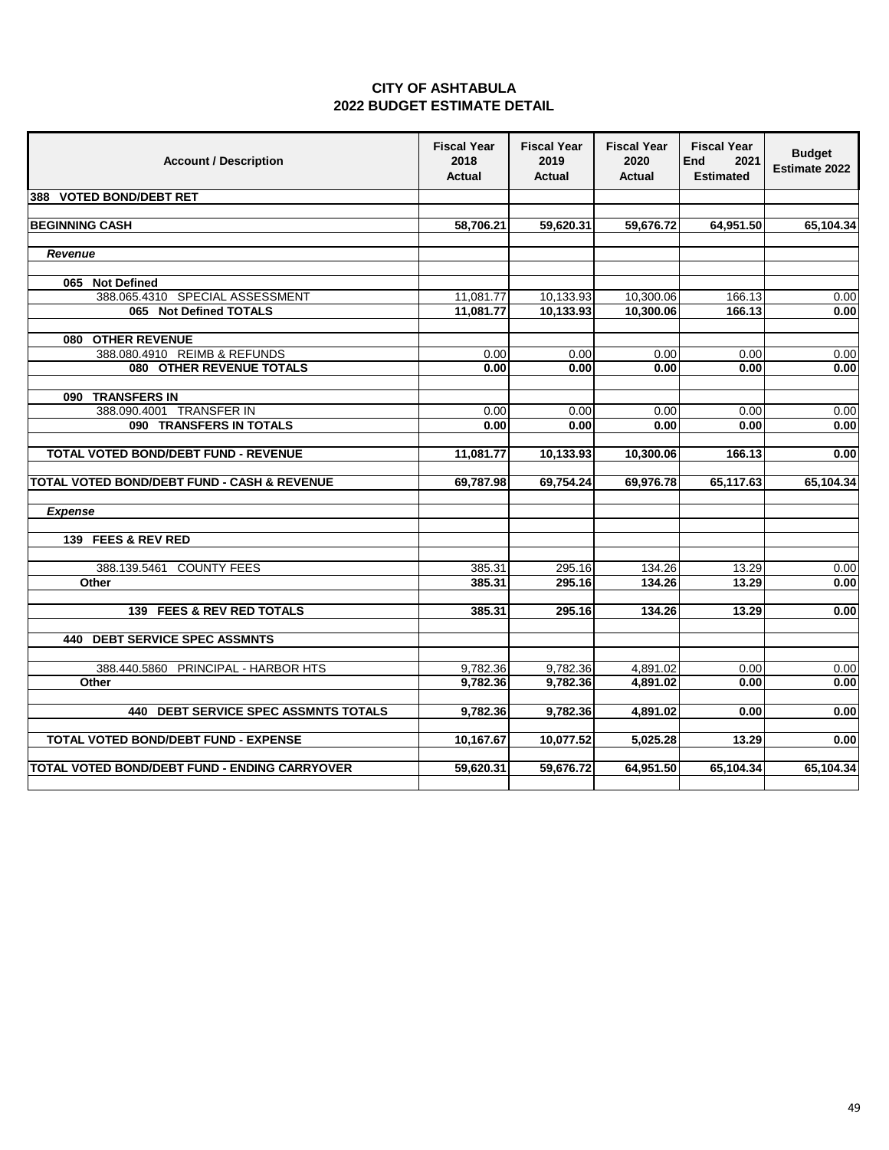|                                    | <b>CITY OF ASHTABULA</b> |  |
|------------------------------------|--------------------------|--|
| <b>2022 BUDGET ESTIMATE DETAIL</b> |                          |  |

| <b>Account / Description</b>                  | <b>Fiscal Year</b><br>2018<br><b>Actual</b> | <b>Fiscal Year</b><br>2019<br><b>Actual</b> | <b>Fiscal Year</b><br>2020<br><b>Actual</b> | <b>Fiscal Year</b><br>End<br>2021<br><b>Estimated</b> | <b>Budget</b><br><b>Estimate 2022</b> |
|-----------------------------------------------|---------------------------------------------|---------------------------------------------|---------------------------------------------|-------------------------------------------------------|---------------------------------------|
| 388 VOTED BOND/DEBT RET                       |                                             |                                             |                                             |                                                       |                                       |
|                                               |                                             |                                             |                                             |                                                       |                                       |
| <b>BEGINNING CASH</b>                         | 58,706.21                                   | 59,620.31                                   | 59,676.72                                   | 64,951.50                                             | 65,104.34                             |
|                                               |                                             |                                             |                                             |                                                       |                                       |
| <b>Revenue</b>                                |                                             |                                             |                                             |                                                       |                                       |
|                                               |                                             |                                             |                                             |                                                       |                                       |
| 065 Not Defined                               |                                             |                                             |                                             |                                                       |                                       |
| 388.065.4310 SPECIAL ASSESSMENT               | 11,081.77                                   | 10,133.93                                   | 10,300.06                                   | 166.13                                                | 0.00                                  |
| 065 Not Defined TOTALS                        | 11,081.77                                   | 10,133.93                                   | 10.300.06                                   | 166.13                                                | 0.00                                  |
|                                               |                                             |                                             |                                             |                                                       |                                       |
| 080 OTHER REVENUE                             |                                             |                                             |                                             |                                                       |                                       |
| 388.080.4910 REIMB & REFUNDS                  | 0.00                                        | 0.00                                        | 0.00                                        | 0.00                                                  | 0.00                                  |
| 080 OTHER REVENUE TOTALS                      | 0.00                                        | 0.00                                        | 0.00                                        | 0.00                                                  | 0.00                                  |
|                                               |                                             |                                             |                                             |                                                       |                                       |
| 090 TRANSFERS IN                              |                                             |                                             |                                             |                                                       |                                       |
| 388.090.4001 TRANSFER IN                      | 0.00                                        | 0.00                                        | 0.00                                        | 0.00                                                  | 0.00                                  |
| 090 TRANSFERS IN TOTALS                       | 0.00                                        | 0.00                                        | 0.00                                        | 0.00                                                  | 0.00                                  |
|                                               |                                             |                                             |                                             |                                                       |                                       |
| TOTAL VOTED BOND/DEBT FUND - REVENUE          | 11,081.77                                   | 10,133.93                                   | 10,300.06                                   | 166.13                                                | 0.00                                  |
|                                               |                                             |                                             |                                             |                                                       |                                       |
| TOTAL VOTED BOND/DEBT FUND - CASH & REVENUE   | 69,787.98                                   | 69,754.24                                   | 69,976.78                                   | 65,117.63                                             | 65,104.34                             |
|                                               |                                             |                                             |                                             |                                                       |                                       |
| <b>Expense</b>                                |                                             |                                             |                                             |                                                       |                                       |
|                                               |                                             |                                             |                                             |                                                       |                                       |
| 139 FEES & REV RED                            |                                             |                                             |                                             |                                                       |                                       |
|                                               |                                             |                                             |                                             |                                                       |                                       |
| 388.139.5461 COUNTY FEES                      | 385.31                                      | 295.16                                      | 134.26                                      | 13.29                                                 | 0.00                                  |
| Other                                         | 385.31                                      | 295.16                                      | 134.26                                      | 13.29                                                 | 0.00                                  |
|                                               |                                             |                                             |                                             |                                                       |                                       |
| 139 FEES & REV RED TOTALS                     | 385.31                                      | 295.16                                      | 134.26                                      | 13.29                                                 | 0.00                                  |
|                                               |                                             |                                             |                                             |                                                       |                                       |
| <b>440 DEBT SERVICE SPEC ASSMNTS</b>          |                                             |                                             |                                             |                                                       |                                       |
| 388.440.5860 PRINCIPAL - HARBOR HTS           | 9,782.36                                    | 9,782.36                                    | 4,891.02                                    | 0.00                                                  | 0.00                                  |
| Other                                         | 9,782.36                                    | 9,782.36                                    | 4,891.02                                    | 0.00                                                  | 0.00                                  |
|                                               |                                             |                                             |                                             |                                                       |                                       |
| 440 DEBT SERVICE SPEC ASSMNTS TOTALS          | 9,782.36                                    | 9,782.36                                    | 4,891.02                                    | 0.00                                                  | 0.00                                  |
|                                               |                                             |                                             |                                             |                                                       |                                       |
| TOTAL VOTED BOND/DEBT FUND - EXPENSE          | 10,167.67                                   | 10,077.52                                   | 5,025.28                                    | 13.29                                                 | 0.00                                  |
|                                               |                                             |                                             |                                             |                                                       |                                       |
| TOTAL VOTED BOND/DEBT FUND - ENDING CARRYOVER | 59,620.31                                   | 59,676.72                                   | 64,951.50                                   | 65,104.34                                             | 65,104.34                             |
|                                               |                                             |                                             |                                             |                                                       |                                       |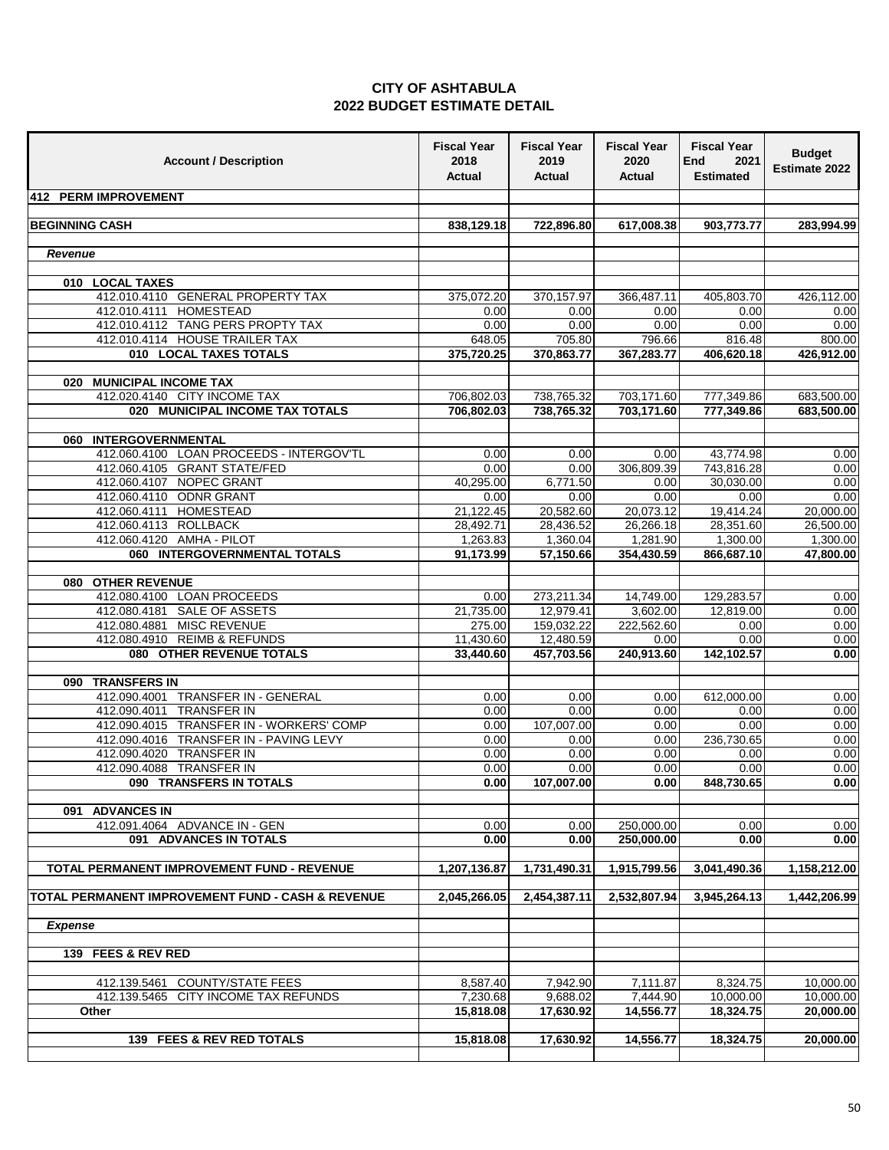| <b>Account / Description</b>                                                   | <b>Fiscal Year</b><br>2018<br><b>Actual</b> | <b>Fiscal Year</b><br>2019<br>Actual | <b>Fiscal Year</b><br>2020<br>Actual | <b>Fiscal Year</b><br>End<br>2021<br><b>Estimated</b> | <b>Budget</b><br>Estimate 2022 |
|--------------------------------------------------------------------------------|---------------------------------------------|--------------------------------------|--------------------------------------|-------------------------------------------------------|--------------------------------|
| 412 PERM IMPROVEMENT                                                           |                                             |                                      |                                      |                                                       |                                |
| <b>BEGINNING CASH</b>                                                          |                                             |                                      |                                      |                                                       |                                |
|                                                                                | 838,129.18                                  | 722,896.80                           | 617,008.38                           | 903,773.77                                            | 283,994.99                     |
| <b>Revenue</b>                                                                 |                                             |                                      |                                      |                                                       |                                |
|                                                                                |                                             |                                      |                                      |                                                       |                                |
| 010 LOCAL TAXES<br>412.010.4110 GENERAL PROPERTY TAX                           |                                             | 370,157.97                           |                                      |                                                       |                                |
| 412.010.4111 HOMESTEAD                                                         | 375,072.20<br>0.00                          | 0.00                                 | 366,487.11<br>0.00                   | 405,803.70<br>0.00                                    | 426,112.00<br>0.00             |
| 412.010.4112 TANG PERS PROPTY TAX                                              | 0.00                                        | 0.00                                 | 0.00                                 | 0.00                                                  | 0.00                           |
| 412.010.4114 HOUSE TRAILER TAX                                                 | 648.05                                      | 705.80                               | 796.66                               | 816.48                                                | 800.00                         |
| 010 LOCAL TAXES TOTALS                                                         | 375,720.25                                  | 370,863.77                           | 367,283.77                           | 406,620.18                                            | 426,912.00                     |
|                                                                                |                                             |                                      |                                      |                                                       |                                |
| 020 MUNICIPAL INCOME TAX                                                       |                                             |                                      |                                      |                                                       |                                |
| 412.020.4140 CITY INCOME TAX                                                   | 706,802.03                                  | 738,765.32                           | 703,171.60                           | 777,349.86                                            | 683,500.00                     |
| 020 MUNICIPAL INCOME TAX TOTALS                                                | 706,802.03                                  | 738,765.32                           | 703,171.60                           | 777,349.86                                            | 683,500.00                     |
| 060 INTERGOVERNMENTAL                                                          |                                             |                                      |                                      |                                                       |                                |
| 412.060.4100 LOAN PROCEEDS - INTERGOV'TL                                       | 0.00                                        | 0.00                                 | 0.00                                 | 43,774.98                                             | 0.00                           |
| 412.060.4105 GRANT STATE/FED                                                   | 0.00                                        | 0.00                                 | 306,809.39                           | 743,816.28                                            | 0.00                           |
| 412.060.4107 NOPEC GRANT                                                       | 40,295.00                                   | 6,771.50                             | 0.00                                 | 30,030.00                                             | 0.00                           |
| 412.060.4110 ODNR GRANT                                                        | 0.00                                        | 0.00                                 | 0.00                                 | 0.00                                                  | 0.00                           |
| 412.060.4111 HOMESTEAD                                                         | 21,122.45                                   | 20,582.60                            | 20,073.12                            | 19,414.24                                             | 20,000.00                      |
| 412.060.4113 ROLLBACK                                                          | 28,492.71                                   | 28.436.52                            | 26,266.18                            | 28,351.60                                             | 26,500.00                      |
| 412.060.4120 AMHA - PILOT                                                      | 1,263.83                                    | 1,360.04                             | 1,281.90                             | 1,300.00                                              | 1,300.00                       |
| 060 INTERGOVERNMENTAL TOTALS                                                   | 91,173.99                                   | 57,150.66                            | 354,430.59                           | 866,687.10                                            | 47,800.00                      |
| 080 OTHER REVENUE                                                              |                                             |                                      |                                      |                                                       |                                |
| 412.080.4100 LOAN PROCEEDS                                                     | 0.00                                        | 273,211.34                           | 14,749.00                            | 129,283.57                                            | 0.00                           |
| SALE OF ASSETS<br>412.080.4181                                                 | 21,735.00                                   | 12,979.41                            | 3,602.00                             | 12,819.00                                             | 0.00                           |
| 412.080.4881 MISC REVENUE                                                      | 275.00                                      | 159,032.22                           | 222,562.60                           | 0.00                                                  | 0.00                           |
| 412.080.4910 REIMB & REFUNDS                                                   | 11,430.60                                   | 12,480.59                            | 0.00                                 | 0.00                                                  | 0.00                           |
| 080 OTHER REVENUE TOTALS                                                       | 33,440.60                                   | 457,703.56                           | 240,913.60                           | 142,102.57                                            | 0.00                           |
|                                                                                |                                             |                                      |                                      |                                                       |                                |
| 090 TRANSFERS IN                                                               |                                             |                                      |                                      |                                                       |                                |
| 412.090.4001<br>TRANSFER IN - GENERAL                                          | 0.00                                        | 0.00                                 | 0.00                                 | 612,000.00                                            | 0.00                           |
| <b>TRANSFER IN</b><br>412.090.4011<br>412.090.4015 TRANSFER IN - WORKERS' COMP | 0.00                                        | 0.00<br>107,007.00                   | 0.00<br>0.00                         | 0.00<br>0.00                                          | 0.00<br>0.00                   |
| 412.090.4016 TRANSFER IN - PAVING LEVY                                         | 0.00<br>0.00                                | 0.00                                 | 0.00                                 | 236,730.65                                            | 0.00                           |
| 412.090.4020<br><b>TRANSFER IN</b>                                             | 0.00                                        | 0.00                                 | 0.00                                 | 0.00                                                  | 0.00                           |
| <b>TRANSFER IN</b><br>412.090.4088                                             | 0.00                                        | 0.00                                 | 0.00                                 | 0.00                                                  | 0.00                           |
| 090 TRANSFERS IN TOTALS                                                        | 0.00                                        | 107,007.00                           | 0.00                                 | 848,730.65                                            | 0.00                           |
|                                                                                |                                             |                                      |                                      |                                                       |                                |
| <b>ADVANCES IN</b><br>091                                                      |                                             |                                      |                                      |                                                       |                                |
| 412.091.4064 ADVANCE IN - GEN                                                  | 0.00                                        | 0.00                                 | 250,000.00                           | 0.00                                                  | 0.00                           |
| 091 ADVANCES IN TOTALS                                                         | 0.00                                        | 0.00                                 | 250,000.00                           | 0.00                                                  | 0.00                           |
| <b>TOTAL PERMANENT IMPROVEMENT FUND - REVENUE</b>                              | 1,207,136.87                                | 1,731,490.31                         | 1,915,799.56                         | 3,041,490.36                                          | 1,158,212.00                   |
| <b>TOTAL PERMANENT IMPROVEMENT FUND - CASH &amp; REVENUE</b>                   | 2,045,266.05                                | 2,454,387.11                         | 2,532,807.94                         | 3,945,264.13                                          | 1,442,206.99                   |
| <b>Expense</b>                                                                 |                                             |                                      |                                      |                                                       |                                |
|                                                                                |                                             |                                      |                                      |                                                       |                                |
| 139 FEES & REV RED                                                             |                                             |                                      |                                      |                                                       |                                |
| 412.139.5461 COUNTY/STATE FEES                                                 | 8,587.40                                    | 7,942.90                             | 7,111.87                             | 8,324.75                                              | 10,000.00                      |
| 412.139.5465 CITY INCOME TAX REFUNDS                                           | 7,230.68                                    | 9,688.02                             | 7,444.90                             | 10,000.00                                             | 10,000.00                      |
| Other                                                                          | 15,818.08                                   | 17,630.92                            | 14,556.77                            | 18,324.75                                             | 20,000.00                      |
|                                                                                |                                             |                                      |                                      |                                                       |                                |
| 139 FEES & REV RED TOTALS                                                      | 15,818.08                                   | 17,630.92                            | 14,556.77                            | 18,324.75                                             | 20,000.00                      |
|                                                                                |                                             |                                      |                                      |                                                       |                                |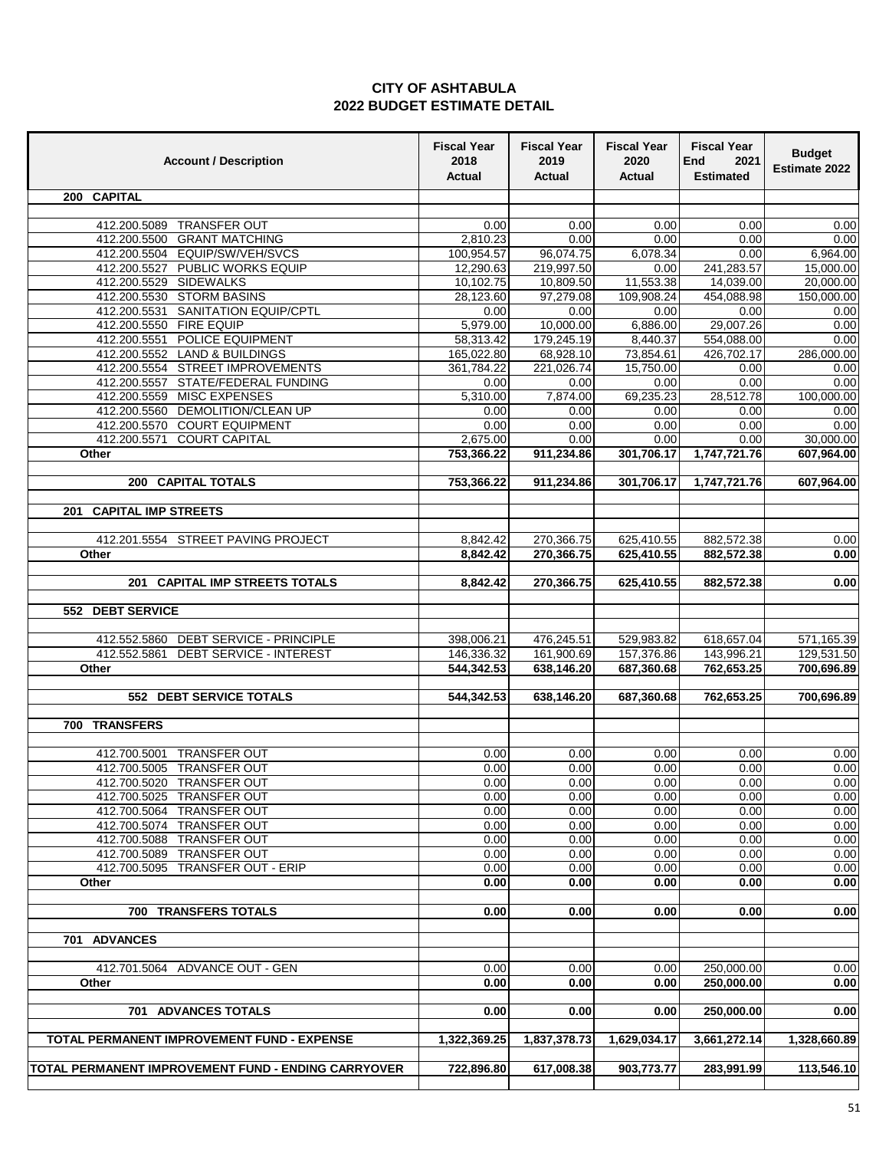| <b>Account / Description</b>                                     | <b>Fiscal Year</b><br>2018<br><b>Actual</b> | <b>Fiscal Year</b><br>2019<br>Actual | <b>Fiscal Year</b><br>2020<br>Actual | <b>Fiscal Year</b><br><b>End</b><br>2021<br><b>Estimated</b> | <b>Budget</b><br><b>Estimate 2022</b> |
|------------------------------------------------------------------|---------------------------------------------|--------------------------------------|--------------------------------------|--------------------------------------------------------------|---------------------------------------|
| 200 CAPITAL                                                      |                                             |                                      |                                      |                                                              |                                       |
|                                                                  |                                             |                                      |                                      |                                                              |                                       |
| 412.200.5089 TRANSFER OUT<br>412.200.5500 GRANT MATCHING         | 0.00<br>2,810.23                            | 0.00                                 | 0.00<br>0.00                         | 0.00<br>0.00                                                 | 0.00<br>0.00                          |
| 412.200.5504 EQUIP/SW/VEH/SVCS                                   | 100,954.57                                  | 0.00<br>96,074.75                    | 6,078.34                             | 0.00                                                         | 6,964.00                              |
| 412.200.5527 PUBLIC WORKS EQUIP                                  | 12,290.63                                   | 219,997.50                           | 0.00                                 | 241,283.57                                                   | 15,000.00                             |
| 412.200.5529 SIDEWALKS                                           | 10,102.75                                   | 10,809.50                            | 11,553.38                            | 14,039.00                                                    | 20,000.00                             |
| 412.200.5530 STORM BASINS                                        | 28,123.60                                   | 97,279.08                            | 109,908.24                           | 454,088.98                                                   | 150,000.00                            |
| 412.200.5531 SANITATION EQUIP/CPTL                               | 0.00                                        | 0.00                                 | 0.00                                 | 0.00                                                         | 0.00                                  |
| 412.200.5550 FIRE EQUIP                                          | 5,979.00                                    | 10,000.00                            | 6,886.00                             | 29,007.26                                                    | 0.00                                  |
| 412.200.5551 POLICE EQUIPMENT                                    | 58,313.42                                   | 179,245.19                           | 8,440.37                             | 554,088.00                                                   | 0.00                                  |
| 412.200.5552 LAND & BUILDINGS                                    | 165,022.80                                  | 68,928.10                            | 73,854.61                            | 426,702.17                                                   | 286,000.00                            |
| 412.200.5554 STREET IMPROVEMENTS                                 | 361,784.22                                  | 221,026.74                           | 15,750.00                            | 0.00                                                         | 0.00                                  |
| 412.200.5557 STATE/FEDERAL FUNDING<br>412.200.5559 MISC EXPENSES | 0.00                                        | 0.00<br>7,874.00                     | 0.00<br>69,235.23                    | 0.00<br>28,512.78                                            | 0.00<br>100,000.00                    |
| 412.200.5560 DEMOLITION/CLEAN UP                                 | 5,310.00<br>0.00                            | 0.00                                 | 0.00                                 | 0.00                                                         | 0.00                                  |
| 412.200.5570 COURT EQUIPMENT                                     | 0.00                                        | 0.00                                 | 0.00                                 | 0.00                                                         | 0.00                                  |
| <b>COURT CAPITAL</b><br>412.200.5571                             | 2,675.00                                    | 0.00                                 | 0.00                                 | 0.00                                                         | 30,000.00                             |
| Other                                                            | 753,366.22                                  | 911,234.86                           | 301,706.17                           | 1,747,721.76                                                 | 607,964.00                            |
|                                                                  |                                             |                                      |                                      |                                                              |                                       |
| 200 CAPITAL TOTALS                                               | 753,366.22                                  | 911,234.86                           | 301,706.17                           | 1,747,721.76                                                 | 607,964.00                            |
| 201 CAPITAL IMP STREETS                                          |                                             |                                      |                                      |                                                              |                                       |
|                                                                  |                                             |                                      |                                      |                                                              |                                       |
| 412.201.5554 STREET PAVING PROJECT                               | 8,842.42                                    | 270,366.75                           | 625,410.55                           | 882,572.38                                                   | 0.00                                  |
| Other                                                            | 8,842.42                                    | 270,366.75                           | 625,410.55                           | 882,572.38                                                   | 0.00                                  |
|                                                                  |                                             |                                      |                                      |                                                              |                                       |
| 201 CAPITAL IMP STREETS TOTALS                                   | 8,842.42                                    | 270,366.75                           | 625,410.55                           | 882,572.38                                                   | 0.00                                  |
| 552 DEBT SERVICE                                                 |                                             |                                      |                                      |                                                              |                                       |
| 412.552.5860 DEBT SERVICE - PRINCIPLE                            | 398,006.21                                  | 476,245.51                           | 529,983.82                           | 618,657.04                                                   | 571,165.39                            |
| 412.552.5861 DEBT SERVICE - INTEREST                             | 146,336.32                                  | 161,900.69                           | 157,376.86                           | 143,996.21                                                   | 129,531.50                            |
| Other                                                            | 544,342.53                                  | 638,146.20                           | 687,360.68                           | 762,653.25                                                   | 700,696.89                            |
|                                                                  |                                             |                                      |                                      |                                                              |                                       |
| 552 DEBT SERVICE TOTALS                                          | 544,342.53                                  | 638,146.20                           | 687,360.68                           | 762,653.25                                                   | 700,696.89                            |
| 700 TRANSFERS                                                    |                                             |                                      |                                      |                                                              |                                       |
|                                                                  |                                             |                                      |                                      |                                                              |                                       |
| 412.700.5001 TRANSFER OUT                                        | 0.00                                        | 0.00                                 | 0.00                                 | 0.00                                                         | 0.00                                  |
| 412.700.5005 TRANSFER OUT                                        | 0.00                                        | 0.00                                 | 0.00                                 | 0.00                                                         | 0.00                                  |
| 412.700.5020 TRANSFER OUT                                        | 0.00                                        | 0.00                                 | 0.00                                 | 0.00                                                         | 0.00                                  |
| 412.700.5025 TRANSFER OUT                                        | 0.00                                        | 0.00                                 | 0.00                                 | 0.00                                                         | 0.00                                  |
| 412.700.5064 TRANSFER OUT                                        | 0.00                                        | 0.00                                 | 0.00                                 | 0.00                                                         | 0.00                                  |
| 412.700.5074 TRANSFER OUT<br>412.700.5088 TRANSFER OUT           | 0.00<br>0.00                                | 0.00<br>0.00                         | 0.00<br>0.00                         | 0.00<br>0.00                                                 | 0.00<br>0.00                          |
| 412.700.5089 TRANSFER OUT                                        | 0.00                                        | 0.00                                 | 0.00                                 | 0.00                                                         | 0.00                                  |
| 412.700.5095 TRANSFER OUT - ERIP                                 | 0.00                                        | 0.00                                 | 0.00                                 | 0.00                                                         | 0.00                                  |
| Other                                                            | 0.00                                        | 0.00                                 | 0.00                                 | 0.00                                                         | 0.00                                  |
|                                                                  |                                             |                                      |                                      |                                                              |                                       |
| 700 TRANSFERS TOTALS                                             | 0.00                                        | 0.00                                 | 0.00                                 | 0.00                                                         | 0.00                                  |
| 701 ADVANCES                                                     |                                             |                                      |                                      |                                                              |                                       |
|                                                                  |                                             |                                      |                                      |                                                              |                                       |
| 412.701.5064 ADVANCE OUT - GEN                                   | 0.00                                        | 0.00                                 | 0.00                                 | 250,000.00                                                   | 0.00                                  |
| Other                                                            | 0.00                                        | 0.00                                 | 0.00                                 | 250,000.00                                                   | 0.00                                  |
| 701 ADVANCES TOTALS                                              | 0.00                                        | 0.00                                 | 0.00                                 | 250,000.00                                                   | 0.00                                  |
|                                                                  |                                             |                                      |                                      |                                                              |                                       |
| TOTAL PERMANENT IMPROVEMENT FUND - EXPENSE                       | 1,322,369.25                                | 1,837,378.73                         | 1,629,034.17                         | 3,661,272.14                                                 | 1,328,660.89                          |
| TOTAL PERMANENT IMPROVEMENT FUND - ENDING CARRYOVER              | 722,896.80                                  | 617,008.38                           | 903,773.77                           | 283,991.99                                                   | 113,546.10                            |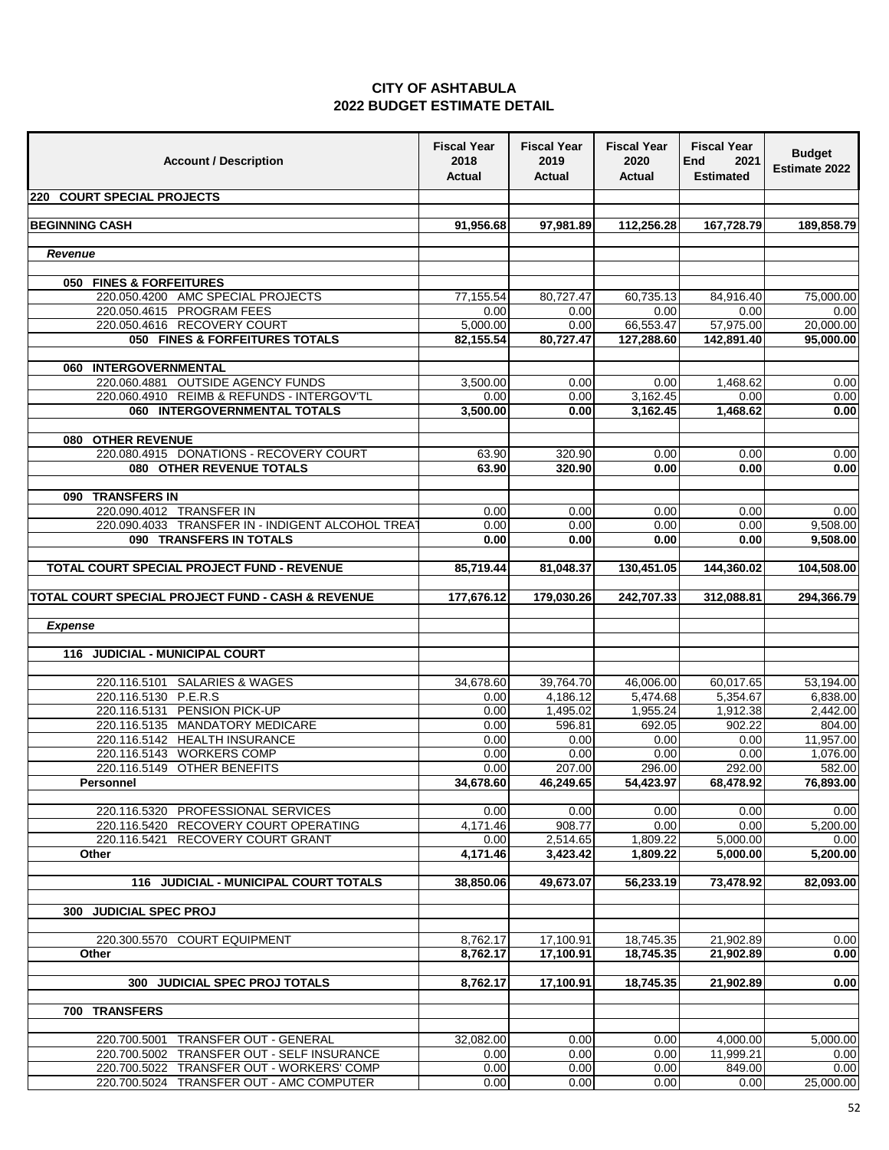| <b>Account / Description</b>                                 | <b>Fiscal Year</b><br>2018<br>Actual | <b>Fiscal Year</b><br>2019<br>Actual | <b>Fiscal Year</b><br>2020<br>Actual | <b>Fiscal Year</b><br>End<br>2021<br><b>Estimated</b> | <b>Budget</b><br>Estimate 2022 |
|--------------------------------------------------------------|--------------------------------------|--------------------------------------|--------------------------------------|-------------------------------------------------------|--------------------------------|
| 220 COURT SPECIAL PROJECTS                                   |                                      |                                      |                                      |                                                       |                                |
| <b>BEGINNING CASH</b>                                        | 91,956.68                            | 97,981.89                            | 112,256.28                           | 167,728.79                                            | 189,858.79                     |
|                                                              |                                      |                                      |                                      |                                                       |                                |
| Revenue                                                      |                                      |                                      |                                      |                                                       |                                |
| 050 FINES & FORFEITURES                                      |                                      |                                      |                                      |                                                       |                                |
| 220.050.4200 AMC SPECIAL PROJECTS                            | 77,155.54                            | 80,727.47                            | 60,735.13                            | 84,916.40                                             | 75,000.00                      |
| 220.050.4615 PROGRAM FEES                                    | 0.00                                 | 0.00                                 | 0.00                                 | 0.00                                                  | 0.00                           |
| 220.050.4616 RECOVERY COURT                                  | 5,000.00                             | 0.00                                 | 66,553.47                            | 57,975.00                                             | 20,000.00                      |
| 050 FINES & FORFEITURES TOTALS                               | 82,155.54                            | 80,727.47                            | 127,288.60                           | 142.891.40                                            | 95,000.00                      |
| <b>INTERGOVERNMENTAL</b><br>060                              |                                      |                                      |                                      |                                                       |                                |
| 220.060.4881 OUTSIDE AGENCY FUNDS                            | 3,500.00                             | 0.00                                 | 0.00                                 | 1,468.62                                              | 0.00                           |
| 220.060.4910 REIMB & REFUNDS - INTERGOV'TL                   | 0.00                                 | 0.00                                 | 3,162.45                             | 0.00                                                  | 0.00                           |
| 060 INTERGOVERNMENTAL TOTALS                                 | 3,500.00                             | 0.00                                 | 3,162.45                             | 1,468.62                                              | 0.00                           |
|                                                              |                                      |                                      |                                      |                                                       |                                |
| 080 OTHER REVENUE<br>220.080.4915 DONATIONS - RECOVERY COURT |                                      |                                      |                                      |                                                       |                                |
| 080 OTHER REVENUE TOTALS                                     | 63.90<br>63.90                       | 320.90<br>320.90                     | 0.00<br>0.00                         | 0.00<br>0.00                                          | 0.00<br>0.00                   |
|                                                              |                                      |                                      |                                      |                                                       |                                |
| 090 TRANSFERS IN                                             |                                      |                                      |                                      |                                                       |                                |
| 220.090.4012 TRANSFER IN                                     | 0.00                                 | 0.00                                 | 0.00                                 | 0.00                                                  | 0.00                           |
| 220.090.4033 TRANSFER IN - INDIGENT ALCOHOL TREAT            | 0.00                                 | 0.00                                 | 0.00                                 | 0.00                                                  | 9,508.00                       |
| 090 TRANSFERS IN TOTALS                                      | 0.00                                 | 0.00                                 | 0.00                                 | 0.00                                                  | 9.508.00                       |
| TOTAL COURT SPECIAL PROJECT FUND - REVENUE                   | 85,719.44                            | 81,048.37                            | 130,451.05                           | 144,360.02                                            | 104,508.00                     |
| TOTAL COURT SPECIAL PROJECT FUND - CASH & REVENUE            | 177,676.12                           | 179,030.26                           | 242,707.33                           | 312,088.81                                            | 294,366.79                     |
| <b>Expense</b>                                               |                                      |                                      |                                      |                                                       |                                |
|                                                              |                                      |                                      |                                      |                                                       |                                |
| 116 JUDICIAL - MUNICIPAL COURT                               |                                      |                                      |                                      |                                                       |                                |
| <b>SALARIES &amp; WAGES</b><br>220.116.5101                  | 34,678.60                            | 39,764.70                            | 46,006.00                            | 60,017.65                                             | 53,194.00                      |
| 220.116.5130 P.E.R.S                                         | 0.00                                 | 4,186.12                             | 5,474.68                             | 5,354.67                                              | 6,838.00                       |
| 220.116.5131 PENSION PICK-UP                                 | 0.00                                 | 1,495.02                             | 1,955.24                             | 1,912.38                                              | 2,442.00                       |
| 220.116.5135 MANDATORY MEDICARE                              | 0.00                                 | 596.81                               | 692.05                               | 902.22                                                | 804.00                         |
| 220.116.5142 HEALTH INSURANCE                                | 0.00                                 | 0.00                                 | 0.00                                 | 0.00                                                  | 11,957.00                      |
| 220.116.5143 WORKERS COMP                                    | 0.00                                 | 0.00                                 | 0.00                                 | 0.00                                                  | 1,076.00                       |
| 220.116.5149 OTHER BENEFITS                                  | 0.00                                 | 207.00                               | 296.00                               | 292.00                                                | 582.00                         |
| Personnel                                                    | 34,678.60                            | 46,249.65                            | 54,423.97                            | 68,478.92                                             | 76,893.00                      |
| 220.116.5320 PROFESSIONAL SERVICES                           | 0.00                                 | 0.00                                 | 0.00                                 | 0.00                                                  | 0.00                           |
| 220.116.5420 RECOVERY COURT OPERATING                        | 4,171.46                             | 908.77                               | 0.00                                 | 0.00                                                  | 5,200.00                       |
| RECOVERY COURT GRANT<br>220.116.5421                         | 0.00                                 | 2,514.65                             | 1,809.22                             | 5,000.00                                              | 0.00                           |
| Other                                                        | 4,171.46                             | 3,423.42                             | 1,809.22                             | 5,000.00                                              | 5.200.00                       |
| 116 JUDICIAL - MUNICIPAL COURT TOTALS                        | 38,850.06                            | 49,673.07                            | 56,233.19                            | 73,478.92                                             | 82,093.00                      |
|                                                              |                                      |                                      |                                      |                                                       |                                |
| <b>300 JUDICIAL SPEC PROJ</b>                                |                                      |                                      |                                      |                                                       |                                |
|                                                              |                                      |                                      |                                      |                                                       |                                |
| 220.300.5570 COURT EQUIPMENT                                 | 8,762.17                             | 17,100.91                            | 18,745.35                            | 21,902.89                                             | 0.00                           |
| Other                                                        | 8.762.17                             | 17.100.91                            | 18,745.35                            | 21,902.89                                             | 0.00                           |
| <b>300 JUDICIAL SPEC PROJ TOTALS</b>                         | 8,762.17                             | 17,100.91                            | 18,745.35                            | 21,902.89                                             | 0.00                           |
|                                                              |                                      |                                      |                                      |                                                       |                                |
| 700 TRANSFERS                                                |                                      |                                      |                                      |                                                       |                                |
| 220.700.5001<br>TRANSFER OUT - GENERAL                       | 32,082.00                            | 0.00                                 | 0.00                                 | 4,000.00                                              | 5,000.00                       |
| 220.700.5002 TRANSFER OUT - SELF INSURANCE                   | 0.00                                 | 0.00                                 | 0.00                                 | 11,999.21                                             | 0.00                           |
| 220.700.5022 TRANSFER OUT - WORKERS' COMP                    | 0.00                                 | 0.00                                 | 0.00                                 | 849.00                                                | 0.00                           |
| 220.700.5024 TRANSFER OUT - AMC COMPUTER                     | 0.00                                 | 0.00                                 | 0.00                                 | 0.00                                                  | 25,000.00                      |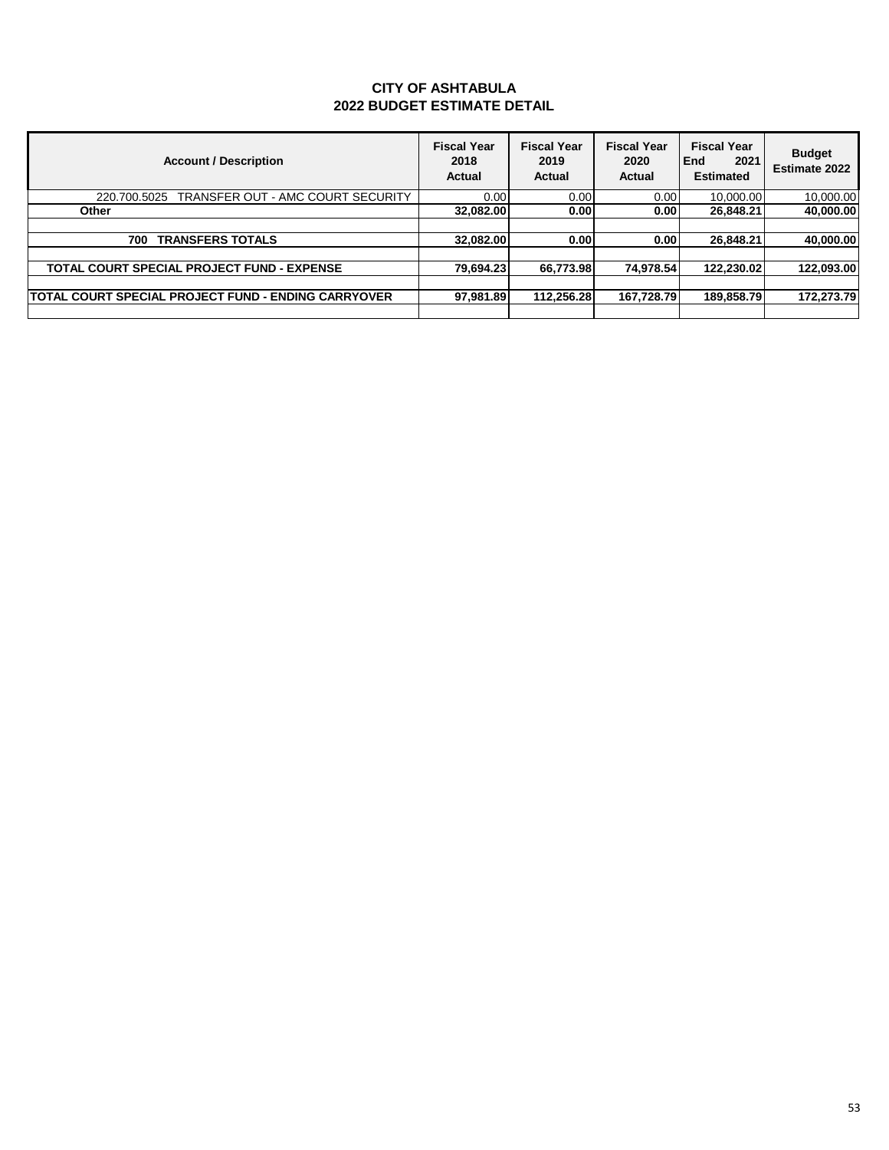| <b>Account / Description</b>                        | <b>Fiscal Year</b><br>2018<br>Actual | <b>Fiscal Year</b><br>2019<br><b>Actual</b> | <b>Fiscal Year</b><br>2020<br>Actual | <b>Fiscal Year</b><br>2021<br><b>End</b><br><b>Estimated</b> | <b>Budget</b><br>Estimate 2022 |
|-----------------------------------------------------|--------------------------------------|---------------------------------------------|--------------------------------------|--------------------------------------------------------------|--------------------------------|
| TRANSFER OUT - AMC COURT SECURITY<br>220.700.5025   | 0.00                                 | 0.00                                        | 0.00                                 | 10.000.00                                                    | 10,000.00                      |
| Other                                               | 32.082.00                            | 0.00                                        | 0.00                                 | 26.848.21                                                    | 40,000.00                      |
|                                                     |                                      |                                             |                                      |                                                              |                                |
| <b>TRANSFERS TOTALS</b><br>700                      | 32,082.00                            | 0.00                                        | 0.00                                 | 26,848.21                                                    | 40,000.00                      |
|                                                     |                                      |                                             |                                      |                                                              |                                |
| <b>TOTAL COURT SPECIAL PROJECT FUND - EXPENSE</b>   | 79.694.23                            | 66.773.98                                   | 74.978.54                            | 122,230.02                                                   | 122,093.00                     |
|                                                     |                                      |                                             |                                      |                                                              |                                |
| TOTAL COURT SPECIAL PROJECT FUND - ENDING CARRYOVER | 97,981.89                            | 112.256.28                                  | 167.728.79                           | 189.858.79                                                   | 172,273.79                     |
|                                                     |                                      |                                             |                                      |                                                              |                                |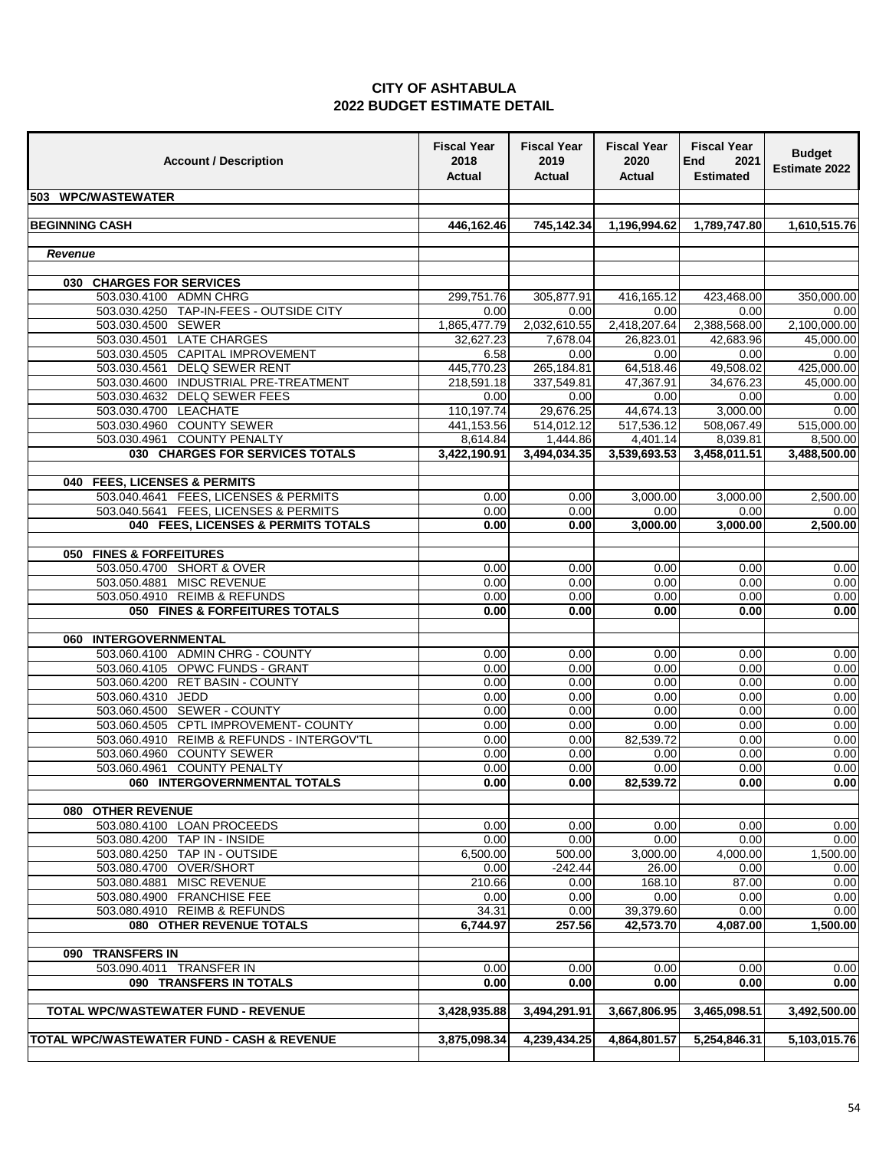| <b>Account / Description</b>                                                 | <b>Fiscal Year</b><br>2018<br><b>Actual</b> | <b>Fiscal Year</b><br>2019<br>Actual | <b>Fiscal Year</b><br>2020<br>Actual | <b>Fiscal Year</b><br>End<br>2021<br><b>Estimated</b> | <b>Budget</b><br>Estimate 2022 |
|------------------------------------------------------------------------------|---------------------------------------------|--------------------------------------|--------------------------------------|-------------------------------------------------------|--------------------------------|
| 503 WPC/WASTEWATER                                                           |                                             |                                      |                                      |                                                       |                                |
|                                                                              |                                             |                                      |                                      |                                                       |                                |
| <b>BEGINNING CASH</b>                                                        | 446,162.46                                  | 745,142.34                           | 1,196,994.62                         | 1,789,747.80                                          | 1,610,515.76                   |
| <b>Revenue</b>                                                               |                                             |                                      |                                      |                                                       |                                |
|                                                                              |                                             |                                      |                                      |                                                       |                                |
| 030 CHARGES FOR SERVICES                                                     |                                             |                                      |                                      |                                                       |                                |
| 503.030.4100 ADMN CHRG                                                       | 299,751.76                                  | 305,877.91                           | 416,165.12                           | 423,468.00                                            | 350,000.00                     |
| 503.030.4250 TAP-IN-FEES - OUTSIDE CITY                                      | 0.00                                        | 0.00                                 | 0.00                                 | 0.00                                                  | 0.00                           |
| 503.030.4500 SEWER                                                           | 1,865,477.79                                | 2,032,610.55                         | 2,418,207.64                         | 2,388,568.00                                          | 2,100,000.00                   |
| 503.030.4501 LATE CHARGES<br>503.030.4505 CAPITAL IMPROVEMENT                | 32,627.23<br>6.58                           | 7,678.04<br>0.00                     | 26.823.01<br>0.00                    | 42,683.96<br>0.00                                     | 45,000.00<br>0.00              |
| <b>DELQ SEWER RENT</b><br>503.030.4561                                       | 445,770.23                                  | 265, 184.81                          | 64,518.46                            | 49,508.02                                             | 425,000.00                     |
| 503.030.4600 INDUSTRIAL PRE-TREATMENT                                        | 218,591.18                                  | 337,549.81                           | 47,367.91                            | 34,676.23                                             | 45,000.00                      |
| 503.030.4632 DELQ SEWER FEES                                                 | 0.00                                        | 0.00                                 | 0.00                                 | 0.00                                                  | 0.00                           |
| 503.030.4700 LEACHATE                                                        | 110,197.74                                  | 29,676.25                            | 44,674.13                            | 3,000.00                                              | 0.00                           |
| 503.030.4960 COUNTY SEWER                                                    | 441,153.56                                  | 514,012.12                           | 517,536.12                           | 508,067.49                                            | 515,000.00                     |
| <b>COUNTY PENALTY</b><br>503.030.4961                                        | 8,614.84                                    | 1,444.86                             | 4,401.14                             | 8,039.81                                              | 8,500.00                       |
| 030 CHARGES FOR SERVICES TOTALS                                              | 3,422,190.91                                | 3,494,034.35                         | 3,539,693.53                         | 3,458,011.51                                          | 3,488,500.00                   |
|                                                                              |                                             |                                      |                                      |                                                       |                                |
| <b>FEES. LICENSES &amp; PERMITS</b><br>040                                   |                                             |                                      |                                      |                                                       |                                |
| 503.040.4641 FEES, LICENSES & PERMITS                                        | 0.00                                        | 0.00                                 | 3,000.00                             | 3,000.00                                              | 2.500.00                       |
| 503.040.5641 FEES, LICENSES & PERMITS<br>040 FEES, LICENSES & PERMITS TOTALS | 0.00<br>0.00                                | 0.00<br>0.00                         | 0.00<br>3,000.00                     | 0.00<br>3,000.00                                      | 0.00<br>2,500.00               |
|                                                                              |                                             |                                      |                                      |                                                       |                                |
| 050 FINES & FORFEITURES                                                      |                                             |                                      |                                      |                                                       |                                |
| 503.050.4700 SHORT & OVER                                                    | 0.00                                        | 0.00                                 | 0.00                                 | 0.00                                                  | 0.00                           |
| <b>MISC REVENUE</b><br>503.050.4881                                          | 0.00                                        | 0.00                                 | 0.00                                 | 0.00                                                  | 0.00                           |
| 503.050.4910 REIMB & REFUNDS                                                 | 0.00                                        | 0.00                                 | 0.00                                 | 0.00                                                  | 0.00                           |
| 050 FINES & FORFEITURES TOTALS                                               | 0.00                                        | 0.00                                 | 0.00                                 | 0.00                                                  | 0.00                           |
|                                                                              |                                             |                                      |                                      |                                                       |                                |
| 060 INTERGOVERNMENTAL                                                        |                                             |                                      |                                      |                                                       |                                |
| 503.060.4100 ADMIN CHRG - COUNTY                                             | 0.00                                        | 0.00                                 | 0.00                                 | 0.00                                                  | 0.00                           |
| 503.060.4105 OPWC FUNDS - GRANT                                              | 0.00                                        | 0.00                                 | 0.00                                 | 0.00                                                  | 0.00                           |
| 503.060.4200 RET BASIN - COUNTY                                              | 0.00                                        | 0.00                                 | 0.00                                 | 0.00                                                  | 0.00                           |
| 503.060.4310 JEDD<br>503.060.4500 SEWER - COUNTY                             | 0.00<br>0.00                                | 0.00<br>0.00                         | 0.00<br>0.00                         | 0.00<br>0.00                                          | 0.00<br>0.00                   |
| 503.060.4505 CPTL IMPROVEMENT- COUNTY                                        | 0.00                                        | 0.00                                 | 0.00                                 | 0.00                                                  | 0.00                           |
| 503.060.4910 REIMB & REFUNDS - INTERGOV'TL                                   | 0.00                                        | 0.00                                 | 82,539.72                            | 0.00                                                  | 0.00                           |
| 503.060.4960 COUNTY SEWER                                                    | 0.00                                        | 0.00                                 | 0.00                                 | 0.00                                                  | 0.00                           |
| <b>COUNTY PENALTY</b><br>503.060.4961                                        | 0.00                                        | 0.00                                 | 0.00                                 | 0.00                                                  | 0.00                           |
| 060 INTERGOVERNMENTAL TOTALS                                                 | 0.00                                        | 0.00                                 | 82,539.72                            | 0.00                                                  | 0.00                           |
|                                                                              |                                             |                                      |                                      |                                                       |                                |
| 080 OTHER REVENUE                                                            |                                             |                                      |                                      |                                                       |                                |
| 503.080.4100 LOAN PROCEEDS                                                   | 0.00                                        | 0.00                                 | 0.00                                 | 0.00                                                  | 0.00                           |
| 503.080.4200 TAP IN - INSIDE                                                 | 0.00                                        | 0.00                                 | 0.00                                 | 0.00                                                  | 0.00                           |
| 503.080.4250 TAP IN - OUTSIDE                                                | 6,500.00                                    | 500.00                               | 3,000.00                             | 4,000.00                                              | 1,500.00                       |
| 503.080.4700 OVER/SHORT                                                      | 0.00                                        | $-242.44$                            | 26.00                                | 0.00                                                  | 0.00                           |
| 503.080.4881 MISC REVENUE                                                    | 210.66                                      | 0.00                                 | 168.10                               | 87.00                                                 | 0.00                           |
| 503.080.4900 FRANCHISE FEE                                                   | 0.00                                        | 0.00                                 | 0.00                                 | 0.00                                                  | 0.00                           |
| 503.080.4910 REIMB & REFUNDS<br>080 OTHER REVENUE TOTALS                     | 34.31<br>6,744.97                           | 0.00<br>257.56                       | 39,379.60<br>42,573.70               | 0.00<br>4,087.00                                      | 0.00<br>1,500.00               |
|                                                                              |                                             |                                      |                                      |                                                       |                                |
| 090 TRANSFERS IN                                                             |                                             |                                      |                                      |                                                       |                                |
| 503.090.4011 TRANSFER IN                                                     | 0.00                                        | 0.00                                 | 0.00                                 | 0.00                                                  | 0.00                           |
| 090 TRANSFERS IN TOTALS                                                      | 0.00                                        | 0.00                                 | 0.00                                 | 0.00                                                  | 0.00                           |
|                                                                              |                                             |                                      |                                      |                                                       |                                |
| TOTAL WPC/WASTEWATER FUND - REVENUE                                          | 3,428,935.88                                | 3,494,291.91                         | 3,667,806.95                         | 3,465,098.51                                          | 3,492,500.00                   |
|                                                                              |                                             |                                      |                                      |                                                       |                                |
| TOTAL WPC/WASTEWATER FUND - CASH & REVENUE                                   | 3,875,098.34                                | 4,239,434.25                         | 4,864,801.57                         | 5,254,846.31                                          | 5,103,015.76                   |
|                                                                              |                                             |                                      |                                      |                                                       |                                |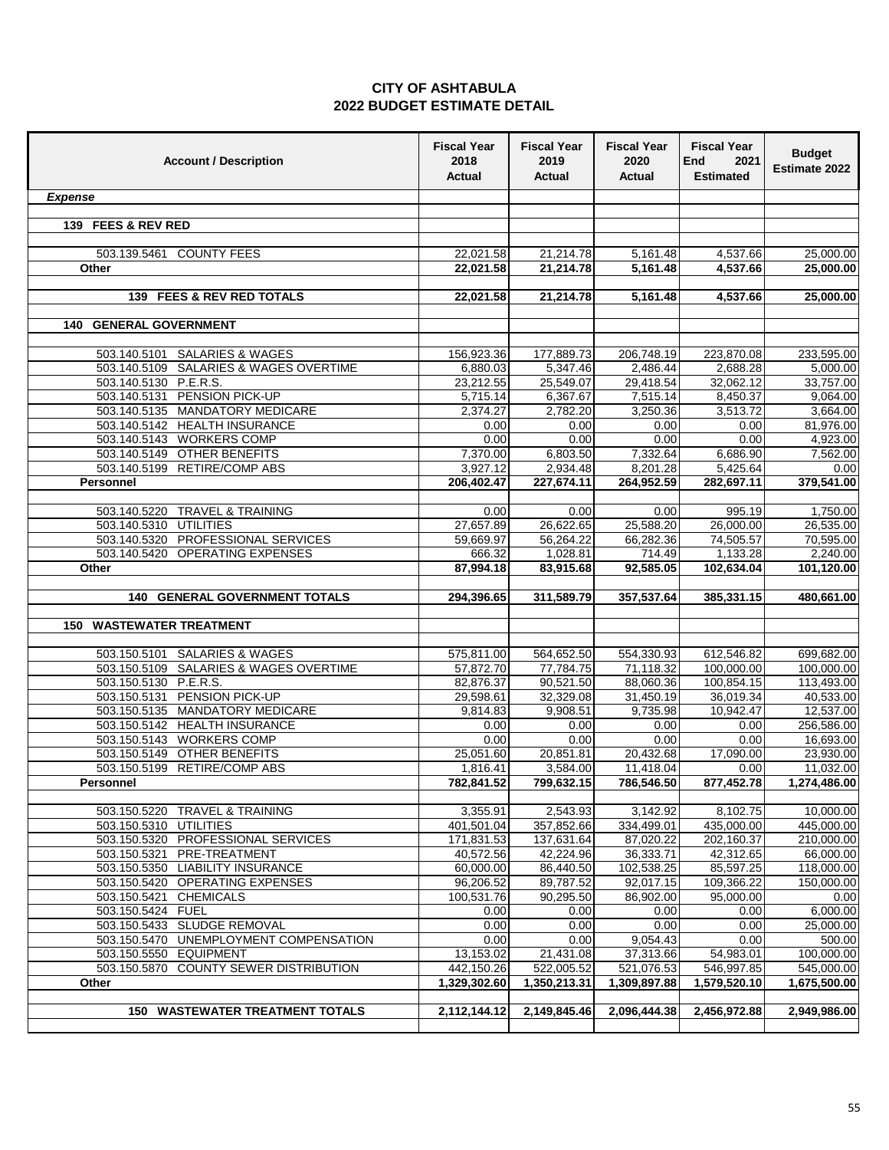| <b>Account / Description</b>                                    | <b>Fiscal Year</b><br>2018<br><b>Actual</b> | <b>Fiscal Year</b><br>2019<br>Actual | <b>Fiscal Year</b><br>2020<br>Actual | <b>Fiscal Year</b><br>2021<br>End<br><b>Estimated</b> | <b>Budget</b><br>Estimate 2022 |
|-----------------------------------------------------------------|---------------------------------------------|--------------------------------------|--------------------------------------|-------------------------------------------------------|--------------------------------|
| <b>Expense</b>                                                  |                                             |                                      |                                      |                                                       |                                |
|                                                                 |                                             |                                      |                                      |                                                       |                                |
| 139 FEES & REV RED                                              |                                             |                                      |                                      |                                                       |                                |
|                                                                 |                                             |                                      |                                      |                                                       |                                |
| 503.139.5461 COUNTY FEES                                        | 22,021.58                                   | 21,214.78                            | 5,161.48                             | 4,537.66                                              | 25,000.00                      |
| Other                                                           | 22,021.58                                   | 21,214.78                            | 5,161.48                             | 4,537.66                                              | 25,000.00                      |
|                                                                 |                                             |                                      |                                      |                                                       |                                |
| 139 FEES & REV RED TOTALS                                       | 22,021.58                                   | 21,214.78                            | 5,161.48                             | 4,537.66                                              | 25,000.00                      |
| <b>GENERAL GOVERNMENT</b><br>140                                |                                             |                                      |                                      |                                                       |                                |
|                                                                 |                                             |                                      |                                      |                                                       |                                |
| 503.140.5101 SALARIES & WAGES                                   | 156,923.36                                  | 177,889.73                           | 206,748.19                           | 223,870.08                                            | 233,595.00                     |
| 503.140.5109 SALARIES & WAGES OVERTIME                          | 6,880.03                                    | 5,347.46                             | 2,486.44                             | 2,688.28                                              | 5,000.00                       |
| 503.140.5130 P.E.R.S.                                           | 23,212.55                                   | 25,549.07                            | 29,418.54                            | 32,062.12                                             | 33,757.00                      |
| 503.140.5131 PENSION PICK-UP                                    | 5,715.14                                    | 6,367.67                             | 7,515.14                             | 8,450.37                                              | 9,064.00                       |
| 503.140.5135 MANDATORY MEDICARE                                 | 2,374.27                                    | 2,782.20                             | 3,250.36                             | 3,513.72                                              | 3,664.00                       |
| 503.140.5142 HEALTH INSURANCE                                   | 0.00                                        | 0.00                                 | 0.00                                 | 0.00                                                  | 81,976.00                      |
| 503.140.5143 WORKERS COMP                                       | 0.00                                        | 0.00                                 | 0.00                                 | 0.00                                                  | 4,923.00                       |
| 503.140.5149 OTHER BENEFITS                                     | 7,370.00                                    | 6,803.50                             | 7,332.64                             | 6,686.90                                              | 7,562.00                       |
| 503.140.5199 RETIRE/COMP ABS                                    | 3.927.12                                    | 2,934.48                             | 8,201.28                             | 5,425.64                                              | 0.00                           |
| Personnel                                                       | 206,402.47                                  | 227,674.11                           | 264,952.59                           | 282,697.11                                            | 379,541.00                     |
|                                                                 |                                             |                                      |                                      |                                                       |                                |
| 503.140.5220 TRAVEL & TRAINING<br>503.140.5310 UTILITIES        | 0.00<br>27,657.89                           | 0.00<br>26,622.65                    | 0.00<br>25,588.20                    | 995.19<br>26,000.00                                   | 1,750.00<br>26,535.00          |
| 503.140.5320 PROFESSIONAL SERVICES                              | 59,669.97                                   | 56,264.22                            | 66,282.36                            | 74,505.57                                             | 70,595.00                      |
| 503.140.5420 OPERATING EXPENSES                                 | 666.32                                      | 1,028.81                             | 714.49                               | 1,133.28                                              | 2,240.00                       |
| Other                                                           | 87,994.18                                   | 83,915.68                            | 92,585.05                            | 102,634.04                                            | 101,120.00                     |
|                                                                 |                                             |                                      |                                      |                                                       |                                |
| <b>140 GENERAL GOVERNMENT TOTALS</b>                            | 294,396.65                                  | 311,589.79                           | 357,537.64                           | 385,331.15                                            | 480,661.00                     |
|                                                                 |                                             |                                      |                                      |                                                       |                                |
| <b>WASTEWATER TREATMENT</b><br>150                              |                                             |                                      |                                      |                                                       |                                |
|                                                                 |                                             |                                      |                                      |                                                       |                                |
| 503.150.5101 SALARIES & WAGES                                   | 575,811.00                                  | 564,652.50                           | 554,330.93                           | 612,546.82                                            | 699,682.00                     |
| 503.150.5109 SALARIES & WAGES OVERTIME                          | 57,872.70                                   | 77,784.75                            | 71,118.32                            | 100,000.00                                            | 100,000.00                     |
| 503.150.5130 P.E.R.S.                                           | 82,876.37                                   | 90,521.50                            | 88,060.36                            | 100,854.15                                            | 113,493.00                     |
| 503.150.5131 PENSION PICK-UP<br>503.150.5135 MANDATORY MEDICARE | 29,598.61                                   | 32,329.08<br>9.908.51                | 31,450.19                            | 36,019.34                                             | 40,533.00<br>12,537.00         |
| 503.150.5142 HEALTH INSURANCE                                   | 9,814.83<br>0.00                            | 0.00                                 | 9,735.98<br>0.00                     | 10,942.47<br>0.00                                     | 256,586.00                     |
| 503.150.5143 WORKERS COMP                                       | 0.00                                        | 0.00                                 | 0.00                                 | 0.00                                                  | 16,693.00                      |
| 503.150.5149 OTHER BENEFITS                                     | 25,051.60                                   | 20.851.81                            | 20,432.68                            | 17,090.00                                             | 23,930.00                      |
| 503.150.5199 RETIRE/COMP ABS                                    | 1,816.41                                    | 3,584.00                             | 11,418.04                            | 0.00                                                  | 11,032.00                      |
| Personnel                                                       | 782,841.52                                  | 799,632.15                           | 786,546.50                           | 877,452.78                                            | 1,274,486.00                   |
|                                                                 |                                             |                                      |                                      |                                                       |                                |
| 503.150.5220 TRAVEL & TRAINING                                  | 3.355.91                                    | 2,543.93                             | 3,142.92                             | 8,102.75                                              | 10,000.00                      |
| 503.150.5310 UTILITIES                                          | 401,501.04                                  | 357,852.66                           | 334,499.01                           | 435,000.00                                            | 445,000.00                     |
| 503.150.5320 PROFESSIONAL SERVICES                              | 171,831.53                                  | 137,631.64                           | 87,020.22                            | 202,160.37                                            | 210,000.00                     |
| 503.150.5321<br>PRE-TREATMENT                                   | 40,572.56                                   | 42,224.96                            | 36,333.71                            | 42,312.65                                             | 66,000.00                      |
| 503.150.5350<br><b>LIABILITY INSURANCE</b>                      | 60,000.00                                   | 86,440.50                            | 102,538.25                           | 85,597.25                                             | 118,000.00                     |
| OPERATING EXPENSES<br>503.150.5420                              | 96,206.52                                   | 89,787.52                            | 92,017.15                            | 109,366.22                                            | 150,000.00                     |
| 503.150.5421<br><b>CHEMICALS</b>                                | 100,531.76                                  | 90,295.50                            | 86,902.00                            | 95,000.00                                             | 0.00                           |
| 503.150.5424<br><b>FUEL</b><br>SLUDGE REMOVAL<br>503.150.5433   | 0.00<br>0.00                                | 0.00<br>0.00                         | 0.00<br>0.00                         | 0.00<br>0.00                                          | 6,000.00<br>25.000.00          |
| 503.150.5470 UNEMPLOYMENT COMPENSATION                          | 0.00                                        | 0.00                                 | 9,054.43                             | 0.00                                                  | 500.00                         |
| 503.150.5550 EQUIPMENT                                          | 13,153.02                                   | 21,431.08                            | 37,313.66                            | 54,983.01                                             | 100,000.00                     |
| 503.150.5870 COUNTY SEWER DISTRIBUTION                          | 442,150.26                                  | 522,005.52                           | 521,076.53                           | 546,997.85                                            | 545,000.00                     |
| Other                                                           | 1,329,302.60                                | 1,350,213.31                         | 1,309,897.88                         | 1,579,520.10                                          | 1,675,500.00                   |
|                                                                 |                                             |                                      |                                      |                                                       |                                |
| <b>WASTEWATER TREATMENT TOTALS</b><br>150                       | 2,112,144.12                                | 2,149,845.46                         | 2,096,444.38                         | 2,456,972.88                                          | 2,949,986.00                   |
|                                                                 |                                             |                                      |                                      |                                                       |                                |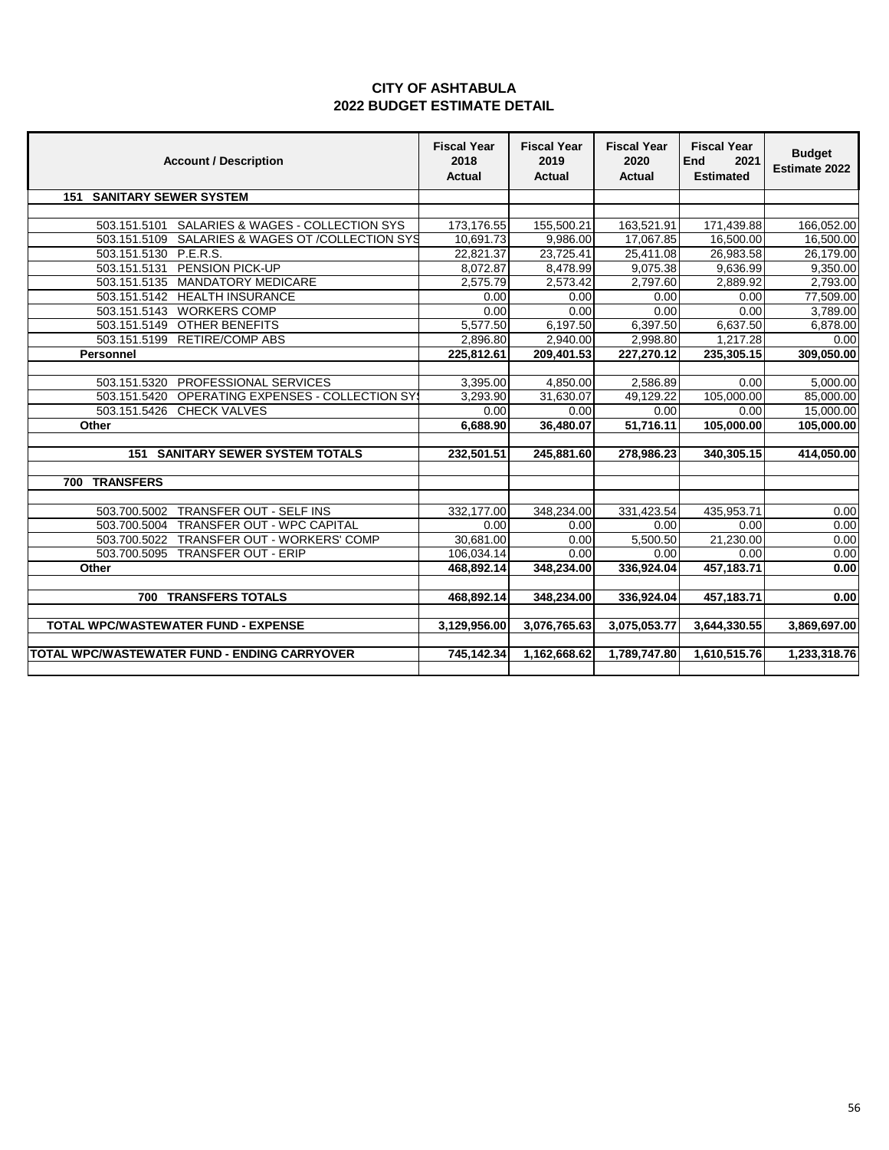| <b>Account / Description</b>                        | <b>Fiscal Year</b><br>2018<br><b>Actual</b> | <b>Fiscal Year</b><br>2019<br><b>Actual</b> | <b>Fiscal Year</b><br>2020<br><b>Actual</b> | <b>Fiscal Year</b><br><b>End</b><br>2021<br><b>Estimated</b> | <b>Budget</b><br><b>Estimate 2022</b> |
|-----------------------------------------------------|---------------------------------------------|---------------------------------------------|---------------------------------------------|--------------------------------------------------------------|---------------------------------------|
| <b>151 SANITARY SEWER SYSTEM</b>                    |                                             |                                             |                                             |                                                              |                                       |
|                                                     |                                             |                                             |                                             |                                                              |                                       |
| SALARIES & WAGES - COLLECTION SYS<br>503.151.5101   | 173,176.55                                  | 155,500.21                                  | 163,521.91                                  | 171,439.88                                                   | 166,052.00                            |
| SALARIES & WAGES OT /COLLECTION SYS<br>503.151.5109 | 10,691.73                                   | 9.986.00                                    | 17,067.85                                   | 16,500.00                                                    | 16,500.00                             |
| 503.151.5130 P.E.R.S.                               | 22.821.37                                   | 23,725.41                                   | 25,411.08                                   | 26,983.58                                                    | 26,179.00                             |
| PENSION PICK-UP<br>503.151.5131                     | 8,072.87                                    | 8,478.99                                    | 9,075.38                                    | 9,636.99                                                     | 9,350.00                              |
| <b>MANDATORY MEDICARE</b><br>503.151.5135           | 2,575.79                                    | 2,573.42                                    | 2,797.60                                    | 2,889.92                                                     | 2,793.00                              |
| <b>HEALTH INSURANCE</b><br>503.151.5142             | 0.00                                        | 0.00                                        | 0.00                                        | 0.00                                                         | 77,509.00                             |
| <b>WORKERS COMP</b><br>503.151.5143                 | 0.00                                        | 0.00                                        | 0.00                                        | 0.00                                                         | 3,789.00                              |
| <b>OTHER BENEFITS</b><br>503.151.5149               | 5,577.50                                    | 6,197.50                                    | 6,397.50                                    | 6,637.50                                                     | 6,878.00                              |
| <b>RETIRE/COMP ABS</b><br>503.151.5199              | 2.896.80                                    | 2.940.00                                    | 2.998.80                                    | 1.217.28                                                     | 0.00                                  |
| <b>Personnel</b>                                    | 225,812.61                                  | 209,401.53                                  | 227,270.12                                  | 235,305.15                                                   | 309,050.00                            |
|                                                     |                                             |                                             |                                             |                                                              |                                       |
| PROFESSIONAL SERVICES<br>503.151.5320               | 3,395.00                                    | 4,850.00                                    | 2,586.89                                    | 0.00                                                         | 5,000.00                              |
| OPERATING EXPENSES - COLLECTION SY<br>503.151.5420  | 3.293.90                                    | 31,630.07                                   | 49,129.22                                   | 105,000.00                                                   | 85,000.00                             |
| 503.151.5426 CHECK VALVES                           | 0.00                                        | 0.00                                        | 0.00                                        | 0.00                                                         | 15,000.00                             |
| Other                                               | 6,688.90                                    | 36,480.07                                   | 51,716.11                                   | 105,000.00                                                   | 105,000.00                            |
|                                                     |                                             |                                             |                                             |                                                              |                                       |
| <b>SANITARY SEWER SYSTEM TOTALS</b><br>151          | 232,501.51                                  | 245,881.60                                  | 278,986.23                                  | 340,305.15                                                   | 414,050.00                            |
|                                                     |                                             |                                             |                                             |                                                              |                                       |
| 700 TRANSFERS                                       |                                             |                                             |                                             |                                                              |                                       |
|                                                     |                                             |                                             |                                             |                                                              |                                       |
| TRANSFER OUT - SELF INS<br>503.700.5002             | 332,177.00                                  | 348,234.00                                  | 331,423.54                                  | 435,953.71                                                   | 0.00                                  |
| 503.700.5004 TRANSFER OUT - WPC CAPITAL             | 0.00                                        | 0.00                                        | 0.00                                        | 0.00                                                         | 0.00                                  |
| 503.700.5022 TRANSFER OUT - WORKERS' COMP           | 30,681.00                                   | 0.00                                        | 5,500.50                                    | 21,230.00                                                    | 0.00                                  |
| <b>TRANSFER OUT - ERIP</b><br>503.700.5095          | 106,034.14                                  | 0.00                                        | 0.00                                        | 0.00                                                         | 0.00                                  |
| Other                                               | 468,892.14                                  | 348,234.00                                  | 336,924.04                                  | 457,183.71                                                   | 0.00                                  |
|                                                     |                                             |                                             |                                             |                                                              |                                       |
| <b>TRANSFERS TOTALS</b><br>700                      | 468,892.14                                  | 348,234.00                                  | 336,924.04                                  | 457,183.71                                                   | 0.00                                  |
|                                                     |                                             |                                             |                                             |                                                              |                                       |
| TOTAL WPC/WASTEWATER FUND - EXPENSE                 | 3,129,956.00                                | 3,076,765.63                                | 3,075,053.77                                | 3,644,330.55                                                 | 3,869,697.00                          |
|                                                     |                                             |                                             |                                             |                                                              |                                       |
| TOTAL WPC/WASTEWATER FUND - ENDING CARRYOVER        | 745,142.34                                  | 1,162,668.62                                | 1,789,747.80                                | 1,610,515.76                                                 | 1,233,318.76                          |
|                                                     |                                             |                                             |                                             |                                                              |                                       |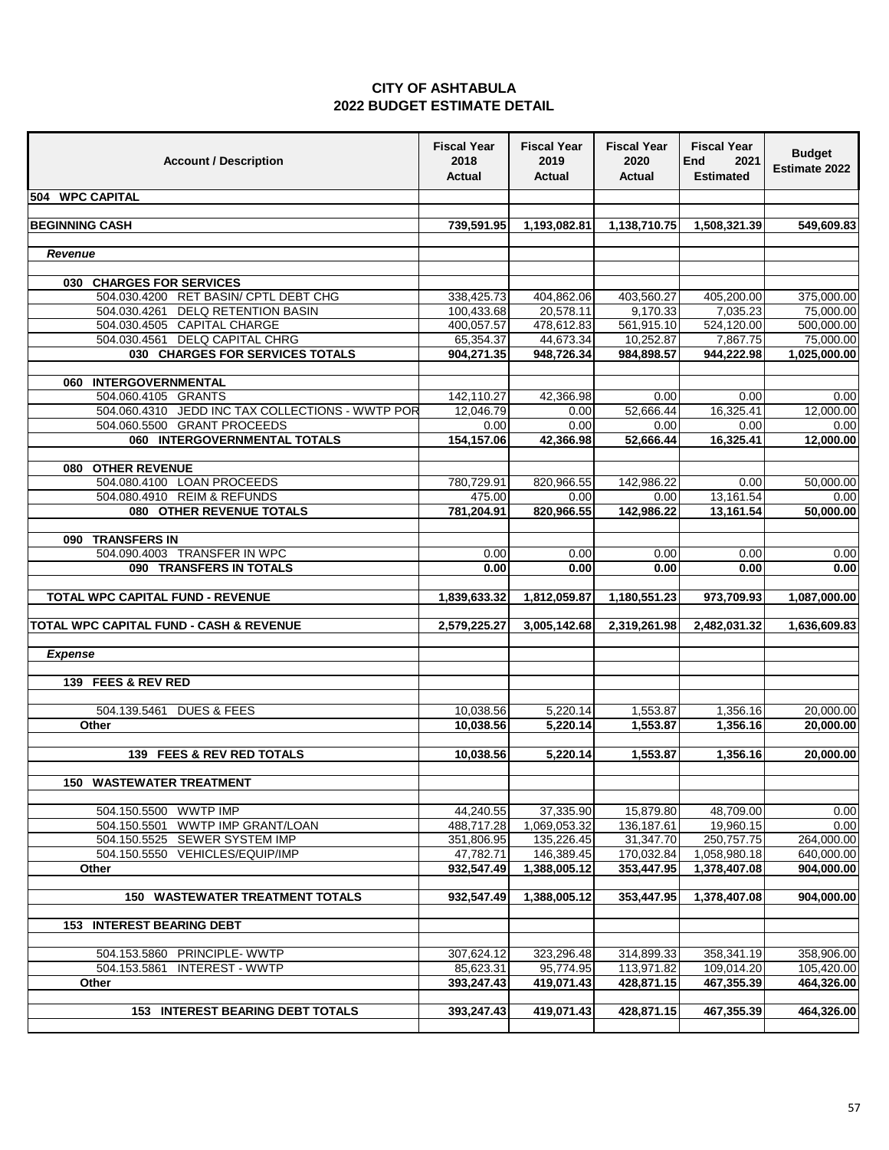| <b>Account / Description</b>                                                    | <b>Fiscal Year</b><br>2018<br>Actual | <b>Fiscal Year</b><br>2019<br>Actual | <b>Fiscal Year</b><br>2020<br>Actual | <b>Fiscal Year</b><br>End<br>2021<br><b>Estimated</b> | <b>Budget</b><br>Estimate 2022 |
|---------------------------------------------------------------------------------|--------------------------------------|--------------------------------------|--------------------------------------|-------------------------------------------------------|--------------------------------|
| 504 WPC CAPITAL                                                                 |                                      |                                      |                                      |                                                       |                                |
| <b>BEGINNING CASH</b>                                                           | 739,591.95                           | 1,193,082.81                         | 1,138,710.75                         | 1,508,321.39                                          | 549,609.83                     |
| Revenue                                                                         |                                      |                                      |                                      |                                                       |                                |
|                                                                                 |                                      |                                      |                                      |                                                       |                                |
| 030 CHARGES FOR SERVICES                                                        |                                      |                                      |                                      |                                                       |                                |
| 504.030.4200 RET BASIN/ CPTL DEBT CHG<br>DELQ RETENTION BASIN<br>504.030.4261   | 338,425.73<br>100,433.68             | 404,862.06<br>20,578.11              | 403,560.27<br>9,170.33               | 405,200.00<br>7,035.23                                | 375,000.00<br>75,000.00        |
| 504.030.4505 CAPITAL CHARGE                                                     | 400,057.57                           | 478,612.83                           | 561,915.10                           | 524,120.00                                            | 500,000.00                     |
| 504.030.4561 DELQ CAPITAL CHRG                                                  | 65,354.37                            | 44,673.34                            | 10,252.87                            | 7,867.75                                              | 75,000.00                      |
| 030 CHARGES FOR SERVICES TOTALS                                                 | 904,271.35                           | 948,726.34                           | 984,898.57                           | 944,222.98                                            | 1,025,000.00                   |
|                                                                                 |                                      |                                      |                                      |                                                       |                                |
| 060 INTERGOVERNMENTAL                                                           |                                      |                                      |                                      |                                                       |                                |
| 504.060.4105 GRANTS                                                             | 142,110.27                           | 42,366.98                            | 0.00                                 | 0.00                                                  | 0.00                           |
| 504.060.4310 JEDD INC TAX COLLECTIONS - WWTP POR<br>504.060.5500 GRANT PROCEEDS | 12,046.79                            | 0.00                                 | 52,666.44                            | 16,325.41                                             | 12,000.00                      |
| 060 INTERGOVERNMENTAL TOTALS                                                    | 0.00<br>154,157.06                   | 0.00<br>42,366.98                    | 0.00<br>52,666.44                    | 0.00<br>16,325.41                                     | 0.00<br>12,000.00              |
|                                                                                 |                                      |                                      |                                      |                                                       |                                |
| 080 OTHER REVENUE                                                               |                                      |                                      |                                      |                                                       |                                |
| 504.080.4100 LOAN PROCEEDS                                                      | 780,729.91                           | 820,966.55                           | 142,986.22                           | 0.00                                                  | 50,000.00                      |
| 504.080.4910 REIM & REFUNDS                                                     | 475.00                               | 0.00                                 | 0.00                                 | 13,161.54                                             | 0.00                           |
| 080 OTHER REVENUE TOTALS                                                        | 781,204.91                           | 820,966.55                           | 142,986.22                           | 13,161.54                                             | 50,000.00                      |
|                                                                                 |                                      |                                      |                                      |                                                       |                                |
| 090 TRANSFERS IN                                                                |                                      |                                      |                                      |                                                       |                                |
| 504.090.4003 TRANSFER IN WPC                                                    | 0.00                                 | 0.00                                 | 0.00                                 | 0.00                                                  | 0.00                           |
| 090 TRANSFERS IN TOTALS                                                         | 0.00                                 | 0.00                                 | 0.00                                 | 0.00                                                  | 0.00                           |
| TOTAL WPC CAPITAL FUND - REVENUE                                                | 1,839,633.32                         | 1,812,059.87                         | 1,180,551.23                         | 973,709.93                                            | 1,087,000.00                   |
| TOTAL WPC CAPITAL FUND - CASH & REVENUE                                         | 2,579,225.27                         | 3,005,142.68                         | 2,319,261.98                         | 2,482,031.32                                          | 1,636,609.83                   |
|                                                                                 |                                      |                                      |                                      |                                                       |                                |
| <b>Expense</b>                                                                  |                                      |                                      |                                      |                                                       |                                |
| 139 FEES & REV RED                                                              |                                      |                                      |                                      |                                                       |                                |
|                                                                                 |                                      |                                      |                                      |                                                       |                                |
| <b>DUES &amp; FEES</b><br>504.139.5461                                          | 10,038.56                            | 5,220.14                             | 1,553.87                             | 1,356.16                                              | 20,000.00                      |
| Other                                                                           | 10,038.56                            | 5,220.14                             | 1,553.87                             | 1,356.16                                              | 20,000.00                      |
|                                                                                 |                                      |                                      |                                      |                                                       |                                |
| 139 FEES & REV RED TOTALS                                                       | 10,038.56                            | 5,220.14                             | 1,553.87                             | 1,356.16                                              | 20,000.00                      |
| 150<br><b>WASTEWATER TREATMENT</b>                                              |                                      |                                      |                                      |                                                       |                                |
|                                                                                 |                                      |                                      |                                      |                                                       |                                |
| 504.150.5500 WWTP IMP                                                           | 44,240.55                            | 37,335.90                            | 15,879.80                            | 48,709.00                                             | 0.00                           |
| 504.150.5501<br><b>WWTP IMP GRANT/LOAN</b>                                      | 488,717.28                           | 1,069,053.32                         | 136,187.61                           | 19,960.15                                             | 0.00                           |
| 504.150.5525 SEWER SYSTEM IMP                                                   | 351,806.95                           | 135,226.45                           | 31,347.70                            | 250,757.75                                            | 264,000.00                     |
| 504.150.5550 VEHICLES/EQUIP/IMP                                                 | 47,782.71                            | 146,389.45                           | 170,032.84                           | 1,058,980.18                                          | 640,000.00                     |
| Other                                                                           | 932,547.49                           | 1,388,005.12                         | 353,447.95                           | 1,378,407.08                                          | 904,000.00                     |
|                                                                                 |                                      |                                      |                                      |                                                       |                                |
| 150<br><b>WASTEWATER TREATMENT TOTALS</b>                                       | 932,547.49                           | 1,388,005.12                         | 353,447.95                           | 1,378,407.08                                          | 904,000.00                     |
| 153<br><b>INTEREST BEARING DEBT</b>                                             |                                      |                                      |                                      |                                                       |                                |
|                                                                                 |                                      |                                      |                                      |                                                       |                                |
| 504.153.5860 PRINCIPLE- WWTP                                                    | 307,624.12                           | 323,296.48                           | 314,899.33                           | 358,341.19                                            | 358,906.00                     |
|                                                                                 |                                      |                                      |                                      |                                                       |                                |
| <b>INTEREST - WWTP</b><br>504.153.5861                                          | 85,623.31                            | 95,774.95                            | 113,971.82                           | 109,014.20                                            | 105,420.00                     |
| Other                                                                           | 393,247.43                           | 419,071.43                           | 428,871.15                           | 467,355.39                                            | 464,326.00                     |
| <b>153 INTEREST BEARING DEBT TOTALS</b>                                         | 393,247.43                           | 419,071.43                           | 428,871.15                           | 467,355.39                                            | 464,326.00                     |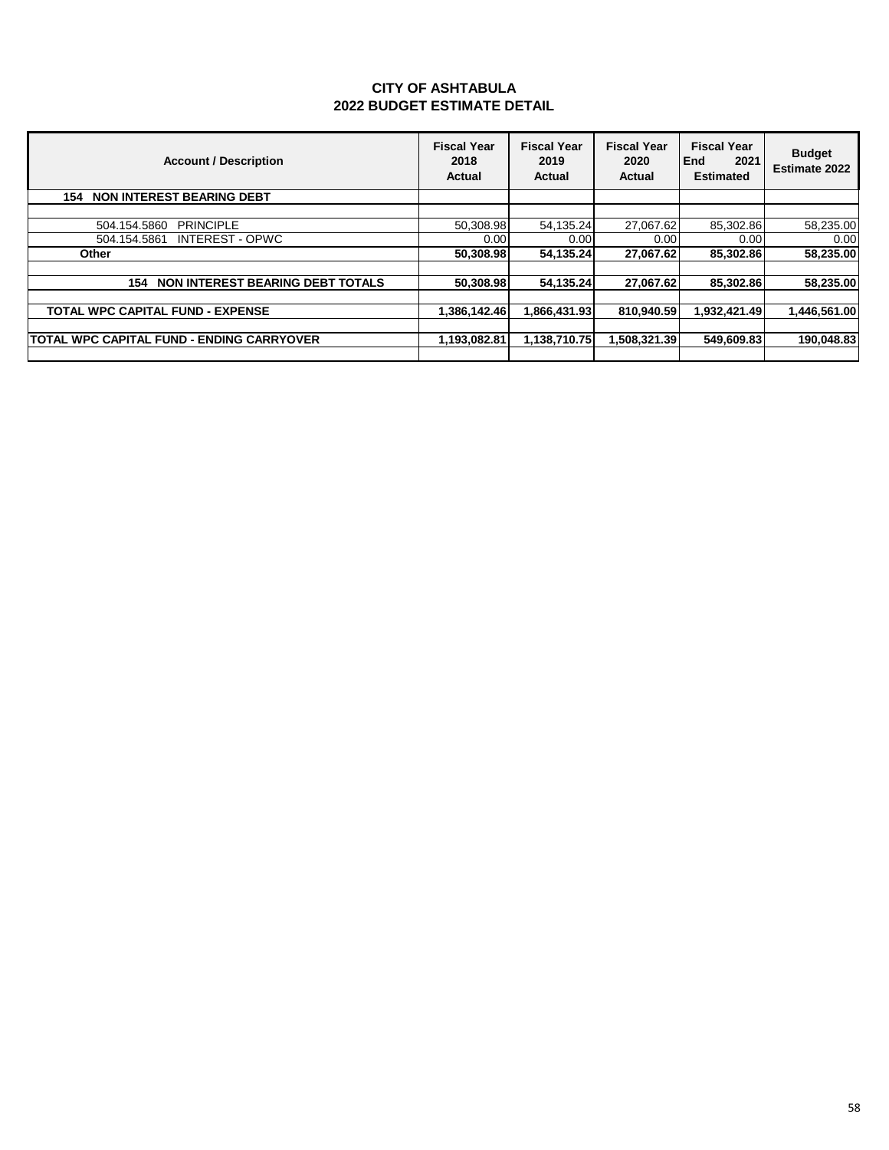| <b>Account / Description</b>                   | <b>Fiscal Year</b><br>2018<br>Actual | <b>Fiscal Year</b><br>2019<br>Actual | <b>Fiscal Year</b><br>2020<br>Actual | <b>Fiscal Year</b><br><b>End</b><br>2021<br><b>Estimated</b> | <b>Budget</b><br><b>Estimate 2022</b> |
|------------------------------------------------|--------------------------------------|--------------------------------------|--------------------------------------|--------------------------------------------------------------|---------------------------------------|
| NON INTEREST BEARING DEBT<br>154               |                                      |                                      |                                      |                                                              |                                       |
|                                                |                                      |                                      |                                      |                                                              |                                       |
| <b>PRINCIPLE</b><br>504.154.5860               | 50,308.98                            | 54,135.24                            | 27.067.62                            | 85,302.86                                                    | 58,235.00                             |
| <b>INTEREST - OPWC</b><br>504.154.5861         | 0.00                                 | 0.00                                 | 0.00                                 | 0.00                                                         | 0.00                                  |
| Other                                          | 50.308.98                            | 54.135.24                            | 27.067.62                            | 85,302.86                                                    | 58.235.00                             |
|                                                |                                      |                                      |                                      |                                                              |                                       |
| <b>NON INTEREST BEARING DEBT TOTALS</b><br>154 | 50.308.98                            | 54.135.24                            | 27.067.62                            | 85,302.86                                                    | 58,235.00                             |
|                                                |                                      |                                      |                                      |                                                              |                                       |
| <b>TOTAL WPC CAPITAL FUND - EXPENSE</b>        | 1.386.142.46                         | 1,866,431.93                         | 810,940.59                           | 1,932,421.49                                                 | 1,446,561.00                          |
|                                                |                                      |                                      |                                      |                                                              |                                       |
| TOTAL WPC CAPITAL FUND - ENDING CARRYOVER      | 1,193,082.81                         | 1.138.710.75                         | 508,321.39                           | 549,609.83                                                   | 190,048.83                            |
|                                                |                                      |                                      |                                      |                                                              |                                       |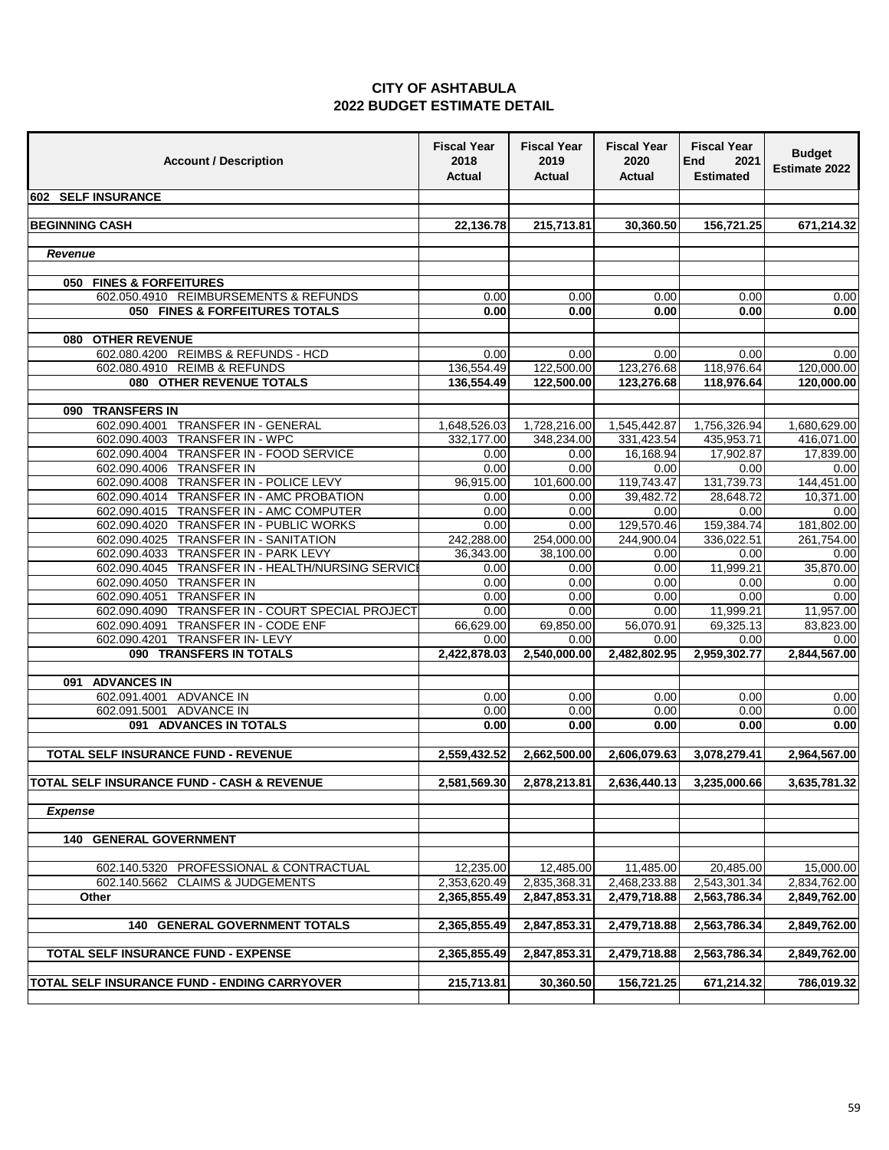| <b>Account / Description</b>                                                | <b>Fiscal Year</b><br>2018<br><b>Actual</b> | <b>Fiscal Year</b><br>2019<br>Actual | <b>Fiscal Year</b><br>2020<br><b>Actual</b> | <b>Fiscal Year</b><br>End<br>2021<br><b>Estimated</b> | <b>Budget</b><br><b>Estimate 2022</b> |
|-----------------------------------------------------------------------------|---------------------------------------------|--------------------------------------|---------------------------------------------|-------------------------------------------------------|---------------------------------------|
| 602 SELF INSURANCE                                                          |                                             |                                      |                                             |                                                       |                                       |
|                                                                             |                                             |                                      |                                             |                                                       |                                       |
| <b>BEGINNING CASH</b>                                                       | 22,136.78                                   | 215,713.81                           | 30,360.50                                   | 156,721.25                                            | 671,214.32                            |
|                                                                             |                                             |                                      |                                             |                                                       |                                       |
| Revenue                                                                     |                                             |                                      |                                             |                                                       |                                       |
| 050 FINES & FORFEITURES                                                     |                                             |                                      |                                             |                                                       |                                       |
| 602.050.4910 REIMBURSEMENTS & REFUNDS                                       | 0.00                                        | 0.00                                 | 0.00                                        | 0.00                                                  | 0.00                                  |
| <b>050 FINES &amp; FORFEITURES TOTALS</b>                                   | 0.00                                        | 0.00                                 | 0.00                                        | 0.00                                                  | 0.00                                  |
|                                                                             |                                             |                                      |                                             |                                                       |                                       |
| 080 OTHER REVENUE                                                           |                                             |                                      |                                             |                                                       |                                       |
| 602.080.4200 REIMBS & REFUNDS - HCD                                         | 0.00                                        | 0.00                                 | 0.00                                        | 0.00                                                  | 0.00                                  |
| 602.080.4910 REIMB & REFUNDS                                                | 136,554.49                                  | 122,500.00                           | 123,276.68                                  | 118,976.64                                            | 120,000.00                            |
| 080 OTHER REVENUE TOTALS                                                    | 136,554.49                                  | 122,500.00                           | 123,276.68                                  | 118,976.64                                            | 120,000.00                            |
| 090 TRANSFERS IN                                                            |                                             |                                      |                                             |                                                       |                                       |
| 602.090.4001 TRANSFER IN - GENERAL                                          | 1,648,526.03                                | 1,728,216.00                         | 1,545,442.87                                | 1,756,326.94                                          | 1,680,629.00                          |
| 602.090.4003 TRANSFER IN - WPC                                              | 332.177.00                                  | 348,234.00                           | 331,423.54                                  | 435,953.71                                            | 416,071.00                            |
| 602.090.4004 TRANSFER IN - FOOD SERVICE                                     | 0.00                                        | 0.00                                 | 16,168.94                                   | 17,902.87                                             | 17,839.00                             |
| 602.090.4006 TRANSFER IN                                                    | 0.00                                        | 0.00                                 | 0.00                                        | 0.00                                                  | 0.00                                  |
| 602.090.4008 TRANSFER IN - POLICE LEVY                                      | 96,915.00                                   | 101,600.00                           | 119,743.47                                  | 131,739.73                                            | 144,451.00                            |
| 602.090.4014 TRANSFER IN - AMC PROBATION                                    | 0.00                                        | 0.00                                 | 39,482.72                                   | 28,648.72                                             | 10,371.00                             |
| 602.090.4015 TRANSFER IN - AMC COMPUTER                                     | 0.00                                        | 0.00                                 | 0.00                                        | 0.00                                                  | 0.00                                  |
| 602.090.4020 TRANSFER IN - PUBLIC WORKS                                     | 0.00                                        | 0.00                                 | 129,570.46                                  | 159,384.74                                            | 181,802.00                            |
| 602.090.4025 TRANSFER IN - SANITATION                                       | 242,288.00                                  | 254,000.00                           | 244,900.04                                  | 336,022.51                                            | 261,754.00                            |
| 602.090.4033 TRANSFER IN - PARK LEVY                                        | 36,343.00                                   | 38,100.00                            | 0.00                                        | 0.00                                                  | 0.00                                  |
| 602.090.4045 TRANSFER IN - HEALTH/NURSING SERVICE                           | 0.00<br>0.00                                | 0.00<br>0.00                         | 0.00<br>0.00                                | 11,999.21<br>0.00                                     | 35,870.00                             |
| 602.090.4050 TRANSFER IN<br>602.090.4051 TRANSFER IN                        | 0.00                                        | 0.00                                 | 0.00                                        | 0.00                                                  | 0.00<br>0.00                          |
| 602.090.4090 TRANSFER IN - COURT SPECIAL PROJECT                            | 0.00                                        | 0.00                                 | 0.00                                        | 11,999.21                                             | 11,957.00                             |
| 602.090.4091 TRANSFER IN - CODE ENF                                         | 66,629.00                                   | 69,850.00                            | 56,070.91                                   | 69,325.13                                             | 83,823.00                             |
| 602.090.4201 TRANSFER IN- LEVY                                              | 0.00                                        | 0.00                                 | 0.00                                        | 0.00                                                  | 0.00                                  |
| 090 TRANSFERS IN TOTALS                                                     | 2,422,878.03                                | 2,540,000.00                         | 2,482,802.95                                | 2,959,302.77                                          | 2,844,567.00                          |
|                                                                             |                                             |                                      |                                             |                                                       |                                       |
| <b>ADVANCES IN</b><br>091                                                   |                                             |                                      |                                             |                                                       |                                       |
| 602.091.4001 ADVANCE IN                                                     | 0.00                                        | 0.00                                 | 0.00                                        | 0.00                                                  | 0.00                                  |
| 602.091.5001 ADVANCE IN                                                     | 0.00                                        | 0.00                                 | 0.00                                        | 0.00                                                  | 0.00                                  |
| 091 ADVANCES IN TOTALS                                                      | 0.00                                        | 0.00                                 | 0.00                                        | 0.00                                                  | 0.00                                  |
| TOTAL SELF INSURANCE FUND - REVENUE                                         | 2,559,432.52                                | 2,662,500.00                         | 2,606,079.63                                | 3,078,279.41                                          | 2,964,567.00                          |
|                                                                             |                                             |                                      |                                             |                                                       |                                       |
| TOTAL SELF INSURANCE FUND - CASH & REVENUE                                  | 2,581,569.30                                |                                      | 2,878,213.81 2,636,440.13                   | 3,235,000.66                                          | 3,635,781.32                          |
|                                                                             |                                             |                                      |                                             |                                                       |                                       |
| <b>Expense</b>                                                              |                                             |                                      |                                             |                                                       |                                       |
|                                                                             |                                             |                                      |                                             |                                                       |                                       |
| 140<br><b>GENERAL GOVERNMENT</b>                                            |                                             |                                      |                                             |                                                       |                                       |
|                                                                             |                                             |                                      |                                             |                                                       |                                       |
| 602.140.5320 PROFESSIONAL & CONTRACTUAL<br>602.140.5662 CLAIMS & JUDGEMENTS | 12,235.00<br>2,353,620.49                   | 12,485.00<br>2,835,368.31            | 11,485.00<br>2,468,233.88                   | 20,485.00<br>2,543,301.34                             | 15,000.00<br>2,834,762.00             |
| Other                                                                       | 2,365,855.49                                | 2,847,853.31                         | 2,479,718.88                                | 2,563,786.34                                          | 2,849,762.00                          |
|                                                                             |                                             |                                      |                                             |                                                       |                                       |
| <b>140 GENERAL GOVERNMENT TOTALS</b>                                        | 2,365,855.49                                | 2,847,853.31                         | 2,479,718.88                                | 2,563,786.34                                          | 2,849,762.00                          |
|                                                                             |                                             |                                      |                                             |                                                       |                                       |
| <b>TOTAL SELF INSURANCE FUND - EXPENSE</b>                                  | 2,365,855.49                                | 2,847,853.31                         | 2,479,718.88                                | 2,563,786.34                                          | 2,849,762.00                          |
|                                                                             |                                             |                                      |                                             |                                                       |                                       |
| TOTAL SELF INSURANCE FUND - ENDING CARRYOVER                                | 215,713.81                                  | 30,360.50                            | 156,721.25                                  | 671,214.32                                            | 786,019.32                            |
|                                                                             |                                             |                                      |                                             |                                                       |                                       |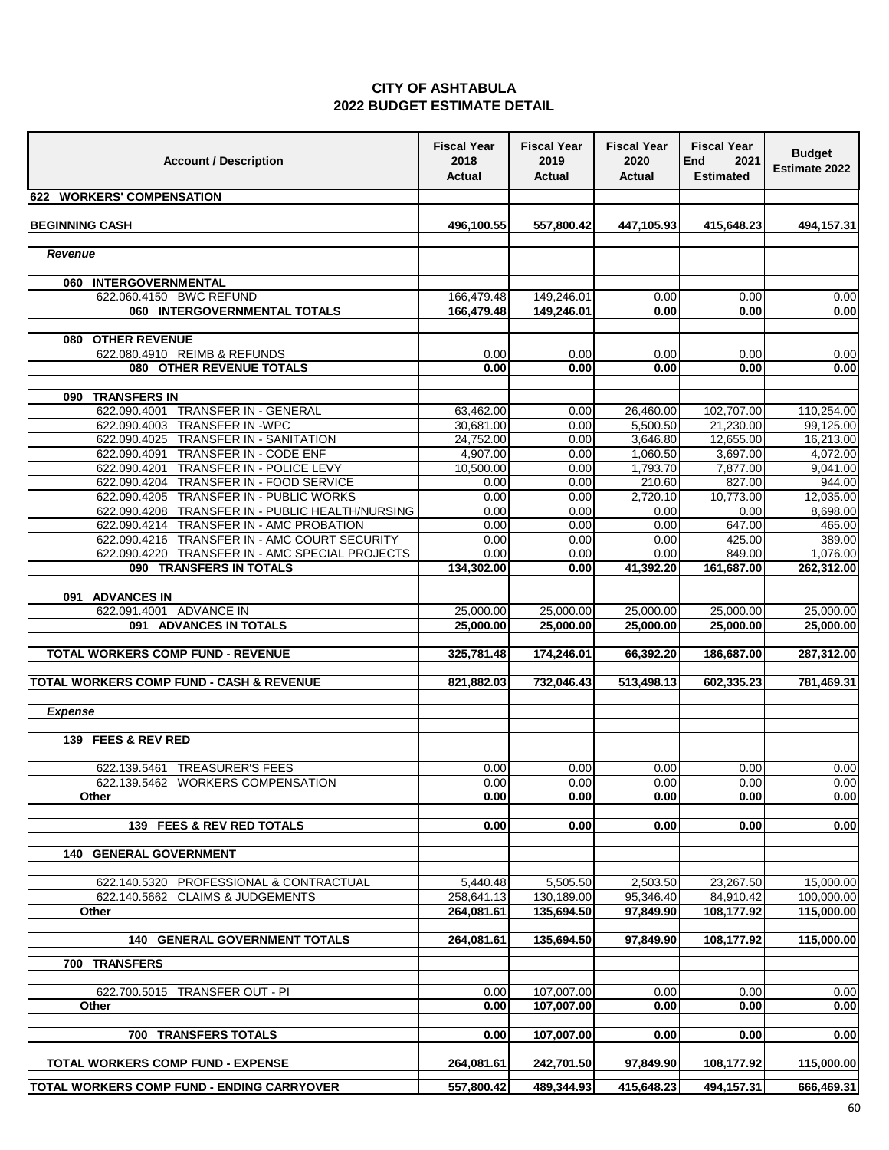| <b>Account / Description</b>                                                              | <b>Fiscal Year</b><br>2018<br>Actual | <b>Fiscal Year</b><br>2019<br>Actual | <b>Fiscal Year</b><br>2020<br>Actual | <b>Fiscal Year</b><br>End<br>2021<br><b>Estimated</b> | <b>Budget</b><br>Estimate 2022 |
|-------------------------------------------------------------------------------------------|--------------------------------------|--------------------------------------|--------------------------------------|-------------------------------------------------------|--------------------------------|
| <b>622 WORKERS' COMPENSATION</b>                                                          |                                      |                                      |                                      |                                                       |                                |
| <b>BEGINNING CASH</b>                                                                     | 496,100.55                           | 557,800.42                           | 447,105.93                           | 415,648.23                                            | 494,157.31                     |
|                                                                                           |                                      |                                      |                                      |                                                       |                                |
| Revenue                                                                                   |                                      |                                      |                                      |                                                       |                                |
|                                                                                           |                                      |                                      |                                      |                                                       |                                |
| 060 INTERGOVERNMENTAL<br>622.060.4150 BWC REFUND                                          | 166,479.48                           | 149,246.01                           | 0.00                                 | 0.00                                                  | 0.00                           |
| 060 INTERGOVERNMENTAL TOTALS                                                              | 166,479.48                           | 149,246.01                           | 0.00                                 | 0.00                                                  | 0.00                           |
|                                                                                           |                                      |                                      |                                      |                                                       |                                |
| 080 OTHER REVENUE                                                                         |                                      |                                      |                                      |                                                       |                                |
| 622.080.4910 REIMB & REFUNDS<br>080 OTHER REVENUE TOTALS                                  | 0.00<br>0.00                         | 0.00<br>0.00                         | 0.00<br>0.00                         | 0.00<br>0.00                                          | 0.00<br>0.00                   |
|                                                                                           |                                      |                                      |                                      |                                                       |                                |
| 090 TRANSFERS IN                                                                          |                                      |                                      |                                      |                                                       |                                |
| 622.090.4001 TRANSFER IN - GENERAL                                                        | 63,462.00                            | 0.00                                 | 26,460.00                            | 102,707.00                                            | 110,254.00                     |
| 622.090.4003 TRANSFER IN -WPC                                                             | 30,681.00                            | 0.00                                 | 5,500.50                             | 21,230.00                                             | 99,125.00                      |
| 622.090.4025 TRANSFER IN - SANITATION<br>622.090.4091 TRANSFER IN - CODE ENF              | 24,752.00<br>4,907.00                | 0.00<br>0.00                         | 3,646.80<br>1,060.50                 | 12,655.00<br>3,697.00                                 | 16,213.00<br>4,072.00          |
| 622.090.4201 TRANSFER IN - POLICE LEVY                                                    | 10,500.00                            | 0.00                                 | 1,793.70                             | 7,877.00                                              | 9,041.00                       |
| 622.090.4204 TRANSFER IN - FOOD SERVICE                                                   | 0.00                                 | 0.00                                 | 210.60                               | 827.00                                                | 944.00                         |
| 622.090.4205 TRANSFER IN - PUBLIC WORKS                                                   | 0.00                                 | 0.00                                 | 2,720.10                             | 10,773.00                                             | 12,035.00                      |
| 622.090.4208 TRANSFER IN - PUBLIC HEALTH/NURSING                                          | 0.00                                 | 0.00                                 | 0.00                                 | 0.00                                                  | 8,698.00                       |
| 622.090.4214 TRANSFER IN - AMC PROBATION<br>622.090.4216 TRANSFER IN - AMC COURT SECURITY | 0.00<br>0.00                         | 0.00<br>0.00                         | 0.00<br>0.00                         | 647.00<br>425.00                                      | 465.00<br>389.00               |
| 622.090.4220 TRANSFER IN - AMC SPECIAL PROJECTS                                           | 0.00                                 | 0.00                                 | 0.00                                 | 849.00                                                | 1,076.00                       |
| 090 TRANSFERS IN TOTALS                                                                   | 134,302.00                           | 0.00                                 | 41,392.20                            | 161,687.00                                            | 262,312.00                     |
|                                                                                           |                                      |                                      |                                      |                                                       |                                |
| 091 ADVANCES IN                                                                           |                                      |                                      |                                      |                                                       |                                |
| 622.091.4001 ADVANCE IN<br>091 ADVANCES IN TOTALS                                         | 25,000.00<br>25,000.00               | 25,000.00<br>25,000.00               | 25,000.00<br>25,000.00               | 25,000.00<br>25,000.00                                | 25,000.00<br>25,000.00         |
|                                                                                           |                                      |                                      |                                      |                                                       |                                |
| TOTAL WORKERS COMP FUND - REVENUE                                                         | 325,781.48                           | 174,246.01                           | 66,392.20                            | 186,687.00                                            | 287,312.00                     |
| TOTAL WORKERS COMP FUND - CASH & REVENUE                                                  | 821,882.03                           | 732,046.43                           | 513,498.13                           | 602,335.23                                            | 781,469.31                     |
|                                                                                           |                                      |                                      |                                      |                                                       |                                |
| <b>Expense</b>                                                                            |                                      |                                      |                                      |                                                       |                                |
|                                                                                           |                                      |                                      |                                      |                                                       |                                |
| 139 FEES & REV RED                                                                        |                                      |                                      |                                      |                                                       |                                |
| 622.139.5461 TREASURER'S FEES                                                             | 0.00                                 | 0.00                                 | 0.00                                 | 0.00                                                  | 0.00                           |
| 622.139.5462 WORKERS COMPENSATION                                                         | 0.00                                 | 0.00                                 | 0.00                                 | 0.00                                                  | 0.00                           |
| Other                                                                                     | 0.00                                 | 0.00                                 | 0.00                                 | 0.00                                                  | 0.00                           |
|                                                                                           |                                      |                                      |                                      |                                                       |                                |
| 139 FEES & REV RED TOTALS                                                                 | 0.00                                 | 0.00                                 | 0.00                                 | 0.00                                                  | 0.00                           |
| <b>140 GENERAL GOVERNMENT</b>                                                             |                                      |                                      |                                      |                                                       |                                |
| 622.140.5320 PROFESSIONAL & CONTRACTUAL                                                   | 5.440.48                             | 5.505.50                             | 2,503.50                             | 23,267.50                                             | 15,000.00                      |
| 622.140.5662 CLAIMS & JUDGEMENTS                                                          | 258,641.13                           | 130,189.00                           | 95,346.40                            | 84,910.42                                             | 100,000.00                     |
| Other                                                                                     | 264,081.61                           | 135,694.50                           | 97,849.90                            | 108,177.92                                            | 115,000.00                     |
| <b>140 GENERAL GOVERNMENT TOTALS</b>                                                      | 264,081.61                           | 135,694.50                           | 97,849.90                            | 108,177.92                                            | 115,000.00                     |
| 700 TRANSFERS                                                                             |                                      |                                      |                                      |                                                       |                                |
|                                                                                           |                                      |                                      |                                      |                                                       |                                |
| 622.700.5015 TRANSFER OUT - PI                                                            | 0.00                                 | 107,007.00                           | 0.00                                 | 0.00                                                  | 0.00                           |
| Other                                                                                     | 0.00                                 | 107,007.00                           | 0.00                                 | 0.00                                                  | 0.00                           |
| 700 TRANSFERS TOTALS                                                                      | 0.00                                 | 107,007.00                           | 0.00                                 | 0.00                                                  | 0.00                           |
| <b>TOTAL WORKERS COMP FUND - EXPENSE</b>                                                  | 264,081.61                           | 242,701.50                           | 97,849.90                            | 108,177.92                                            | 115,000.00                     |
| TOTAL WORKERS COMP FUND - ENDING CARRYOVER                                                | 557,800.42                           | 489,344.93                           |                                      | 494,157.31                                            | 666,469.31                     |
|                                                                                           |                                      |                                      | 415,648.23                           |                                                       |                                |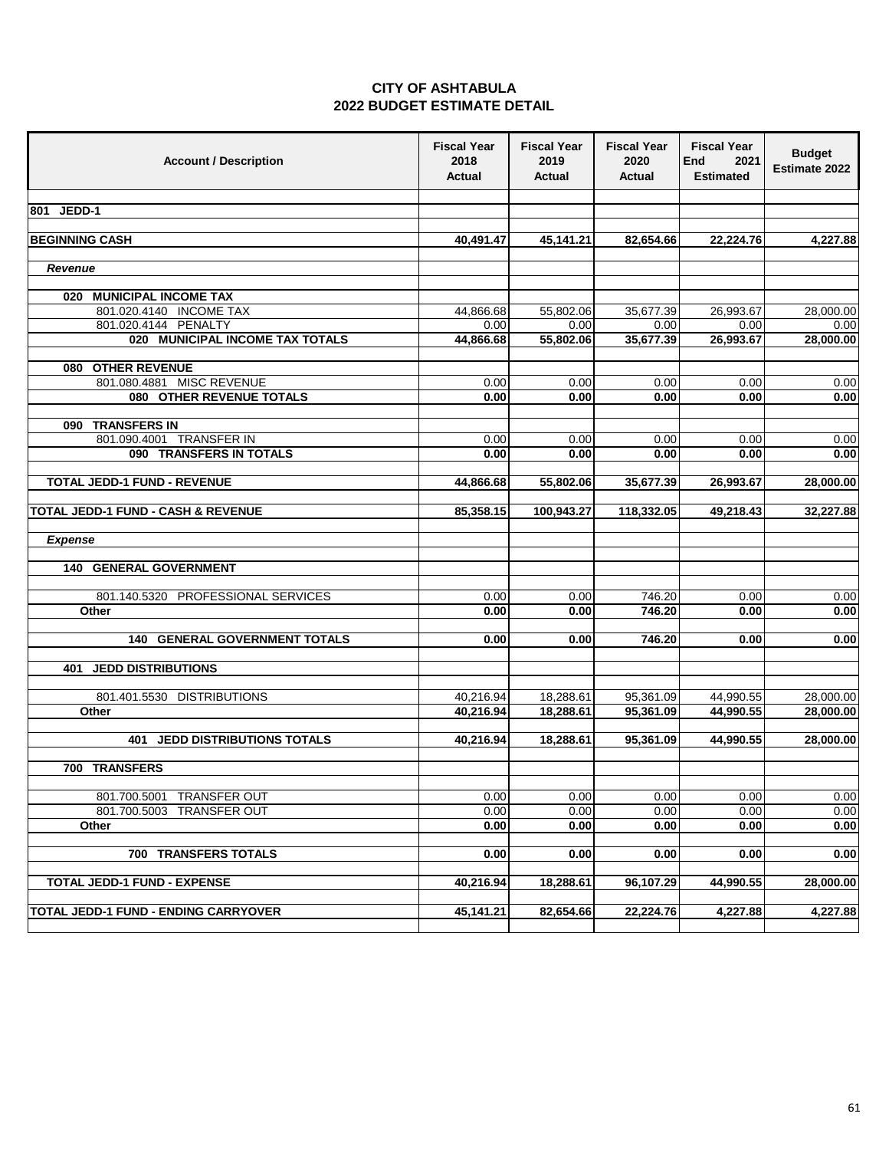| <b>Account / Description</b>                  | <b>Fiscal Year</b><br>2018<br>Actual | <b>Fiscal Year</b><br>2019<br>Actual | <b>Fiscal Year</b><br>2020<br>Actual | <b>Fiscal Year</b><br>End<br>2021<br><b>Estimated</b> | <b>Budget</b><br>Estimate 2022 |
|-----------------------------------------------|--------------------------------------|--------------------------------------|--------------------------------------|-------------------------------------------------------|--------------------------------|
| 801 JEDD-1                                    |                                      |                                      |                                      |                                                       |                                |
|                                               |                                      |                                      |                                      |                                                       |                                |
| <b>BEGINNING CASH</b>                         | 40,491.47                            | 45,141.21                            | 82,654.66                            | 22,224.76                                             | 4,227.88                       |
| Revenue                                       |                                      |                                      |                                      |                                                       |                                |
| 020 MUNICIPAL INCOME TAX                      |                                      |                                      |                                      |                                                       |                                |
| 801.020.4140 INCOME TAX                       | 44,866.68                            | 55,802.06                            | 35,677.39                            | 26,993.67                                             | 28,000.00                      |
| 801.020.4144 PENALTY                          | 0.00                                 | 0.00                                 | 0.00                                 | 0.00                                                  | 0.00                           |
| 020 MUNICIPAL INCOME TAX TOTALS               | 44,866.68                            | 55,802.06                            | 35,677.39                            | 26,993.67                                             | 28,000.00                      |
| 080 OTHER REVENUE                             |                                      |                                      |                                      |                                                       |                                |
| 801.080.4881 MISC REVENUE                     | 0.00                                 | 0.00                                 | 0.00                                 | 0.00                                                  | 0.00                           |
| 080 OTHER REVENUE TOTALS                      | 0.00                                 | 0.00                                 | 0.00                                 | 0.00                                                  | 0.00                           |
| 090 TRANSFERS IN                              |                                      |                                      |                                      |                                                       |                                |
| 801.090.4001 TRANSFER IN                      | 0.00                                 | 0.00                                 | 0.00                                 | 0.00                                                  | 0.00                           |
| 090 TRANSFERS IN TOTALS                       | 0.00                                 | 0.00                                 | 0.00                                 | 0.00                                                  | 0.00                           |
| <b>TOTAL JEDD-1 FUND - REVENUE</b>            | 44,866.68                            | 55,802.06                            | 35,677.39                            | 26,993.67                                             | 28,000.00                      |
|                                               |                                      |                                      |                                      |                                                       |                                |
| <b>TOTAL JEDD-1 FUND - CASH &amp; REVENUE</b> | 85,358.15                            | 100,943.27                           | 118,332.05                           | 49,218.43                                             | 32,227.88                      |
| <b>Expense</b>                                |                                      |                                      |                                      |                                                       |                                |
| <b>140 GENERAL GOVERNMENT</b>                 |                                      |                                      |                                      |                                                       |                                |
| 801.140.5320 PROFESSIONAL SERVICES            | 0.00                                 | 0.00                                 | 746.20                               | 0.00                                                  | 0.00                           |
| Other                                         | 0.00                                 | 0.00                                 | 746.20                               | 0.00                                                  | 0.00                           |
|                                               |                                      |                                      |                                      |                                                       |                                |
| <b>140 GENERAL GOVERNMENT TOTALS</b>          | 0.00                                 | 0.00                                 | 746.20                               | 0.00                                                  | 0.00                           |
| <b>401 JEDD DISTRIBUTIONS</b>                 |                                      |                                      |                                      |                                                       |                                |
|                                               |                                      |                                      |                                      |                                                       |                                |
| 801.401.5530 DISTRIBUTIONS<br>Other           | 40,216.94<br>40,216.94               | 18,288.61<br>18,288.61               | 95,361.09<br>95,361.09               | 44,990.55<br>44,990.55                                | 28,000.00<br>28,000.00         |
|                                               |                                      |                                      |                                      |                                                       |                                |
| <b>401 JEDD DISTRIBUTIONS TOTALS</b>          | 40,216.94                            | 18,288.61                            | 95,361.09                            | 44,990.55                                             | 28,000.00                      |
|                                               |                                      |                                      |                                      |                                                       |                                |
| 700 TRANSFERS                                 |                                      |                                      |                                      |                                                       |                                |
| 801.700.5001 TRANSFER OUT                     | 0.00                                 | 0.00                                 | 0.00                                 | 0.00                                                  | 0.00                           |
| 801.700.5003 TRANSFER OUT                     | 0.00                                 | 0.00                                 | 0.00                                 | 0.00                                                  | 0.00                           |
| Other                                         | 0.00                                 | 0.00                                 | 0.00                                 | 0.00                                                  | 0.00                           |
| <b>700 TRANSFERS TOTALS</b>                   | 0.00                                 | 0.00                                 | 0.00                                 | 0.00                                                  | 0.00                           |
|                                               |                                      |                                      |                                      |                                                       |                                |
| <b>TOTAL JEDD-1 FUND - EXPENSE</b>            | 40.216.94                            | 18,288.61                            | 96,107.29                            | 44,990.55                                             | 28.000.00                      |
| TOTAL JEDD-1 FUND - ENDING CARRYOVER          | 45,141.21                            | 82,654.66                            | 22,224.76                            | 4,227.88                                              | 4,227.88                       |
|                                               |                                      |                                      |                                      |                                                       |                                |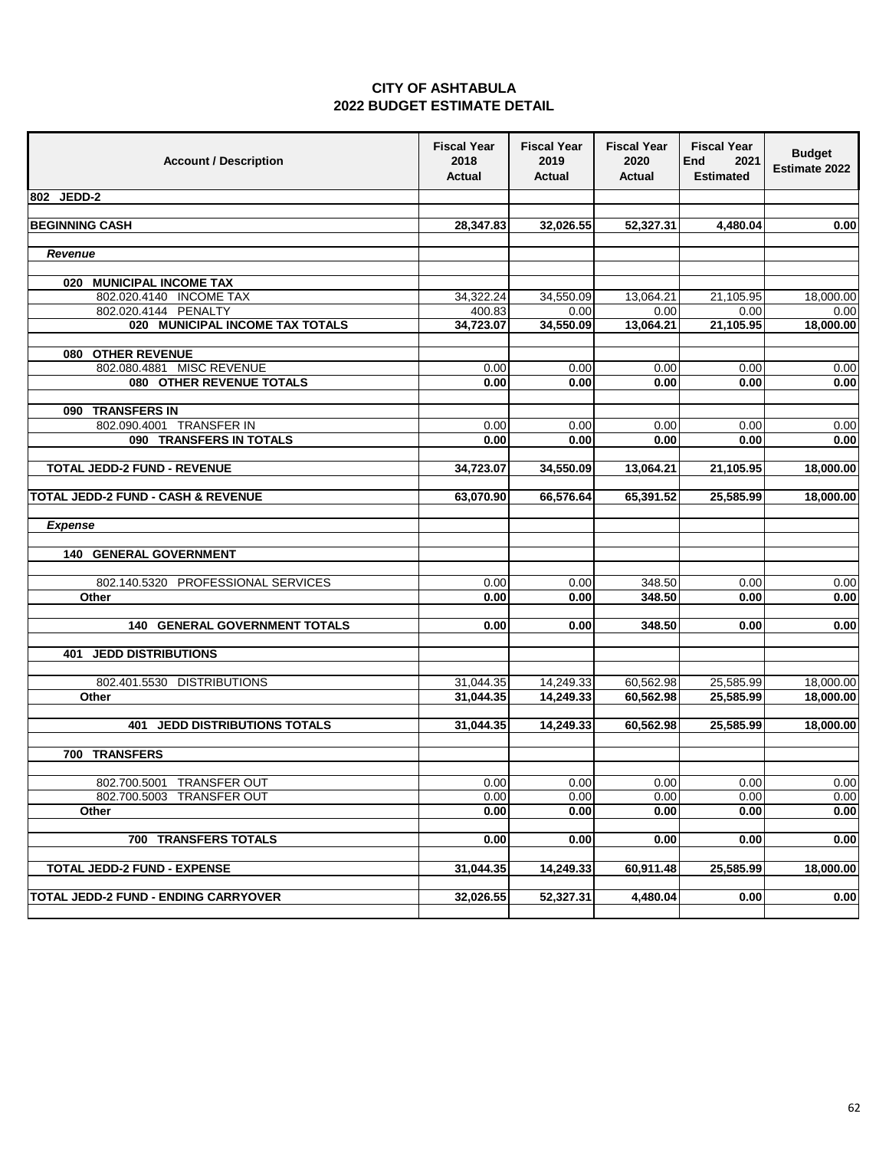| <b>Account / Description</b>         | <b>Fiscal Year</b><br>2018<br>Actual | <b>Fiscal Year</b><br>2019<br><b>Actual</b> | <b>Fiscal Year</b><br>2020<br>Actual | <b>Fiscal Year</b><br>End<br>2021<br><b>Estimated</b> | <b>Budget</b><br>Estimate 2022 |
|--------------------------------------|--------------------------------------|---------------------------------------------|--------------------------------------|-------------------------------------------------------|--------------------------------|
| 802 JEDD-2                           |                                      |                                             |                                      |                                                       |                                |
|                                      |                                      |                                             |                                      |                                                       |                                |
| <b>BEGINNING CASH</b>                | 28,347.83                            | 32,026.55                                   | 52,327.31                            | 4,480.04                                              | 0.00                           |
| Revenue                              |                                      |                                             |                                      |                                                       |                                |
|                                      |                                      |                                             |                                      |                                                       |                                |
| 020 MUNICIPAL INCOME TAX             |                                      |                                             |                                      |                                                       |                                |
| 802.020.4140 INCOME TAX              | 34,322.24                            | 34,550.09                                   | 13,064.21                            | 21,105.95                                             | 18,000.00                      |
| 802.020.4144 PENALTY                 | 400.83                               | 0.00                                        | 0.00                                 | 0.00                                                  | 0.00                           |
| 020 MUNICIPAL INCOME TAX TOTALS      | 34,723.07                            | 34,550.09                                   | 13,064.21                            | 21,105.95                                             | 18,000.00                      |
| 080 OTHER REVENUE                    |                                      |                                             |                                      |                                                       |                                |
| 802.080.4881 MISC REVENUE            | 0.00                                 | 0.00                                        | 0.00                                 | 0.00                                                  | 0.00                           |
| 080 OTHER REVENUE TOTALS             | 0.00                                 | 0.00                                        | 0.00                                 | 0.00                                                  | 0.00                           |
|                                      |                                      |                                             |                                      |                                                       |                                |
| 090 TRANSFERS IN                     |                                      |                                             |                                      |                                                       |                                |
| 802.090.4001 TRANSFER IN             | 0.00                                 | 0.00                                        | 0.00                                 | 0.00                                                  | 0.00                           |
| 090 TRANSFERS IN TOTALS              | 0.00                                 | 0.00                                        | 0.00                                 | 0.00                                                  | 0.00                           |
|                                      |                                      |                                             |                                      |                                                       |                                |
| <b>TOTAL JEDD-2 FUND - REVENUE</b>   | 34,723.07                            | 34,550.09                                   | 13,064.21                            | 21,105.95                                             | 18,000.00                      |
| TOTAL JEDD-2 FUND - CASH & REVENUE   | 63,070.90                            | 66,576.64                                   | 65,391.52                            | 25,585.99                                             | 18,000.00                      |
|                                      |                                      |                                             |                                      |                                                       |                                |
| <b>Expense</b>                       |                                      |                                             |                                      |                                                       |                                |
|                                      |                                      |                                             |                                      |                                                       |                                |
| <b>140 GENERAL GOVERNMENT</b>        |                                      |                                             |                                      |                                                       |                                |
|                                      |                                      |                                             |                                      |                                                       |                                |
| 802.140.5320 PROFESSIONAL SERVICES   | 0.00                                 | 0.00                                        | 348.50                               | 0.00                                                  | 0.00                           |
| Other                                | 0.00                                 | 0.00                                        | 348.50                               | 0.00                                                  | 0.00                           |
| <b>140 GENERAL GOVERNMENT TOTALS</b> | 0.00                                 | 0.00                                        | 348.50                               | 0.00                                                  | 0.00                           |
|                                      |                                      |                                             |                                      |                                                       |                                |
| <b>401 JEDD DISTRIBUTIONS</b>        |                                      |                                             |                                      |                                                       |                                |
|                                      |                                      |                                             |                                      |                                                       |                                |
| 802.401.5530 DISTRIBUTIONS           | 31,044.35                            | 14,249.33                                   | 60,562.98                            | 25,585.99                                             | 18,000.00                      |
| Other                                | 31,044.35                            | 14,249.33                                   | 60,562.98                            | 25,585.99                                             | 18,000.00                      |
|                                      |                                      |                                             |                                      |                                                       | 18,000.00                      |
| <b>401 JEDD DISTRIBUTIONS TOTALS</b> | 31,044.35                            | 14,249.33                                   | 60,562.98                            | 25,585.99                                             |                                |
| 700 TRANSFERS                        |                                      |                                             |                                      |                                                       |                                |
|                                      |                                      |                                             |                                      |                                                       |                                |
| 802.700.5001 TRANSFER OUT            | 0.00                                 | 0.00                                        | 0.00                                 | 0.00                                                  | 0.00                           |
| 802.700.5003 TRANSFER OUT            | 0.00                                 | 0.00                                        | 0.00                                 | 0.00                                                  | 0.00                           |
| Other                                | 0.00                                 | 0.00                                        | 0.00                                 | 0.00                                                  | 0.00                           |
|                                      |                                      |                                             |                                      |                                                       |                                |
| <b>700 TRANSFERS TOTALS</b>          | 0.00                                 | 0.00                                        | 0.00                                 | 0.00                                                  | 0.00                           |
| <b>TOTAL JEDD-2 FUND - EXPENSE</b>   | 31,044.35                            | 14,249.33                                   | 60,911.48                            | 25,585.99                                             | 18,000.00                      |
|                                      |                                      |                                             |                                      |                                                       |                                |
| TOTAL JEDD-2 FUND - ENDING CARRYOVER | 32,026.55                            | 52,327.31                                   | 4,480.04                             | 0.00                                                  | 0.00                           |
|                                      |                                      |                                             |                                      |                                                       |                                |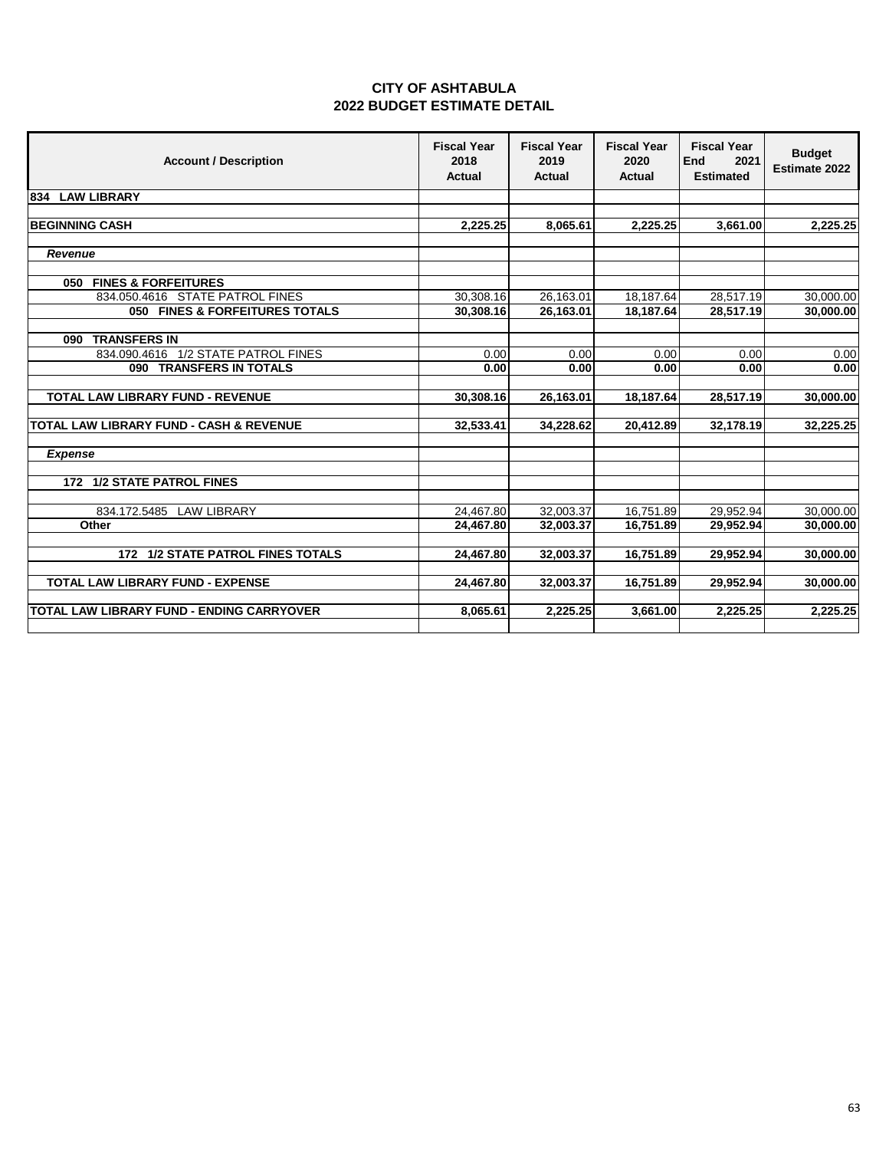|                                    | <b>CITY OF ASHTABULA</b> |  |
|------------------------------------|--------------------------|--|
| <b>2022 BUDGET ESTIMATE DETAIL</b> |                          |  |

| <b>Account / Description</b>                     | <b>Fiscal Year</b><br>2018<br>Actual | <b>Fiscal Year</b><br>2019<br>Actual | <b>Fiscal Year</b><br>2020<br><b>Actual</b> | <b>Fiscal Year</b><br><b>End</b><br>2021<br><b>Estimated</b> | <b>Budget</b><br><b>Estimate 2022</b> |
|--------------------------------------------------|--------------------------------------|--------------------------------------|---------------------------------------------|--------------------------------------------------------------|---------------------------------------|
| 834 LAW LIBRARY                                  |                                      |                                      |                                             |                                                              |                                       |
|                                                  |                                      |                                      |                                             |                                                              |                                       |
| <b>BEGINNING CASH</b>                            | 2,225.25                             | 8,065.61                             | 2,225.25                                    | 3,661.00                                                     | 2,225.25                              |
|                                                  |                                      |                                      |                                             |                                                              |                                       |
| Revenue                                          |                                      |                                      |                                             |                                                              |                                       |
| 050 FINES & FORFEITURES                          |                                      |                                      |                                             |                                                              |                                       |
| 834.050.4616 STATE PATROL FINES                  | 30,308.16                            | 26,163.01                            | 18,187.64                                   | 28,517.19                                                    | 30,000.00                             |
| 050 FINES & FORFEITURES TOTALS                   | 30,308.16                            | 26,163.01                            | 18,187.64                                   | 28,517.19                                                    | 30,000.00                             |
|                                                  |                                      |                                      |                                             |                                                              |                                       |
| 090 TRANSFERS IN                                 |                                      |                                      |                                             |                                                              |                                       |
| 834.090.4616 1/2 STATE PATROL FINES              | 0.00                                 | 0.00                                 | 0.00                                        | 0.00                                                         | 0.00                                  |
| 090 TRANSFERS IN TOTALS                          | 0.00                                 | 0.00                                 | 0.00                                        | 0.00                                                         | 0.00                                  |
|                                                  |                                      |                                      |                                             |                                                              |                                       |
| <b>TOTAL LAW LIBRARY FUND - REVENUE</b>          | 30,308.16                            | 26,163.01                            | 18,187.64                                   | 28,517.19                                                    | 30,000.00                             |
|                                                  |                                      |                                      |                                             |                                                              |                                       |
| TOTAL LAW LIBRARY FUND - CASH & REVENUE          | 32,533.41                            | 34,228.62                            | 20,412.89                                   | 32,178.19                                                    | 32,225.25                             |
|                                                  |                                      |                                      |                                             |                                                              |                                       |
| <b>Expense</b>                                   |                                      |                                      |                                             |                                                              |                                       |
|                                                  |                                      |                                      |                                             |                                                              |                                       |
| 172 1/2 STATE PATROL FINES                       |                                      |                                      |                                             |                                                              |                                       |
|                                                  |                                      |                                      |                                             |                                                              |                                       |
| 834.172.5485 LAW LIBRARY<br>Other                | 24,467.80                            | 32,003.37                            | 16,751.89                                   | 29,952.94                                                    | 30,000.00                             |
|                                                  | 24,467.80                            | 32,003.37                            | 16,751.89                                   | 29,952.94                                                    | 30,000.00                             |
| 172 1/2 STATE PATROL FINES TOTALS                | 24,467.80                            | 32,003.37                            | 16,751.89                                   | 29,952.94                                                    | 30,000.00                             |
|                                                  |                                      |                                      |                                             |                                                              |                                       |
| <b>TOTAL LAW LIBRARY FUND - EXPENSE</b>          | 24,467.80                            | 32,003.37                            | 16,751.89                                   | 29,952.94                                                    | 30,000.00                             |
|                                                  |                                      |                                      |                                             |                                                              |                                       |
| <b>TOTAL LAW LIBRARY FUND - ENDING CARRYOVER</b> | 8,065.61                             | 2,225.25                             | 3,661.00                                    | 2,225.25                                                     | 2.225.25                              |
|                                                  |                                      |                                      |                                             |                                                              |                                       |